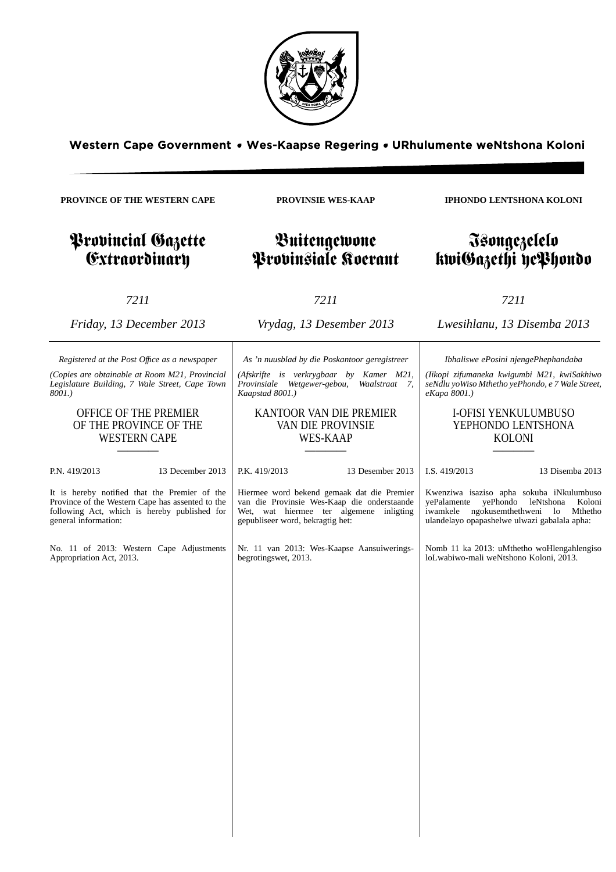

**PROVINSIE WES-KAAP**

Buitengewone Provinsiale Koerant

**PROVINCE OF THE WESTERN CAPE**

Provincial Gazette **Extraordinary** 

*7211*

*Friday, 13 December 2013*

*Registered at the Post Offıce as a newspaper (Copies are obtainable at Room M21, Provincial Legislature Building, 7 Wale Street, Cape Town*

> OFFICE OF THE PREMIER OF THE PROVINCE OF THE WESTERN CAPE

*8001.)*

*7211 Vrydag, 13 Desember 2013*

*As 'n nuusblad by die Poskantoor geregistreer*

*(Afskrifte is verkrygbaar by Kamer M21, Provinsiale Wetgewer-gebou, Waalstraat 7, Kaapstad 8001.)*

## KANTOOR VAN DIE PREMIER VAN DIE PROVINSIE WES-KAAP

————

Wet, wat hiermee ter algemene inligting

Nr. 11 van 2013: Wes-Kaapse Aansuiwerings-

gepubliseer word, bekragtig het:

begrotingswet, 2013.

———— P.N. 419/2013 13 December 2013 It is hereby notified that the Premier of the P.K. 419/2013 13 Desember 2013 Hiermee word bekend gemaak dat die Premier van die Provinsie Wes-Kaap die onderstaande

Province of the Western Cape has assented to the following Act, which is hereby published for general information:

No. 11 of 2013: Western Cape Adjustments Appropriation Act, 2013.

*eKapa 8001.)*

I.S. 419/2013 13 Disemba 2013

Kwenziwa isaziso apha sokuba iNkulumbuso yePalamente yePhondo leNtshona Koloni iwamkele ngokusemthethweni lo Mthetho ulandelayo opapashelwe ulwazi gabalala apha:

Nomb 11 ka 2013: uMthetho woHlengahlengiso loLwabiwo-mali weNtshono Koloni, 2013.

## kwiGazethi yePhondo

**IPHONDO LENTSHONA KOLONI**

Isongezelelo

*Lwesihlanu, 13 Disemba 2013*

*Ibhaliswe ePosini njengePhephandaba (Iikopi zifumaneka kwigumbi M21, kwiSakhiwo seNdlu yoWiso Mthetho yePhondo, e 7 Wale Street,*

> I-OFISI YENKULUMBUSO YEPHONDO LENTSHONA KOLONI ————

*7211*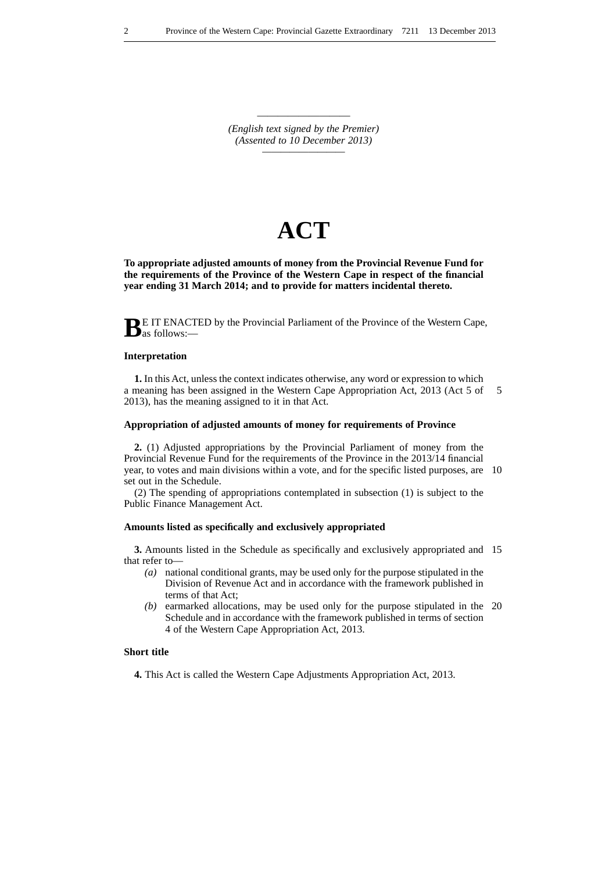————————— *(English text signed by the Premier) (Assented to 10 December 2013) —————————*

# **ACT**

**To appropriate adjusted amounts of money from the Provincial Revenue Fund for the requirements of the Province of the Western Cape in respect of the financial year ending 31 March 2014; and to provide for matters incidental thereto.**

BE IT ENACTED by the Provincial Parliament of the Province of the Western Cape, as follows:—

## **Interpretation**

**1.** In this Act, unless the context indicates otherwise, any word or expression to which a meaning has been assigned in the Western Cape Appropriation Act, 2013 (Act 5 of 2013), has the meaning assigned to it in that Act. 5

## **Appropriation of adjusted amounts of money for requirements of Province**

**2.** (1) Adjusted appropriations by the Provincial Parliament of money from the Provincial Revenue Fund for the requirements of the Province in the 2013/14 financial year, to votes and main divisions within a vote, and for the specific listed purposes, are 10 set out in the Schedule.

(2) The spending of appropriations contemplated in subsection (1) is subject to the Public Finance Management Act.

### **Amounts listed as specifically and exclusively appropriated**

**3.** Amounts listed in the Schedule as specifically and exclusively appropriated and 15 that refer to—

- *(a)* national conditional grants, may be used only for the purpose stipulated in the Division of Revenue Act and in accordance with the framework published in terms of that Act;
- *(b)* earmarked allocations, may be used only for the purpose stipulated in the 20 Schedule and in accordance with the framework published in terms of section 4 of the Western Cape Appropriation Act, 2013.

## **Short title**

**4.** This Act is called the Western Cape Adjustments Appropriation Act, 2013.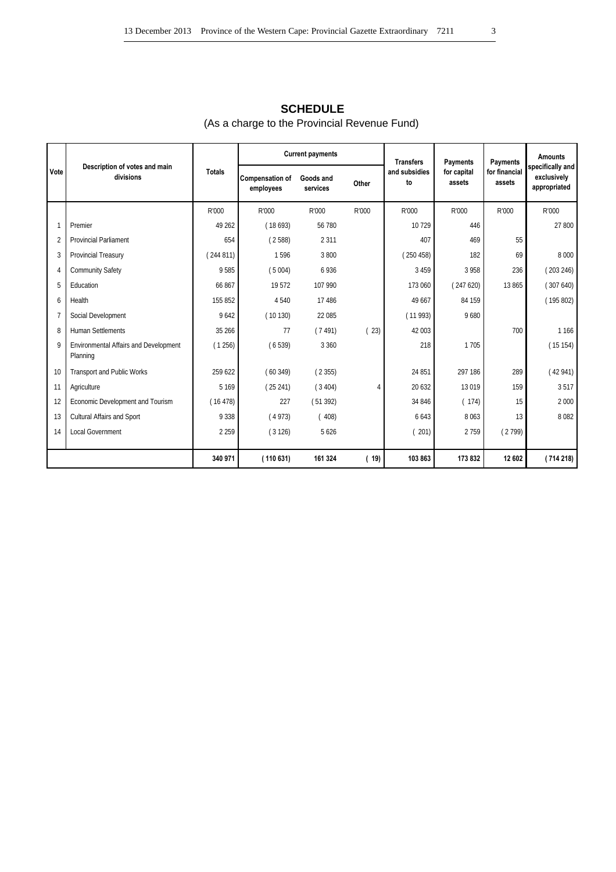## **SCHEDULE** (As a charge to the Provincial Revenue Fund)

|      |                                                   |               |                                     | <b>Current payments</b> |       | <b>Transfers</b>    | Payments              | Payments                | <b>Amounts</b>                                  |
|------|---------------------------------------------------|---------------|-------------------------------------|-------------------------|-------|---------------------|-----------------------|-------------------------|-------------------------------------------------|
| Vote | Description of votes and main<br>divisions        | <b>Totals</b> | <b>Compensation of</b><br>employees | Goods and<br>services   | Other | and subsidies<br>to | for capital<br>assets | for financial<br>assets | specifically and<br>exclusively<br>appropriated |
|      |                                                   | R'000         | R'000                               | R'000                   | R'000 | R'000               | R'000                 | R'000                   | R'000                                           |
|      | Premier                                           | 49 26 2       | (18693)                             | 56 780                  |       | 10729               | 446                   |                         | 27 800                                          |
| 2    | <b>Provincial Parliament</b>                      | 654           | (2588)                              | 2 3 1 1                 |       | 407                 | 469                   | 55                      |                                                 |
| 3    | Provincial Treasury                               | (244811)      | 1596                                | 3800                    |       | (250458)            | 182                   | 69                      | 8 0 0 0                                         |
|      | <b>Community Safety</b>                           | 9585          | (5004)                              | 6936                    |       | 3 4 5 9             | 3958                  | 236                     | (203246)                                        |
| 5    | Education                                         | 66867         | 19572                               | 107 990                 |       | 173 060             | (247620)              | 13 865                  | (307640)                                        |
|      | Health                                            | 155 852       | 4540                                | 17 48 6                 |       | 49 667              | 84 159                |                         | (195802)                                        |
|      | Social Development                                | 9642          | (10130)                             | 22 085                  |       | (11993)             | 9680                  |                         |                                                 |
| 8    | <b>Human Settlements</b>                          | 35 26 6       | 77                                  | (7491)                  | (23)  | 42 003              |                       | 700                     | 1 1 6 6                                         |
| o    | Environmental Affairs and Development<br>Planning | (1256)        | (6539)                              | 3 3 6 0                 |       | 218                 | 1705                  |                         | (15154)                                         |
| 10   | <b>Transport and Public Works</b>                 | 259 622       | (60349)                             | (2355)                  |       | 24 851              | 297 186               | 289                     | (42941)                                         |
| 11   | Agriculture                                       | 5 1 6 9       | (25241)                             | (3404)                  | 4     | 20 632              | 13019                 | 159                     | 3517                                            |
| 12   | Economic Development and Tourism                  | (16478)       | 227                                 | (51392)                 |       | 34 846              | (174)                 | 15                      | 2 0 0 0                                         |
| 13   | Cultural Affairs and Sport                        | 9 3 3 8       | (4973)                              | (408)                   |       | 6643                | 8063                  | 13                      | 8 0 8 2                                         |
| 14   | <b>Local Government</b>                           | 2 2 5 9       | (3126)                              | 5626                    |       | 201)                | 2759                  | (2799)                  |                                                 |
|      |                                                   | 340 971       | (110631)                            | 161 324                 | (19)  | 103 863             | 173832                | 12 602                  | (714218)                                        |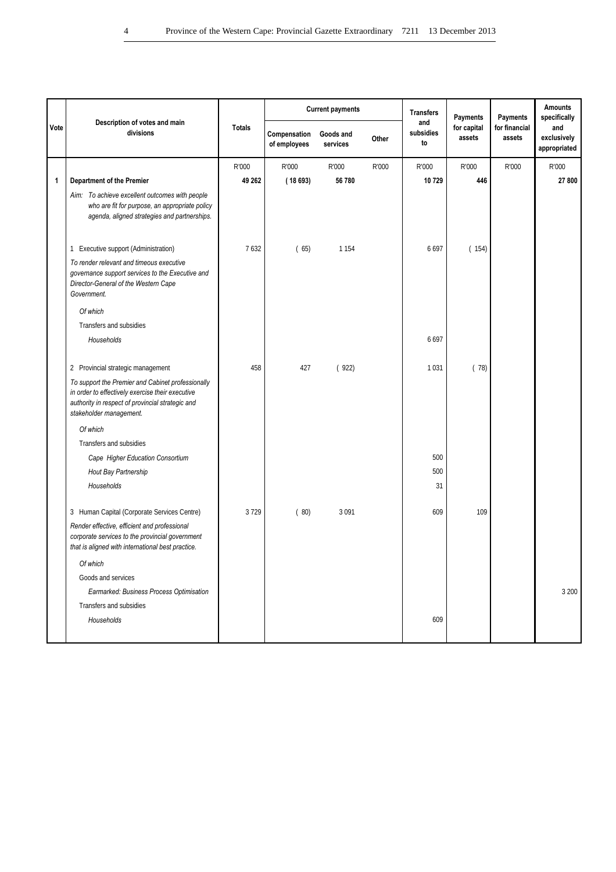|      |                                                                                                                                                                                      |               |                              | <b>Current payments</b> |       | <b>Transfers</b>       | Payments              | Payments                | <b>Amounts</b><br>specifically     |
|------|--------------------------------------------------------------------------------------------------------------------------------------------------------------------------------------|---------------|------------------------------|-------------------------|-------|------------------------|-----------------------|-------------------------|------------------------------------|
| Vote | Description of votes and main<br>divisions                                                                                                                                           | <b>Totals</b> | Compensation<br>of employees | Goods and<br>services   | Other | and<br>subsidies<br>to | for capital<br>assets | for financial<br>assets | and<br>exclusively<br>appropriated |
|      |                                                                                                                                                                                      | R'000         | R'000                        | R'000                   | R'000 | R'000                  | R'000                 | R'000                   | R'000                              |
| 1    | Department of the Premier                                                                                                                                                            | 49 262        | (18693)                      | 56780                   |       | 10729                  | 446                   |                         | 27 800                             |
|      | Aim: To achieve excellent outcomes with people<br>who are fit for purpose, an appropriate policy<br>agenda, aligned strategies and partnerships.                                     |               |                              |                         |       |                        |                       |                         |                                    |
|      | 1 Executive support (Administration)                                                                                                                                                 | 7632          | (65)                         | 1 1 5 4                 |       | 6697                   | (154)                 |                         |                                    |
|      | To render relevant and timeous executive<br>governance support services to the Executive and<br>Director-General of the Western Cape<br>Government.                                  |               |                              |                         |       |                        |                       |                         |                                    |
|      | Of which                                                                                                                                                                             |               |                              |                         |       |                        |                       |                         |                                    |
|      | Transfers and subsidies                                                                                                                                                              |               |                              |                         |       |                        |                       |                         |                                    |
|      | Households                                                                                                                                                                           |               |                              |                         |       | 6697                   |                       |                         |                                    |
|      | 2 Provincial strategic management                                                                                                                                                    | 458           | 427                          | (922)                   |       | 1031                   | (78)                  |                         |                                    |
|      | To support the Premier and Cabinet professionally<br>in order to effectively exercise their executive<br>authority in respect of provincial strategic and<br>stakeholder management. |               |                              |                         |       |                        |                       |                         |                                    |
|      | Of which                                                                                                                                                                             |               |                              |                         |       |                        |                       |                         |                                    |
|      | Transfers and subsidies                                                                                                                                                              |               |                              |                         |       |                        |                       |                         |                                    |
|      | Cape Higher Education Consortium                                                                                                                                                     |               |                              |                         |       | 500                    |                       |                         |                                    |
|      | Hout Bay Partnership                                                                                                                                                                 |               |                              |                         |       | 500                    |                       |                         |                                    |
|      | Households                                                                                                                                                                           |               |                              |                         |       | 31                     |                       |                         |                                    |
|      | 3 Human Capital (Corporate Services Centre)                                                                                                                                          | 3729          | (80)                         | 3 0 9 1                 |       | 609                    | 109                   |                         |                                    |
|      | Render effective, efficient and professional<br>corporate services to the provincial government<br>that is aligned with international best practice.                                 |               |                              |                         |       |                        |                       |                         |                                    |
|      | Of which                                                                                                                                                                             |               |                              |                         |       |                        |                       |                         |                                    |
|      | Goods and services                                                                                                                                                                   |               |                              |                         |       |                        |                       |                         |                                    |
|      | Earmarked: Business Process Optimisation                                                                                                                                             |               |                              |                         |       |                        |                       |                         | 3 200                              |
|      | Transfers and subsidies                                                                                                                                                              |               |                              |                         |       |                        |                       |                         |                                    |
|      | Households                                                                                                                                                                           |               |                              |                         |       | 609                    |                       |                         |                                    |
|      |                                                                                                                                                                                      |               |                              |                         |       |                        |                       |                         |                                    |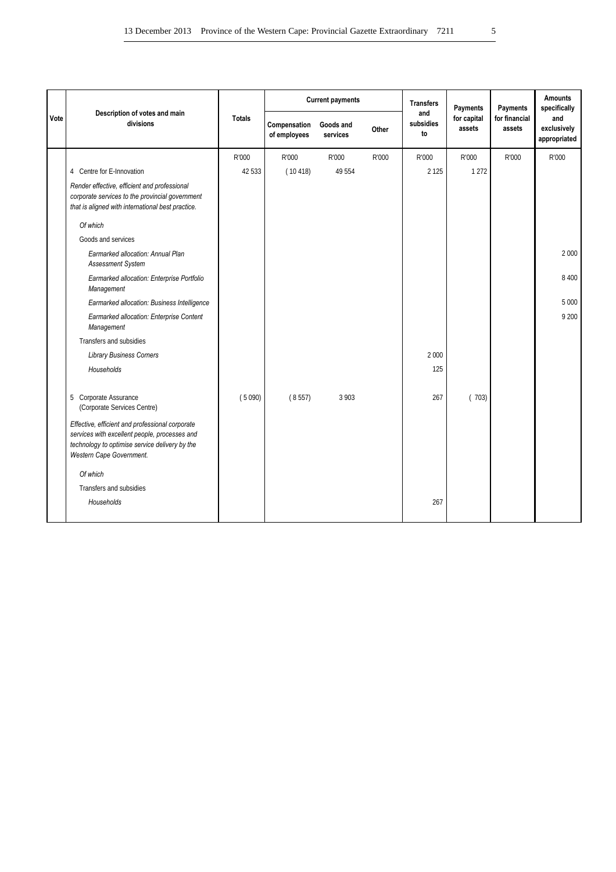|      |                                                                                                                                                                                |               |                              | <b>Current payments</b> |       |                        | Payments              | Payments                | <b>Amounts</b><br>specifically     |
|------|--------------------------------------------------------------------------------------------------------------------------------------------------------------------------------|---------------|------------------------------|-------------------------|-------|------------------------|-----------------------|-------------------------|------------------------------------|
| Vote | Description of votes and main<br>divisions                                                                                                                                     | <b>Totals</b> | Compensation<br>of employees | Goods and<br>services   | Other | and<br>subsidies<br>to | for capital<br>assets | for financial<br>assets | and<br>exclusively<br>appropriated |
|      |                                                                                                                                                                                | R'000         | R'000                        | R'000                   | R'000 | R'000                  | R'000                 | R'000                   | R'000                              |
|      | 4 Centre for E-Innovation                                                                                                                                                      | 42 533        | (10418)                      | 49 5 54                 |       | 2 1 2 5                | 1 2 7 2               |                         |                                    |
|      | Render effective, efficient and professional<br>corporate services to the provincial government<br>that is aligned with international best practice.                           |               |                              |                         |       |                        |                       |                         |                                    |
|      | Of which                                                                                                                                                                       |               |                              |                         |       |                        |                       |                         |                                    |
|      | Goods and services                                                                                                                                                             |               |                              |                         |       |                        |                       |                         |                                    |
|      | Earmarked allocation: Annual Plan<br><b>Assessment System</b>                                                                                                                  |               |                              |                         |       |                        |                       |                         | 2 0 0 0                            |
|      | Earmarked allocation: Enterprise Portfolio<br>Management                                                                                                                       |               |                              |                         |       |                        |                       |                         | 8 4 0 0                            |
|      | Earmarked allocation: Business Intelligence                                                                                                                                    |               |                              |                         |       |                        |                       |                         | 5 0 0 0                            |
|      | Earmarked allocation: Enterprise Content<br>Management                                                                                                                         |               |                              |                         |       |                        |                       |                         | 9 200                              |
|      | Transfers and subsidies                                                                                                                                                        |               |                              |                         |       |                        |                       |                         |                                    |
|      | <b>Library Business Corners</b>                                                                                                                                                |               |                              |                         |       | 2 0 0 0                |                       |                         |                                    |
|      | Households                                                                                                                                                                     |               |                              |                         |       | 125                    |                       |                         |                                    |
|      | 5 Corporate Assurance<br>(Corporate Services Centre)                                                                                                                           | (5090)        | (8557)                       | 3 9 0 3                 |       | 267                    | (703)                 |                         |                                    |
|      | Effective, efficient and professional corporate<br>services with excellent people, processes and<br>technology to optimise service delivery by the<br>Western Cape Government. |               |                              |                         |       |                        |                       |                         |                                    |
|      | Of which                                                                                                                                                                       |               |                              |                         |       |                        |                       |                         |                                    |
|      | Transfers and subsidies                                                                                                                                                        |               |                              |                         |       |                        |                       |                         |                                    |
|      | Households                                                                                                                                                                     |               |                              |                         |       | 267                    |                       |                         |                                    |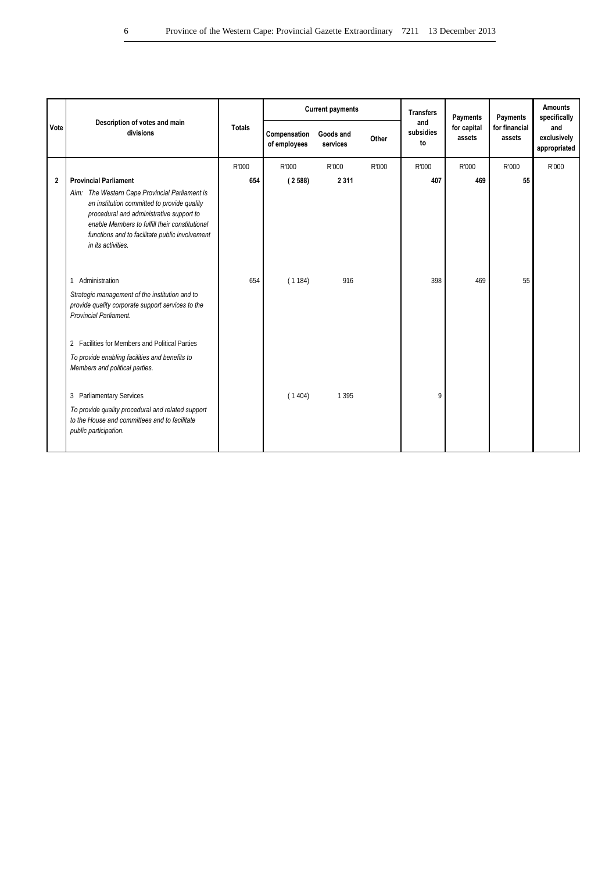|                | Description of votes and main                                                                                                                                                                                                                                       |               |                              | <b>Current payments</b> |       | <b>Transfers</b><br>and | Payments              | Payments                | <b>Amounts</b><br>specifically     |
|----------------|---------------------------------------------------------------------------------------------------------------------------------------------------------------------------------------------------------------------------------------------------------------------|---------------|------------------------------|-------------------------|-------|-------------------------|-----------------------|-------------------------|------------------------------------|
| Vote           | divisions                                                                                                                                                                                                                                                           | <b>Totals</b> | Compensation<br>of employees | Goods and<br>services   | Other | subsidies<br>to         | for capital<br>assets | for financial<br>assets | and<br>exclusively<br>appropriated |
|                |                                                                                                                                                                                                                                                                     | R'000         | R'000                        | R'000                   | R'000 | R'000                   | R'000                 | R'000                   | R'000                              |
| $\overline{2}$ | <b>Provincial Parliament</b>                                                                                                                                                                                                                                        | 654           | (2588)                       | 2311                    |       | 407                     | 469                   | 55                      |                                    |
|                | Aim: The Western Cape Provincial Parliament is<br>an institution committed to provide quality<br>procedural and administrative support to<br>enable Members to fulfill their constitutional<br>functions and to facilitate public involvement<br>in its activities. |               |                              |                         |       |                         |                       |                         |                                    |
|                | 1 Administration                                                                                                                                                                                                                                                    | 654           | (1184)                       | 916                     |       | 398                     | 469                   | 55                      |                                    |
|                | Strategic management of the institution and to<br>provide quality corporate support services to the<br>Provincial Parliament.                                                                                                                                       |               |                              |                         |       |                         |                       |                         |                                    |
|                | 2 Facilities for Members and Political Parties                                                                                                                                                                                                                      |               |                              |                         |       |                         |                       |                         |                                    |
|                | To provide enabling facilities and benefits to<br>Members and political parties.                                                                                                                                                                                    |               |                              |                         |       |                         |                       |                         |                                    |
|                | 3 Parliamentary Services                                                                                                                                                                                                                                            |               | (1404)                       | 1 3 9 5                 |       | 9                       |                       |                         |                                    |
|                | To provide quality procedural and related support<br>to the House and committees and to facilitate<br>public participation.                                                                                                                                         |               |                              |                         |       |                         |                       |                         |                                    |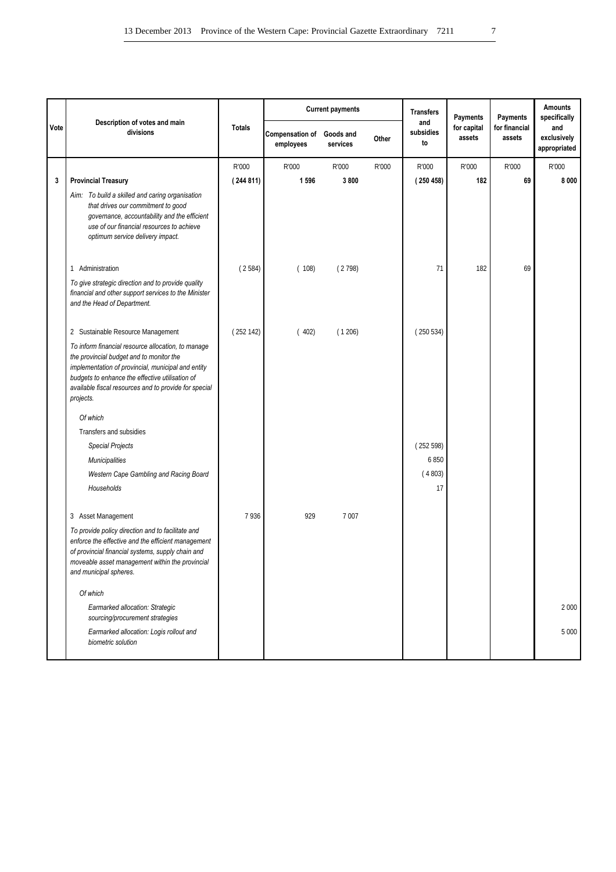|      |                                                                                                                                                                                                                                                                               |               |                              | <b>Current payments</b> |       | <b>Transfers</b>       | Payments              | <b>Payments</b>         | <b>Amounts</b><br>specifically     |
|------|-------------------------------------------------------------------------------------------------------------------------------------------------------------------------------------------------------------------------------------------------------------------------------|---------------|------------------------------|-------------------------|-------|------------------------|-----------------------|-------------------------|------------------------------------|
| Vote | Description of votes and main<br>divisions                                                                                                                                                                                                                                    | <b>Totals</b> | Compensation of<br>employees | Goods and<br>services   | Other | and<br>subsidies<br>to | for capital<br>assets | for financial<br>assets | and<br>exclusively<br>appropriated |
|      |                                                                                                                                                                                                                                                                               | R'000         | R'000                        | R'000                   | R'000 | R'000                  | R'000                 | R'000                   | R'000                              |
| 3    | <b>Provincial Treasury</b>                                                                                                                                                                                                                                                    | (244811)      | 1596                         | 3800                    |       | (250458)               | 182                   | 69                      | 8000                               |
|      | Aim: To build a skilled and caring organisation<br>that drives our commitment to good<br>governance, accountability and the efficient<br>use of our financial resources to achieve<br>optimum service delivery impact.                                                        |               |                              |                         |       |                        |                       |                         |                                    |
|      | Administration<br>-1                                                                                                                                                                                                                                                          | (2584)        | (108)                        | (2798)                  |       | 71                     | 182                   | 69                      |                                    |
|      | To give strategic direction and to provide quality<br>financial and other support services to the Minister<br>and the Head of Department.                                                                                                                                     |               |                              |                         |       |                        |                       |                         |                                    |
|      | 2 Sustainable Resource Management                                                                                                                                                                                                                                             | (252142)      | (402)                        | (1206)                  |       | (250534)               |                       |                         |                                    |
|      | To inform financial resource allocation, to manage<br>the provincial budget and to monitor the<br>implementation of provincial, municipal and entity<br>budgets to enhance the effective utilisation of<br>available fiscal resources and to provide for special<br>projects. |               |                              |                         |       |                        |                       |                         |                                    |
|      | Of which                                                                                                                                                                                                                                                                      |               |                              |                         |       |                        |                       |                         |                                    |
|      | Transfers and subsidies                                                                                                                                                                                                                                                       |               |                              |                         |       |                        |                       |                         |                                    |
|      | <b>Special Projects</b>                                                                                                                                                                                                                                                       |               |                              |                         |       | (252598)               |                       |                         |                                    |
|      | <b>Municipalities</b>                                                                                                                                                                                                                                                         |               |                              |                         |       | 6850<br>(4803)         |                       |                         |                                    |
|      | Western Cape Gambling and Racing Board<br>Households                                                                                                                                                                                                                          |               |                              |                         |       | 17                     |                       |                         |                                    |
|      | 3 Asset Management                                                                                                                                                                                                                                                            | 7936          | 929                          | 7 0 0 7                 |       |                        |                       |                         |                                    |
|      | To provide policy direction and to facilitate and<br>enforce the effective and the efficient management<br>of provincial financial systems, supply chain and<br>moveable asset management within the provincial<br>and municipal spheres.                                     |               |                              |                         |       |                        |                       |                         |                                    |
|      | Of which                                                                                                                                                                                                                                                                      |               |                              |                         |       |                        |                       |                         |                                    |
|      | Earmarked allocation: Strategic<br>sourcing/procurement strategies                                                                                                                                                                                                            |               |                              |                         |       |                        |                       |                         | 2 0 0 0                            |
|      | Earmarked allocation: Logis rollout and<br>biometric solution                                                                                                                                                                                                                 |               |                              |                         |       |                        |                       |                         | 5 0 0 0                            |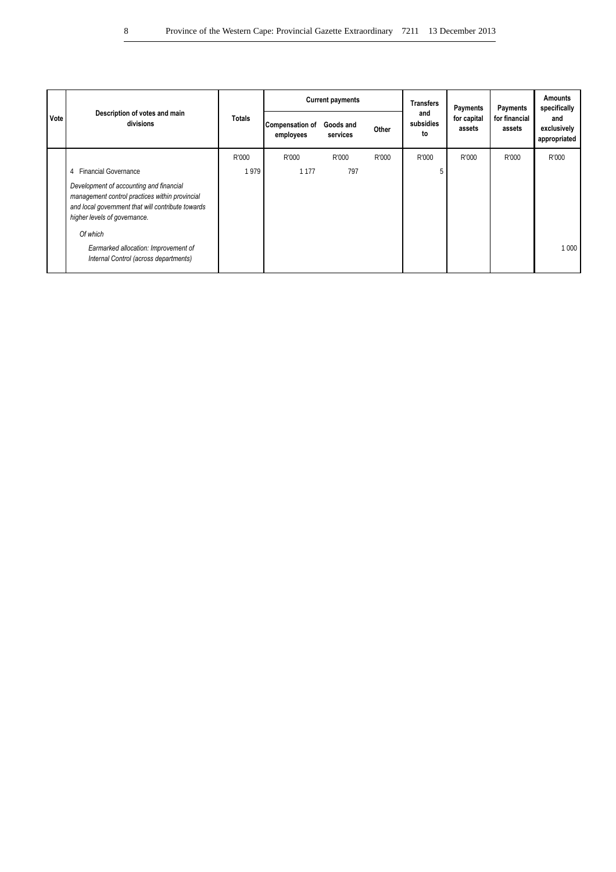|      |                                                                                                                                                                                |               |                              | <b>Current payments</b> |       | <b>Transfers</b>       | Payments              | Payments                | <b>Amounts</b><br>specifically     |
|------|--------------------------------------------------------------------------------------------------------------------------------------------------------------------------------|---------------|------------------------------|-------------------------|-------|------------------------|-----------------------|-------------------------|------------------------------------|
| Vote | Description of votes and main<br>divisions                                                                                                                                     | <b>Totals</b> | Compensation of<br>employees | Goods and<br>services   | Other | and<br>subsidies<br>to | for capital<br>assets | for financial<br>assets | and<br>exclusively<br>appropriated |
|      |                                                                                                                                                                                | R'000         | R'000                        | R'000                   | R'000 | R'000                  | R'000                 | R'000                   | R'000                              |
|      | 4 Financial Governance                                                                                                                                                         | 1979          | 1 1 7 7                      | 797                     |       |                        |                       |                         |                                    |
|      | Development of accounting and financial<br>management control practices within provincial<br>and local government that will contribute towards<br>higher levels of governance. |               |                              |                         |       |                        |                       |                         |                                    |
|      | Of which<br>Earmarked allocation: Improvement of<br>Internal Control (across departments)                                                                                      |               |                              |                         |       |                        |                       |                         | 1 0 0 0                            |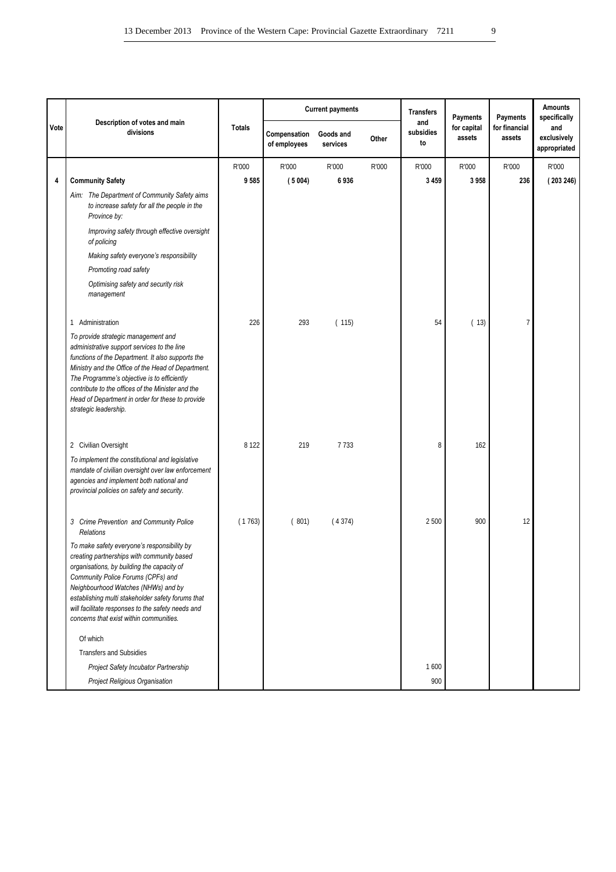|      |                                                                                                                                                                                                                                                                                                                                                                                |               |                              | <b>Current payments</b> |       | <b>Transfers</b>       | <b>Payments</b>       | <b>Payments</b>         | <b>Amounts</b><br>specifically     |
|------|--------------------------------------------------------------------------------------------------------------------------------------------------------------------------------------------------------------------------------------------------------------------------------------------------------------------------------------------------------------------------------|---------------|------------------------------|-------------------------|-------|------------------------|-----------------------|-------------------------|------------------------------------|
| Vote | Description of votes and main<br>divisions                                                                                                                                                                                                                                                                                                                                     | <b>Totals</b> | Compensation<br>of employees | Goods and<br>services   | Other | and<br>subsidies<br>to | for capital<br>assets | for financial<br>assets | and<br>exclusively<br>appropriated |
|      |                                                                                                                                                                                                                                                                                                                                                                                | R'000         | R'000                        | R'000                   | R'000 | R'000                  | R'000                 | R'000                   | R'000                              |
| 4    | <b>Community Safety</b>                                                                                                                                                                                                                                                                                                                                                        | 9585          | (5004)                       | 6936                    |       | 3 4 5 9                | 3958                  | 236                     | (203246)                           |
|      | Aim: The Department of Community Safety aims<br>to increase safety for all the people in the<br>Province by:                                                                                                                                                                                                                                                                   |               |                              |                         |       |                        |                       |                         |                                    |
|      | Improving safety through effective oversight<br>of policing                                                                                                                                                                                                                                                                                                                    |               |                              |                         |       |                        |                       |                         |                                    |
|      | Making safety everyone's responsibility                                                                                                                                                                                                                                                                                                                                        |               |                              |                         |       |                        |                       |                         |                                    |
|      | Promoting road safety                                                                                                                                                                                                                                                                                                                                                          |               |                              |                         |       |                        |                       |                         |                                    |
|      | Optimising safety and security risk<br>management                                                                                                                                                                                                                                                                                                                              |               |                              |                         |       |                        |                       |                         |                                    |
|      | 1 Administration                                                                                                                                                                                                                                                                                                                                                               | 226           | 293                          | (115)                   |       | 54                     | (13)                  | 7                       |                                    |
|      | To provide strategic management and<br>administrative support services to the line<br>functions of the Department. It also supports the<br>Ministry and the Office of the Head of Department.<br>The Programme's objective is to efficiently<br>contribute to the offices of the Minister and the<br>Head of Department in order for these to provide<br>strategic leadership. |               |                              |                         |       |                        |                       |                         |                                    |
|      | 2 Civilian Oversight                                                                                                                                                                                                                                                                                                                                                           | 8 1 2 2       | 219                          | 7733                    |       | 8                      | 162                   |                         |                                    |
|      | To implement the constitutional and legislative<br>mandate of civilian oversight over law enforcement<br>agencies and implement both national and<br>provincial policies on safety and security.                                                                                                                                                                               |               |                              |                         |       |                        |                       |                         |                                    |
|      | 3 Crime Prevention and Community Police<br><b>Relations</b>                                                                                                                                                                                                                                                                                                                    | (1763)        | (801)                        | (4374)                  |       | 2 500                  | 900                   | 12                      |                                    |
|      | To make safety everyone's responsibility by<br>creating partnerships with community based<br>organisations, by building the capacity of<br>Community Police Forums (CPFs) and<br>Neighbourhood Watches (NHWs) and by<br>establishing multi stakeholder safety forums that<br>will facilitate responses to the safety needs and<br>concerns that exist within communities.      |               |                              |                         |       |                        |                       |                         |                                    |
|      | Of which                                                                                                                                                                                                                                                                                                                                                                       |               |                              |                         |       |                        |                       |                         |                                    |
|      | <b>Transfers and Subsidies</b>                                                                                                                                                                                                                                                                                                                                                 |               |                              |                         |       |                        |                       |                         |                                    |
|      | Project Safety Incubator Partnership                                                                                                                                                                                                                                                                                                                                           |               |                              |                         |       | 1600                   |                       |                         |                                    |
|      | Project Religious Organisation                                                                                                                                                                                                                                                                                                                                                 |               |                              |                         |       | 900                    |                       |                         |                                    |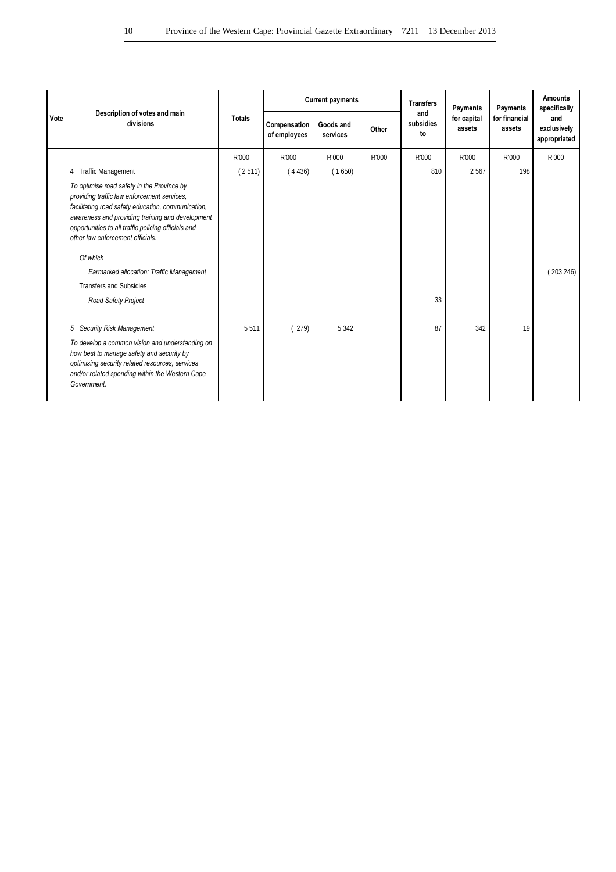|      |                                                                                                                                                                                                                                                                                                |               |                              | <b>Current payments</b> |       | <b>Transfers</b>       | Payments              | Payments                | <b>Amounts</b><br>specifically     |
|------|------------------------------------------------------------------------------------------------------------------------------------------------------------------------------------------------------------------------------------------------------------------------------------------------|---------------|------------------------------|-------------------------|-------|------------------------|-----------------------|-------------------------|------------------------------------|
| Vote | Description of votes and main<br>divisions                                                                                                                                                                                                                                                     | <b>Totals</b> | Compensation<br>of employees | Goods and<br>services   | Other | and<br>subsidies<br>to | for capital<br>assets | for financial<br>assets | and<br>exclusively<br>appropriated |
|      |                                                                                                                                                                                                                                                                                                | R'000         | R'000                        | R'000                   | R'000 | R'000                  | R'000                 | R'000                   | R'000                              |
|      | 4 Traffic Management                                                                                                                                                                                                                                                                           | (2511)        | (4436)                       | (1650)                  |       | 810                    | 2 5 6 7               | 198                     |                                    |
|      | To optimise road safety in the Province by<br>providing traffic law enforcement services.<br>facilitating road safety education, communication,<br>awareness and providing training and development<br>opportunities to all traffic policing officials and<br>other law enforcement officials. |               |                              |                         |       |                        |                       |                         |                                    |
|      | Of which                                                                                                                                                                                                                                                                                       |               |                              |                         |       |                        |                       |                         |                                    |
|      | Earmarked allocation: Traffic Management                                                                                                                                                                                                                                                       |               |                              |                         |       |                        |                       |                         | (203246)                           |
|      | <b>Transfers and Subsidies</b>                                                                                                                                                                                                                                                                 |               |                              |                         |       |                        |                       |                         |                                    |
|      | Road Safety Project                                                                                                                                                                                                                                                                            |               |                              |                         |       | 33                     |                       |                         |                                    |
|      | 5 Security Risk Management                                                                                                                                                                                                                                                                     | 5511          | (279)                        | 5 3 4 2                 |       | 87                     | 342                   | 19                      |                                    |
|      | To develop a common vision and understanding on<br>how best to manage safety and security by<br>optimising security related resources, services<br>and/or related spending within the Western Cape<br>Government.                                                                              |               |                              |                         |       |                        |                       |                         |                                    |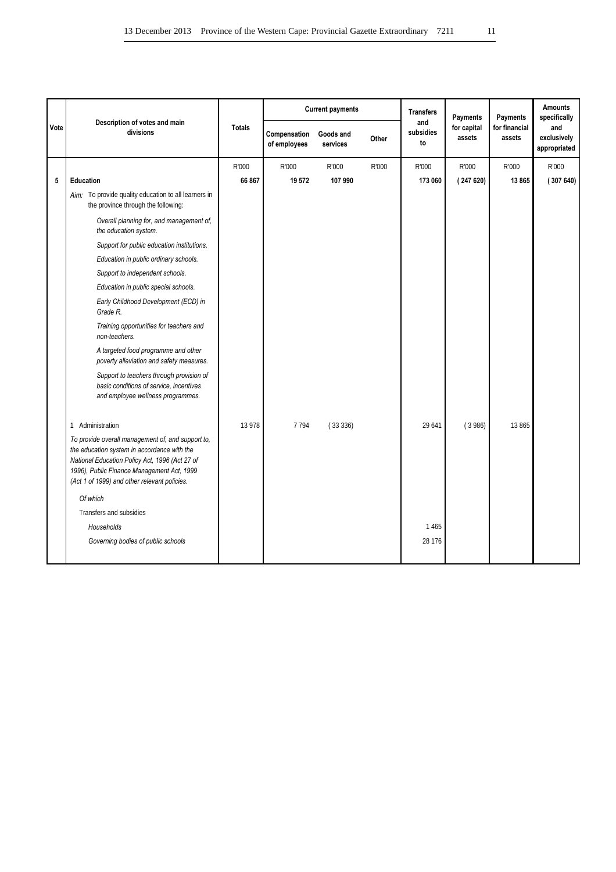|      | Description of votes and main                                                                                                                                                                                                                    |               |                              | <b>Current payments</b> |       | <b>Transfers</b>       | Payments              | Payments                | <b>Amounts</b><br>specifically     |
|------|--------------------------------------------------------------------------------------------------------------------------------------------------------------------------------------------------------------------------------------------------|---------------|------------------------------|-------------------------|-------|------------------------|-----------------------|-------------------------|------------------------------------|
| Vote | divisions                                                                                                                                                                                                                                        | <b>Totals</b> | Compensation<br>of employees | Goods and<br>services   | Other | and<br>subsidies<br>to | for capital<br>assets | for financial<br>assets | and<br>exclusively<br>appropriated |
|      |                                                                                                                                                                                                                                                  | R'000         | R'000                        | R'000                   | R'000 | R'000                  | R'000                 | R'000                   | R'000                              |
| 5    | Education                                                                                                                                                                                                                                        | 66 867        | 19 572                       | 107 990                 |       | 173 060                | (247620)              | 13865                   | (307640)                           |
|      | Aim: To provide quality education to all learners in<br>the province through the following:                                                                                                                                                      |               |                              |                         |       |                        |                       |                         |                                    |
|      | Overall planning for, and management of,<br>the education system.                                                                                                                                                                                |               |                              |                         |       |                        |                       |                         |                                    |
|      | Support for public education institutions.                                                                                                                                                                                                       |               |                              |                         |       |                        |                       |                         |                                    |
|      | Education in public ordinary schools.                                                                                                                                                                                                            |               |                              |                         |       |                        |                       |                         |                                    |
|      | Support to independent schools.                                                                                                                                                                                                                  |               |                              |                         |       |                        |                       |                         |                                    |
|      | Education in public special schools.                                                                                                                                                                                                             |               |                              |                         |       |                        |                       |                         |                                    |
|      | Early Childhood Development (ECD) in<br>Grade R.                                                                                                                                                                                                 |               |                              |                         |       |                        |                       |                         |                                    |
|      | Training opportunities for teachers and<br>non-teachers.                                                                                                                                                                                         |               |                              |                         |       |                        |                       |                         |                                    |
|      | A targeted food programme and other<br>poverty alleviation and safety measures.                                                                                                                                                                  |               |                              |                         |       |                        |                       |                         |                                    |
|      | Support to teachers through provision of<br>basic conditions of service, incentives<br>and employee wellness programmes.                                                                                                                         |               |                              |                         |       |                        |                       |                         |                                    |
|      | 1 Administration                                                                                                                                                                                                                                 | 13 978        | 7794                         | (33336)                 |       | 29 641                 | (3986)                | 13 865                  |                                    |
|      | To provide overall management of, and support to,<br>the education system in accordance with the<br>National Education Policy Act, 1996 (Act 27 of<br>1996), Public Finance Management Act, 1999<br>(Act 1 of 1999) and other relevant policies. |               |                              |                         |       |                        |                       |                         |                                    |
|      | Of which                                                                                                                                                                                                                                         |               |                              |                         |       |                        |                       |                         |                                    |
|      | Transfers and subsidies                                                                                                                                                                                                                          |               |                              |                         |       |                        |                       |                         |                                    |
|      | Households                                                                                                                                                                                                                                       |               |                              |                         |       | 1 4 6 5                |                       |                         |                                    |
|      | Governing bodies of public schools                                                                                                                                                                                                               |               |                              |                         |       | 28 176                 |                       |                         |                                    |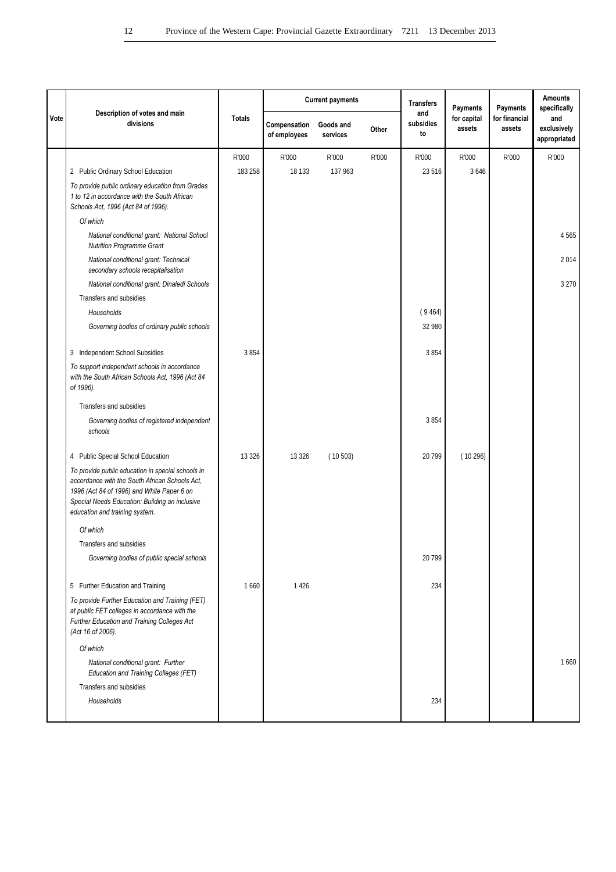|      |                                                                                                                                                                                                                                       |               |                              | <b>Current payments</b> |       | <b>Transfers</b>       | Payments              | Payments                | <b>Amounts</b><br>specifically     |
|------|---------------------------------------------------------------------------------------------------------------------------------------------------------------------------------------------------------------------------------------|---------------|------------------------------|-------------------------|-------|------------------------|-----------------------|-------------------------|------------------------------------|
| Vote | Description of votes and main<br>divisions                                                                                                                                                                                            | <b>Totals</b> | Compensation<br>of employees | Goods and<br>services   | Other | and<br>subsidies<br>to | for capital<br>assets | for financial<br>assets | and<br>exclusively<br>appropriated |
|      |                                                                                                                                                                                                                                       | R'000         | R'000                        | R'000                   | R'000 | R'000                  | R'000                 | R'000                   | R'000                              |
|      | 2 Public Ordinary School Education                                                                                                                                                                                                    | 183 258       | 18 133                       | 137 963                 |       | 23 516                 | 3 6 4 6               |                         |                                    |
|      | To provide public ordinary education from Grades<br>1 to 12 in accordance with the South African<br>Schools Act, 1996 (Act 84 of 1996).                                                                                               |               |                              |                         |       |                        |                       |                         |                                    |
|      | Of which                                                                                                                                                                                                                              |               |                              |                         |       |                        |                       |                         |                                    |
|      | National conditional grant: National School<br><b>Nutrition Programme Grant</b>                                                                                                                                                       |               |                              |                         |       |                        |                       |                         | 4565                               |
|      | National conditional grant: Technical<br>secondary schools recapitalisation                                                                                                                                                           |               |                              |                         |       |                        |                       |                         | 2014                               |
|      | National conditional grant: Dinaledi Schools                                                                                                                                                                                          |               |                              |                         |       |                        |                       |                         | 3 2 7 0                            |
|      | Transfers and subsidies                                                                                                                                                                                                               |               |                              |                         |       |                        |                       |                         |                                    |
|      | Households                                                                                                                                                                                                                            |               |                              |                         |       | (9464)                 |                       |                         |                                    |
|      | Governing bodies of ordinary public schools                                                                                                                                                                                           |               |                              |                         |       | 32 980                 |                       |                         |                                    |
|      | 3 Independent School Subsidies                                                                                                                                                                                                        | 3854          |                              |                         |       | 3854                   |                       |                         |                                    |
|      | To support independent schools in accordance<br>with the South African Schools Act, 1996 (Act 84<br>of 1996).                                                                                                                         |               |                              |                         |       |                        |                       |                         |                                    |
|      | Transfers and subsidies                                                                                                                                                                                                               |               |                              |                         |       |                        |                       |                         |                                    |
|      | Governing bodies of registered independent<br>schools                                                                                                                                                                                 |               |                              |                         |       | 3854                   |                       |                         |                                    |
|      | 4 Public Special School Education                                                                                                                                                                                                     | 13 3 26       | 13 3 26                      | (10503)                 |       | 20 799                 | (10296)               |                         |                                    |
|      | To provide public education in special schools in<br>accordance with the South African Schools Act.<br>1996 (Act 84 of 1996) and White Paper 6 on<br>Special Needs Education: Building an inclusive<br>education and training system. |               |                              |                         |       |                        |                       |                         |                                    |
|      | Of which                                                                                                                                                                                                                              |               |                              |                         |       |                        |                       |                         |                                    |
|      | Transfers and subsidies                                                                                                                                                                                                               |               |                              |                         |       |                        |                       |                         |                                    |
|      | Governing bodies of public special schools                                                                                                                                                                                            |               |                              |                         |       | 20 799                 |                       |                         |                                    |
|      | 5 Further Education and Training                                                                                                                                                                                                      | 1660          | 1426                         |                         |       | 234                    |                       |                         |                                    |
|      | To provide Further Education and Training (FET)<br>at public FET colleges in accordance with the<br>Further Education and Training Colleges Act<br>(Act 16 of 2006).                                                                  |               |                              |                         |       |                        |                       |                         |                                    |
|      | Of which                                                                                                                                                                                                                              |               |                              |                         |       |                        |                       |                         |                                    |
|      | National conditional grant: Further<br>Education and Training Colleges (FET)                                                                                                                                                          |               |                              |                         |       |                        |                       |                         | 1660                               |
|      | Transfers and subsidies                                                                                                                                                                                                               |               |                              |                         |       |                        |                       |                         |                                    |
|      | Households                                                                                                                                                                                                                            |               |                              |                         |       | 234                    |                       |                         |                                    |
|      |                                                                                                                                                                                                                                       |               |                              |                         |       |                        |                       |                         |                                    |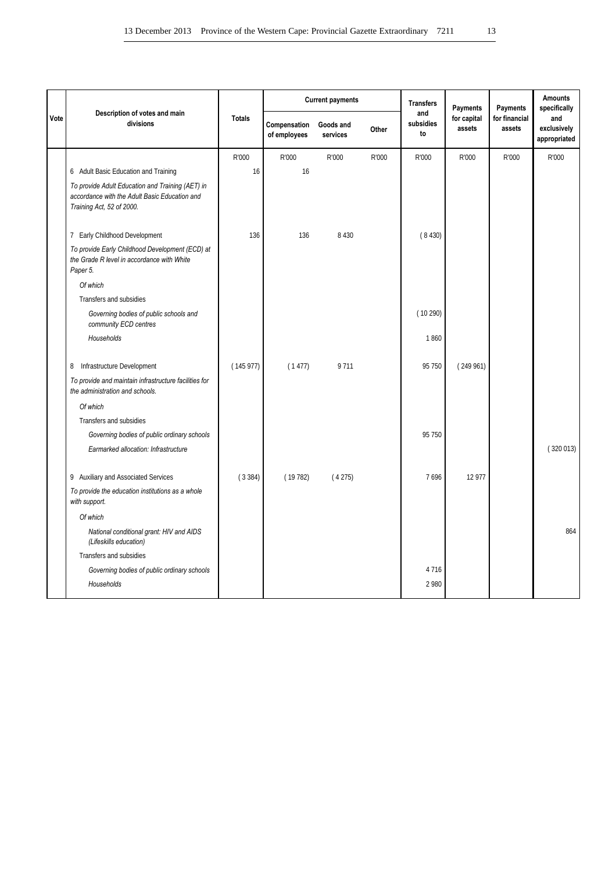|      |                                                                                                                                |               |                              | <b>Current payments</b> |       | <b>Transfers</b>       | <b>Payments</b>       | Payments                | <b>Amounts</b><br>specifically     |
|------|--------------------------------------------------------------------------------------------------------------------------------|---------------|------------------------------|-------------------------|-------|------------------------|-----------------------|-------------------------|------------------------------------|
| Vote | Description of votes and main<br>divisions                                                                                     | <b>Totals</b> | Compensation<br>of employees | Goods and<br>services   | Other | and<br>subsidies<br>to | for capital<br>assets | for financial<br>assets | and<br>exclusively<br>appropriated |
|      |                                                                                                                                | R'000         | R'000                        | R'000                   | R'000 | R'000                  | R'000                 | R'000                   | R'000                              |
|      | 6 Adult Basic Education and Training                                                                                           | 16            | 16                           |                         |       |                        |                       |                         |                                    |
|      | To provide Adult Education and Training (AET) in<br>accordance with the Adult Basic Education and<br>Training Act, 52 of 2000. |               |                              |                         |       |                        |                       |                         |                                    |
|      | 7 Early Childhood Development                                                                                                  | 136           | 136                          | 8 4 3 0                 |       | (8430)                 |                       |                         |                                    |
|      | To provide Early Childhood Development (ECD) at<br>the Grade R level in accordance with White<br>Paper 5.                      |               |                              |                         |       |                        |                       |                         |                                    |
|      | Of which                                                                                                                       |               |                              |                         |       |                        |                       |                         |                                    |
|      | Transfers and subsidies                                                                                                        |               |                              |                         |       |                        |                       |                         |                                    |
|      | Governing bodies of public schools and<br>community ECD centres                                                                |               |                              |                         |       | (10290)                |                       |                         |                                    |
|      | Households                                                                                                                     |               |                              |                         |       | 1860                   |                       |                         |                                    |
|      | Infrastructure Development<br>8                                                                                                | (145977)      | (1477)                       | 9711                    |       | 95 750                 | (249961)              |                         |                                    |
|      | To provide and maintain infrastructure facilities for<br>the administration and schools.                                       |               |                              |                         |       |                        |                       |                         |                                    |
|      | Of which                                                                                                                       |               |                              |                         |       |                        |                       |                         |                                    |
|      | Transfers and subsidies                                                                                                        |               |                              |                         |       |                        |                       |                         |                                    |
|      | Governing bodies of public ordinary schools                                                                                    |               |                              |                         |       | 95 750                 |                       |                         |                                    |
|      | Earmarked allocation: Infrastructure                                                                                           |               |                              |                         |       |                        |                       |                         | (320013)                           |
|      | 9 Auxiliary and Associated Services                                                                                            | (3384)        | (19782)                      | (4275)                  |       | 7696                   | 12 977                |                         |                                    |
|      | To provide the education institutions as a whole<br>with support.                                                              |               |                              |                         |       |                        |                       |                         |                                    |
|      | Of which                                                                                                                       |               |                              |                         |       |                        |                       |                         |                                    |
|      | National conditional grant: HIV and AIDS<br>(Lifeskills education)                                                             |               |                              |                         |       |                        |                       |                         | 864                                |
|      | Transfers and subsidies                                                                                                        |               |                              |                         |       |                        |                       |                         |                                    |
|      | Governing bodies of public ordinary schools                                                                                    |               |                              |                         |       | 4 7 1 6                |                       |                         |                                    |
|      | Households                                                                                                                     |               |                              |                         |       | 2 9 8 0                |                       |                         |                                    |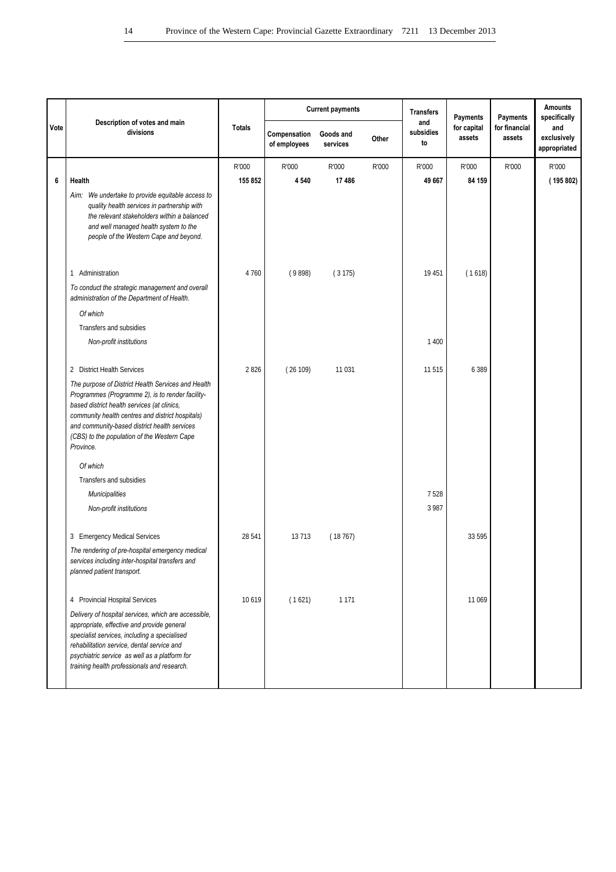|      |                                                                                                                                                                                                                                                                                                                       |               |                              | <b>Current payments</b> |       | <b>Transfers</b>       | Payments              | <b>Payments</b>         | <b>Amounts</b><br>specifically     |
|------|-----------------------------------------------------------------------------------------------------------------------------------------------------------------------------------------------------------------------------------------------------------------------------------------------------------------------|---------------|------------------------------|-------------------------|-------|------------------------|-----------------------|-------------------------|------------------------------------|
| Vote | Description of votes and main<br>divisions                                                                                                                                                                                                                                                                            | <b>Totals</b> | Compensation<br>of employees | Goods and<br>services   | Other | and<br>subsidies<br>to | for capital<br>assets | for financial<br>assets | and<br>exclusively<br>appropriated |
|      |                                                                                                                                                                                                                                                                                                                       | R'000         | R'000                        | R'000                   | R'000 | R'000                  | R'000                 | R'000                   | R'000                              |
| 6    | Health                                                                                                                                                                                                                                                                                                                | 155 852       | 4 5 4 0                      | 17486                   |       | 49 667                 | 84 159                |                         | (195802)                           |
|      | Aim: We undertake to provide equitable access to<br>quality health services in partnership with<br>the relevant stakeholders within a balanced<br>and well managed health system to the<br>people of the Western Cape and beyond.                                                                                     |               |                              |                         |       |                        |                       |                         |                                    |
|      | 1 Administration                                                                                                                                                                                                                                                                                                      | 4760          | (9898)                       | (3175)                  |       | 19 451                 | (1618)                |                         |                                    |
|      | To conduct the strategic management and overall<br>administration of the Department of Health.                                                                                                                                                                                                                        |               |                              |                         |       |                        |                       |                         |                                    |
|      | Of which                                                                                                                                                                                                                                                                                                              |               |                              |                         |       |                        |                       |                         |                                    |
|      | Transfers and subsidies                                                                                                                                                                                                                                                                                               |               |                              |                         |       |                        |                       |                         |                                    |
|      | Non-profit institutions                                                                                                                                                                                                                                                                                               |               |                              |                         |       | 1 4 0 0                |                       |                         |                                    |
|      | 2 District Health Services                                                                                                                                                                                                                                                                                            | 2826          | (26109)                      | 11 0 31                 |       | 11 5 15                | 6 3 8 9               |                         |                                    |
|      | The purpose of District Health Services and Health<br>Programmes (Programme 2), is to render facility-<br>based district health services (at clinics,<br>community health centres and district hospitals)<br>and community-based district health services<br>(CBS) to the population of the Western Cape<br>Province. |               |                              |                         |       |                        |                       |                         |                                    |
|      | Of which                                                                                                                                                                                                                                                                                                              |               |                              |                         |       |                        |                       |                         |                                    |
|      | Transfers and subsidies                                                                                                                                                                                                                                                                                               |               |                              |                         |       |                        |                       |                         |                                    |
|      | <b>Municipalities</b>                                                                                                                                                                                                                                                                                                 |               |                              |                         |       | 7528                   |                       |                         |                                    |
|      | Non-profit institutions                                                                                                                                                                                                                                                                                               |               |                              |                         |       | 3 9 8 7                |                       |                         |                                    |
|      | 3 Emergency Medical Services                                                                                                                                                                                                                                                                                          | 28 541        | 13713                        | (18767)                 |       |                        | 33 595                |                         |                                    |
|      | The rendering of pre-hospital emergency medical<br>services including inter-hospital transfers and<br>planned patient transport.                                                                                                                                                                                      |               |                              |                         |       |                        |                       |                         |                                    |
|      | 4 Provincial Hospital Services                                                                                                                                                                                                                                                                                        | 10619         | (1621)                       | 1 1 7 1                 |       |                        | 11 069                |                         |                                    |
|      | Delivery of hospital services, which are accessible,<br>appropriate, effective and provide general<br>specialist services, including a specialised<br>rehabilitation service, dental service and<br>psychiatric service as well as a platform for<br>training health professionals and research.                      |               |                              |                         |       |                        |                       |                         |                                    |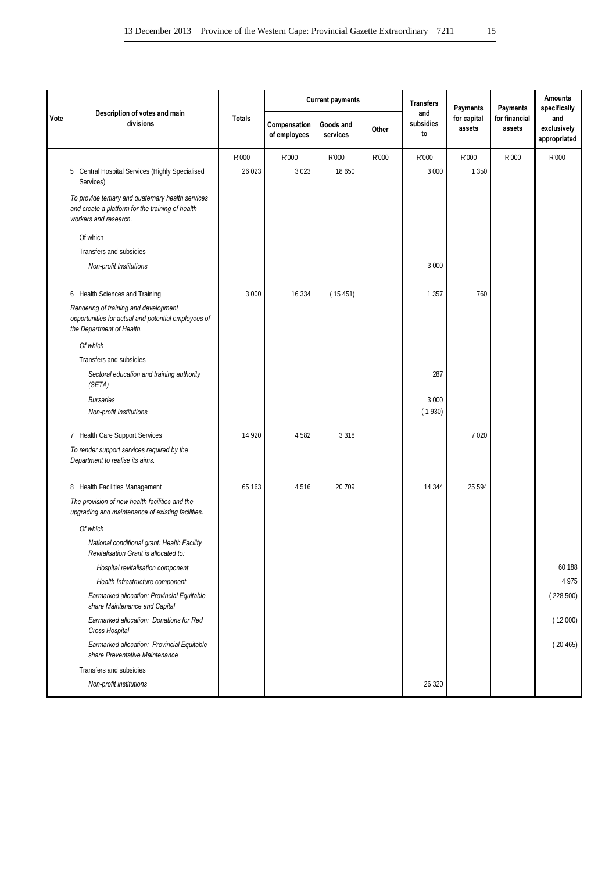|      |                                                                                                                                 |               |                              | <b>Current payments</b> |       | <b>Transfers</b>       | Payments              | Payments                | <b>Amounts</b><br>specifically     |
|------|---------------------------------------------------------------------------------------------------------------------------------|---------------|------------------------------|-------------------------|-------|------------------------|-----------------------|-------------------------|------------------------------------|
| Vote | Description of votes and main<br>divisions                                                                                      | <b>Totals</b> | Compensation<br>of employees | Goods and<br>services   | Other | and<br>subsidies<br>to | for capital<br>assets | for financial<br>assets | and<br>exclusively<br>appropriated |
|      |                                                                                                                                 | R'000         | R'000                        | R'000                   | R'000 | R'000                  | R'000                 | R'000                   | R'000                              |
|      | 5 Central Hospital Services (Highly Specialised<br>Services)                                                                    | 26 0 23       | 3 0 2 3                      | 18 650                  |       | 3 0 0 0                | 1 3 5 0               |                         |                                    |
|      | To provide tertiary and quaternary health services<br>and create a platform for the training of health<br>workers and research. |               |                              |                         |       |                        |                       |                         |                                    |
|      | Of which                                                                                                                        |               |                              |                         |       |                        |                       |                         |                                    |
|      | Transfers and subsidies                                                                                                         |               |                              |                         |       |                        |                       |                         |                                    |
|      | Non-profit Institutions                                                                                                         |               |                              |                         |       | 3 0 0 0                |                       |                         |                                    |
|      | 6 Health Sciences and Training                                                                                                  | 3 0 0 0       | 16 3 34                      | (15451)                 |       | 1 3 5 7                | 760                   |                         |                                    |
|      | Rendering of training and development<br>opportunities for actual and potential employees of<br>the Department of Health.       |               |                              |                         |       |                        |                       |                         |                                    |
|      | Of which                                                                                                                        |               |                              |                         |       |                        |                       |                         |                                    |
|      | Transfers and subsidies                                                                                                         |               |                              |                         |       |                        |                       |                         |                                    |
|      | Sectoral education and training authority<br>(SETA)                                                                             |               |                              |                         |       | 287                    |                       |                         |                                    |
|      | <b>Bursaries</b><br>Non-profit Institutions                                                                                     |               |                              |                         |       | 3 0 0 0<br>(1930)      |                       |                         |                                    |
|      | 7 Health Care Support Services                                                                                                  | 14 9 20       | 4582                         | 3 3 1 8                 |       |                        | 7 0 20                |                         |                                    |
|      | To render support services required by the<br>Department to realise its aims.                                                   |               |                              |                         |       |                        |                       |                         |                                    |
|      | 8 Health Facilities Management                                                                                                  | 65 163        | 4516                         | 20 709                  |       | 14 344                 | 25 5 94               |                         |                                    |
|      | The provision of new health facilities and the<br>upgrading and maintenance of existing facilities.                             |               |                              |                         |       |                        |                       |                         |                                    |
|      | Of which                                                                                                                        |               |                              |                         |       |                        |                       |                         |                                    |
|      | National conditional grant: Health Facility<br>Revitalisation Grant is allocated to:                                            |               |                              |                         |       |                        |                       |                         |                                    |
|      | Hospital revitalisation component                                                                                               |               |                              |                         |       |                        |                       |                         | 60 188                             |
|      | Health Infrastructure component                                                                                                 |               |                              |                         |       |                        |                       |                         | 4975                               |
|      | Earmarked allocation: Provincial Equitable<br>share Maintenance and Capital                                                     |               |                              |                         |       |                        |                       |                         | (228500)                           |
|      | Earmarked allocation: Donations for Red<br>Cross Hospital                                                                       |               |                              |                         |       |                        |                       |                         | (12000)                            |
|      | Earmarked allocation: Provincial Equitable<br>share Preventative Maintenance                                                    |               |                              |                         |       |                        |                       |                         | (20465)                            |
|      | Transfers and subsidies                                                                                                         |               |                              |                         |       |                        |                       |                         |                                    |
|      | Non-profit institutions                                                                                                         |               |                              |                         |       | 26 320                 |                       |                         |                                    |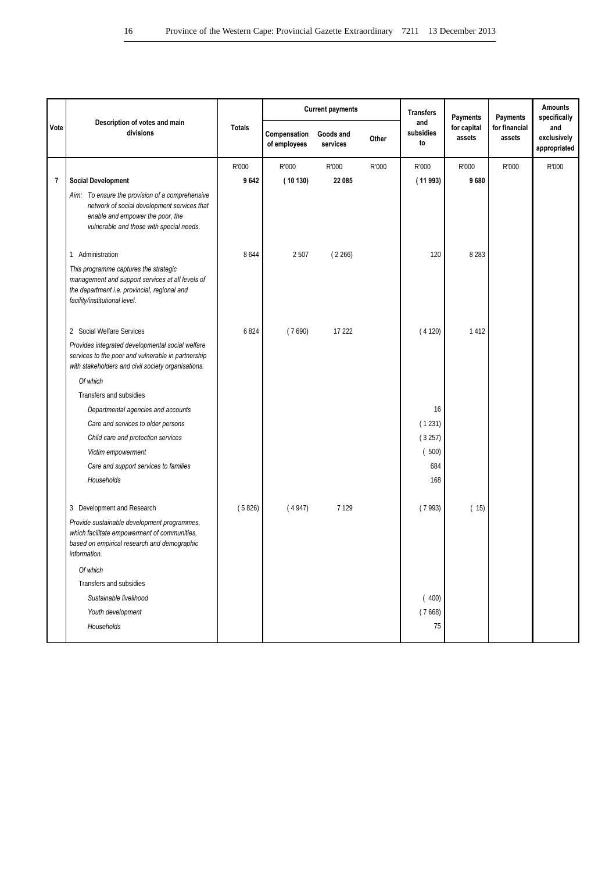|      | Description of votes and main                                                                                                                                                  |               | <b>Current payments</b><br><b>Transfers</b> |                       |       | <b>Payments</b>        | Payments              | <b>Amounts</b><br>specifically |                                    |
|------|--------------------------------------------------------------------------------------------------------------------------------------------------------------------------------|---------------|---------------------------------------------|-----------------------|-------|------------------------|-----------------------|--------------------------------|------------------------------------|
| Vote | divisions                                                                                                                                                                      | <b>Totals</b> | Compensation<br>of employees                | Goods and<br>services | Other | and<br>subsidies<br>to | for capital<br>assets | for financial<br>assets        | and<br>exclusively<br>appropriated |
|      |                                                                                                                                                                                | R'000         | R'000                                       | R'000                 | R'000 | R'000                  | R'000                 | R'000                          | R'000                              |
| 7    | <b>Social Development</b>                                                                                                                                                      | 9642          | (10130)                                     | 22 085                |       | (11993)                | 9680                  |                                |                                    |
|      | Aim: To ensure the provision of a comprehensive<br>network of social development services that<br>enable and empower the poor, the<br>vulnerable and those with special needs. |               |                                             |                       |       |                        |                       |                                |                                    |
|      | 1 Administration                                                                                                                                                               | 8644          | 2507                                        | (2266)                |       | 120                    | 8 2 8 3               |                                |                                    |
|      | This programme captures the strategic<br>management and support services at all levels of<br>the department i.e. provincial, regional and<br>facility/institutional level.     |               |                                             |                       |       |                        |                       |                                |                                    |
|      | 2 Social Welfare Services                                                                                                                                                      | 6824          | (7690)                                      | 17 222                |       | (4120)                 | 1412                  |                                |                                    |
|      | Provides integrated developmental social welfare<br>services to the poor and vulnerable in partnership<br>with stakeholders and civil society organisations.                   |               |                                             |                       |       |                        |                       |                                |                                    |
|      | Of which                                                                                                                                                                       |               |                                             |                       |       |                        |                       |                                |                                    |
|      | Transfers and subsidies                                                                                                                                                        |               |                                             |                       |       |                        |                       |                                |                                    |
|      | Departmental agencies and accounts                                                                                                                                             |               |                                             |                       |       | 16                     |                       |                                |                                    |
|      | Care and services to older persons                                                                                                                                             |               |                                             |                       |       | (1231)                 |                       |                                |                                    |
|      | Child care and protection services                                                                                                                                             |               |                                             |                       |       | (3257)                 |                       |                                |                                    |
|      | Victim empowerment                                                                                                                                                             |               |                                             |                       |       | (500)                  |                       |                                |                                    |
|      | Care and support services to families                                                                                                                                          |               |                                             |                       |       | 684                    |                       |                                |                                    |
|      | Households                                                                                                                                                                     |               |                                             |                       |       | 168                    |                       |                                |                                    |
|      | 3 Development and Research                                                                                                                                                     | (5826)        | (4947)                                      | 7 1 2 9               |       | (7993)                 | (15)                  |                                |                                    |
|      | Provide sustainable development programmes,<br>which facilitate empowerment of communities,<br>based on empirical research and demographic<br>information.                     |               |                                             |                       |       |                        |                       |                                |                                    |
|      | Of which                                                                                                                                                                       |               |                                             |                       |       |                        |                       |                                |                                    |
|      | Transfers and subsidies                                                                                                                                                        |               |                                             |                       |       |                        |                       |                                |                                    |
|      | Sustainable livelihood                                                                                                                                                         |               |                                             |                       |       | (400)                  |                       |                                |                                    |
|      | Youth development                                                                                                                                                              |               |                                             |                       |       | (7668)                 |                       |                                |                                    |
|      | Households                                                                                                                                                                     |               |                                             |                       |       | 75                     |                       |                                |                                    |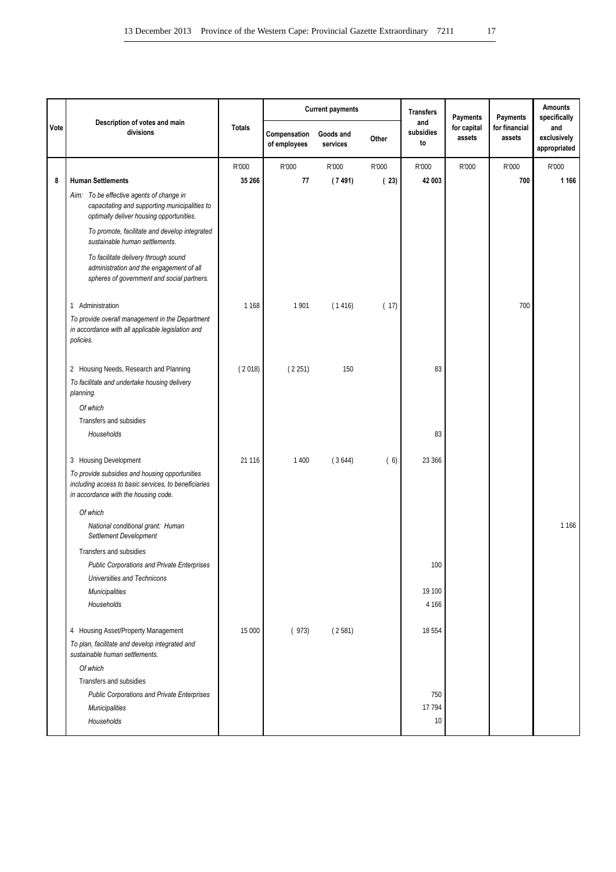|      |                                                                                                                                                |               |                              | <b>Current payments</b> |       | <b>Transfers</b>       | <b>Payments</b>       | Payments                | <b>Amounts</b><br>specifically     |
|------|------------------------------------------------------------------------------------------------------------------------------------------------|---------------|------------------------------|-------------------------|-------|------------------------|-----------------------|-------------------------|------------------------------------|
| Vote | Description of votes and main<br>divisions                                                                                                     | <b>Totals</b> | Compensation<br>of employees | Goods and<br>services   | Other | and<br>subsidies<br>to | for capital<br>assets | for financial<br>assets | and<br>exclusively<br>appropriated |
|      |                                                                                                                                                | R'000         | R'000                        | R'000                   | R'000 | R'000                  | R'000                 | R'000                   | R'000                              |
| 8    | <b>Human Settlements</b>                                                                                                                       | 35 266        | 77                           | (7491)                  | (23)  | 42 003                 |                       | 700                     | 1 1 6 6                            |
|      | Aim: To be effective agents of change in<br>capacitating and supporting municipalities to<br>optimally deliver housing opportunities.          |               |                              |                         |       |                        |                       |                         |                                    |
|      | To promote, facilitate and develop integrated<br>sustainable human settlements.                                                                |               |                              |                         |       |                        |                       |                         |                                    |
|      | To facilitate delivery through sound<br>administration and the engagement of all<br>spheres of government and social partners.                 |               |                              |                         |       |                        |                       |                         |                                    |
|      | 1 Administration                                                                                                                               | 1 1 6 8       | 1901                         | (1416)                  | (17)  |                        |                       | 700                     |                                    |
|      | To provide overall management in the Department<br>in accordance with all applicable legislation and<br>policies.                              |               |                              |                         |       |                        |                       |                         |                                    |
|      | 2 Housing Needs, Research and Planning                                                                                                         | (2018)        | (2251)                       | 150                     |       | 83                     |                       |                         |                                    |
|      | To facilitate and undertake housing delivery<br>planning.                                                                                      |               |                              |                         |       |                        |                       |                         |                                    |
|      | Of which                                                                                                                                       |               |                              |                         |       |                        |                       |                         |                                    |
|      | Transfers and subsidies                                                                                                                        |               |                              |                         |       |                        |                       |                         |                                    |
|      | Households                                                                                                                                     |               |                              |                         |       | 83                     |                       |                         |                                    |
|      | 3 Housing Development                                                                                                                          | 21 1 16       | 1 4 0 0                      | (3644)                  | (6)   | 23 366                 |                       |                         |                                    |
|      | To provide subsidies and housing opportunities<br>including access to basic services, to beneficiaries<br>in accordance with the housing code. |               |                              |                         |       |                        |                       |                         |                                    |
|      | Of which                                                                                                                                       |               |                              |                         |       |                        |                       |                         |                                    |
|      | National conditional grant: Human<br>Settlement Development                                                                                    |               |                              |                         |       |                        |                       |                         | 1 1 6 6                            |
|      | Transfers and subsidies                                                                                                                        |               |                              |                         |       |                        |                       |                         |                                    |
|      | <b>Public Corporations and Private Enterprises</b>                                                                                             |               |                              |                         |       | 100                    |                       |                         |                                    |
|      | Universities and Technicons                                                                                                                    |               |                              |                         |       |                        |                       |                         |                                    |
|      | <b>Municipalities</b>                                                                                                                          |               |                              |                         |       | 19 100                 |                       |                         |                                    |
|      | Households                                                                                                                                     |               |                              |                         |       | 4 1 6 6                |                       |                         |                                    |
|      | 4 Housing Asset/Property Management                                                                                                            | 15 000        | (973)                        | (2581)                  |       | 18 5 54                |                       |                         |                                    |
|      | To plan, facilitate and develop integrated and<br>sustainable human settlements.                                                               |               |                              |                         |       |                        |                       |                         |                                    |
|      | Of which                                                                                                                                       |               |                              |                         |       |                        |                       |                         |                                    |
|      | Transfers and subsidies                                                                                                                        |               |                              |                         |       |                        |                       |                         |                                    |
|      | <b>Public Corporations and Private Enterprises</b>                                                                                             |               |                              |                         |       | 750                    |                       |                         |                                    |
|      | Municipalities                                                                                                                                 |               |                              |                         |       | 17 794                 |                       |                         |                                    |
|      | Households                                                                                                                                     |               |                              |                         |       | 10                     |                       |                         |                                    |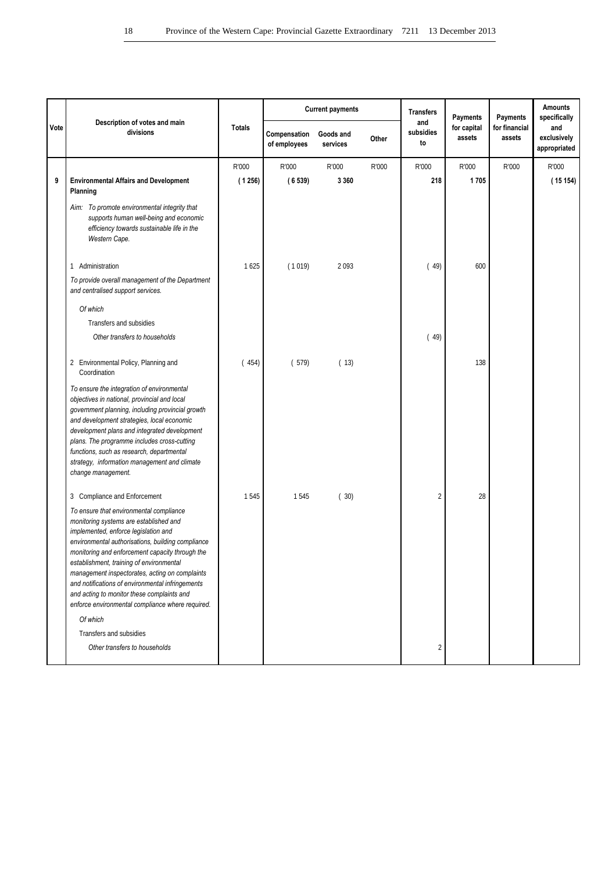|      |                                                                                                                                                                                                                                                                                                                                                                                                                                                                                       |               |                              | <b>Current payments</b> |       | <b>Transfers</b>       | Payments              | Payments                | <b>Amounts</b><br>specifically     |
|------|---------------------------------------------------------------------------------------------------------------------------------------------------------------------------------------------------------------------------------------------------------------------------------------------------------------------------------------------------------------------------------------------------------------------------------------------------------------------------------------|---------------|------------------------------|-------------------------|-------|------------------------|-----------------------|-------------------------|------------------------------------|
| Vote | Description of votes and main<br>divisions                                                                                                                                                                                                                                                                                                                                                                                                                                            | <b>Totals</b> | Compensation<br>of employees | Goods and<br>services   | Other | and<br>subsidies<br>to | for capital<br>assets | for financial<br>assets | and<br>exclusively<br>appropriated |
|      |                                                                                                                                                                                                                                                                                                                                                                                                                                                                                       | R'000         | R'000                        | R'000                   | R'000 | R'000                  | R'000                 | R'000                   | R'000                              |
| 9    | <b>Environmental Affairs and Development</b><br>Planning                                                                                                                                                                                                                                                                                                                                                                                                                              | (1256)        | (6539)                       | 3 3 6 0                 |       | 218                    | 1705                  |                         | (15154)                            |
|      | Aim: To promote environmental integrity that<br>supports human well-being and economic<br>efficiency towards sustainable life in the<br>Western Cape.                                                                                                                                                                                                                                                                                                                                 |               |                              |                         |       |                        |                       |                         |                                    |
|      | 1 Administration                                                                                                                                                                                                                                                                                                                                                                                                                                                                      | 1625          | (1019)                       | 2093                    |       | (49)                   | 600                   |                         |                                    |
|      | To provide overall management of the Department<br>and centralised support services.                                                                                                                                                                                                                                                                                                                                                                                                  |               |                              |                         |       |                        |                       |                         |                                    |
|      | Of which                                                                                                                                                                                                                                                                                                                                                                                                                                                                              |               |                              |                         |       |                        |                       |                         |                                    |
|      | Transfers and subsidies                                                                                                                                                                                                                                                                                                                                                                                                                                                               |               |                              |                         |       |                        |                       |                         |                                    |
|      | Other transfers to households                                                                                                                                                                                                                                                                                                                                                                                                                                                         |               |                              |                         |       | (49)                   |                       |                         |                                    |
|      | 2 Environmental Policy, Planning and<br>Coordination                                                                                                                                                                                                                                                                                                                                                                                                                                  | (454)         | (579)                        | (13)                    |       |                        | 138                   |                         |                                    |
|      | To ensure the integration of environmental<br>objectives in national, provincial and local<br>government planning, including provincial growth<br>and development strategies, local economic<br>development plans and integrated development<br>plans. The programme includes cross-cutting<br>functions, such as research, departmental<br>strategy, information management and climate<br>change management.                                                                        |               |                              |                         |       |                        |                       |                         |                                    |
|      | 3 Compliance and Enforcement                                                                                                                                                                                                                                                                                                                                                                                                                                                          | 1545          | 1545                         | (30)                    |       | $\overline{c}$         | 28                    |                         |                                    |
|      | To ensure that environmental compliance<br>monitoring systems are established and<br>implemented, enforce legislation and<br>environmental authorisations, building compliance<br>monitoring and enforcement capacity through the<br>establishment, training of environmental<br>management inspectorates, acting on complaints<br>and notifications of environmental infringements<br>and acting to monitor these complaints and<br>enforce environmental compliance where required. |               |                              |                         |       |                        |                       |                         |                                    |
|      | Of which                                                                                                                                                                                                                                                                                                                                                                                                                                                                              |               |                              |                         |       |                        |                       |                         |                                    |
|      | Transfers and subsidies                                                                                                                                                                                                                                                                                                                                                                                                                                                               |               |                              |                         |       |                        |                       |                         |                                    |
|      | Other transfers to households                                                                                                                                                                                                                                                                                                                                                                                                                                                         |               |                              |                         |       | 2                      |                       |                         |                                    |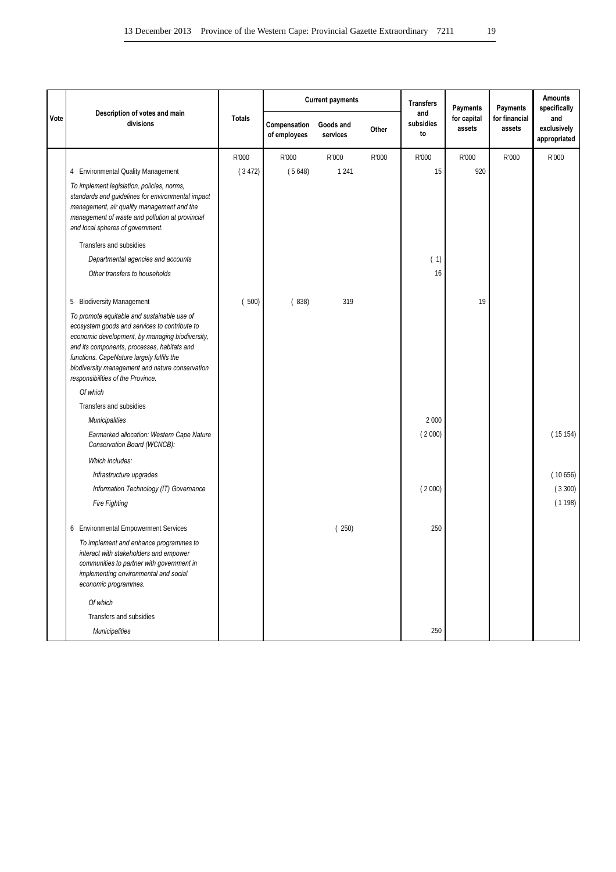|      |                                                                                                                                                                                                                                                                                                                                     |               | <b>Current payments</b><br><b>Transfers</b><br>Payments<br>and | Payments              | Amounts<br>specifically |                 |                       |                         |                                    |
|------|-------------------------------------------------------------------------------------------------------------------------------------------------------------------------------------------------------------------------------------------------------------------------------------------------------------------------------------|---------------|----------------------------------------------------------------|-----------------------|-------------------------|-----------------|-----------------------|-------------------------|------------------------------------|
| Vote | Description of votes and main<br>divisions                                                                                                                                                                                                                                                                                          | <b>Totals</b> | Compensation<br>of employees                                   | Goods and<br>services | Other                   | subsidies<br>to | for capital<br>assets | for financial<br>assets | and<br>exclusively<br>appropriated |
|      |                                                                                                                                                                                                                                                                                                                                     | R'000         | R'000                                                          | R'000                 | R'000                   | R'000           | R'000                 | R'000                   | R'000                              |
|      | 4 Environmental Quality Management                                                                                                                                                                                                                                                                                                  | (3472)        | (5648)                                                         | 1 2 4 1               |                         | 15              | 920                   |                         |                                    |
|      | To implement legislation, policies, norms,<br>standards and guidelines for environmental impact<br>management, air quality management and the<br>management of waste and pollution at provincial<br>and local spheres of government.                                                                                                |               |                                                                |                       |                         |                 |                       |                         |                                    |
|      | Transfers and subsidies                                                                                                                                                                                                                                                                                                             |               |                                                                |                       |                         |                 |                       |                         |                                    |
|      | Departmental agencies and accounts                                                                                                                                                                                                                                                                                                  |               |                                                                |                       |                         | (1)             |                       |                         |                                    |
|      | Other transfers to households                                                                                                                                                                                                                                                                                                       |               |                                                                |                       |                         | 16              |                       |                         |                                    |
|      | <b>Biodiversity Management</b><br>5                                                                                                                                                                                                                                                                                                 | (500)         | (838)                                                          | 319                   |                         |                 | 19                    |                         |                                    |
|      | To promote equitable and sustainable use of<br>ecosystem goods and services to contribute to<br>economic development, by managing biodiversity,<br>and its components, processes, habitats and<br>functions. CapeNature largely fulfils the<br>biodiversity management and nature conservation<br>responsibilities of the Province. |               |                                                                |                       |                         |                 |                       |                         |                                    |
|      | Of which                                                                                                                                                                                                                                                                                                                            |               |                                                                |                       |                         |                 |                       |                         |                                    |
|      | Transfers and subsidies                                                                                                                                                                                                                                                                                                             |               |                                                                |                       |                         |                 |                       |                         |                                    |
|      | <b>Municipalities</b>                                                                                                                                                                                                                                                                                                               |               |                                                                |                       |                         | 2 0 0 0         |                       |                         |                                    |
|      | Earmarked allocation: Western Cape Nature<br>Conservation Board (WCNCB):                                                                                                                                                                                                                                                            |               |                                                                |                       |                         | (2000)          |                       |                         | (15154)                            |
|      | Which includes:                                                                                                                                                                                                                                                                                                                     |               |                                                                |                       |                         |                 |                       |                         |                                    |
|      | Infrastructure upgrades                                                                                                                                                                                                                                                                                                             |               |                                                                |                       |                         |                 |                       |                         | (10656)                            |
|      | Information Technology (IT) Governance                                                                                                                                                                                                                                                                                              |               |                                                                |                       |                         | (2000)          |                       |                         | (3300)                             |
|      | <b>Fire Fighting</b>                                                                                                                                                                                                                                                                                                                |               |                                                                |                       |                         |                 |                       |                         | (1198)                             |
|      | 6 Environmental Empowerment Services                                                                                                                                                                                                                                                                                                |               |                                                                | (250)                 |                         | 250             |                       |                         |                                    |
|      | To implement and enhance programmes to<br>interact with stakeholders and empower<br>communities to partner with government in<br>implementing environmental and social<br>economic programmes.                                                                                                                                      |               |                                                                |                       |                         |                 |                       |                         |                                    |
|      | Of which                                                                                                                                                                                                                                                                                                                            |               |                                                                |                       |                         |                 |                       |                         |                                    |
|      | Transfers and subsidies                                                                                                                                                                                                                                                                                                             |               |                                                                |                       |                         |                 |                       |                         |                                    |
|      | Municipalities                                                                                                                                                                                                                                                                                                                      |               |                                                                |                       |                         | 250             |                       |                         |                                    |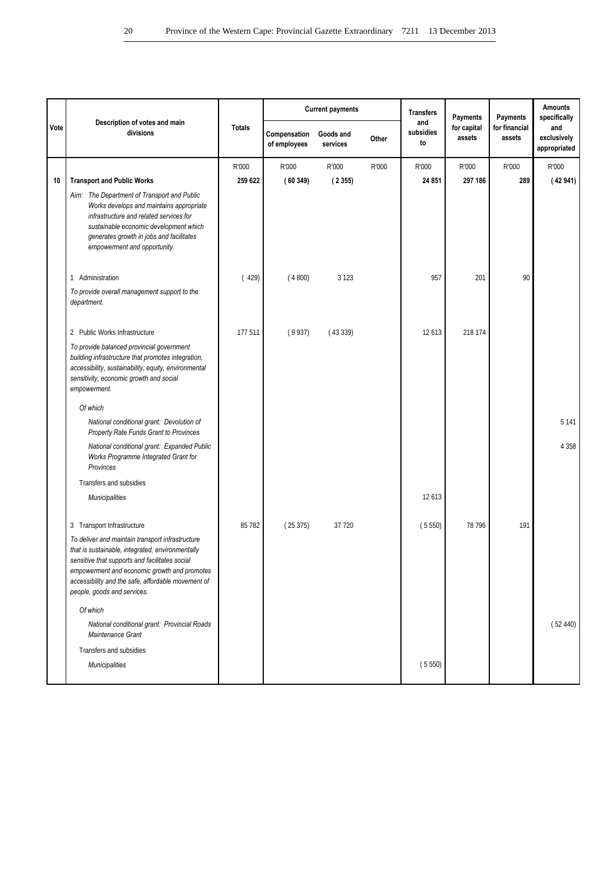|      | Description of votes and main                                                                                                                                                                                                                                                               |               |                              | <b>Current payments</b> |       | <b>Transfers</b>       | Payments              | Payments                | <b>Amounts</b><br>specifically     |
|------|---------------------------------------------------------------------------------------------------------------------------------------------------------------------------------------------------------------------------------------------------------------------------------------------|---------------|------------------------------|-------------------------|-------|------------------------|-----------------------|-------------------------|------------------------------------|
| Vote | divisions                                                                                                                                                                                                                                                                                   | <b>Totals</b> | Compensation<br>of employees | Goods and<br>services   | Other | and<br>subsidies<br>to | for capital<br>assets | for financial<br>assets | and<br>exclusively<br>appropriated |
|      |                                                                                                                                                                                                                                                                                             | R'000         | R'000                        | R'000                   | R'000 | R'000                  | R'000                 | R'000                   | R'000                              |
| 10   | <b>Transport and Public Works</b>                                                                                                                                                                                                                                                           | 259 622       | (60349)                      | (2355)                  |       | 24 851                 | 297 186               | 289                     | (42941)                            |
|      | Aim: The Department of Transport and Public<br>Works develops and maintains appropriate<br>infrastructure and related services for<br>sustainable economic development which<br>generates growth in jobs and facilitates<br>empowerment and opportunity.                                    |               |                              |                         |       |                        |                       |                         |                                    |
|      | 1 Administration                                                                                                                                                                                                                                                                            | (429)         | (4800)                       | 3 1 2 3                 |       | 957                    | 201                   | 90                      |                                    |
|      | To provide overall management support to the<br>department.                                                                                                                                                                                                                                 |               |                              |                         |       |                        |                       |                         |                                    |
|      | 2 Public Works Infrastructure                                                                                                                                                                                                                                                               | 177 511       | (9937)                       | (43339)                 |       | 12 613                 | 218 174               |                         |                                    |
|      | To provide balanced provincial government<br>building infrastructure that promotes integration,<br>accessibility, sustainability, equity, environmental<br>sensitivity, economic growth and social<br>empowerment.<br>Of which                                                              |               |                              |                         |       |                        |                       |                         |                                    |
|      | National conditional grant: Devolution of<br>Property Rate Funds Grant to Provinces                                                                                                                                                                                                         |               |                              |                         |       |                        |                       |                         | 5 1 4 1                            |
|      | National conditional grant: Expanded Public<br>Works Programme Integrated Grant for<br>Provinces                                                                                                                                                                                            |               |                              |                         |       |                        |                       |                         | 4 3 5 8                            |
|      | Transfers and subsidies                                                                                                                                                                                                                                                                     |               |                              |                         |       |                        |                       |                         |                                    |
|      | <b>Municipalities</b>                                                                                                                                                                                                                                                                       |               |                              |                         |       | 12 613                 |                       |                         |                                    |
|      | 3 Transport Infrastructure                                                                                                                                                                                                                                                                  | 85 782        | (25375)                      | 37 720                  |       | (5550)                 | 78 796                | 191                     |                                    |
|      | To deliver and maintain transport infrastructure<br>that is sustainable, integrated, environmentally<br>sensitive that supports and facilitates social<br>empowerment and economic growth and promotes<br>accessibility and the safe, affordable movement of<br>people, goods and services. |               |                              |                         |       |                        |                       |                         |                                    |
|      | Of which                                                                                                                                                                                                                                                                                    |               |                              |                         |       |                        |                       |                         |                                    |
|      | National conditional grant: Provincial Roads<br>Maintenance Grant                                                                                                                                                                                                                           |               |                              |                         |       |                        |                       |                         | (52440)                            |
|      | Transfers and subsidies                                                                                                                                                                                                                                                                     |               |                              |                         |       |                        |                       |                         |                                    |
|      | <b>Municipalities</b>                                                                                                                                                                                                                                                                       |               |                              |                         |       | (5550)                 |                       |                         |                                    |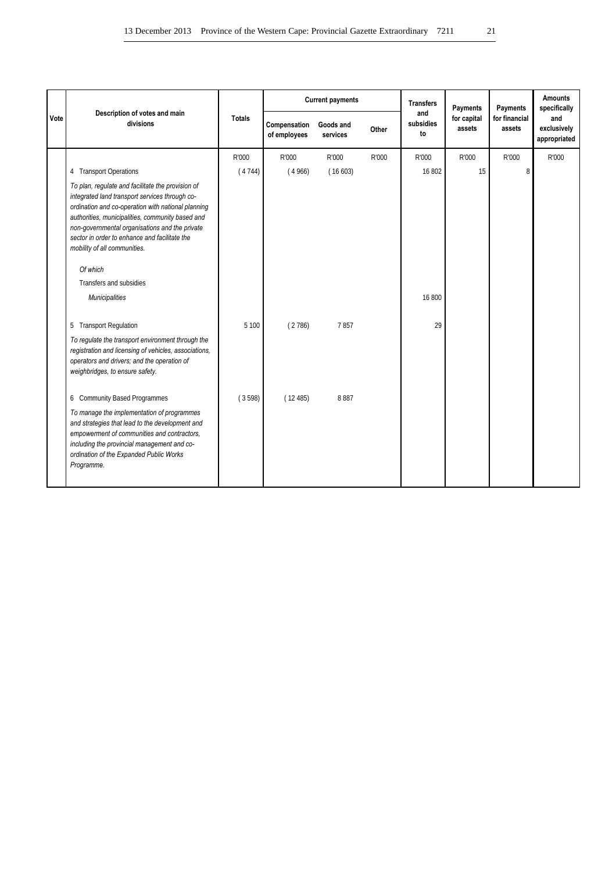|      |                                                                                                                                                                                                                                                                                                                                                  |               |                              | <b>Current payments</b> |       | <b>Transfers</b><br>Payments<br>and |                       | Payments                | <b>Amounts</b><br>specifically     |
|------|--------------------------------------------------------------------------------------------------------------------------------------------------------------------------------------------------------------------------------------------------------------------------------------------------------------------------------------------------|---------------|------------------------------|-------------------------|-------|-------------------------------------|-----------------------|-------------------------|------------------------------------|
| Vote | Description of votes and main<br>divisions                                                                                                                                                                                                                                                                                                       | <b>Totals</b> | Compensation<br>of employees | Goods and<br>services   | Other | subsidies<br>to                     | for capital<br>assets | for financial<br>assets | and<br>exclusively<br>appropriated |
|      |                                                                                                                                                                                                                                                                                                                                                  | R'000         | R'000                        | R'000                   | R'000 | R'000                               | R'000                 | R'000                   | R'000                              |
|      | 4 Transport Operations                                                                                                                                                                                                                                                                                                                           | (4744)        | (4966)                       | (16603)                 |       | 16 802                              | 15                    | 8                       |                                    |
|      | To plan, regulate and facilitate the provision of<br>integrated land transport services through co-<br>ordination and co-operation with national planning<br>authorities, municipalities, community based and<br>non-governmental organisations and the private<br>sector in order to enhance and facilitate the<br>mobility of all communities. |               |                              |                         |       |                                     |                       |                         |                                    |
|      | Of which                                                                                                                                                                                                                                                                                                                                         |               |                              |                         |       |                                     |                       |                         |                                    |
|      | Transfers and subsidies                                                                                                                                                                                                                                                                                                                          |               |                              |                         |       |                                     |                       |                         |                                    |
|      | <b>Municipalities</b>                                                                                                                                                                                                                                                                                                                            |               |                              |                         |       | 16 800                              |                       |                         |                                    |
|      | 5 Transport Regulation                                                                                                                                                                                                                                                                                                                           | 5 100         | (2786)                       | 7857                    |       | 29                                  |                       |                         |                                    |
|      | To regulate the transport environment through the<br>registration and licensing of vehicles, associations,<br>operators and drivers; and the operation of<br>weighbridges, to ensure safety.                                                                                                                                                     |               |                              |                         |       |                                     |                       |                         |                                    |
|      | 6 Community Based Programmes                                                                                                                                                                                                                                                                                                                     | (3598)        | (12485)                      | 8887                    |       |                                     |                       |                         |                                    |
|      | To manage the implementation of programmes<br>and strategies that lead to the development and<br>empowerment of communities and contractors,<br>including the provincial management and co-<br>ordination of the Expanded Public Works<br>Programme.                                                                                             |               |                              |                         |       |                                     |                       |                         |                                    |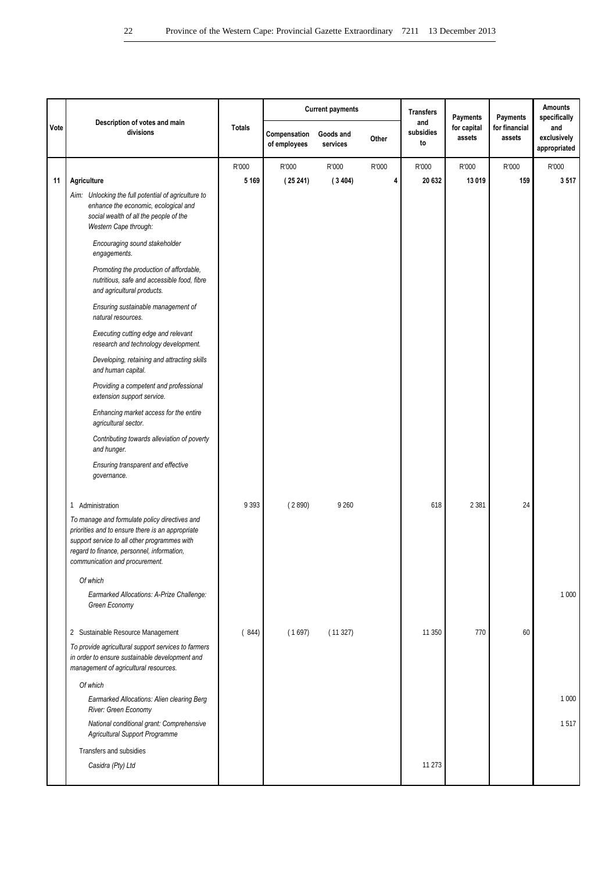|      |                                                                                                                                                                                                                                   |               |                              | <b>Current payments</b> |       | <b>Transfers</b>       | Payments              | Payments                | <b>Amounts</b><br>specifically     |
|------|-----------------------------------------------------------------------------------------------------------------------------------------------------------------------------------------------------------------------------------|---------------|------------------------------|-------------------------|-------|------------------------|-----------------------|-------------------------|------------------------------------|
| Vote | Description of votes and main<br>divisions                                                                                                                                                                                        | <b>Totals</b> | Compensation<br>of employees | Goods and<br>services   | Other | and<br>subsidies<br>to | for capital<br>assets | for financial<br>assets | and<br>exclusively<br>appropriated |
|      |                                                                                                                                                                                                                                   | R'000         | R'000                        | R'000                   | R'000 | R'000                  | R'000                 | R'000                   | R'000                              |
| 11   | Agriculture                                                                                                                                                                                                                       | 5 1 6 9       | (25241)                      | (3404)                  | 4     | 20 632                 | 13 019                | 159                     | 3517                               |
|      | Aim: Unlocking the full potential of agriculture to<br>enhance the economic, ecological and<br>social wealth of all the people of the<br>Western Cape through:                                                                    |               |                              |                         |       |                        |                       |                         |                                    |
|      | Encouraging sound stakeholder<br>engagements.                                                                                                                                                                                     |               |                              |                         |       |                        |                       |                         |                                    |
|      | Promoting the production of affordable,<br>nutritious, safe and accessible food, fibre<br>and agricultural products.                                                                                                              |               |                              |                         |       |                        |                       |                         |                                    |
|      | Ensuring sustainable management of<br>natural resources.                                                                                                                                                                          |               |                              |                         |       |                        |                       |                         |                                    |
|      | Executing cutting edge and relevant<br>research and technology development.                                                                                                                                                       |               |                              |                         |       |                        |                       |                         |                                    |
|      | Developing, retaining and attracting skills<br>and human capital.                                                                                                                                                                 |               |                              |                         |       |                        |                       |                         |                                    |
|      | Providing a competent and professional<br>extension support service.                                                                                                                                                              |               |                              |                         |       |                        |                       |                         |                                    |
|      | Enhancing market access for the entire<br>agricultural sector.                                                                                                                                                                    |               |                              |                         |       |                        |                       |                         |                                    |
|      | Contributing towards alleviation of poverty<br>and hunger.                                                                                                                                                                        |               |                              |                         |       |                        |                       |                         |                                    |
|      | Ensuring transparent and effective<br>governance.                                                                                                                                                                                 |               |                              |                         |       |                        |                       |                         |                                    |
|      | Administration<br>$\mathbf{1}$                                                                                                                                                                                                    | 9 3 9 3       | (2890)                       | 9 2 6 0                 |       | 618                    | 2 3 8 1               | 24                      |                                    |
|      | To manage and formulate policy directives and<br>priorities and to ensure there is an appropriate<br>support service to all other programmes with<br>regard to finance, personnel, information,<br>communication and procurement. |               |                              |                         |       |                        |                       |                         |                                    |
|      | Of which                                                                                                                                                                                                                          |               |                              |                         |       |                        |                       |                         |                                    |
|      | Earmarked Allocations: A-Prize Challenge:<br>Green Economy                                                                                                                                                                        |               |                              |                         |       |                        |                       |                         | 1 0 0 0                            |
|      | 2 Sustainable Resource Management                                                                                                                                                                                                 | (844)         | (1697)                       | (11327)                 |       | 11 350                 | 770                   | 60                      |                                    |
|      | To provide agricultural support services to farmers<br>in order to ensure sustainable development and<br>management of agricultural resources.                                                                                    |               |                              |                         |       |                        |                       |                         |                                    |
|      | Of which                                                                                                                                                                                                                          |               |                              |                         |       |                        |                       |                         |                                    |
|      | Earmarked Allocations: Alien clearing Berg<br>River: Green Economy                                                                                                                                                                |               |                              |                         |       |                        |                       |                         | 1 0 0 0                            |
|      | National conditional grant: Comprehensive<br>Agricultural Support Programme                                                                                                                                                       |               |                              |                         |       |                        |                       |                         | 1517                               |
|      | Transfers and subsidies                                                                                                                                                                                                           |               |                              |                         |       |                        |                       |                         |                                    |
|      | Casidra (Pty) Ltd                                                                                                                                                                                                                 |               |                              |                         |       | 11 273                 |                       |                         |                                    |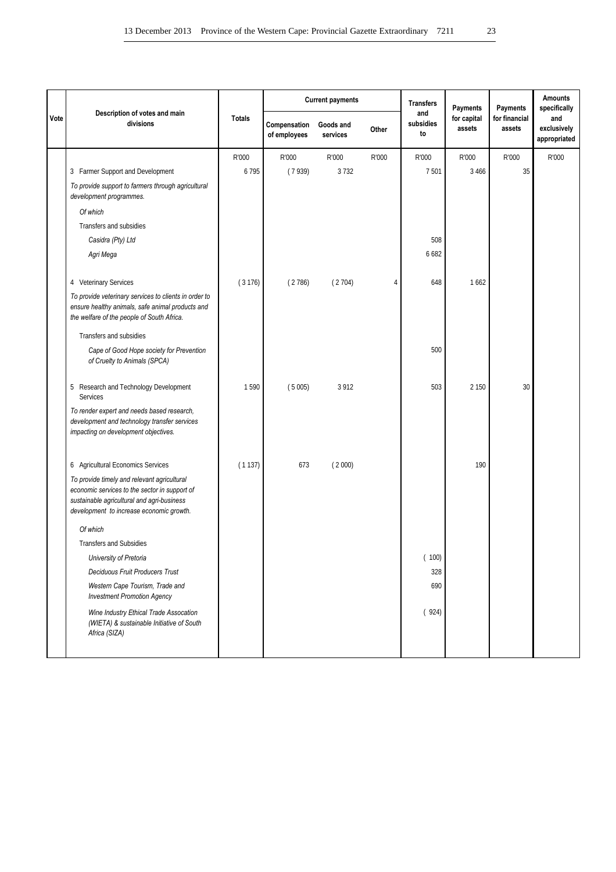|      |                                                                                                                                                                                        |               |                              | <b>Current payments</b> |       | <b>Transfers</b>       | Payments              | Payments                | <b>Amounts</b><br>specifically     |
|------|----------------------------------------------------------------------------------------------------------------------------------------------------------------------------------------|---------------|------------------------------|-------------------------|-------|------------------------|-----------------------|-------------------------|------------------------------------|
| Vote | Description of votes and main<br>divisions                                                                                                                                             | <b>Totals</b> | Compensation<br>of employees | Goods and<br>services   | Other | and<br>subsidies<br>to | for capital<br>assets | for financial<br>assets | and<br>exclusively<br>appropriated |
|      |                                                                                                                                                                                        | R'000         | R'000                        | R'000                   | R'000 | R'000                  | R'000                 | R'000                   | R'000                              |
|      | 3 Farmer Support and Development                                                                                                                                                       | 6795          | (7939)                       | 3732                    |       | 7501                   | 3 4 6 6               | 35                      |                                    |
|      | To provide support to farmers through agricultural<br>development programmes.                                                                                                          |               |                              |                         |       |                        |                       |                         |                                    |
|      | Of which                                                                                                                                                                               |               |                              |                         |       |                        |                       |                         |                                    |
|      | Transfers and subsidies                                                                                                                                                                |               |                              |                         |       |                        |                       |                         |                                    |
|      | Casidra (Pty) Ltd                                                                                                                                                                      |               |                              |                         |       | 508                    |                       |                         |                                    |
|      | Agri Mega                                                                                                                                                                              |               |                              |                         |       | 6682                   |                       |                         |                                    |
|      | 4 Veterinary Services                                                                                                                                                                  | (3176)        | (2786)                       | (2704)                  | 4     | 648                    | 1662                  |                         |                                    |
|      | To provide veterinary services to clients in order to<br>ensure healthy animals, safe animal products and<br>the welfare of the people of South Africa.                                |               |                              |                         |       |                        |                       |                         |                                    |
|      | Transfers and subsidies                                                                                                                                                                |               |                              |                         |       |                        |                       |                         |                                    |
|      | Cape of Good Hope society for Prevention<br>of Cruelty to Animals (SPCA)                                                                                                               |               |                              |                         |       | 500                    |                       |                         |                                    |
|      | 5 Research and Technology Development<br>Services                                                                                                                                      | 1590          | (5005)                       | 3 9 1 2                 |       | 503                    | 2 1 5 0               | 30                      |                                    |
|      | To render expert and needs based research,<br>development and technology transfer services<br>impacting on development objectives.                                                     |               |                              |                         |       |                        |                       |                         |                                    |
|      | 6 Agricultural Economics Services                                                                                                                                                      | (1137)        | 673                          | (2000)                  |       |                        | 190                   |                         |                                    |
|      | To provide timely and relevant agricultural<br>economic services to the sector in support of<br>sustainable agricultural and agri-business<br>development to increase economic growth. |               |                              |                         |       |                        |                       |                         |                                    |
|      | Of which                                                                                                                                                                               |               |                              |                         |       |                        |                       |                         |                                    |
|      | <b>Transfers and Subsidies</b>                                                                                                                                                         |               |                              |                         |       |                        |                       |                         |                                    |
|      | University of Pretoria                                                                                                                                                                 |               |                              |                         |       | (100)                  |                       |                         |                                    |
|      | Deciduous Fruit Producers Trust                                                                                                                                                        |               |                              |                         |       | 328                    |                       |                         |                                    |
|      | Western Cape Tourism, Trade and<br><b>Investment Promotion Agency</b>                                                                                                                  |               |                              |                         |       | 690                    |                       |                         |                                    |
|      | Wine Industry Ethical Trade Assocation<br>(WIETA) & sustainable Initiative of South<br>Africa (SIZA)                                                                                   |               |                              |                         |       | (924)                  |                       |                         |                                    |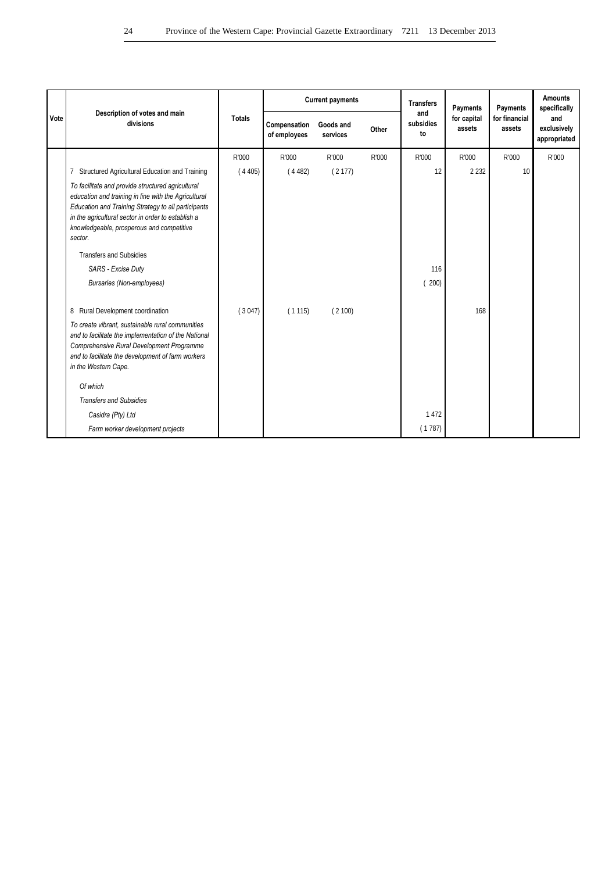|      |                                                                                                                                                                                                                                                                                |               | <b>Current payments</b>      |                       |       | <b>Transfers</b>       | Payments              | Payments                | <b>Amounts</b><br>specifically     |
|------|--------------------------------------------------------------------------------------------------------------------------------------------------------------------------------------------------------------------------------------------------------------------------------|---------------|------------------------------|-----------------------|-------|------------------------|-----------------------|-------------------------|------------------------------------|
| Vote | Description of votes and main<br>divisions                                                                                                                                                                                                                                     | <b>Totals</b> | Compensation<br>of employees | Goods and<br>services | Other | and<br>subsidies<br>to | for capital<br>assets | for financial<br>assets | and<br>exclusively<br>appropriated |
|      |                                                                                                                                                                                                                                                                                | R'000         | R'000                        | R'000                 | R'000 | R'000                  | R'000                 | R'000                   | R'000                              |
|      | Structured Agricultural Education and Training<br>7                                                                                                                                                                                                                            | (4405)        | (4482)                       | (2177)                |       | 12                     | 2 2 3 2               | 10                      |                                    |
|      | To facilitate and provide structured agricultural<br>education and training in line with the Agricultural<br>Education and Training Strategy to all participants<br>in the agricultural sector in order to establish a<br>knowledgeable, prosperous and competitive<br>sector. |               |                              |                       |       |                        |                       |                         |                                    |
|      | <b>Transfers and Subsidies</b>                                                                                                                                                                                                                                                 |               |                              |                       |       |                        |                       |                         |                                    |
|      | SARS - Excise Duty                                                                                                                                                                                                                                                             |               |                              |                       |       | 116                    |                       |                         |                                    |
|      | <b>Bursaries (Non-employees)</b>                                                                                                                                                                                                                                               |               |                              |                       |       | 200)                   |                       |                         |                                    |
|      | 8 Rural Development coordination                                                                                                                                                                                                                                               | (3047)        | (1115)                       | (2100)                |       |                        | 168                   |                         |                                    |
|      | To create vibrant, sustainable rural communities<br>and to facilitate the implementation of the National<br>Comprehensive Rural Development Programme<br>and to facilitate the development of farm workers<br>in the Western Cape.                                             |               |                              |                       |       |                        |                       |                         |                                    |
|      | Of which                                                                                                                                                                                                                                                                       |               |                              |                       |       |                        |                       |                         |                                    |
|      | <b>Transfers and Subsidies</b>                                                                                                                                                                                                                                                 |               |                              |                       |       |                        |                       |                         |                                    |
|      | Casidra (Pty) Ltd                                                                                                                                                                                                                                                              |               |                              |                       |       | 1 4 7 2                |                       |                         |                                    |
|      | Farm worker development projects                                                                                                                                                                                                                                               |               |                              |                       |       | (1787)                 |                       |                         |                                    |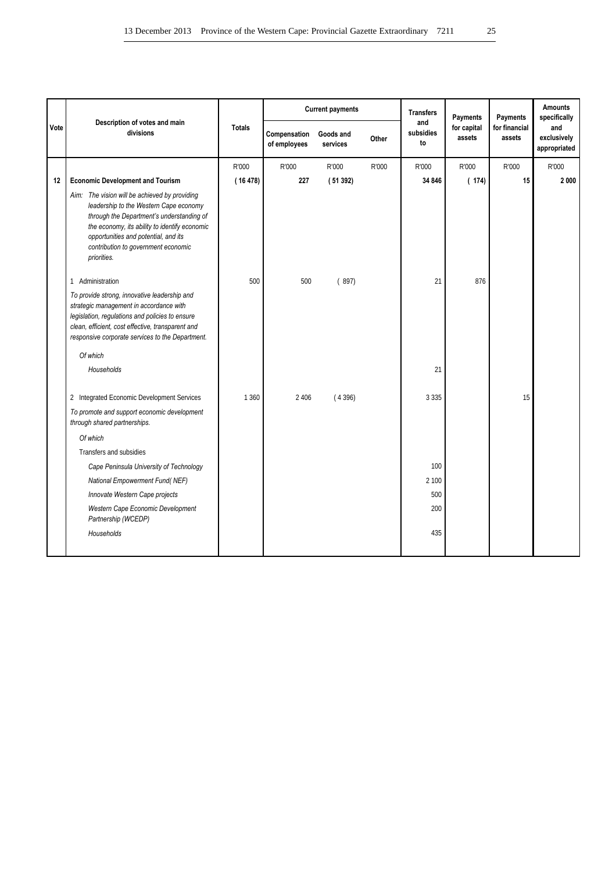|      | Description of votes and main                                                                                                                                                                                                                                                       |               |                              | <b>Current payments</b> |       | <b>Transfers</b>       | Payments              | Payments                | <b>Amounts</b><br>specifically     |
|------|-------------------------------------------------------------------------------------------------------------------------------------------------------------------------------------------------------------------------------------------------------------------------------------|---------------|------------------------------|-------------------------|-------|------------------------|-----------------------|-------------------------|------------------------------------|
| Vote | divisions                                                                                                                                                                                                                                                                           | <b>Totals</b> | Compensation<br>of employees | Goods and<br>services   | Other | and<br>subsidies<br>to | for capital<br>assets | for financial<br>assets | and<br>exclusively<br>appropriated |
|      |                                                                                                                                                                                                                                                                                     | R'000         | R'000                        | R'000                   | R'000 | R'000                  | R'000                 | R'000                   | R'000                              |
| 12   | <b>Economic Development and Tourism</b>                                                                                                                                                                                                                                             | (16478)       | 227                          | (51392)                 |       | 34 846                 | (174)                 | 15                      | 2000                               |
|      | Aim: The vision will be achieved by providing<br>leadership to the Western Cape economy<br>through the Department's understanding of<br>the economy, its ability to identify economic<br>opportunities and potential, and its<br>contribution to government economic<br>priorities. |               |                              |                         |       |                        |                       |                         |                                    |
|      | 1 Administration                                                                                                                                                                                                                                                                    | 500           | 500                          | (897)                   |       | 21                     | 876                   |                         |                                    |
|      | To provide strong, innovative leadership and<br>strategic management in accordance with<br>legislation, regulations and policies to ensure<br>clean, efficient, cost effective, transparent and<br>responsive corporate services to the Department.                                 |               |                              |                         |       |                        |                       |                         |                                    |
|      | Of which                                                                                                                                                                                                                                                                            |               |                              |                         |       |                        |                       |                         |                                    |
|      | Households                                                                                                                                                                                                                                                                          |               |                              |                         |       | 21                     |                       |                         |                                    |
|      | 2 Integrated Economic Development Services                                                                                                                                                                                                                                          | 1 3 6 0       | 2 4 0 6                      | (4396)                  |       | 3 3 3 5                |                       | 15                      |                                    |
|      | To promote and support economic development<br>through shared partnerships.                                                                                                                                                                                                         |               |                              |                         |       |                        |                       |                         |                                    |
|      | Of which                                                                                                                                                                                                                                                                            |               |                              |                         |       |                        |                       |                         |                                    |
|      | Transfers and subsidies                                                                                                                                                                                                                                                             |               |                              |                         |       |                        |                       |                         |                                    |
|      | Cape Peninsula University of Technology                                                                                                                                                                                                                                             |               |                              |                         |       | 100                    |                       |                         |                                    |
|      | National Empowerment Fund(NEF)                                                                                                                                                                                                                                                      |               |                              |                         |       | 2 100                  |                       |                         |                                    |
|      | Innovate Western Cape projects                                                                                                                                                                                                                                                      |               |                              |                         |       | 500                    |                       |                         |                                    |
|      | Western Cape Economic Development<br>Partnership (WCEDP)                                                                                                                                                                                                                            |               |                              |                         |       | 200                    |                       |                         |                                    |
|      | Households                                                                                                                                                                                                                                                                          |               |                              |                         |       | 435                    |                       |                         |                                    |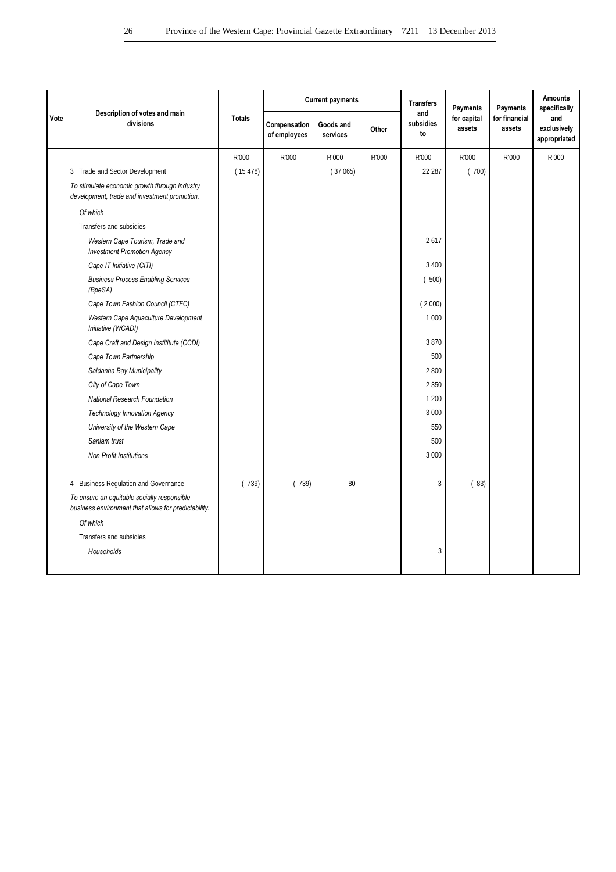|      |                                                                                                     |               |                              | <b>Current payments</b> |       | <b>Transfers</b>       | <b>Payments</b>       | Payments                | <b>Amounts</b><br>specifically     |
|------|-----------------------------------------------------------------------------------------------------|---------------|------------------------------|-------------------------|-------|------------------------|-----------------------|-------------------------|------------------------------------|
| Vote | Description of votes and main<br>divisions                                                          | <b>Totals</b> | Compensation<br>of employees | Goods and<br>services   | Other | and<br>subsidies<br>to | for capital<br>assets | for financial<br>assets | and<br>exclusively<br>appropriated |
|      |                                                                                                     | R'000         | R'000                        | R'000                   | R'000 | R'000                  | R'000                 | R'000                   | R'000                              |
|      | 3 Trade and Sector Development                                                                      | (15478)       |                              | (37065)                 |       | 22 287                 | (700)                 |                         |                                    |
|      | To stimulate economic growth through industry<br>development, trade and investment promotion.       |               |                              |                         |       |                        |                       |                         |                                    |
|      | Of which                                                                                            |               |                              |                         |       |                        |                       |                         |                                    |
|      | Transfers and subsidies                                                                             |               |                              |                         |       |                        |                       |                         |                                    |
|      | Western Cape Tourism, Trade and<br><b>Investment Promotion Agency</b>                               |               |                              |                         |       | 2617                   |                       |                         |                                    |
|      | Cape IT Initiative (CITI)                                                                           |               |                              |                         |       | 3 4 0 0                |                       |                         |                                    |
|      | <b>Business Process Enabling Services</b><br>(BpeSA)                                                |               |                              |                         |       | (500)                  |                       |                         |                                    |
|      | Cape Town Fashion Council (CTFC)                                                                    |               |                              |                         |       | (2000)                 |                       |                         |                                    |
|      | Western Cape Aquaculture Development<br>Initiative (WCADI)                                          |               |                              |                         |       | 1 0 0 0                |                       |                         |                                    |
|      | Cape Craft and Design Instititute (CCDI)                                                            |               |                              |                         |       | 3870                   |                       |                         |                                    |
|      | Cape Town Partnership                                                                               |               |                              |                         |       | 500                    |                       |                         |                                    |
|      | Saldanha Bay Municipality                                                                           |               |                              |                         |       | 2 800                  |                       |                         |                                    |
|      | City of Cape Town                                                                                   |               |                              |                         |       | 2 3 5 0                |                       |                         |                                    |
|      | National Research Foundation                                                                        |               |                              |                         |       | 1 200                  |                       |                         |                                    |
|      | <b>Technology Innovation Agency</b>                                                                 |               |                              |                         |       | 3 0 0 0                |                       |                         |                                    |
|      | University of the Western Cape                                                                      |               |                              |                         |       | 550                    |                       |                         |                                    |
|      | Sanlam trust                                                                                        |               |                              |                         |       | 500                    |                       |                         |                                    |
|      | <b>Non Profit Institutions</b>                                                                      |               |                              |                         |       | 3 000                  |                       |                         |                                    |
|      | 4 Business Regulation and Governance                                                                | (739)         | (739)                        | 80                      |       | 3                      | (83)                  |                         |                                    |
|      | To ensure an equitable socially responsible<br>business environment that allows for predictability. |               |                              |                         |       |                        |                       |                         |                                    |
|      | Of which                                                                                            |               |                              |                         |       |                        |                       |                         |                                    |
|      | Transfers and subsidies                                                                             |               |                              |                         |       |                        |                       |                         |                                    |
|      | Households                                                                                          |               |                              |                         |       | 3                      |                       |                         |                                    |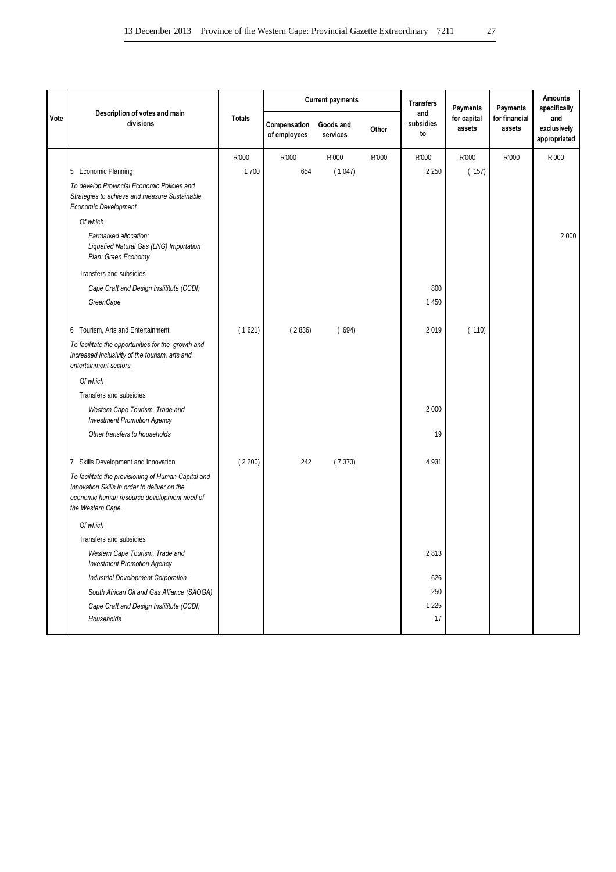|      |                                                                                                                                                                         |               |                              | <b>Current payments</b> |       | <b>Transfers</b>       | Payments              | Payments                | <b>Amounts</b><br>specifically     |
|------|-------------------------------------------------------------------------------------------------------------------------------------------------------------------------|---------------|------------------------------|-------------------------|-------|------------------------|-----------------------|-------------------------|------------------------------------|
| Vote | Description of votes and main<br>divisions                                                                                                                              | <b>Totals</b> | Compensation<br>of employees | Goods and<br>services   | Other | and<br>subsidies<br>to | for capital<br>assets | for financial<br>assets | and<br>exclusively<br>appropriated |
|      |                                                                                                                                                                         | R'000         | R'000                        | R'000                   | R'000 | R'000                  | R'000                 | R'000                   | R'000                              |
|      | 5 Economic Planning                                                                                                                                                     | 1700          | 654                          | (1047)                  |       | 2 2 5 0                | (157)                 |                         |                                    |
|      | To develop Provincial Economic Policies and<br>Strategies to achieve and measure Sustainable<br>Economic Development.                                                   |               |                              |                         |       |                        |                       |                         |                                    |
|      | Of which                                                                                                                                                                |               |                              |                         |       |                        |                       |                         |                                    |
|      | Earmarked allocation:<br>Liquefied Natural Gas (LNG) Importation<br>Plan: Green Economy                                                                                 |               |                              |                         |       |                        |                       |                         | 2 0 0 0                            |
|      | Transfers and subsidies                                                                                                                                                 |               |                              |                         |       |                        |                       |                         |                                    |
|      | Cape Craft and Design Instititute (CCDI)                                                                                                                                |               |                              |                         |       | 800                    |                       |                         |                                    |
|      | GreenCape                                                                                                                                                               |               |                              |                         |       | 1 4 5 0                |                       |                         |                                    |
|      | 6 Tourism, Arts and Entertainment                                                                                                                                       | (1621)        | (2836)                       | (694)                   |       | 2019                   | (110)                 |                         |                                    |
|      | To facilitate the opportunities for the growth and<br>increased inclusivity of the tourism, arts and<br>entertainment sectors.                                          |               |                              |                         |       |                        |                       |                         |                                    |
|      | Of which                                                                                                                                                                |               |                              |                         |       |                        |                       |                         |                                    |
|      | Transfers and subsidies                                                                                                                                                 |               |                              |                         |       |                        |                       |                         |                                    |
|      | Western Cape Tourism, Trade and<br><b>Investment Promotion Agency</b>                                                                                                   |               |                              |                         |       | 2 0 0 0                |                       |                         |                                    |
|      | Other transfers to households                                                                                                                                           |               |                              |                         |       | 19                     |                       |                         |                                    |
|      | 7 Skills Development and Innovation                                                                                                                                     | (2200)        | 242                          | (7373)                  |       | 4 9 3 1                |                       |                         |                                    |
|      | To facilitate the provisioning of Human Capital and<br>Innovation Skills in order to deliver on the<br>economic human resource development need of<br>the Western Cape. |               |                              |                         |       |                        |                       |                         |                                    |
|      | Of which                                                                                                                                                                |               |                              |                         |       |                        |                       |                         |                                    |
|      | Transfers and subsidies                                                                                                                                                 |               |                              |                         |       |                        |                       |                         |                                    |
|      | Western Cape Tourism, Trade and<br><b>Investment Promotion Agency</b>                                                                                                   |               |                              |                         |       | 2813                   |                       |                         |                                    |
|      | <b>Industrial Development Corporation</b>                                                                                                                               |               |                              |                         |       | 626                    |                       |                         |                                    |
|      | South African Oil and Gas Alliance (SAOGA)                                                                                                                              |               |                              |                         |       | 250                    |                       |                         |                                    |
|      | Cape Craft and Design Instititute (CCDI)                                                                                                                                |               |                              |                         |       | 1 2 2 5                |                       |                         |                                    |
|      | Households                                                                                                                                                              |               |                              |                         |       | 17                     |                       |                         |                                    |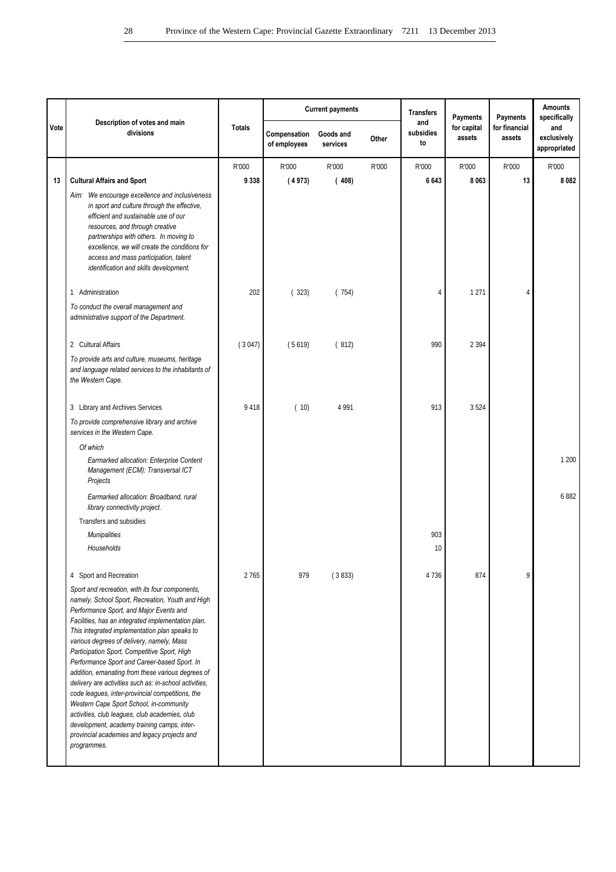|      |                                                                                                                                                                                                                                                                                                                                                                                                                                                                                                                                                                                                                                                                                                                                                                                  |               |                              | <b>Current payments</b> |       | <b>Transfers</b>       | <b>Payments</b>       | Payments                | <b>Amounts</b><br>specifically     |
|------|----------------------------------------------------------------------------------------------------------------------------------------------------------------------------------------------------------------------------------------------------------------------------------------------------------------------------------------------------------------------------------------------------------------------------------------------------------------------------------------------------------------------------------------------------------------------------------------------------------------------------------------------------------------------------------------------------------------------------------------------------------------------------------|---------------|------------------------------|-------------------------|-------|------------------------|-----------------------|-------------------------|------------------------------------|
| Vote | Description of votes and main<br>divisions                                                                                                                                                                                                                                                                                                                                                                                                                                                                                                                                                                                                                                                                                                                                       | <b>Totals</b> | Compensation<br>of employees | Goods and<br>services   | Other | and<br>subsidies<br>to | for capital<br>assets | for financial<br>assets | and<br>exclusively<br>appropriated |
|      |                                                                                                                                                                                                                                                                                                                                                                                                                                                                                                                                                                                                                                                                                                                                                                                  | R'000         | R'000                        | R'000                   | R'000 | R'000                  | R'000                 | R'000                   | R'000                              |
| 13   | <b>Cultural Affairs and Sport</b>                                                                                                                                                                                                                                                                                                                                                                                                                                                                                                                                                                                                                                                                                                                                                | 9338          | (4973)                       | (408)                   |       | 6643                   | 8 0 6 3               | 13                      | 8082                               |
|      | Aim: We encourage excellence and inclusiveness<br>in sport and culture through the effective,<br>efficient and sustainable use of our<br>resources, and through creative<br>partnerships with others. In moving to<br>excellence, we will create the conditions for<br>access and mass participation, talent<br>identification and skills development.                                                                                                                                                                                                                                                                                                                                                                                                                           |               |                              |                         |       |                        |                       |                         |                                    |
|      | 1 Administration                                                                                                                                                                                                                                                                                                                                                                                                                                                                                                                                                                                                                                                                                                                                                                 | 202           | (323)                        | (754)                   |       | 4                      | 1 2 7 1               | $\overline{4}$          |                                    |
|      | To conduct the overall management and<br>administrative support of the Department.                                                                                                                                                                                                                                                                                                                                                                                                                                                                                                                                                                                                                                                                                               |               |                              |                         |       |                        |                       |                         |                                    |
|      | 2 Cultural Affairs                                                                                                                                                                                                                                                                                                                                                                                                                                                                                                                                                                                                                                                                                                                                                               | (3047)        | (5619)                       | (812)                   |       | 990                    | 2 3 9 4               |                         |                                    |
|      | To provide arts and culture, museums, heritage<br>and language related services to the inhabitants of<br>the Western Cape.                                                                                                                                                                                                                                                                                                                                                                                                                                                                                                                                                                                                                                                       |               |                              |                         |       |                        |                       |                         |                                    |
|      | 3 Library and Archives Services                                                                                                                                                                                                                                                                                                                                                                                                                                                                                                                                                                                                                                                                                                                                                  | 9418          | (10)                         | 4 9 9 1                 |       | 913                    | 3524                  |                         |                                    |
|      | To provide comprehensive library and archive<br>services in the Western Cape.                                                                                                                                                                                                                                                                                                                                                                                                                                                                                                                                                                                                                                                                                                    |               |                              |                         |       |                        |                       |                         |                                    |
|      | Of which                                                                                                                                                                                                                                                                                                                                                                                                                                                                                                                                                                                                                                                                                                                                                                         |               |                              |                         |       |                        |                       |                         |                                    |
|      | Earmarked allocation: Enterprise Content<br>Management (ECM): Transversal ICT<br>Projects                                                                                                                                                                                                                                                                                                                                                                                                                                                                                                                                                                                                                                                                                        |               |                              |                         |       |                        |                       |                         | 1 200                              |
|      | Earmarked allocation: Broadband, rural<br>library connectivity project.                                                                                                                                                                                                                                                                                                                                                                                                                                                                                                                                                                                                                                                                                                          |               |                              |                         |       |                        |                       |                         | 6882                               |
|      | Transfers and subsidies                                                                                                                                                                                                                                                                                                                                                                                                                                                                                                                                                                                                                                                                                                                                                          |               |                              |                         |       |                        |                       |                         |                                    |
|      | <b>Munipalities</b>                                                                                                                                                                                                                                                                                                                                                                                                                                                                                                                                                                                                                                                                                                                                                              |               |                              |                         |       | 903                    |                       |                         |                                    |
|      | Households                                                                                                                                                                                                                                                                                                                                                                                                                                                                                                                                                                                                                                                                                                                                                                       |               |                              |                         |       | 10                     |                       |                         |                                    |
|      | 4 Sport and Recreation                                                                                                                                                                                                                                                                                                                                                                                                                                                                                                                                                                                                                                                                                                                                                           | 2765          | 979                          | (3833)                  |       | 4 7 3 6                | 874                   | 9                       |                                    |
|      | Sport and recreation, with its four components,<br>namely, School Sport, Recreation, Youth and High<br>Performance Sport, and Major Events and<br>Facilities, has an integrated implementation plan.<br>This integrated implementation plan speaks to<br>various degrees of delivery, namely, Mass<br>Participation Sport, Competitive Sport, High<br>Performance Sport and Career-based Sport. In<br>addition, emanating from these various degrees of<br>delivery are activities such as: in-school activities,<br>code leagues, inter-provincial competitions, the<br>Western Cape Sport School, in-community<br>activities, club leagues, club academies, club<br>development, academy training camps, inter-<br>provincial academies and legacy projects and<br>programmes. |               |                              |                         |       |                        |                       |                         |                                    |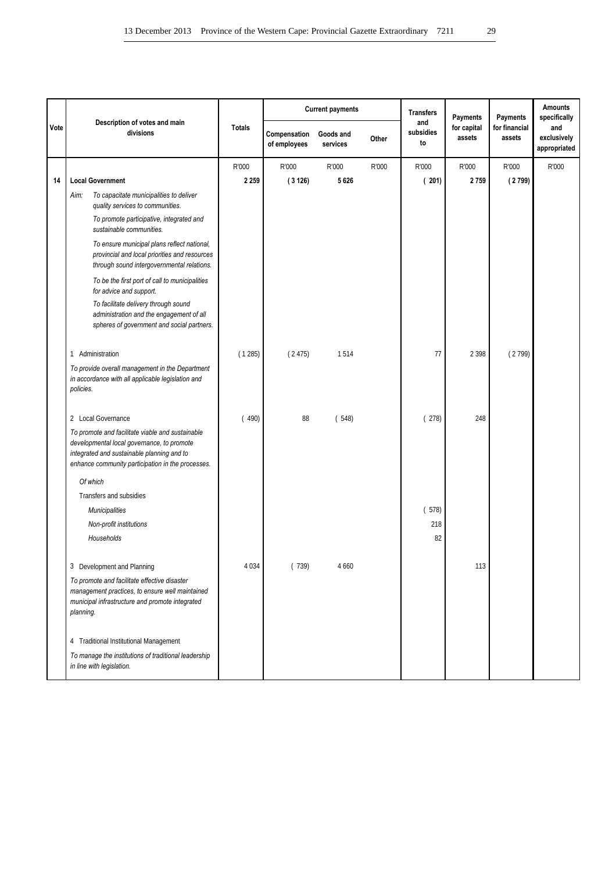|      |                                                                                                                                                                                                   |               |                              | <b>Current payments</b> |       | <b>Transfers</b>       | Payments              | Payments                | <b>Amounts</b><br>specifically     |
|------|---------------------------------------------------------------------------------------------------------------------------------------------------------------------------------------------------|---------------|------------------------------|-------------------------|-------|------------------------|-----------------------|-------------------------|------------------------------------|
| Vote | Description of votes and main<br>divisions                                                                                                                                                        | <b>Totals</b> | Compensation<br>of employees | Goods and<br>services   | Other | and<br>subsidies<br>to | for capital<br>assets | for financial<br>assets | and<br>exclusively<br>appropriated |
|      |                                                                                                                                                                                                   | R'000         | R'000                        | R'000                   | R'000 | R'000                  | R'000                 | R'000                   | R'000                              |
| 14   | <b>Local Government</b>                                                                                                                                                                           | 2 2 5 9       | (3126)                       | 5626                    |       | (201)                  | 2759                  | (2799)                  |                                    |
|      | To capacitate municipalities to deliver<br>Aim:<br>quality services to communities.                                                                                                               |               |                              |                         |       |                        |                       |                         |                                    |
|      | To promote participative, integrated and<br>sustainable communities.                                                                                                                              |               |                              |                         |       |                        |                       |                         |                                    |
|      | To ensure municipal plans reflect national,<br>provincial and local priorities and resources<br>through sound intergovernmental relations.                                                        |               |                              |                         |       |                        |                       |                         |                                    |
|      | To be the first port of call to municipalities<br>for advice and support.                                                                                                                         |               |                              |                         |       |                        |                       |                         |                                    |
|      | To facilitate delivery through sound<br>administration and the engagement of all<br>spheres of government and social partners.                                                                    |               |                              |                         |       |                        |                       |                         |                                    |
|      | Administration<br>1                                                                                                                                                                               | (1285)        | (2475)                       | 1514                    |       | 77                     | 2 3 9 8               | (2799)                  |                                    |
|      | To provide overall management in the Department<br>in accordance with all applicable legislation and<br>policies.                                                                                 |               |                              |                         |       |                        |                       |                         |                                    |
|      | 2 Local Governance                                                                                                                                                                                | (490)         | 88                           | (548)                   |       | (278)                  | 248                   |                         |                                    |
|      | To promote and facilitate viable and sustainable<br>developmental local governance, to promote<br>integrated and sustainable planning and to<br>enhance community participation in the processes. |               |                              |                         |       |                        |                       |                         |                                    |
|      | Of which                                                                                                                                                                                          |               |                              |                         |       |                        |                       |                         |                                    |
|      | Transfers and subsidies                                                                                                                                                                           |               |                              |                         |       |                        |                       |                         |                                    |
|      | <b>Municipalities</b>                                                                                                                                                                             |               |                              |                         |       | (578)                  |                       |                         |                                    |
|      | Non-profit institutions<br>Households                                                                                                                                                             |               |                              |                         |       | 218<br>82              |                       |                         |                                    |
|      | 3 Development and Planning                                                                                                                                                                        | 4 0 3 4       | (739)                        | 4 6 6 0                 |       |                        | 113                   |                         |                                    |
|      | To promote and facilitate effective disaster<br>management practices, to ensure well maintained<br>municipal infrastructure and promote integrated<br>planning.                                   |               |                              |                         |       |                        |                       |                         |                                    |
|      | 4 Traditional Institutional Management                                                                                                                                                            |               |                              |                         |       |                        |                       |                         |                                    |
|      | To manage the institutions of traditional leadership<br>in line with legislation.                                                                                                                 |               |                              |                         |       |                        |                       |                         |                                    |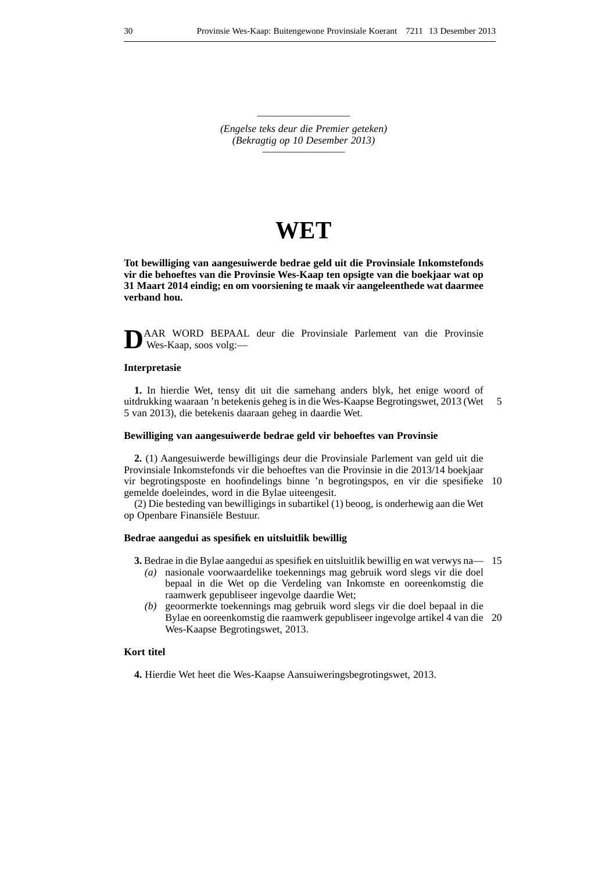————————— *(Engelse teks deur die Premier geteken) (Bekragtig op 10 Desember 2013) —————————*

## **WET**

**Tot bewilliging van aangesuiwerde bedrae geld uit die Provinsiale Inkomstefonds vir die behoeftes van die Provinsie Wes-Kaap ten opsigte van die boekjaar wat op 31 Maart 2014 eindig; en om voorsiening te maak vir aangeleenthede wat daarmee verband hou.**

**D**AAR WORD BEPAAL deur die Provinsiale Parlement van die Provinsie Wes-Kaap, soos volg:—

## **Interpretasie**

**1.** In hierdie Wet, tensy dit uit die samehang anders blyk, het enige woord of uitdrukking waaraan 'n betekenis geheg is in die Wes-Kaapse Begrotingswet, 2013 (Wet 5 van 2013), die betekenis daaraan geheg in daardie Wet. 5

#### **Bewilliging van aangesuiwerde bedrae geld vir behoeftes van Provinsie**

**2.** (1) Aangesuiwerde bewilligings deur die Provinsiale Parlement van geld uit die Provinsiale Inkomstefonds vir die behoeftes van die Provinsie in die 2013/14 boekjaar vir begrotingsposte en hoofindelings binne 'n begrotingspos, en vir die spesifieke 10 gemelde doeleindes, word in die Bylae uiteengesit.

(2) Die besteding van bewilligings in subartikel (1) beoog, is onderhewig aan die Wet op Openbare Finansiële Bestuur.

## **Bedrae aangedui as spesifiek en uitsluitlik bewillig**

- **3.** Bedrae in die Bylae aangedui as spesifiek en uitsluitlik bewillig en wat verwys na 15
	- *(a)* nasionale voorwaardelike toekennings mag gebruik word slegs vir die doel bepaal in die Wet op die Verdeling van Inkomste en ooreenkomstig die raamwerk gepubliseer ingevolge daardie Wet;
	- *(b)* geoormerkte toekennings mag gebruik word slegs vir die doel bepaal in die Bylae en ooreenkomstig die raamwerk gepubliseer ingevolge artikel 4 van die 20 Wes-Kaapse Begrotingswet, 2013.

## **Kort titel**

**4.** Hierdie Wet heet die Wes-Kaapse Aansuiweringsbegrotingswet, 2013.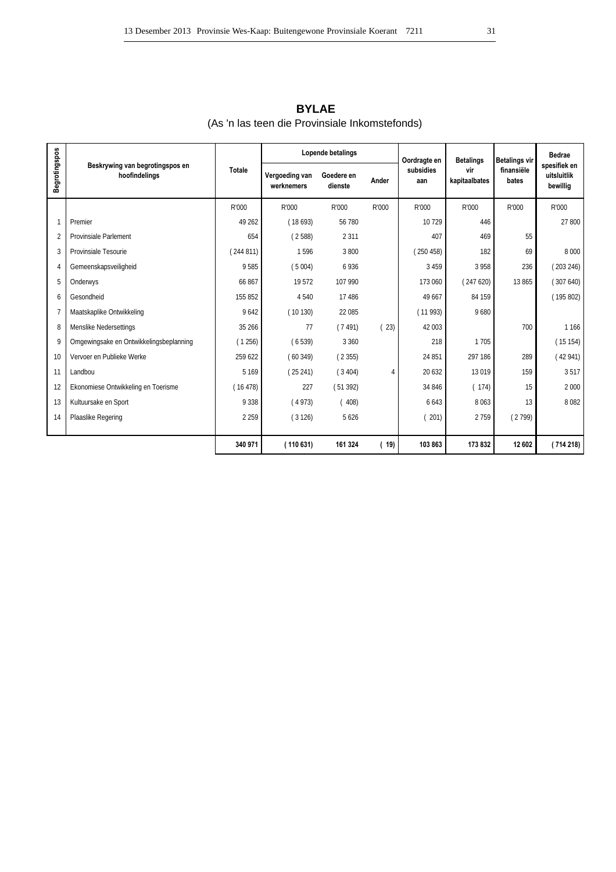|                |                                                  |               |                              | Lopende betalings     |       | Oordragte en     | <b>Betalings</b>     | <b>Betalings vir</b> | Bedrae                                  |
|----------------|--------------------------------------------------|---------------|------------------------------|-----------------------|-------|------------------|----------------------|----------------------|-----------------------------------------|
| Begrotingspos  | Beskrywing van begrotingspos en<br>hoofindelings | <b>Totale</b> | Vergoeding van<br>werknemers | Goedere en<br>dienste | Ander | subsidies<br>aan | vir<br>kapitaalbates | finansiële<br>bates  | spesifiek en<br>uitsluitlik<br>bewillig |
|                |                                                  | R'000         | R'000                        | R'000                 | R'000 | R'000            | R'000                | R'000                | R'000                                   |
| 1              | Premier                                          | 49 26 2       | (18693)                      | 56 780                |       | 10729            | 446                  |                      | 27 800                                  |
| $\overline{2}$ | <b>Provinsiale Parlement</b>                     | 654           | (2588)                       | 2 3 1 1               |       | 407              | 469                  | 55                   |                                         |
| 3              | Provinsiale Tesourie                             | (244811)      | 1596                         | 3 800                 |       | (250458)         | 182                  | 69                   | 8 0 0 0                                 |
| 4              | Gemeenskapsveiligheid                            | 9585          | (5004)                       | 6936                  |       | 3 4 5 9          | 3 9 5 8              | 236                  | (203246)                                |
| 5              | Onderwys                                         | 66 867        | 19572                        | 107 990               |       | 173 060          | (247620)             | 13865                | (307640)                                |
| 6              | Gesondheid                                       | 155 852       | 4 5 4 0                      | 17 48 6               |       | 49 667           | 84 159               |                      | (195802)                                |
| $\overline{7}$ | Maatskaplike Ontwikkeling                        | 9642          | (10130)                      | 22 085                |       | (11993)          | 9680                 |                      |                                         |
| 8              | Menslike Nedersettings                           | 35 266        | 77                           | (7491)                | (23)  | 42 003           |                      | 700                  | 1 1 6 6                                 |
| 9              | Omgewingsake en Ontwikkelingsbeplanning          | (1256)        | (6539)                       | 3 3 6 0               |       | 218              | 1705                 |                      | (15154)                                 |
| 10             | Vervoer en Publieke Werke                        | 259 622       | (60349)                      | (2355)                |       | 24 851           | 297 186              | 289                  | (42941)                                 |
| 11             | Landbou                                          | 5 1 6 9       | (25241)                      | (3404)                | 4     | 20 632           | 13 0 19              | 159                  | 3517                                    |
| 12             | Ekonomiese Ontwikkeling en Toerisme              | (16478)       | 227                          | (51392)               |       | 34 846           | (174)                | 15                   | 2 0 0 0                                 |
| 13             | Kultuursake en Sport                             | 9 3 3 8       | (4973)                       | (408)                 |       | 6643             | 8 0 6 3              | 13                   | 8082                                    |
| 14             | Plaaslike Regering                               | 2 2 5 9       | (3126)                       | 5 6 2 6               |       | 201)             | 2759                 | (2799)               |                                         |
|                |                                                  |               |                              |                       |       |                  |                      |                      |                                         |
|                |                                                  | 340 971       | (110 631)                    | 161 324               | 19)   | 103 863          | 173832               | 12 602               | (714 218)                               |

(As 'n las teen die Provinsiale Inkomstefonds) **BYLAE**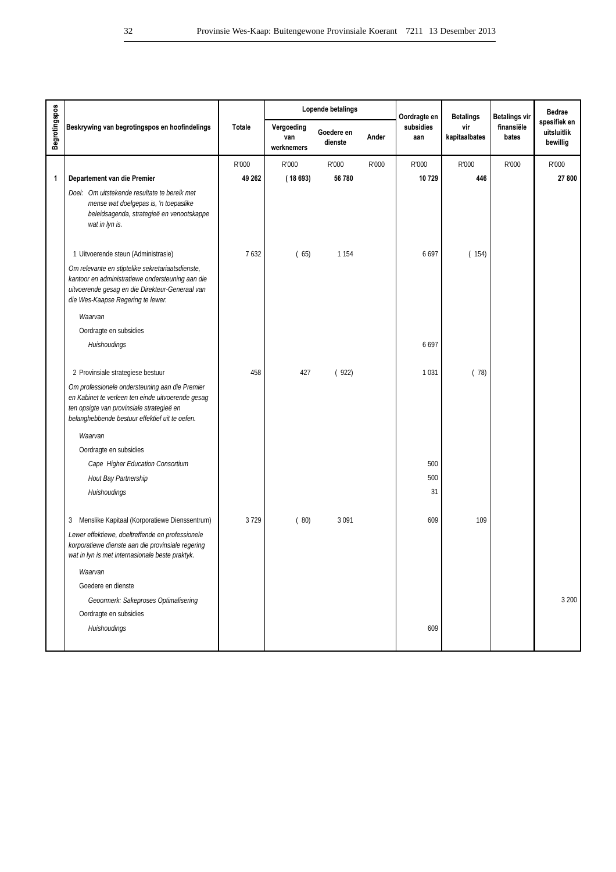|                      |                                                                                                                                                                                                    |        |                                 | Lopende betalings     |       | Oordragte en     | <b>Betalings</b>     | <b>Betalings vir</b> | <b>Bedrae</b>                           |
|----------------------|----------------------------------------------------------------------------------------------------------------------------------------------------------------------------------------------------|--------|---------------------------------|-----------------------|-------|------------------|----------------------|----------------------|-----------------------------------------|
| <b>Begrotingspos</b> | Beskrywing van begrotingspos en hoofindelings                                                                                                                                                      | Totale | Vergoeding<br>van<br>werknemers | Goedere en<br>dienste | Ander | subsidies<br>aan | vir<br>kapitaalbates | finansiële<br>bates  | spesifiek en<br>uitsluitlik<br>bewillig |
|                      |                                                                                                                                                                                                    | R'000  | R'000                           | R'000                 | R'000 | R'000            | R'000                | R'000                | R'000                                   |
| 1                    | Departement van die Premier                                                                                                                                                                        | 49 262 | (18693)                         | 56 780                |       | 10729            | 446                  |                      | 27 800                                  |
|                      | Doel: Om uitstekende resultate te bereik met<br>mense wat doelgepas is, 'n toepaslike<br>beleidsagenda, strategieë en venootskappe<br>wat in lyn is.                                               |        |                                 |                       |       |                  |                      |                      |                                         |
|                      | 1 Uitvoerende steun (Administrasie)                                                                                                                                                                | 7632   | (65)                            | 1 1 5 4               |       | 6697             | (154)                |                      |                                         |
|                      | Om relevante en stiptelike sekretariaatsdienste,<br>kantoor en administratiewe ondersteuning aan die<br>uitvoerende gesag en die Direkteur-Generaal van<br>die Wes-Kaapse Regering te lewer.       |        |                                 |                       |       |                  |                      |                      |                                         |
|                      | Waarvan                                                                                                                                                                                            |        |                                 |                       |       |                  |                      |                      |                                         |
|                      | Oordragte en subsidies                                                                                                                                                                             |        |                                 |                       |       |                  |                      |                      |                                         |
|                      | Huishoudings                                                                                                                                                                                       |        |                                 |                       |       | 6697             |                      |                      |                                         |
|                      | 2 Provinsiale strategiese bestuur                                                                                                                                                                  | 458    | 427                             | (922)                 |       | 1 0 3 1          | (78)                 |                      |                                         |
|                      | Om professionele ondersteuning aan die Premier<br>en Kabinet te verleen ten einde uitvoerende gesag<br>ten opsigte van provinsiale strategieë en<br>belanghebbende bestuur effektief uit te oefen. |        |                                 |                       |       |                  |                      |                      |                                         |
|                      | Waarvan                                                                                                                                                                                            |        |                                 |                       |       |                  |                      |                      |                                         |
|                      | Oordragte en subsidies                                                                                                                                                                             |        |                                 |                       |       |                  |                      |                      |                                         |
|                      | Cape Higher Education Consortium                                                                                                                                                                   |        |                                 |                       |       | 500              |                      |                      |                                         |
|                      | Hout Bay Partnership                                                                                                                                                                               |        |                                 |                       |       | 500              |                      |                      |                                         |
|                      | Huishoudings                                                                                                                                                                                       |        |                                 |                       |       | 31               |                      |                      |                                         |
|                      | Menslike Kapitaal (Korporatiewe Dienssentrum)<br>3                                                                                                                                                 | 3729   | (80)                            | 3 0 9 1               |       | 609              | 109                  |                      |                                         |
|                      | Lewer effektiewe, doeltreffende en professionele<br>korporatiewe dienste aan die provinsiale regering<br>wat in Iyn is met internasionale beste praktyk.                                           |        |                                 |                       |       |                  |                      |                      |                                         |
|                      | Waarvan                                                                                                                                                                                            |        |                                 |                       |       |                  |                      |                      |                                         |
|                      | Goedere en dienste                                                                                                                                                                                 |        |                                 |                       |       |                  |                      |                      |                                         |
|                      | Geoormerk: Sakeproses Optimalisering                                                                                                                                                               |        |                                 |                       |       |                  |                      |                      | 3 200                                   |
|                      | Oordragte en subsidies                                                                                                                                                                             |        |                                 |                       |       |                  |                      |                      |                                         |
|                      | Huishoudings                                                                                                                                                                                       |        |                                 |                       |       | 609              |                      |                      |                                         |
|                      |                                                                                                                                                                                                    |        |                                 |                       |       |                  |                      |                      |                                         |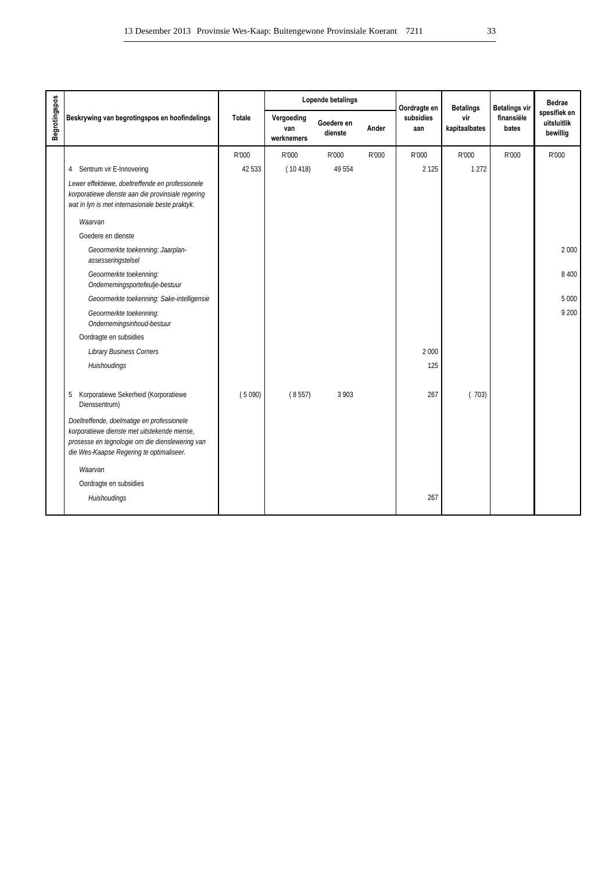|               |                                                                                                                                                                                          |               |                                 | Lopende betalings     |       | Oordragte en     | <b>Betalings</b>     | <b>Betalings vir</b> | Bedrae                                  |
|---------------|------------------------------------------------------------------------------------------------------------------------------------------------------------------------------------------|---------------|---------------------------------|-----------------------|-------|------------------|----------------------|----------------------|-----------------------------------------|
| Begrotingspos | Beskrywing van begrotingspos en hoofindelings                                                                                                                                            | <b>Totale</b> | Vergoeding<br>van<br>werknemers | Goedere en<br>dienste | Ander | subsidies<br>aan | vir<br>kapitaalbates | finansiële<br>bates  | spesifiek en<br>uitsluitlik<br>bewillig |
|               |                                                                                                                                                                                          | R'000         | R'000                           | R'000                 | R'000 | R'000            | R'000                | R'000                | R'000                                   |
|               | Sentrum vir E-Innovering<br>4                                                                                                                                                            | 42 533        | (10418)                         | 49 554                |       | 2 1 2 5          | 1 2 7 2              |                      |                                         |
|               | Lewer effektiewe, doeltreffende en professionele<br>korporatiewe dienste aan die provinsiale regering<br>wat in lyn is met internasionale beste praktyk.                                 |               |                                 |                       |       |                  |                      |                      |                                         |
|               | Waarvan                                                                                                                                                                                  |               |                                 |                       |       |                  |                      |                      |                                         |
|               | Goedere en dienste                                                                                                                                                                       |               |                                 |                       |       |                  |                      |                      |                                         |
|               | Geoormerkte toekenning: Jaarplan-<br>assesseringstelsel                                                                                                                                  |               |                                 |                       |       |                  |                      |                      | 2000                                    |
|               | Geoormerkte toekenning:<br>Ondernemingsportefeulje-bestuur                                                                                                                               |               |                                 |                       |       |                  |                      |                      | 8 400                                   |
|               | Geoormerkte toekenning: Sake-intelligensie                                                                                                                                               |               |                                 |                       |       |                  |                      |                      | 5 0 0 0                                 |
|               | Geoormerkte toekenning:<br>Ondernemingsinhoud-bestuur                                                                                                                                    |               |                                 |                       |       |                  |                      |                      | 9 200                                   |
|               | Oordragte en subsidies                                                                                                                                                                   |               |                                 |                       |       |                  |                      |                      |                                         |
|               | <b>Library Business Corners</b>                                                                                                                                                          |               |                                 |                       |       | 2 0 0 0          |                      |                      |                                         |
|               | Huishoudings                                                                                                                                                                             |               |                                 |                       |       | 125              |                      |                      |                                         |
|               | Korporatiewe Sekerheid (Korporatiewe<br>5<br>Dienssentrum)                                                                                                                               | (5090)        | (8557)                          | 3 9 0 3               |       | 267              | (703)                |                      |                                         |
|               | Doeltreffende, doelmatige en professionele<br>korporatiewe dienste met uitstekende mense,<br>prosesse en tegnologie om die dienslewering van<br>die Wes-Kaapse Regering te optimaliseer. |               |                                 |                       |       |                  |                      |                      |                                         |
|               | Waarvan                                                                                                                                                                                  |               |                                 |                       |       |                  |                      |                      |                                         |
|               | Oordragte en subsidies                                                                                                                                                                   |               |                                 |                       |       |                  |                      |                      |                                         |
|               | Huishoudings                                                                                                                                                                             |               |                                 |                       |       | 267              |                      |                      |                                         |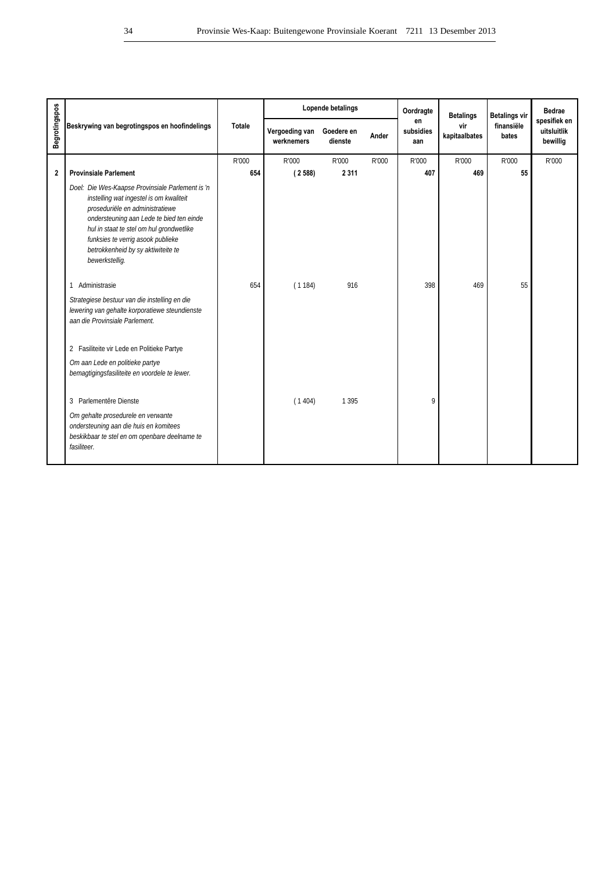|                      |                                                                                                                                                                                                                                                                                                                     |               | Lopende betalings            |                       |       | Oordragte              | <b>Betalings</b>     | <b>Betalings vir</b> | <b>Bedrae</b>                           |
|----------------------|---------------------------------------------------------------------------------------------------------------------------------------------------------------------------------------------------------------------------------------------------------------------------------------------------------------------|---------------|------------------------------|-----------------------|-------|------------------------|----------------------|----------------------|-----------------------------------------|
| <b>Begrotingspos</b> | Beskrywing van begrotingspos en hoofindelings                                                                                                                                                                                                                                                                       | <b>Totale</b> | Vergoeding van<br>werknemers | Goedere en<br>dienste | Ander | en<br>subsidies<br>aan | vir<br>kapitaalbates | finansiële<br>bates  | spesifiek en<br>uitsluitlik<br>bewillig |
|                      |                                                                                                                                                                                                                                                                                                                     | R'000         | R'000                        | R'000                 | R'000 | R'000                  | R'000                | R'000                | R'000                                   |
| $\mathbf{2}$         | <b>Provinsiale Parlement</b>                                                                                                                                                                                                                                                                                        | 654           | (2588)                       | 2 3 1 1               |       | 407                    | 469                  | 55                   |                                         |
|                      | Doel: Die Wes-Kaapse Provinsiale Parlement is 'n<br>instelling wat ingestel is om kwaliteit<br>proseduriële en administratiewe<br>ondersteuning aan Lede te bied ten einde<br>hul in staat te stel om hul grondwetlike<br>funksies te verrig asook publieke<br>betrokkenheid by sy aktiwiteite te<br>bewerkstellig. |               |                              |                       |       |                        |                      |                      |                                         |
|                      | Administrasie<br>1                                                                                                                                                                                                                                                                                                  | 654           | (1184)                       | 916                   |       | 398                    | 469                  | 55                   |                                         |
|                      | Strategiese bestuur van die instelling en die<br>lewering van gehalte korporatiewe steundienste<br>aan die Provinsiale Parlement.                                                                                                                                                                                   |               |                              |                       |       |                        |                      |                      |                                         |
|                      | 2 Fasiliteite vir Lede en Politieke Partye                                                                                                                                                                                                                                                                          |               |                              |                       |       |                        |                      |                      |                                         |
|                      | Om aan Lede en politieke partye<br>bemagtigingsfasiliteite en voordele te lewer.                                                                                                                                                                                                                                    |               |                              |                       |       |                        |                      |                      |                                         |
|                      | 3 Parlementêre Dienste                                                                                                                                                                                                                                                                                              |               | (1404)                       | 1 3 9 5               |       | 9                      |                      |                      |                                         |
|                      | Om gehalte prosedurele en verwante<br>ondersteuning aan die huis en komitees<br>beskikbaar te stel en om openbare deelname te<br>fasiliteer.                                                                                                                                                                        |               |                              |                       |       |                        |                      |                      |                                         |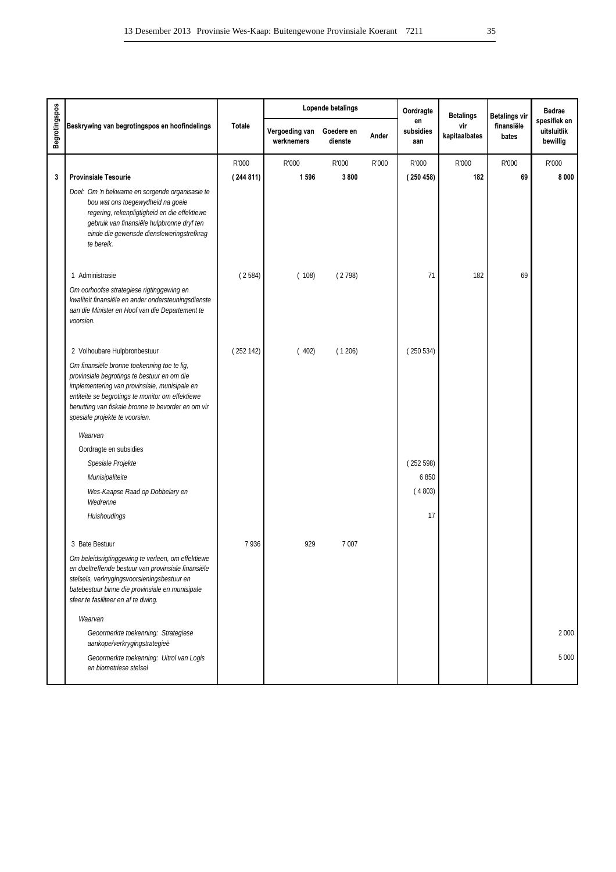|                      |                                                                                                                                                                                                                                                                                         |               |                              | Lopende betalings     |       | Oordragte              | <b>Betalings</b>     | <b>Betalings vir</b> | <b>Bedrae</b>                           |
|----------------------|-----------------------------------------------------------------------------------------------------------------------------------------------------------------------------------------------------------------------------------------------------------------------------------------|---------------|------------------------------|-----------------------|-------|------------------------|----------------------|----------------------|-----------------------------------------|
| <b>Begrotingspos</b> | Beskrywing van begrotingspos en hoofindelings                                                                                                                                                                                                                                           | <b>Totale</b> | Vergoeding van<br>werknemers | Goedere en<br>dienste | Ander | en<br>subsidies<br>aan | vir<br>kapitaalbates | finansiële<br>bates  | spesifiek en<br>uitsluitlik<br>bewillig |
|                      |                                                                                                                                                                                                                                                                                         | R'000         | R'000                        | R'000                 | R'000 | R'000                  | R'000                | R'000                | R'000                                   |
| $\mathbf{3}$         | <b>Provinsiale Tesourie</b>                                                                                                                                                                                                                                                             | (244811)      | 1 5 9 6                      | 3800                  |       | (250458)               | 182                  | 69                   | 8 0 0 0                                 |
|                      | Doel: Om 'n bekwame en sorgende organisasie te<br>bou wat ons toegewydheid na goeie<br>regering, rekenpligtigheid en die effektiewe<br>gebruik van finansiële hulpbronne dryf ten<br>einde die gewensde diensleweringstrefkrag<br>te bereik.                                            |               |                              |                       |       |                        |                      |                      |                                         |
|                      | 1 Administrasie                                                                                                                                                                                                                                                                         | (2584)        | (108)                        | (2798)                |       | 71                     | 182                  | 69                   |                                         |
|                      | Om oorhoofse strategiese rigtinggewing en<br>kwaliteit finansiële en ander ondersteuningsdienste<br>aan die Minister en Hoof van die Departement te<br>voorsien.                                                                                                                        |               |                              |                       |       |                        |                      |                      |                                         |
|                      | 2 Volhoubare Hulpbronbestuur                                                                                                                                                                                                                                                            | (252142)      | (402)                        | (1206)                |       | (250534)               |                      |                      |                                         |
|                      | Om finansiële bronne toekenning toe te lig,<br>provinsiale begrotings te bestuur en om die<br>implementering van provinsiale, munisipale en<br>entiteite se begrotings te monitor om effektiewe<br>benutting van fiskale bronne te bevorder en om vir<br>spesiale projekte te voorsien. |               |                              |                       |       |                        |                      |                      |                                         |
|                      | Waarvan                                                                                                                                                                                                                                                                                 |               |                              |                       |       |                        |                      |                      |                                         |
|                      | Oordragte en subsidies                                                                                                                                                                                                                                                                  |               |                              |                       |       |                        |                      |                      |                                         |
|                      | Spesiale Projekte                                                                                                                                                                                                                                                                       |               |                              |                       |       | (252598)               |                      |                      |                                         |
|                      | Munisipaliteite                                                                                                                                                                                                                                                                         |               |                              |                       |       | 6850                   |                      |                      |                                         |
|                      | Wes-Kaapse Raad op Dobbelary en<br>Wedrenne                                                                                                                                                                                                                                             |               |                              |                       |       | (4803)                 |                      |                      |                                         |
|                      | Huishoudings                                                                                                                                                                                                                                                                            |               |                              |                       |       | 17                     |                      |                      |                                         |
|                      | 3 Bate Bestuur                                                                                                                                                                                                                                                                          | 7936          | 929                          | 7 0 0 7               |       |                        |                      |                      |                                         |
|                      | Om beleidsrigtinggewing te verleen, om effektiewe<br>en doeltreffende bestuur van provinsiale finansiële<br>stelsels, verkrygingsvoorsieningsbestuur en<br>batebestuur binne die provinsiale en munisipale<br>sfeer te fasiliteer en af te dwing.                                       |               |                              |                       |       |                        |                      |                      |                                         |
|                      | Waarvan                                                                                                                                                                                                                                                                                 |               |                              |                       |       |                        |                      |                      |                                         |
|                      | Geoormerkte toekenning: Strategiese<br>aankope/verkrygingstrategieë                                                                                                                                                                                                                     |               |                              |                       |       |                        |                      |                      | 2 0 0 0                                 |
|                      | Geoormerkte toekenning: Uitrol van Logis<br>en biometriese stelsel                                                                                                                                                                                                                      |               |                              |                       |       |                        |                      |                      | 5 0 0 0                                 |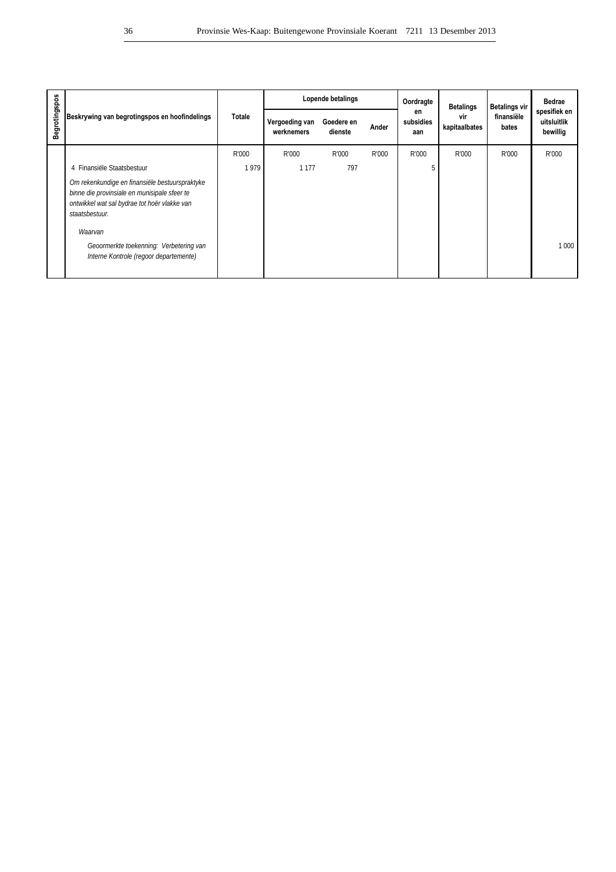|               |                                                                                                                                                                  |        |                              | Lopende betalings     |       | Oordragte<br>en<br>subsidies<br>aan | <b>Betalings</b>     | <b>Betalings vir</b> | <b>Bedrae</b>                           |
|---------------|------------------------------------------------------------------------------------------------------------------------------------------------------------------|--------|------------------------------|-----------------------|-------|-------------------------------------|----------------------|----------------------|-----------------------------------------|
| Begrotingspos | Beskrywing van begrotingspos en hoofindelings                                                                                                                    | Totale | Vergoeding van<br>werknemers | Goedere en<br>dienste | Ander |                                     | vir<br>kapitaalbates | finansiële<br>bates  | spesifiek en<br>uitsluitlik<br>bewillig |
|               |                                                                                                                                                                  | R'000  | R'000                        | R'000                 | R'000 | R'000                               | R'000                | R'000                | R'000                                   |
|               | 4 Finansiële Staatsbestuur                                                                                                                                       | 1979   | 1 1 7 7                      | 797                   |       |                                     |                      |                      |                                         |
|               | Om rekenkundige en finansiële bestuurspraktyke<br>binne die provinsiale en munisipale sfeer te<br>ontwikkel wat sal bydrae tot hoër vlakke van<br>staatsbestuur. |        |                              |                       |       |                                     |                      |                      |                                         |
|               | Waarvan<br>Geoormerkte toekenning: Verbetering van<br>Interne Kontrole (regoor departemente)                                                                     |        |                              |                       |       |                                     |                      |                      | 1000                                    |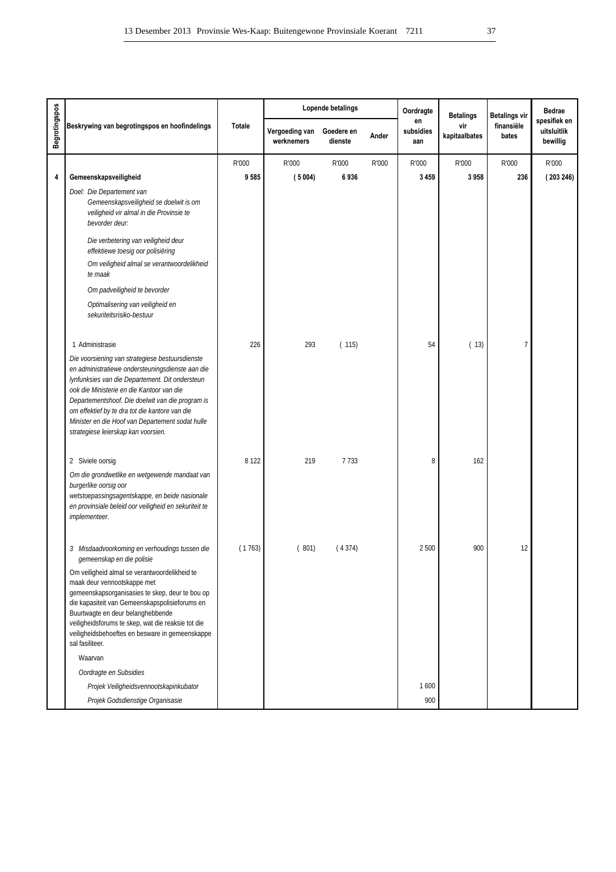|                      |                                                                                                                                                                                                                                                                                                                                                                                                      |         |                              | Lopende betalings     |       | Oordragte              | <b>Betalings</b>     | <b>Betalings vir</b> | <b>Bedrae</b>                           |
|----------------------|------------------------------------------------------------------------------------------------------------------------------------------------------------------------------------------------------------------------------------------------------------------------------------------------------------------------------------------------------------------------------------------------------|---------|------------------------------|-----------------------|-------|------------------------|----------------------|----------------------|-----------------------------------------|
| <b>Begrotingspos</b> | Beskrywing van begrotingspos en hoofindelings                                                                                                                                                                                                                                                                                                                                                        | Totale  | Vergoeding van<br>werknemers | Goedere en<br>dienste | Ander | en<br>subsidies<br>aan | vir<br>kapitaalbates | finansiële<br>bates  | spesifiek en<br>uitsluitlik<br>bewillig |
|                      |                                                                                                                                                                                                                                                                                                                                                                                                      | R'000   | R'000                        | R'000                 | R'000 | R'000                  | R'000                | R'000                | R'000                                   |
| 4                    | Gemeenskapsveiligheid                                                                                                                                                                                                                                                                                                                                                                                | 9585    | (5004)                       | 6936                  |       | 3 4 5 9                | 3958                 | 236                  | (203246)                                |
|                      | Doel: Die Departement van<br>Gemeenskapsveiligheid se doelwit is om<br>veiligheid vir almal in die Provinsie te<br>bevorder deur:                                                                                                                                                                                                                                                                    |         |                              |                       |       |                        |                      |                      |                                         |
|                      | Die verbetering van veiligheid deur<br>effektiewe toesig oor polisiëring                                                                                                                                                                                                                                                                                                                             |         |                              |                       |       |                        |                      |                      |                                         |
|                      | Om veiligheid almal se verantwoordelikheid<br>te maak                                                                                                                                                                                                                                                                                                                                                |         |                              |                       |       |                        |                      |                      |                                         |
|                      | Om padveiligheid te bevorder                                                                                                                                                                                                                                                                                                                                                                         |         |                              |                       |       |                        |                      |                      |                                         |
|                      | Optimalisering van veiligheid en<br>sekuriteitsrisiko-bestuur                                                                                                                                                                                                                                                                                                                                        |         |                              |                       |       |                        |                      |                      |                                         |
|                      | 1 Administrasie                                                                                                                                                                                                                                                                                                                                                                                      | 226     | 293                          | (115)                 |       | 54                     | (13)                 | 7                    |                                         |
|                      | Die voorsiening van strategiese bestuursdienste<br>en administratiewe ondersteuningsdienste aan die<br>lynfunksies van die Departement. Dit ondersteun<br>ook die Ministerie en die Kantoor van die<br>Departementshoof. Die doelwit van die program is<br>om effektief by te dra tot die kantore van die<br>Minister en die Hoof van Departement sodat hulle<br>strategiese leierskap kan voorsien. |         |                              |                       |       |                        |                      |                      |                                         |
|                      | 2 Siviele oorsig                                                                                                                                                                                                                                                                                                                                                                                     | 8 1 2 2 | 219                          | 7733                  |       | 8                      | 162                  |                      |                                         |
|                      | Om die grondwetlike en wetgewende mandaat van<br>burgerlike oorsig oor<br>wetstoepassingsagentskappe, en beide nasionale<br>en provinsiale beleid oor veiligheid en sekuriteit te<br>implementeer.                                                                                                                                                                                                   |         |                              |                       |       |                        |                      |                      |                                         |
|                      | 3 Misdaadvoorkoming en verhoudings tussen die<br>gemeenskap en die polisie                                                                                                                                                                                                                                                                                                                           | (1763)  | (801)                        | (4374)                |       | 2500                   | 900                  | 12                   |                                         |
|                      | Om veiligheid almal se verantwoordelikheid te<br>maak deur vennootskappe met<br>gemeenskapsorganisasies te skep, deur te bou op<br>die kapasiteit van Gemeenskapspolisieforums en<br>Buurtwagte en deur belanghebbende<br>veiligheidsforums te skep, wat die reaksie tot die<br>veiligheidsbehoeftes en besware in gemeenskappe<br>sal fasiliteer.                                                   |         |                              |                       |       |                        |                      |                      |                                         |
|                      | Waarvan                                                                                                                                                                                                                                                                                                                                                                                              |         |                              |                       |       |                        |                      |                      |                                         |
|                      | Oordragte en Subsidies                                                                                                                                                                                                                                                                                                                                                                               |         |                              |                       |       |                        |                      |                      |                                         |
|                      | Projek Veiligheidsvennootskapinkubator                                                                                                                                                                                                                                                                                                                                                               |         |                              |                       |       | 1600                   |                      |                      |                                         |
|                      | Projek Godsdienstige Organisasie                                                                                                                                                                                                                                                                                                                                                                     |         |                              |                       |       | 900                    |                      |                      |                                         |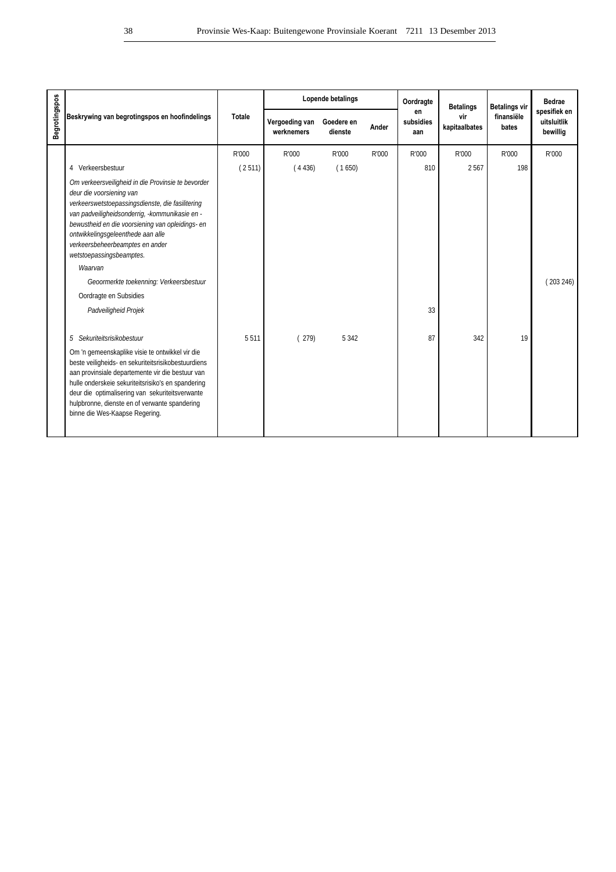|               |                                                                                                                                                                                                                                                                                                                                                                                                                                                      |               |                              | Lopende betalings     |       | Oordragte              | <b>Betalings</b>     | <b>Betalings vir</b> | Bedrae                                  |
|---------------|------------------------------------------------------------------------------------------------------------------------------------------------------------------------------------------------------------------------------------------------------------------------------------------------------------------------------------------------------------------------------------------------------------------------------------------------------|---------------|------------------------------|-----------------------|-------|------------------------|----------------------|----------------------|-----------------------------------------|
| Begrotingspos | Beskrywing van begrotingspos en hoofindelings                                                                                                                                                                                                                                                                                                                                                                                                        | <b>Totale</b> | Vergoeding van<br>werknemers | Goedere en<br>dienste | Ander | en<br>subsidies<br>aan | vir<br>kapitaalbates | finansiële<br>bates  | spesifiek en<br>uitsluitlik<br>bewillig |
|               |                                                                                                                                                                                                                                                                                                                                                                                                                                                      | R'000         | R'000                        | R'000                 | R'000 | R'000                  | R'000                | R'000                | R'000                                   |
|               | 4 Verkeersbestuur                                                                                                                                                                                                                                                                                                                                                                                                                                    | (2511)        | (4436)                       | (1650)                |       | 810                    | 2567                 | 198                  |                                         |
|               | Om verkeersveiligheid in die Provinsie te bevorder<br>deur die voorsiening van<br>verkeerswetstoepassingsdienste, die fasilitering<br>van padveiligheidsonderrig, -kommunikasie en -<br>bewustheid en die voorsiening van opleidings- en<br>ontwikkelingsgeleenthede aan alle<br>verkeersbeheerbeamptes en ander<br>wetstoepassingsbeamptes.<br>Waarvan<br>Geoormerkte toekenning: Verkeersbestuur<br>Oordragte en Subsidies<br>Padveiligheid Projek |               |                              |                       |       | 33                     |                      |                      | (203246)                                |
|               | 5 Sekuriteitsrisikobestuur                                                                                                                                                                                                                                                                                                                                                                                                                           | 5511          | (279)                        | 5 3 4 2               |       | 87                     | 342                  | 19                   |                                         |
|               | Om 'n gemeenskaplike visie te ontwikkel vir die<br>beste veiligheids- en sekuriteitsrisikobestuurdiens<br>aan provinsiale departemente vir die bestuur van<br>hulle onderskeie sekuriteitsrisiko's en spandering<br>deur die optimalisering van sekuriteitsverwante<br>hulpbronne, dienste en of verwante spandering<br>binne die Wes-Kaapse Regering.                                                                                               |               |                              |                       |       |                        |                      |                      |                                         |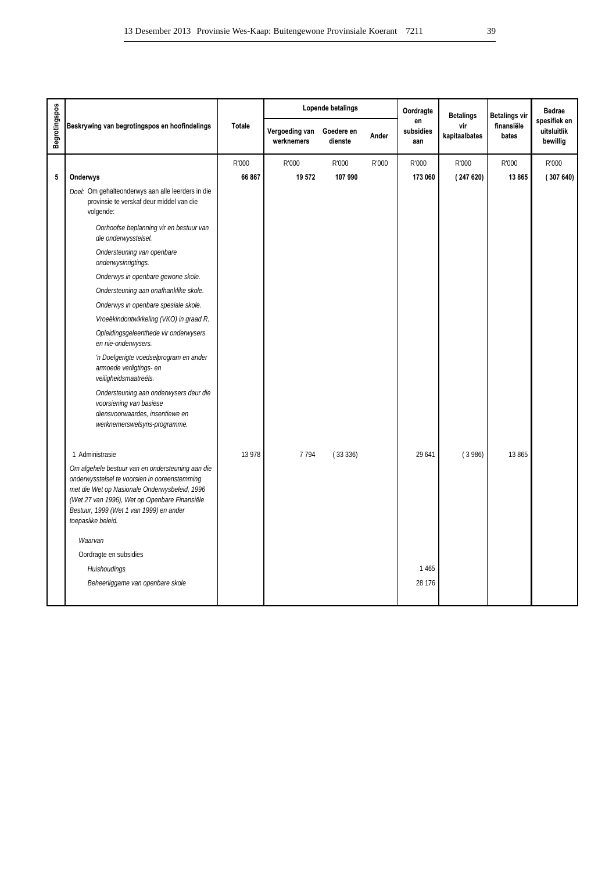|                                                                                                                                                                                                                                                                      |               |                              | Lopende betalings     |       | Oordragte              | <b>Betalings</b>     | Betalings vir       | <b>Bedrae</b>                           |
|----------------------------------------------------------------------------------------------------------------------------------------------------------------------------------------------------------------------------------------------------------------------|---------------|------------------------------|-----------------------|-------|------------------------|----------------------|---------------------|-----------------------------------------|
| Beskrywing van begrotingspos en hoofindelings                                                                                                                                                                                                                        | <b>Totale</b> | Vergoeding van<br>werknemers | Goedere en<br>dienste | Ander | en<br>subsidies<br>aan | vir<br>kapitaalbates | finansiële<br>bates | spesifiek en<br>uitsluitlik<br>bewillig |
|                                                                                                                                                                                                                                                                      | R'000         | R'000                        | R'000                 | R'000 | R'000                  | R'000                | R'000               | R'000                                   |
| Onderwys                                                                                                                                                                                                                                                             | 66 867        | 19 572                       | 107 990               |       | 173 060                | (247620)             | 13865               | (307640)                                |
| Doel: Om gehalteonderwys aan alle leerders in die<br>provinsie te verskaf deur middel van die<br>volgende:                                                                                                                                                           |               |                              |                       |       |                        |                      |                     |                                         |
| Oorhoofse beplanning vir en bestuur van<br>die onderwysstelsel.                                                                                                                                                                                                      |               |                              |                       |       |                        |                      |                     |                                         |
| Ondersteuning van openbare<br>onderwysinrigtings.                                                                                                                                                                                                                    |               |                              |                       |       |                        |                      |                     |                                         |
| Onderwys in openbare gewone skole.                                                                                                                                                                                                                                   |               |                              |                       |       |                        |                      |                     |                                         |
| Ondersteuning aan onafhanklike skole.                                                                                                                                                                                                                                |               |                              |                       |       |                        |                      |                     |                                         |
| Onderwys in openbare spesiale skole.                                                                                                                                                                                                                                 |               |                              |                       |       |                        |                      |                     |                                         |
| Vroeëkindontwikkeling (VKO) in graad R.                                                                                                                                                                                                                              |               |                              |                       |       |                        |                      |                     |                                         |
| Opleidingsgeleenthede vir onderwysers<br>en nie-onderwysers.                                                                                                                                                                                                         |               |                              |                       |       |                        |                      |                     |                                         |
| 'n Doelgerigte voedselprogram en ander<br>armoede verligtings- en<br>veiligheidsmaatreëls.                                                                                                                                                                           |               |                              |                       |       |                        |                      |                     |                                         |
| Ondersteuning aan onderwysers deur die<br>voorsiening van basiese<br>diensvoorwaardes, insentiewe en<br>werknemerswelsyns-programme.                                                                                                                                 |               |                              |                       |       |                        |                      |                     |                                         |
| 1 Administrasie                                                                                                                                                                                                                                                      | 13 978        | 7 7 9 4                      | (33336)               |       | 29 641                 | (3986)               | 13 865              |                                         |
| Om algehele bestuur van en ondersteuning aan die<br>onderwysstelsel te voorsien in ooreenstemming<br>met die Wet op Nasionale Onderwysbeleid, 1996<br>(Wet 27 van 1996), Wet op Openbare Finansiële<br>Bestuur, 1999 (Wet 1 van 1999) en ander<br>toepaslike beleid. |               |                              |                       |       |                        |                      |                     |                                         |
| Waarvan                                                                                                                                                                                                                                                              |               |                              |                       |       |                        |                      |                     |                                         |
| Oordragte en subsidies                                                                                                                                                                                                                                               |               |                              |                       |       |                        |                      |                     |                                         |
| Huishoudings                                                                                                                                                                                                                                                         |               |                              |                       |       | 1465                   |                      |                     |                                         |
| Beheerliggame van openbare skole                                                                                                                                                                                                                                     |               |                              |                       |       | 28 176                 |                      |                     |                                         |
|                                                                                                                                                                                                                                                                      |               |                              |                       |       |                        |                      |                     |                                         |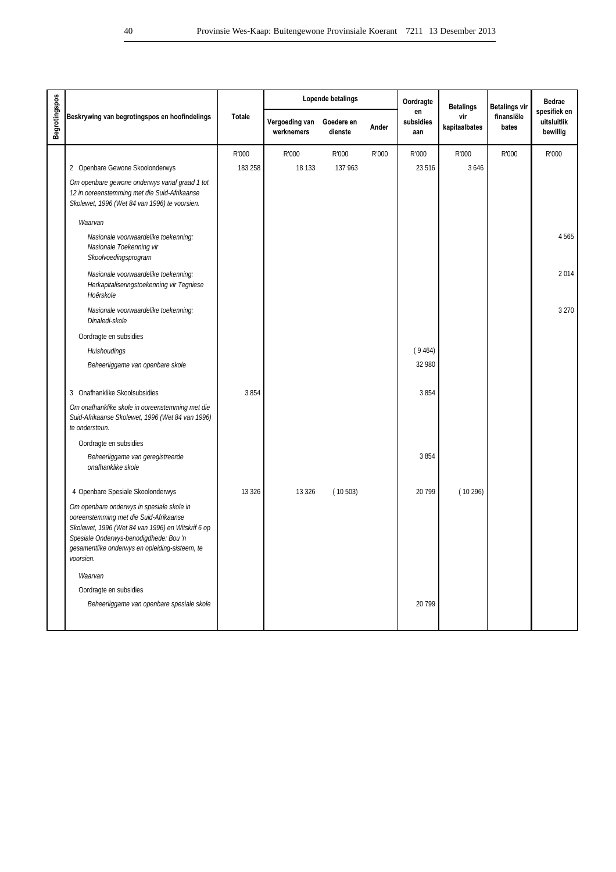|                      |                                                                                                                                                                                                                                                   |               |                              | Lopende betalings     |       | Oordragte              | <b>Betalings</b>     | <b>Betalings vir</b> | <b>Bedrae</b>                           |
|----------------------|---------------------------------------------------------------------------------------------------------------------------------------------------------------------------------------------------------------------------------------------------|---------------|------------------------------|-----------------------|-------|------------------------|----------------------|----------------------|-----------------------------------------|
| <b>Begrotingspos</b> | Beskrywing van begrotingspos en hoofindelings                                                                                                                                                                                                     | <b>Totale</b> | Vergoeding van<br>werknemers | Goedere en<br>dienste | Ander | en<br>subsidies<br>aan | vir<br>kapitaalbates | finansiële<br>bates  | spesifiek en<br>uitsluitlik<br>bewillig |
|                      |                                                                                                                                                                                                                                                   | R'000         | R'000                        | R'000                 | R'000 | R'000                  | R'000                | R'000                | R'000                                   |
|                      | 2 Openbare Gewone Skoolonderwys                                                                                                                                                                                                                   | 183 258       | 18 133                       | 137 963               |       | 23 5 16                | 3 6 4 6              |                      |                                         |
|                      | Om openbare gewone onderwys vanaf graad 1 tot<br>12 in ooreenstemming met die Suid-Afrikaanse<br>Skolewet, 1996 (Wet 84 van 1996) te voorsien.                                                                                                    |               |                              |                       |       |                        |                      |                      |                                         |
|                      | Waarvan                                                                                                                                                                                                                                           |               |                              |                       |       |                        |                      |                      |                                         |
|                      | Nasionale voorwaardelike toekenning:<br>Nasionale Toekenning vir<br>Skoolvoedingsprogram                                                                                                                                                          |               |                              |                       |       |                        |                      |                      | 4565                                    |
|                      | Nasionale voorwaardelike toekenning:<br>Herkapitaliseringstoekenning vir Tegniese<br>Hoërskole                                                                                                                                                    |               |                              |                       |       |                        |                      |                      | 2014                                    |
|                      | Nasionale voorwaardelike toekenning:<br>Dinaledi-skole                                                                                                                                                                                            |               |                              |                       |       |                        |                      |                      | 3 2 7 0                                 |
|                      | Oordragte en subsidies                                                                                                                                                                                                                            |               |                              |                       |       |                        |                      |                      |                                         |
|                      | Huishoudings                                                                                                                                                                                                                                      |               |                              |                       |       | (9464)                 |                      |                      |                                         |
|                      | Beheerliggame van openbare skole                                                                                                                                                                                                                  |               |                              |                       |       | 32 980                 |                      |                      |                                         |
|                      | 3 Onafhanklike Skoolsubsidies                                                                                                                                                                                                                     | 3854          |                              |                       |       | 3854                   |                      |                      |                                         |
|                      | Om onafhanklike skole in ooreenstemming met die<br>Suid-Afrikaanse Skolewet, 1996 (Wet 84 van 1996)<br>te ondersteun.                                                                                                                             |               |                              |                       |       |                        |                      |                      |                                         |
|                      | Oordragte en subsidies                                                                                                                                                                                                                            |               |                              |                       |       |                        |                      |                      |                                         |
|                      | Beheerliggame van geregistreerde<br>onafhanklike skole                                                                                                                                                                                            |               |                              |                       |       | 3854                   |                      |                      |                                         |
|                      | 4 Openbare Spesiale Skoolonderwys                                                                                                                                                                                                                 | 13 3 26       | 13 3 26                      | (10503)               |       | 20 799                 | (10296)              |                      |                                         |
|                      | Om openbare onderwys in spesiale skole in<br>ooreenstemming met die Suid-Afrikaanse<br>Skolewet, 1996 (Wet 84 van 1996) en Witskrif 6 op<br>Spesiale Onderwys-benodigdhede: Bou 'n<br>gesamentlike onderwys en opleiding-sisteem, te<br>voorsien. |               |                              |                       |       |                        |                      |                      |                                         |
|                      | Waarvan                                                                                                                                                                                                                                           |               |                              |                       |       |                        |                      |                      |                                         |
|                      | Oordragte en subsidies                                                                                                                                                                                                                            |               |                              |                       |       |                        |                      |                      |                                         |
|                      | Beheerliggame van openbare spesiale skole                                                                                                                                                                                                         |               |                              |                       |       | 20799                  |                      |                      |                                         |
|                      |                                                                                                                                                                                                                                                   |               |                              |                       |       |                        |                      |                      |                                         |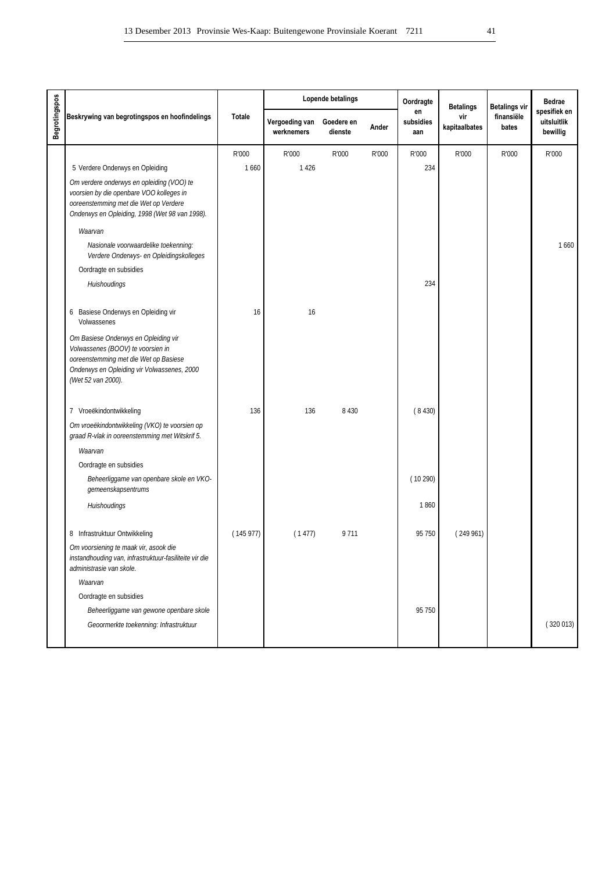|                                                                                                                                                                                         |               |                              | Lopende betalings     |       | Oordragte              | <b>Betalings</b>     | <b>Betalings vir</b> | Bedrae                                  |
|-----------------------------------------------------------------------------------------------------------------------------------------------------------------------------------------|---------------|------------------------------|-----------------------|-------|------------------------|----------------------|----------------------|-----------------------------------------|
| Beskrywing van begrotingspos en hoofindelings                                                                                                                                           | <b>Totale</b> | Vergoeding van<br>werknemers | Goedere en<br>dienste | Ander | en<br>subsidies<br>aan | vir<br>kapitaalbates | finansiële<br>bates  | spesifiek en<br>uitsluitlik<br>bewillig |
|                                                                                                                                                                                         | R'000         | R'000                        | R'000                 | R'000 | R'000                  | R'000                | R'000                | R'000                                   |
| 5 Verdere Onderwys en Opleiding                                                                                                                                                         | 1660          | 1426                         |                       |       | 234                    |                      |                      |                                         |
| Om verdere onderwys en opleiding (VOO) te<br>voorsien by die openbare VOO kolleges in<br>ooreenstemming met die Wet op Verdere<br>Onderwys en Opleiding, 1998 (Wet 98 van 1998).        |               |                              |                       |       |                        |                      |                      |                                         |
| Waarvan                                                                                                                                                                                 |               |                              |                       |       |                        |                      |                      |                                         |
| Nasionale voorwaardelike toekenning:<br>Verdere Onderwys- en Opleidingskolleges                                                                                                         |               |                              |                       |       |                        |                      |                      | 1660                                    |
| Oordragte en subsidies                                                                                                                                                                  |               |                              |                       |       |                        |                      |                      |                                         |
| Huishoudings                                                                                                                                                                            |               |                              |                       |       | 234                    |                      |                      |                                         |
| Basiese Onderwys en Opleiding vir<br>6<br>Volwassenes                                                                                                                                   | 16            | 16                           |                       |       |                        |                      |                      |                                         |
| Om Basiese Onderwys en Opleiding vir<br>Volwassenes (BOOV) te voorsien in<br>ooreenstemming met die Wet op Basiese<br>Onderwys en Opleiding vir Volwassenes, 2000<br>(Wet 52 van 2000). |               |                              |                       |       |                        |                      |                      |                                         |
| 7 Vroeëkindontwikkeling                                                                                                                                                                 | 136           | 136                          | 8 4 3 0               |       | (8430)                 |                      |                      |                                         |
| Om vroeëkindontwikkeling (VKO) te voorsien op<br>graad R-vlak in ooreenstemming met Witskrif 5.                                                                                         |               |                              |                       |       |                        |                      |                      |                                         |
| Waarvan                                                                                                                                                                                 |               |                              |                       |       |                        |                      |                      |                                         |
| Oordragte en subsidies                                                                                                                                                                  |               |                              |                       |       |                        |                      |                      |                                         |
| Beheerliggame van openbare skole en VKO-<br>gemeenskapsentrums                                                                                                                          |               |                              |                       |       | (10290)                |                      |                      |                                         |
| Huishoudings                                                                                                                                                                            |               |                              |                       |       | 1860                   |                      |                      |                                         |
| 8 Infrastruktuur Ontwikkeling                                                                                                                                                           | (145977)      | (1477)                       | 9711                  |       | 95 750                 | (249961)             |                      |                                         |
| Om voorsiening te maak vir, asook die<br>instandhouding van, infrastruktuur-fasiliteite vir die<br>administrasie van skole.                                                             |               |                              |                       |       |                        |                      |                      |                                         |
| Waarvan                                                                                                                                                                                 |               |                              |                       |       |                        |                      |                      |                                         |
| Oordragte en subsidies                                                                                                                                                                  |               |                              |                       |       |                        |                      |                      |                                         |
| Beheerliggame van gewone openbare skole                                                                                                                                                 |               |                              |                       |       | 95 750                 |                      |                      |                                         |
| Geoormerkte toekenning: Infrastruktuur                                                                                                                                                  |               |                              |                       |       |                        |                      |                      | (320013)                                |
|                                                                                                                                                                                         |               |                              |                       |       |                        |                      |                      |                                         |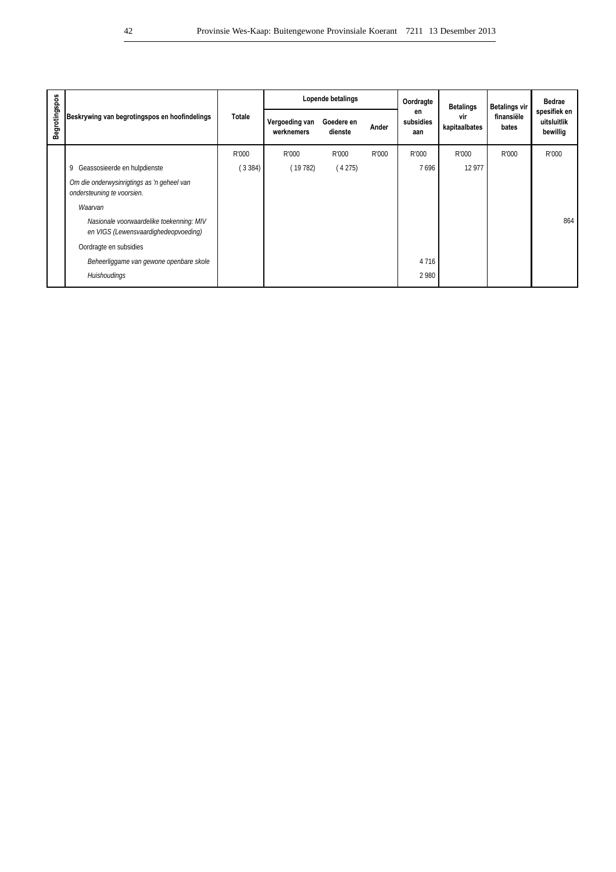|               |                                                                                  |               |                              | Lopende betalings     |       | Oordragte              | <b>Betalings</b>     | <b>Betalings vir</b> | <b>Bedrae</b>                           |
|---------------|----------------------------------------------------------------------------------|---------------|------------------------------|-----------------------|-------|------------------------|----------------------|----------------------|-----------------------------------------|
| Begrotingspos | Beskrywing van begrotingspos en hoofindelings                                    | <b>Totale</b> | Vergoeding van<br>werknemers | Goedere en<br>dienste | Ander | en<br>subsidies<br>aan | vir<br>kapitaalbates | finansiële<br>bates  | spesifiek en<br>uitsluitlik<br>bewillig |
|               |                                                                                  | R'000         | R'000                        | R'000                 | R'000 | R'000                  | R'000                | R'000                | R'000                                   |
|               | Geassosieerde en hulpdienste<br>9                                                | (3384)        | (19782)                      | (4275)                |       | 7696                   | 12 977               |                      |                                         |
|               | Om die onderwysinrigtings as 'n geheel van<br>ondersteuning te voorsien.         |               |                              |                       |       |                        |                      |                      |                                         |
|               | Waarvan                                                                          |               |                              |                       |       |                        |                      |                      |                                         |
|               | Nasionale voorwaardelike toekenning: MIV<br>en VIGS (Lewensvaardighedeopvoeding) |               |                              |                       |       |                        |                      |                      | 864                                     |
|               | Oordragte en subsidies                                                           |               |                              |                       |       |                        |                      |                      |                                         |
|               | Beheerliggame van gewone openbare skole                                          |               |                              |                       |       | 4 7 1 6                |                      |                      |                                         |
|               | Huishoudings                                                                     |               |                              |                       |       | 2980                   |                      |                      |                                         |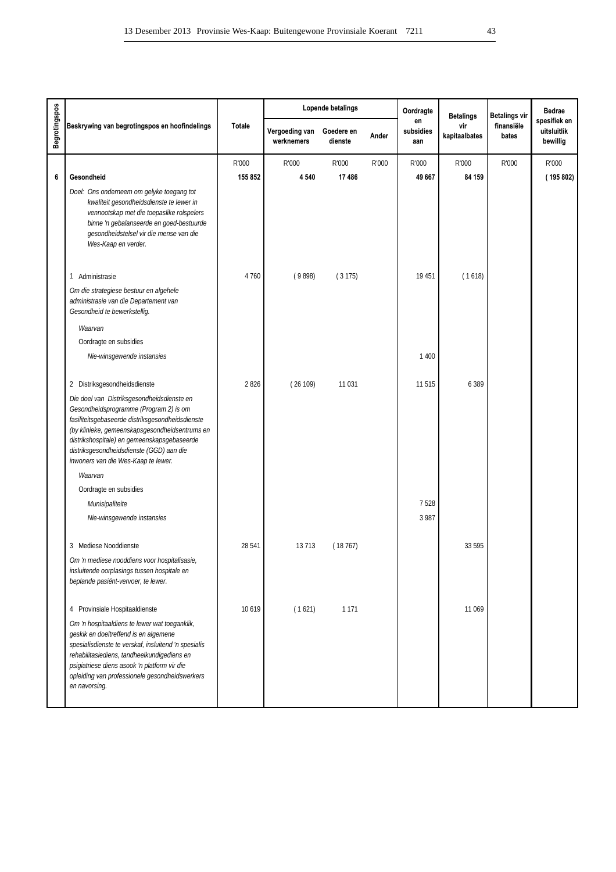|                      |                                                                                                                                                                                                                                                                                                                              |               |                              | Lopende betalings     |       | Oordragte              | <b>Betalings</b>     | <b>Betalings vir</b> | <b>Bedrae</b>                           |
|----------------------|------------------------------------------------------------------------------------------------------------------------------------------------------------------------------------------------------------------------------------------------------------------------------------------------------------------------------|---------------|------------------------------|-----------------------|-------|------------------------|----------------------|----------------------|-----------------------------------------|
| <b>Begrotingspos</b> | Beskrywing van begrotingspos en hoofindelings                                                                                                                                                                                                                                                                                | <b>Totale</b> | Vergoeding van<br>werknemers | Goedere en<br>dienste | Ander | en<br>subsidies<br>aan | vir<br>kapitaalbates | finansiële<br>bates  | spesifiek en<br>uitsluitlik<br>bewillig |
|                      |                                                                                                                                                                                                                                                                                                                              | R'000         | R'000                        | R'000                 | R'000 | R'000                  | R'000                | R'000                | R'000                                   |
| $6\phantom{1}6$      | Gesondheid                                                                                                                                                                                                                                                                                                                   | 155 852       | 4 5 4 0                      | 17486                 |       | 49 667                 | 84 159               |                      | (195 802)                               |
|                      | Doel: Ons onderneem om gelyke toegang tot<br>kwaliteit gesondheidsdienste te lewer in<br>vennootskap met die toepaslike rolspelers<br>binne 'n gebalanseerde en goed-bestuurde<br>gesondheidstelsel vir die mense van die<br>Wes-Kaap en verder.                                                                             |               |                              |                       |       |                        |                      |                      |                                         |
|                      | 1 Administrasie                                                                                                                                                                                                                                                                                                              | 4760          | (9898)                       | (3175)                |       | 19 451                 | (1618)               |                      |                                         |
|                      | Om die strategiese bestuur en algehele<br>administrasie van die Departement van<br>Gesondheid te bewerkstellig.                                                                                                                                                                                                              |               |                              |                       |       |                        |                      |                      |                                         |
|                      | Waarvan                                                                                                                                                                                                                                                                                                                      |               |                              |                       |       |                        |                      |                      |                                         |
|                      | Oordragte en subsidies                                                                                                                                                                                                                                                                                                       |               |                              |                       |       |                        |                      |                      |                                         |
|                      | Nie-winsgewende instansies                                                                                                                                                                                                                                                                                                   |               |                              |                       |       | 1 400                  |                      |                      |                                         |
|                      | 2 Distriksgesondheidsdienste                                                                                                                                                                                                                                                                                                 | 2826          | (26109)                      | 11 031                |       | 11515                  | 6 3 8 9              |                      |                                         |
|                      | Die doel van Distriksgesondheidsdienste en<br>Gesondheidsprogramme (Program 2) is om<br>fasiliteitsgebaseerde distriksgesondheidsdienste<br>(by klinieke, gemeenskapsgesondheidsentrums en<br>distrikshospitale) en gemeenskapsgebaseerde<br>distriksgesondheidsdienste (GGD) aan die<br>inwoners van die Wes-Kaap te lewer. |               |                              |                       |       |                        |                      |                      |                                         |
|                      | Waarvan                                                                                                                                                                                                                                                                                                                      |               |                              |                       |       |                        |                      |                      |                                         |
|                      | Oordragte en subsidies                                                                                                                                                                                                                                                                                                       |               |                              |                       |       |                        |                      |                      |                                         |
|                      | Munisipaliteite                                                                                                                                                                                                                                                                                                              |               |                              |                       |       | 7528                   |                      |                      |                                         |
|                      | Nie-winsgewende instansies                                                                                                                                                                                                                                                                                                   |               |                              |                       |       | 3 9 8 7                |                      |                      |                                         |
|                      | 3 Mediese Nooddienste                                                                                                                                                                                                                                                                                                        | 28 541        | 13713                        | (18767)               |       |                        | 33 595               |                      |                                         |
|                      | Om 'n mediese nooddiens voor hospitalisasie,<br>insluitende oorplasings tussen hospitale en<br>beplande pasiënt-vervoer, te lewer.                                                                                                                                                                                           |               |                              |                       |       |                        |                      |                      |                                         |
|                      | 4 Provinsiale Hospitaaldienste                                                                                                                                                                                                                                                                                               | 10 6 19       | (1621)                       | 1 1 7 1               |       |                        | 11 069               |                      |                                         |
|                      | Om 'n hospitaaldiens te lewer wat toeganklik,<br>geskik en doeltreffend is en algemene<br>spesialisdienste te verskaf, insluitend 'n spesialis<br>rehabilitasiediens, tandheelkundigediens en<br>psigiatriese diens asook 'n platform vir die<br>opleiding van professionele gesondheidswerkers<br>en navorsing.             |               |                              |                       |       |                        |                      |                      |                                         |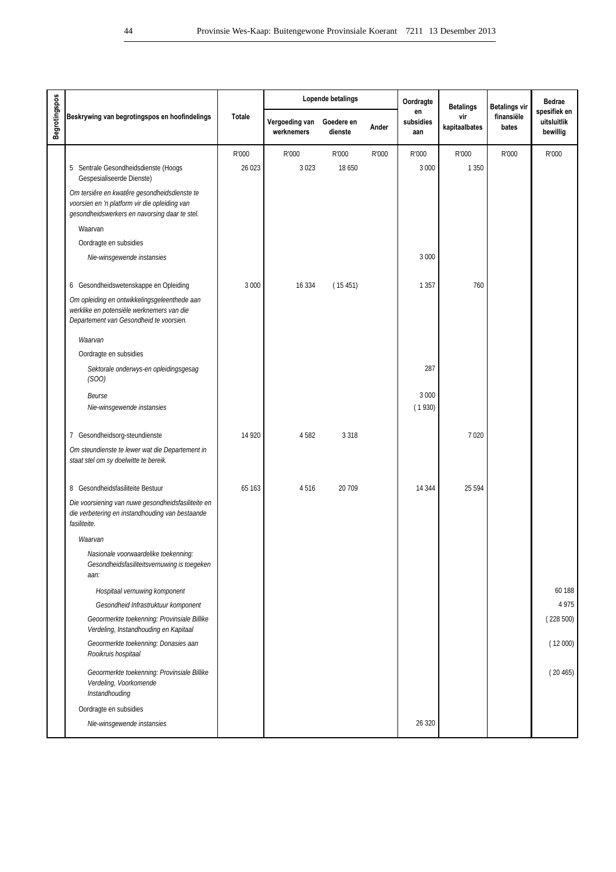|                      |                                                                                                                                                |               |                              | Lopende betalings     |       | Oordragte              | <b>Betalings</b>     | <b>Betalings vir</b> | <b>Bedrae</b>                           |
|----------------------|------------------------------------------------------------------------------------------------------------------------------------------------|---------------|------------------------------|-----------------------|-------|------------------------|----------------------|----------------------|-----------------------------------------|
| <b>Begrotingspos</b> | Beskrywing van begrotingspos en hoofindelings                                                                                                  | <b>Totale</b> | Vergoeding van<br>werknemers | Goedere en<br>dienste | Ander | en<br>subsidies<br>aan | vir<br>kapitaalbates | finansiële<br>bates  | spesifiek en<br>uitsluitlik<br>bewillig |
|                      |                                                                                                                                                | R'000         | R'000                        | R'000                 | R'000 | R'000                  | R'000                | R'000                | R'000                                   |
|                      | 5 Sentrale Gesondheidsdienste (Hoogs<br>Gespesialiseerde Dienste)                                                                              | 26 023        | 3023                         | 18 650                |       | 3 0 0 0                | 1 3 5 0              |                      |                                         |
|                      | Om tersière en kwatêre gesondheidsdienste te<br>voorsien en 'n platform vir die opleiding van<br>gesondheidswerkers en navorsing daar te stel. |               |                              |                       |       |                        |                      |                      |                                         |
|                      | Waarvan                                                                                                                                        |               |                              |                       |       |                        |                      |                      |                                         |
|                      | Oordragte en subsidies                                                                                                                         |               |                              |                       |       |                        |                      |                      |                                         |
|                      | Nie-winsgewende instansies                                                                                                                     |               |                              |                       |       | 3 0 0 0                |                      |                      |                                         |
|                      | 6 Gesondheidswetenskappe en Opleiding                                                                                                          | 3 0 0 0       | 16 3 34                      | (15451)               |       | 1 3 5 7                | 760                  |                      |                                         |
|                      | Om opleiding en ontwikkelingsgeleenthede aan<br>werklike en potensiële werknemers van die<br>Departement van Gesondheid te voorsien.           |               |                              |                       |       |                        |                      |                      |                                         |
|                      | Waarvan                                                                                                                                        |               |                              |                       |       |                        |                      |                      |                                         |
|                      | Oordragte en subsidies                                                                                                                         |               |                              |                       |       |                        |                      |                      |                                         |
|                      | Sektorale onderwys-en opleidingsgesag<br>(SOO)                                                                                                 |               |                              |                       |       | 287                    |                      |                      |                                         |
|                      | Beurse<br>Nie-winsgewende instansies                                                                                                           |               |                              |                       |       | 3 0 0 0<br>(1930)      |                      |                      |                                         |
|                      | 7 Gesondheidsorg-steundienste                                                                                                                  | 14 9 20       | 4582                         | 3 3 1 8               |       |                        | 7020                 |                      |                                         |
|                      | Om steundienste te lewer wat die Departement in<br>staat stel om sy doelwitte te bereik.                                                       |               |                              |                       |       |                        |                      |                      |                                         |
|                      | 8 Gesondheidsfasiliteite Bestuur                                                                                                               | 65 163        | 4516                         | 20 709                |       | 14 3 44                | 25 5 94              |                      |                                         |
|                      | Die voorsiening van nuwe gesondheidsfasiliteite en<br>die verbetering en instandhouding van bestaande<br>fasiliteite.                          |               |                              |                       |       |                        |                      |                      |                                         |
|                      | Waarvan                                                                                                                                        |               |                              |                       |       |                        |                      |                      |                                         |
|                      | Nasionale voorwaardelike toekenning:<br>Gesondheidsfasiliteitsvernuwing is toegeken<br>aan:                                                    |               |                              |                       |       |                        |                      |                      |                                         |
|                      | Hospitaal vernuwing komponent                                                                                                                  |               |                              |                       |       |                        |                      |                      | 60 188                                  |
|                      | Gesondheid Infrastruktuur komponent                                                                                                            |               |                              |                       |       |                        |                      |                      | 4 9 7 5                                 |
|                      | Geoormerkte toekenning: Provinsiale Billike<br>Verdeling, Instandhouding en Kapitaal                                                           |               |                              |                       |       |                        |                      |                      | (228500)                                |
|                      | Geoormerkte toekenning: Donasies aan<br>Rooikruis hospitaal                                                                                    |               |                              |                       |       |                        |                      |                      | (12000)                                 |
|                      | Geoormerkte toekenning: Provinsiale Billike<br>Verdeling, Voorkomende<br>Instandhouding                                                        |               |                              |                       |       |                        |                      |                      | (20465)                                 |
|                      | Oordragte en subsidies                                                                                                                         |               |                              |                       |       |                        |                      |                      |                                         |
|                      | Nie-winsgewende instansies                                                                                                                     |               |                              |                       |       | 26 3 20                |                      |                      |                                         |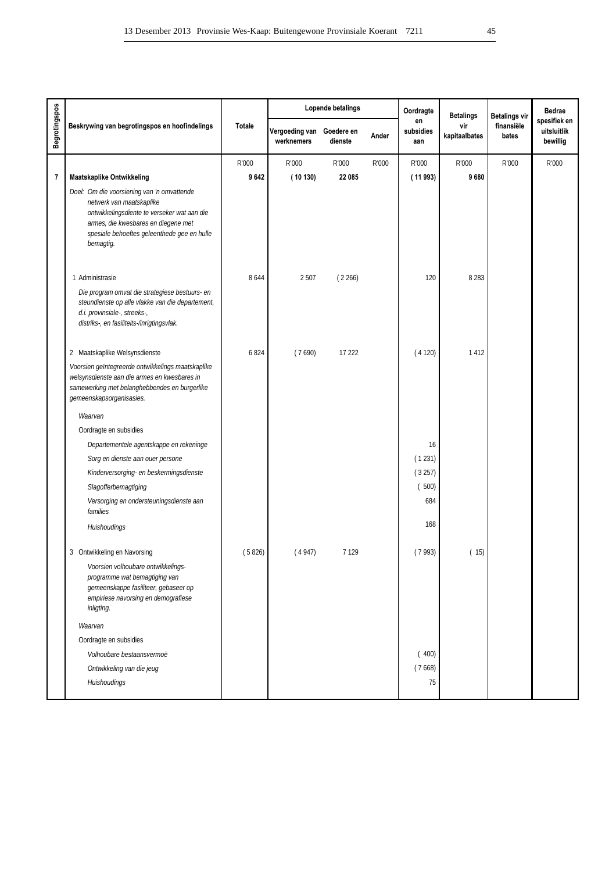|                         |                                                                                                                                                                                                                          |               |                              | Lopende betalings     |       | Oordragte              | <b>Betalings</b>     | <b>Betalings vir</b> | <b>Bedrae</b>                           |
|-------------------------|--------------------------------------------------------------------------------------------------------------------------------------------------------------------------------------------------------------------------|---------------|------------------------------|-----------------------|-------|------------------------|----------------------|----------------------|-----------------------------------------|
| Begrotingspos           | Beskrywing van begrotingspos en hoofindelings                                                                                                                                                                            | <b>Totale</b> | Vergoeding van<br>werknemers | Goedere en<br>dienste | Ander | en<br>subsidies<br>aan | vir<br>kapitaalbates | finansiële<br>bates  | spesifiek en<br>uitsluitlik<br>bewillig |
|                         |                                                                                                                                                                                                                          | R'000         | R'000                        | R'000                 | R'000 | R'000                  | R'000                | R'000                | R'000                                   |
| $\overline{\mathbf{r}}$ | <b>Maatskaplike Ontwikkeling</b>                                                                                                                                                                                         | 9642          | (10130)                      | 22 085                |       | (11993)                | 9680                 |                      |                                         |
|                         | Doel: Om die voorsiening van 'n omvattende<br>netwerk van maatskaplike<br>ontwikkelingsdiente te verseker wat aan die<br>armes, die kwesbares en diegene met<br>spesiale behoeftes geleenthede gee en hulle<br>bemagtig. |               |                              |                       |       |                        |                      |                      |                                         |
|                         | 1 Administrasie                                                                                                                                                                                                          | 8644          | 2507                         | (2266)                |       | 120                    | 8 2 8 3              |                      |                                         |
|                         | Die program omvat die strategiese bestuurs- en<br>steundienste op alle vlakke van die departement,<br>d.i. provinsiale-, streeks-,<br>distriks-, en fasiliteits-/inrigtingsvlak.                                         |               |                              |                       |       |                        |                      |                      |                                         |
|                         | 2 Maatskaplike Welsynsdienste                                                                                                                                                                                            | 6824          | (7690)                       | 17 222                |       | (4120)                 | 1412                 |                      |                                         |
|                         | Voorsien geïntegreerde ontwikkelings maatskaplike<br>welsynsdienste aan die armes en kwesbares in<br>samewerking met belanghebbendes en burgerlike<br>gemeenskapsorganisasies.                                           |               |                              |                       |       |                        |                      |                      |                                         |
|                         | Waarvan                                                                                                                                                                                                                  |               |                              |                       |       |                        |                      |                      |                                         |
|                         | Oordragte en subsidies                                                                                                                                                                                                   |               |                              |                       |       |                        |                      |                      |                                         |
|                         | Departementele agentskappe en rekeninge                                                                                                                                                                                  |               |                              |                       |       | 16                     |                      |                      |                                         |
|                         | Sorg en dienste aan ouer persone                                                                                                                                                                                         |               |                              |                       |       | (1231)                 |                      |                      |                                         |
|                         | Kinderversorging- en beskermingsdienste                                                                                                                                                                                  |               |                              |                       |       | (3257)                 |                      |                      |                                         |
|                         | Slagofferbemagtiging                                                                                                                                                                                                     |               |                              |                       |       | (500)<br>684           |                      |                      |                                         |
|                         | Versorging en ondersteuningsdienste aan<br>families                                                                                                                                                                      |               |                              |                       |       |                        |                      |                      |                                         |
|                         | Huishoudings                                                                                                                                                                                                             |               |                              |                       |       | 168                    |                      |                      |                                         |
|                         | 3 Ontwikkeling en Navorsing                                                                                                                                                                                              | (5826)        | (4947)                       | 7 1 2 9               |       | (7993)                 | (15)                 |                      |                                         |
|                         | Voorsien volhoubare ontwikkelings-<br>programme wat bemagtiging van<br>gemeenskappe fasiliteer, gebaseer op<br>empiriese navorsing en demografiese<br>inligting.                                                         |               |                              |                       |       |                        |                      |                      |                                         |
|                         | Waarvan                                                                                                                                                                                                                  |               |                              |                       |       |                        |                      |                      |                                         |
|                         | Oordragte en subsidies                                                                                                                                                                                                   |               |                              |                       |       |                        |                      |                      |                                         |
|                         | Volhoubare bestaansvermoë                                                                                                                                                                                                |               |                              |                       |       | (400)                  |                      |                      |                                         |
|                         | Ontwikkeling van die jeug                                                                                                                                                                                                |               |                              |                       |       | (7668)                 |                      |                      |                                         |
|                         | Huishoudings                                                                                                                                                                                                             |               |                              |                       |       | 75                     |                      |                      |                                         |
|                         |                                                                                                                                                                                                                          |               |                              |                       |       |                        |                      |                      |                                         |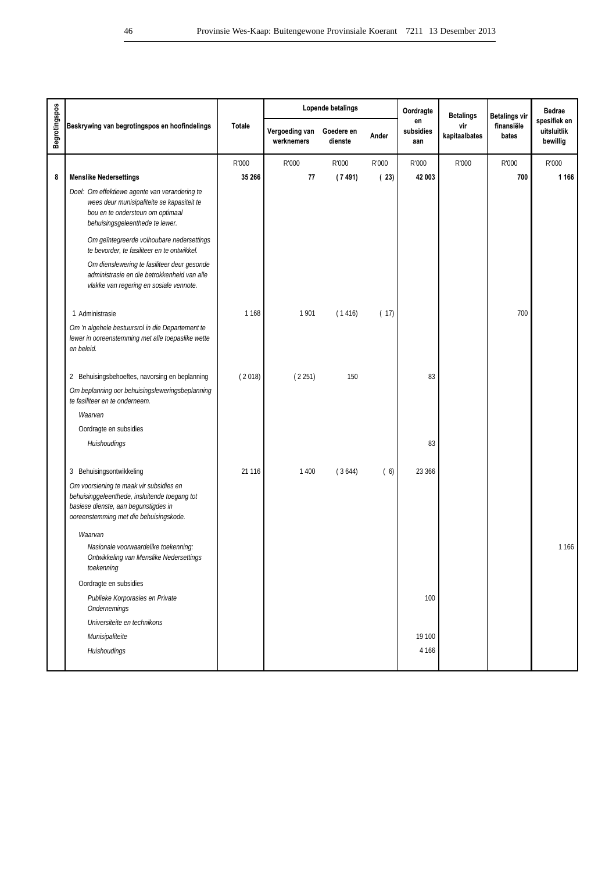|                      |                                                                                                                                                                            |               |                              | Lopende betalings     |       | Oordragte              | <b>Betalings</b>     | <b>Betalings vir</b> | <b>Bedrae</b>                           |
|----------------------|----------------------------------------------------------------------------------------------------------------------------------------------------------------------------|---------------|------------------------------|-----------------------|-------|------------------------|----------------------|----------------------|-----------------------------------------|
| <b>Begrotingspos</b> | Beskrywing van begrotingspos en hoofindelings                                                                                                                              | <b>Totale</b> | Vergoeding van<br>werknemers | Goedere en<br>dienste | Ander | en<br>subsidies<br>aan | vir<br>kapitaalbates | finansiële<br>bates  | spesifiek en<br>uitsluitlik<br>bewillig |
|                      |                                                                                                                                                                            | R'000         | R'000                        | R'000                 | R'000 | R'000                  | R'000                | R'000                | R'000                                   |
| 8                    | <b>Menslike Nedersettings</b>                                                                                                                                              | 35 266        | 77                           | (7491)                | (23)  | 42 003                 |                      | 700                  | 1 1 6 6                                 |
|                      | Doel: Om effektiewe agente van verandering te<br>wees deur munisipaliteite se kapasiteit te<br>bou en te ondersteun om optimaal<br>behuisingsgeleenthede te lewer.         |               |                              |                       |       |                        |                      |                      |                                         |
|                      | Om geïntegreerde volhoubare nedersettings<br>te bevorder, te fasiliteer en te ontwikkel.                                                                                   |               |                              |                       |       |                        |                      |                      |                                         |
|                      | Om dienslewering te fasiliteer deur gesonde<br>administrasie en die betrokkenheid van alle<br>vlakke van regering en sosiale vennote.                                      |               |                              |                       |       |                        |                      |                      |                                         |
|                      | 1 Administrasie                                                                                                                                                            | 1 1 6 8       | 1901                         | (1416)                | (17)  |                        |                      | 700                  |                                         |
|                      | Om 'n algehele bestuursrol in die Departement te<br>lewer in ooreenstemming met alle toepaslike wette<br>en beleid.                                                        |               |                              |                       |       |                        |                      |                      |                                         |
|                      | 2 Behuisingsbehoeftes, navorsing en beplanning                                                                                                                             | (2018)        | (2251)                       | 150                   |       | 83                     |                      |                      |                                         |
|                      | Om beplanning oor behuisingsleweringsbeplanning<br>te fasiliteer en te onderneem.                                                                                          |               |                              |                       |       |                        |                      |                      |                                         |
|                      | Waarvan                                                                                                                                                                    |               |                              |                       |       |                        |                      |                      |                                         |
|                      | Oordragte en subsidies                                                                                                                                                     |               |                              |                       |       |                        |                      |                      |                                         |
|                      | Huishoudings                                                                                                                                                               |               |                              |                       |       | 83                     |                      |                      |                                         |
|                      | 3 Behuisingsontwikkeling                                                                                                                                                   | 21 1 16       | 1 4 0 0                      | (3644)                | (6)   | 23 366                 |                      |                      |                                         |
|                      | Om voorsiening te maak vir subsidies en<br>behuisinggeleenthede, insluitende toegang tot<br>basiese dienste, aan begunstigdes in<br>ooreenstemming met die behuisingskode. |               |                              |                       |       |                        |                      |                      |                                         |
|                      | Waarvan                                                                                                                                                                    |               |                              |                       |       |                        |                      |                      |                                         |
|                      | Nasionale voorwaardelike toekenning:<br>Ontwikkeling van Menslike Nedersettings<br>toekenning                                                                              |               |                              |                       |       |                        |                      |                      | 1166                                    |
|                      | Oordragte en subsidies                                                                                                                                                     |               |                              |                       |       |                        |                      |                      |                                         |
|                      | Publieke Korporasies en Private<br>Ondernemings                                                                                                                            |               |                              |                       |       | 100                    |                      |                      |                                         |
|                      | Universiteite en technikons                                                                                                                                                |               |                              |                       |       |                        |                      |                      |                                         |
|                      | Munisipaliteite                                                                                                                                                            |               |                              |                       |       | 19 100                 |                      |                      |                                         |
|                      | Huishoudings                                                                                                                                                               |               |                              |                       |       | 4 1 6 6                |                      |                      |                                         |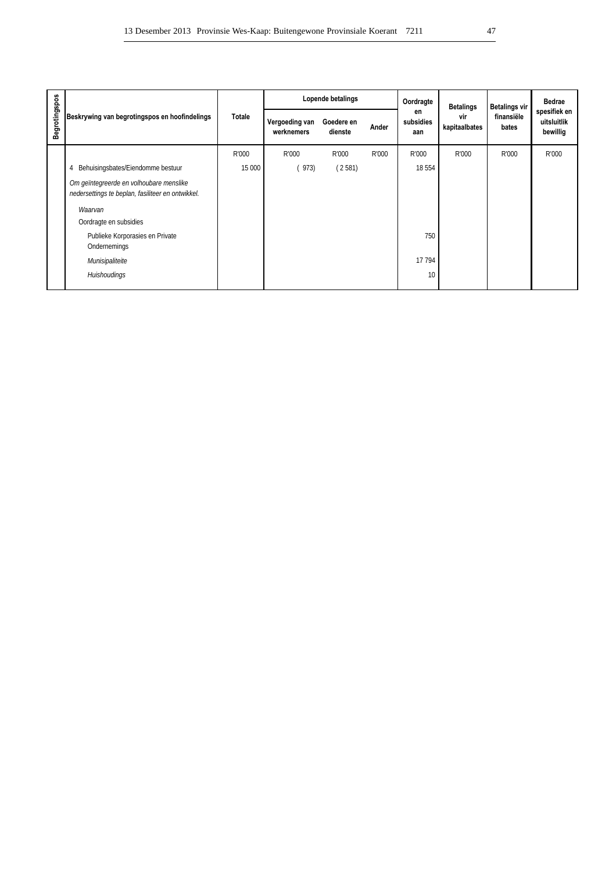|               |                                                                                              |        |                              | Lopende betalings     |       | Oordragte              | <b>Betalings</b>     | <b>Betalings vir</b> | <b>Bedrae</b>                           |
|---------------|----------------------------------------------------------------------------------------------|--------|------------------------------|-----------------------|-------|------------------------|----------------------|----------------------|-----------------------------------------|
| Begrotingspos | Beskrywing van begrotingspos en hoofindelings                                                | Totale | Vergoeding van<br>werknemers | Goedere en<br>dienste | Ander | en<br>subsidies<br>aan | vir<br>kapitaalbates | finansiële<br>bates  | spesifiek en<br>uitsluitlik<br>bewillig |
|               |                                                                                              | R'000  | R'000                        | R'000                 | R'000 | R'000                  | R'000                | R'000                | R'000                                   |
|               | Behuisingsbates/Eiendomme bestuur<br>4                                                       | 15 000 | (973)                        | (2581)                |       | 18 5 54                |                      |                      |                                         |
|               | Om geïntegreerde en volhoubare menslike<br>nedersettings te beplan, fasiliteer en ontwikkel. |        |                              |                       |       |                        |                      |                      |                                         |
|               | Waarvan                                                                                      |        |                              |                       |       |                        |                      |                      |                                         |
|               | Oordragte en subsidies                                                                       |        |                              |                       |       |                        |                      |                      |                                         |
|               | Publieke Korporasies en Private<br>Ondernemings                                              |        |                              |                       |       | 750                    |                      |                      |                                         |
|               | Munisipaliteite                                                                              |        |                              |                       |       | 17 794                 |                      |                      |                                         |
|               | Huishoudings                                                                                 |        |                              |                       |       | 10                     |                      |                      |                                         |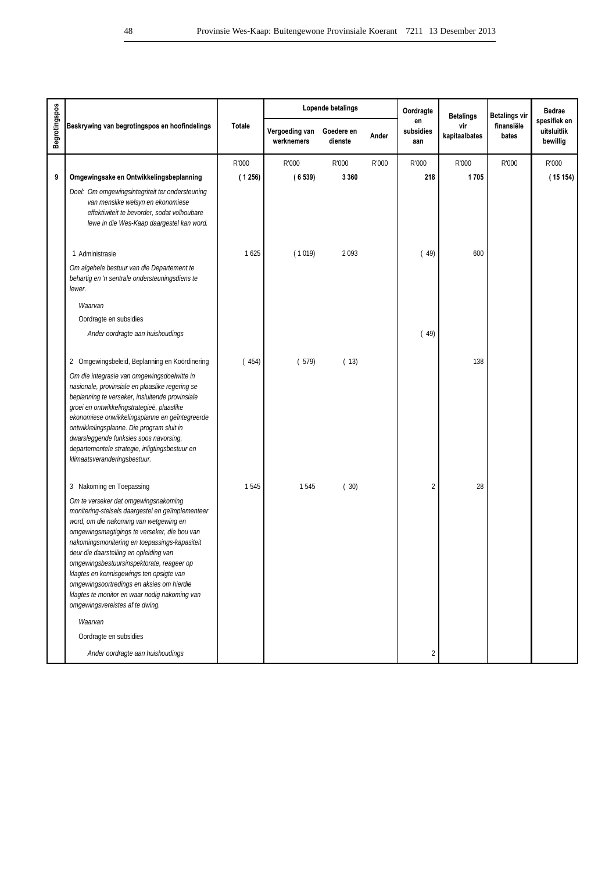|                      |                                                                                                                                                                                                                                                                                                                                                                                                                                                                                                         |               |                              | Lopende betalings     |       | Oordragte              | <b>Betalings</b>     | <b>Betalings vir</b> | <b>Bedrae</b>                           |
|----------------------|---------------------------------------------------------------------------------------------------------------------------------------------------------------------------------------------------------------------------------------------------------------------------------------------------------------------------------------------------------------------------------------------------------------------------------------------------------------------------------------------------------|---------------|------------------------------|-----------------------|-------|------------------------|----------------------|----------------------|-----------------------------------------|
| <b>Begrotingspos</b> | Beskrywing van begrotingspos en hoofindelings                                                                                                                                                                                                                                                                                                                                                                                                                                                           | <b>Totale</b> | Vergoeding van<br>werknemers | Goedere en<br>dienste | Ander | en<br>subsidies<br>aan | vir<br>kapitaalbates | finansiële<br>bates  | spesifiek en<br>uitsluitlik<br>bewillig |
|                      |                                                                                                                                                                                                                                                                                                                                                                                                                                                                                                         | R'000         | R'000                        | R'000                 | R'000 | R'000                  | R'000                | R'000                | R'000                                   |
| 9                    | Omgewingsake en Ontwikkelingsbeplanning                                                                                                                                                                                                                                                                                                                                                                                                                                                                 | (1256)        | (6539)                       | 3 3 6 0               |       | 218                    | 1705                 |                      | (15154)                                 |
|                      | Doel: Om omgewingsintegriteit ter ondersteuning<br>van menslike welsyn en ekonomiese<br>effektiwiteit te bevorder, sodat volhoubare<br>lewe in die Wes-Kaap daargestel kan word.                                                                                                                                                                                                                                                                                                                        |               |                              |                       |       |                        |                      |                      |                                         |
|                      | 1 Administrasie                                                                                                                                                                                                                                                                                                                                                                                                                                                                                         | 1625          | (1019)                       | 2093                  |       | (49)                   | 600                  |                      |                                         |
|                      | Om algehele bestuur van die Departement te<br>behartig en 'n sentrale ondersteuningsdiens te<br>lewer.                                                                                                                                                                                                                                                                                                                                                                                                  |               |                              |                       |       |                        |                      |                      |                                         |
|                      | Waarvan                                                                                                                                                                                                                                                                                                                                                                                                                                                                                                 |               |                              |                       |       |                        |                      |                      |                                         |
|                      | Oordragte en subsidies                                                                                                                                                                                                                                                                                                                                                                                                                                                                                  |               |                              |                       |       |                        |                      |                      |                                         |
|                      | Ander oordragte aan huishoudings                                                                                                                                                                                                                                                                                                                                                                                                                                                                        |               |                              |                       |       | (49)                   |                      |                      |                                         |
|                      | 2 Omgewingsbeleid, Beplanning en Koördinering                                                                                                                                                                                                                                                                                                                                                                                                                                                           | (454)         | (579)                        | (13)                  |       |                        | 138                  |                      |                                         |
|                      | Om die integrasie van omgewingsdoelwitte in<br>nasionale, provinsiale en plaaslike regering se<br>beplanning te verseker, insluitende provinsiale<br>groei en ontwikkelingstrategieë, plaaslike<br>ekonomiese onwikkelingsplanne en geïntegreerde<br>ontwikkelingsplanne. Die program sluit in<br>dwarsleggende funksies soos navorsing,<br>departementele strategie, inligtingsbestuur en<br>klimaatsveranderingsbestuur.                                                                              |               |                              |                       |       |                        |                      |                      |                                         |
|                      | 3 Nakoming en Toepassing                                                                                                                                                                                                                                                                                                                                                                                                                                                                                | 1545          | 1545                         | (30)                  |       | 2                      | 28                   |                      |                                         |
|                      | Om te verseker dat omgewingsnakoming<br>monitering-stelsels daargestel en geïmplementeer<br>word, om die nakoming van wetgewing en<br>omgewingsmagtigings te verseker, die bou van<br>nakomingsmonitering en toepassings-kapasiteit<br>deur die daarstelling en opleiding van<br>omgewingsbestuursinspektorate, reageer op<br>klagtes en kennisgewings ten opsigte van<br>omgewingsoortredings en aksies om hierdie<br>klagtes te monitor en waar nodig nakoming van<br>omgewingsvereistes af te dwing. |               |                              |                       |       |                        |                      |                      |                                         |
|                      | Waarvan                                                                                                                                                                                                                                                                                                                                                                                                                                                                                                 |               |                              |                       |       |                        |                      |                      |                                         |
|                      | Oordragte en subsidies                                                                                                                                                                                                                                                                                                                                                                                                                                                                                  |               |                              |                       |       |                        |                      |                      |                                         |
|                      | Ander oordragte aan huishoudings                                                                                                                                                                                                                                                                                                                                                                                                                                                                        |               |                              |                       |       | $\overline{2}$         |                      |                      |                                         |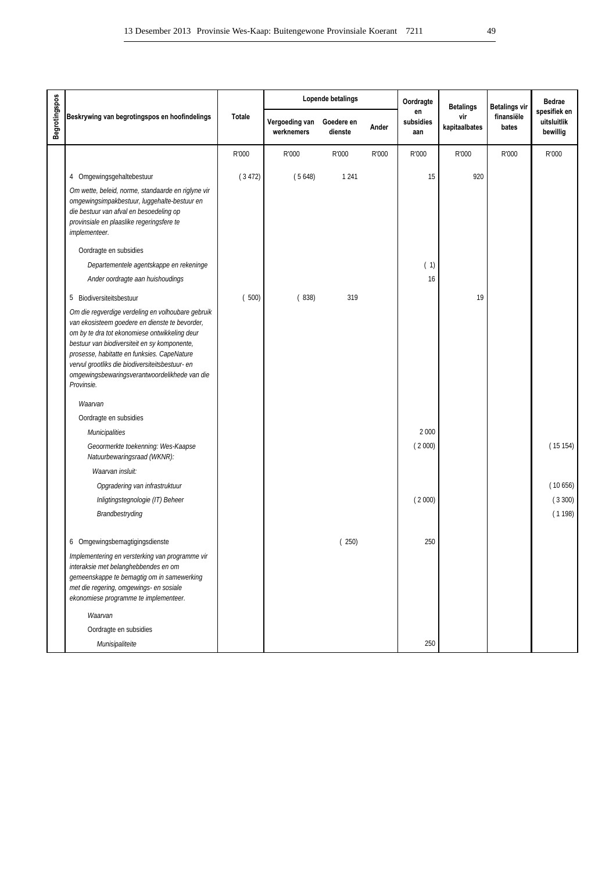|                      |                                                                                                                                                                                                                                                                                                                                                                       |               |                              | Lopende betalings     |       | Oordragte              | <b>Betalings</b>     | <b>Betalings vir</b> | <b>Bedrae</b>                           |
|----------------------|-----------------------------------------------------------------------------------------------------------------------------------------------------------------------------------------------------------------------------------------------------------------------------------------------------------------------------------------------------------------------|---------------|------------------------------|-----------------------|-------|------------------------|----------------------|----------------------|-----------------------------------------|
| <b>Begrotingspos</b> | Beskrywing van begrotingspos en hoofindelings                                                                                                                                                                                                                                                                                                                         | <b>Totale</b> | Vergoeding van<br>werknemers | Goedere en<br>dienste | Ander | en<br>subsidies<br>aan | vir<br>kapitaalbates | finansiële<br>bates  | spesifiek en<br>uitsluitlik<br>bewillig |
|                      |                                                                                                                                                                                                                                                                                                                                                                       | R'000         | R'000                        | R'000                 | R'000 | R'000                  | R'000                | R'000                | R'000                                   |
|                      | 4 Omgewingsgehaltebestuur                                                                                                                                                                                                                                                                                                                                             | (3472)        | (5648)                       | 1 2 4 1               |       | 15                     | 920                  |                      |                                         |
|                      | Om wette, beleid, norme, standaarde en riglyne vir<br>omgewingsimpakbestuur, luggehalte-bestuur en<br>die bestuur van afval en besoedeling op<br>provinsiale en plaaslike regeringsfere te<br>implementeer.                                                                                                                                                           |               |                              |                       |       |                        |                      |                      |                                         |
|                      | Oordragte en subsidies                                                                                                                                                                                                                                                                                                                                                |               |                              |                       |       |                        |                      |                      |                                         |
|                      | Departementele agentskappe en rekeninge                                                                                                                                                                                                                                                                                                                               |               |                              |                       |       | (1)                    |                      |                      |                                         |
|                      | Ander oordragte aan huishoudings                                                                                                                                                                                                                                                                                                                                      |               |                              |                       |       | 16                     |                      |                      |                                         |
|                      | 5 Biodiversiteitsbestuur                                                                                                                                                                                                                                                                                                                                              | (500)         | (838)                        | 319                   |       |                        | 19                   |                      |                                         |
|                      | Om die regverdige verdeling en volhoubare gebruik<br>van ekosisteem goedere en dienste te bevorder,<br>om by te dra tot ekonomiese ontwikkeling deur<br>bestuur van biodiversiteit en sy komponente,<br>prosesse, habitatte en funksies. CapeNature<br>vervul grootliks die biodiversiteitsbestuur- en<br>omgewingsbewaringsverantwoordelikhede van die<br>Provinsie. |               |                              |                       |       |                        |                      |                      |                                         |
|                      | Waarvan                                                                                                                                                                                                                                                                                                                                                               |               |                              |                       |       |                        |                      |                      |                                         |
|                      | Oordragte en subsidies                                                                                                                                                                                                                                                                                                                                                |               |                              |                       |       |                        |                      |                      |                                         |
|                      | <b>Municipalities</b>                                                                                                                                                                                                                                                                                                                                                 |               |                              |                       |       | 2 0 0 0                |                      |                      |                                         |
|                      | Geoormerkte toekenning: Wes-Kaapse<br>Natuurbewaringsraad (WKNR):                                                                                                                                                                                                                                                                                                     |               |                              |                       |       | (2000)                 |                      |                      | (15154)                                 |
|                      | Waarvan insluit:                                                                                                                                                                                                                                                                                                                                                      |               |                              |                       |       |                        |                      |                      |                                         |
|                      | Opgradering van infrastruktuur                                                                                                                                                                                                                                                                                                                                        |               |                              |                       |       |                        |                      |                      | (10656)                                 |
|                      | Inligtingstegnologie (IT) Beheer                                                                                                                                                                                                                                                                                                                                      |               |                              |                       |       | (2000)                 |                      |                      | (3300)                                  |
|                      | Brandbestryding                                                                                                                                                                                                                                                                                                                                                       |               |                              |                       |       |                        |                      |                      | (1198)                                  |
|                      | 6 Omgewingsbemagtigingsdienste                                                                                                                                                                                                                                                                                                                                        |               |                              | (250)                 |       | 250                    |                      |                      |                                         |
|                      | Implementering en versterking van programme vir<br>interaksie met belanghebbendes en om<br>gemeenskappe te bemagtig om in samewerking<br>met die regering, omgewings- en sosiale<br>ekonomiese programme te implementeer.                                                                                                                                             |               |                              |                       |       |                        |                      |                      |                                         |
|                      | Waarvan                                                                                                                                                                                                                                                                                                                                                               |               |                              |                       |       |                        |                      |                      |                                         |
|                      | Oordragte en subsidies                                                                                                                                                                                                                                                                                                                                                |               |                              |                       |       |                        |                      |                      |                                         |
|                      | Munisipaliteite                                                                                                                                                                                                                                                                                                                                                       |               |                              |                       |       | 250                    |                      |                      |                                         |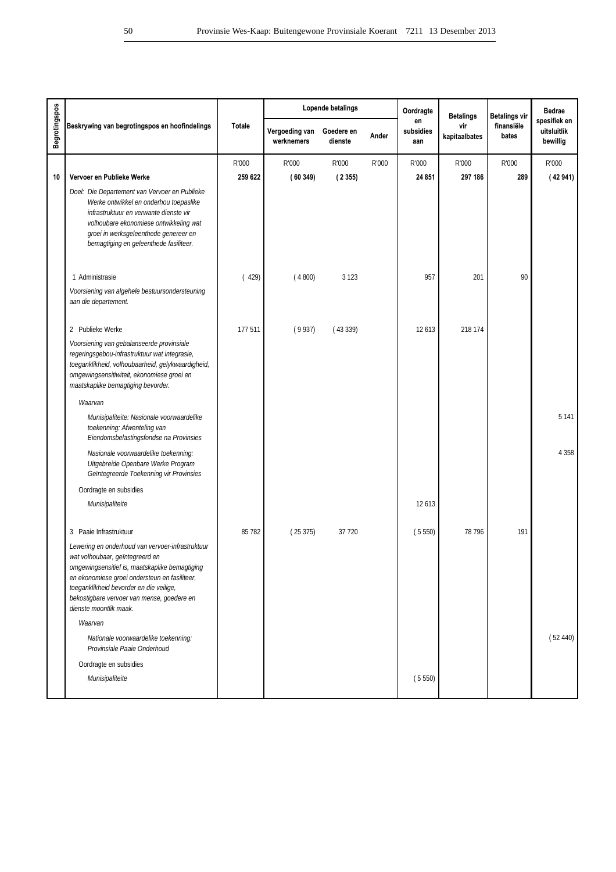|                      |                                                                                                                                                                                                                                                                                                           |               |                              | Lopende betalings     |       | Oordragte              | <b>Betalings</b>     | <b>Betalings vir</b> | <b>Bedrae</b>                           |
|----------------------|-----------------------------------------------------------------------------------------------------------------------------------------------------------------------------------------------------------------------------------------------------------------------------------------------------------|---------------|------------------------------|-----------------------|-------|------------------------|----------------------|----------------------|-----------------------------------------|
| <b>Begrotingspos</b> | Beskrywing van begrotingspos en hoofindelings                                                                                                                                                                                                                                                             | <b>Totale</b> | Vergoeding van<br>werknemers | Goedere en<br>dienste | Ander | en<br>subsidies<br>aan | vir<br>kapitaalbates | finansiële<br>bates  | spesifiek en<br>uitsluitlik<br>bewillig |
|                      |                                                                                                                                                                                                                                                                                                           | R'000         | R'000                        | R'000                 | R'000 | R'000                  | R'000                | R'000                | R'000                                   |
| 10                   | Vervoer en Publieke Werke                                                                                                                                                                                                                                                                                 | 259 622       | (60349)                      | (2355)                |       | 24 851                 | 297 186              | 289                  | (42941)                                 |
|                      | Doel: Die Departement van Vervoer en Publieke<br>Werke ontwikkel en onderhou toepaslike<br>infrastruktuur en verwante dienste vir<br>volhoubare ekonomiese ontwikkeling wat<br>groei in werksgeleenthede genereer en<br>bemagtiging en geleenthede fasiliteer.                                            |               |                              |                       |       |                        |                      |                      |                                         |
|                      | 1 Administrasie                                                                                                                                                                                                                                                                                           | (429)         | (4800)                       | 3 1 2 3               |       | 957                    | 201                  | 90                   |                                         |
|                      | Voorsiening van algehele bestuursondersteuning<br>aan die departement.                                                                                                                                                                                                                                    |               |                              |                       |       |                        |                      |                      |                                         |
|                      | 2 Publieke Werke                                                                                                                                                                                                                                                                                          | 177511        | (9937)                       | (43339)               |       | 12613                  | 218 174              |                      |                                         |
|                      | Voorsiening van gebalanseerde provinsiale<br>regeringsgebou-infrastruktuur wat integrasie,<br>toeganklikheid, volhoubaarheid, gelykwaardigheid,<br>omgewingsensitiwiteit, ekonomiese groei en<br>maatskaplike bemagtiging bevorder.                                                                       |               |                              |                       |       |                        |                      |                      |                                         |
|                      | Waarvan                                                                                                                                                                                                                                                                                                   |               |                              |                       |       |                        |                      |                      |                                         |
|                      | Munisipaliteite: Nasionale voorwaardelike<br>toekenning: Afwenteling van<br>Eiendomsbelastingsfondse na Provinsies                                                                                                                                                                                        |               |                              |                       |       |                        |                      |                      | 5 1 4 1                                 |
|                      | Nasionale voorwaardelike toekenning:<br>Uitgebreide Openbare Werke Program<br>Geïntegreerde Toekenning vir Provinsies                                                                                                                                                                                     |               |                              |                       |       |                        |                      |                      | 4 3 5 8                                 |
|                      | Oordragte en subsidies                                                                                                                                                                                                                                                                                    |               |                              |                       |       |                        |                      |                      |                                         |
|                      | Munisipaliteite                                                                                                                                                                                                                                                                                           |               |                              |                       |       | 12613                  |                      |                      |                                         |
|                      | 3 Paaie Infrastruktuur                                                                                                                                                                                                                                                                                    | 85 782        | (25375)                      | 37 7 20               |       | (5550)                 | 78 796               | 191                  |                                         |
|                      | Lewering en onderhoud van vervoer-infrastruktuur<br>wat volhoubaar, geïntegreerd en<br>omgewingsensitief is, maatskaplike bemagtiging<br>en ekonomiese groei ondersteun en fasiliteer,<br>toeganklikheid bevorder en die veilige,<br>bekostigbare vervoer van mense, goedere en<br>dienste moontlik maak. |               |                              |                       |       |                        |                      |                      |                                         |
|                      | Waarvan                                                                                                                                                                                                                                                                                                   |               |                              |                       |       |                        |                      |                      |                                         |
|                      | Nationale voorwaardelike toekenning:<br>Provinsiale Paaie Onderhoud                                                                                                                                                                                                                                       |               |                              |                       |       |                        |                      |                      | (52440)                                 |
|                      | Oordragte en subsidies                                                                                                                                                                                                                                                                                    |               |                              |                       |       |                        |                      |                      |                                         |
|                      | Munisipaliteite                                                                                                                                                                                                                                                                                           |               |                              |                       |       | (5550)                 |                      |                      |                                         |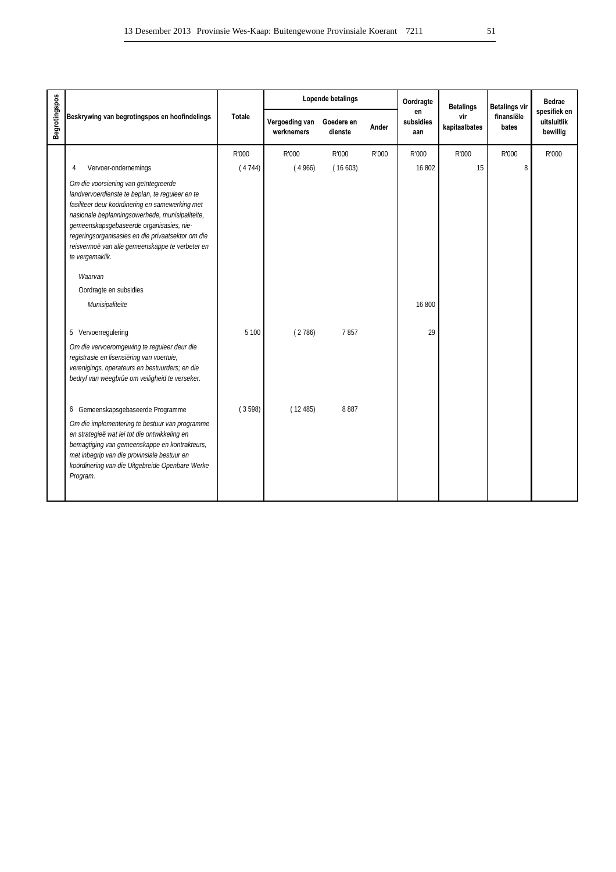|                      |                                                                                                                                                                                                                                                                                                                                                                                                                              |               |                              | Lopende betalings     |       | Oordragte              | <b>Betalings</b>     | <b>Betalings vir</b> | <b>Bedrae</b>                           |
|----------------------|------------------------------------------------------------------------------------------------------------------------------------------------------------------------------------------------------------------------------------------------------------------------------------------------------------------------------------------------------------------------------------------------------------------------------|---------------|------------------------------|-----------------------|-------|------------------------|----------------------|----------------------|-----------------------------------------|
| <b>Begrotingspos</b> | Beskrywing van begrotingspos en hoofindelings                                                                                                                                                                                                                                                                                                                                                                                | <b>Totale</b> | Vergoeding van<br>werknemers | Goedere en<br>dienste | Ander | en<br>subsidies<br>aan | vir<br>kapitaalbates | finansiële<br>bates  | spesifiek en<br>uitsluitlik<br>bewillig |
|                      |                                                                                                                                                                                                                                                                                                                                                                                                                              | R'000         | R'000                        | R'000                 | R'000 | R'000                  | R'000                | R'000                | R'000                                   |
|                      | Vervoer-ondernemings<br>4                                                                                                                                                                                                                                                                                                                                                                                                    | (4744)        | (4966)                       | (16603)               |       | 16 802                 | 15                   | 8                    |                                         |
|                      | Om die voorsiening van geïntegreerde<br>landvervoerdienste te beplan, te reguleer en te<br>fasiliteer deur koördinering en samewerking met<br>nasionale beplanningsowerhede, munisipaliteite,<br>gemeenskapsgebaseerde organisasies, nie-<br>regeringsorganisasies en die privaatsektor om die<br>reisvermoë van alle gemeenskappe te verbeter en<br>te vergemaklik.<br>Waarvan<br>Oordragte en subsidies<br>Munisipaliteite |               |                              |                       |       | 16 800                 |                      |                      |                                         |
|                      | 5 Vervoerregulering                                                                                                                                                                                                                                                                                                                                                                                                          | 5 100         | (2786)                       | 7857                  |       | 29                     |                      |                      |                                         |
|                      | Om die vervoeromgewing te reguleer deur die<br>registrasie en lisensiëring van voertuie,<br>verenigings, operateurs en bestuurders; en die<br>bedryf van weegbrûe om veiligheid te verseker.                                                                                                                                                                                                                                 |               |                              |                       |       |                        |                      |                      |                                         |
|                      | 6 Gemeenskapsgebaseerde Programme                                                                                                                                                                                                                                                                                                                                                                                            | (3598)        | (12485)                      | 8887                  |       |                        |                      |                      |                                         |
|                      | Om die implementering te bestuur van programme<br>en strategieë wat lei tot die ontwikkeling en<br>bemagtiging van gemeenskappe en kontrakteurs,<br>met inbegrip van die provinsiale bestuur en<br>koördinering van die Uitgebreide Openbare Werke<br>Program.                                                                                                                                                               |               |                              |                       |       |                        |                      |                      |                                         |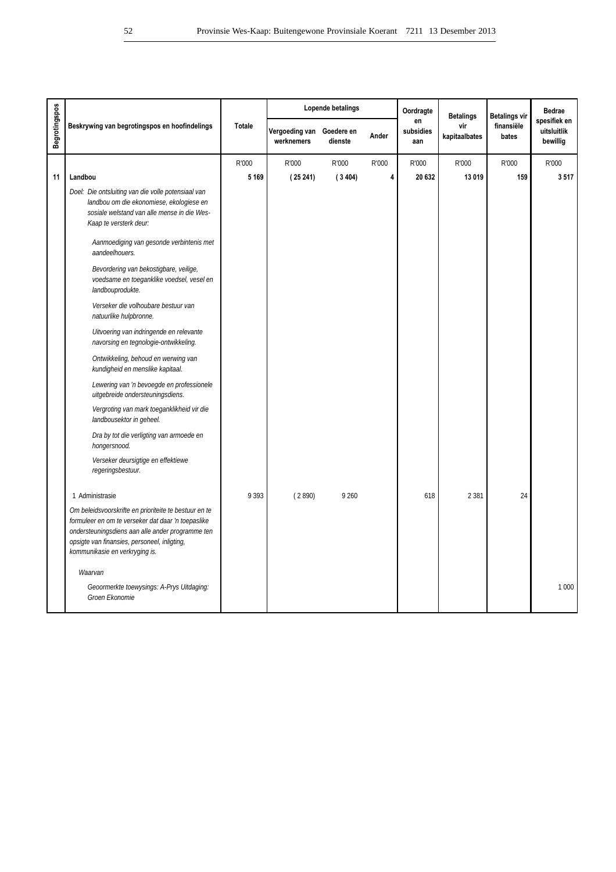|                      |                                                                                                                                                                                                                                                   |               |                                         | Lopende betalings |       | Oordragte              | <b>Betalings</b>     | <b>Betalings vir</b> | <b>Bedrae</b>                           |
|----------------------|---------------------------------------------------------------------------------------------------------------------------------------------------------------------------------------------------------------------------------------------------|---------------|-----------------------------------------|-------------------|-------|------------------------|----------------------|----------------------|-----------------------------------------|
| <b>Begrotingspos</b> | Beskrywing van begrotingspos en hoofindelings                                                                                                                                                                                                     | <b>Totale</b> | Vergoeding van Goedere en<br>werknemers | dienste           | Ander | en<br>subsidies<br>aan | vir<br>kapitaalbates | finansiële<br>bates  | spesifiek en<br>uitsluitlik<br>bewillig |
|                      |                                                                                                                                                                                                                                                   | R'000         | R'000                                   | R'000             | R'000 | R'000                  | R'000                | R'000                | R'000                                   |
| 11                   | Landbou                                                                                                                                                                                                                                           | 5 1 6 9       | (25241)                                 | (3404)            | 4     | 20 632                 | 13 019               | 159                  | 3517                                    |
|                      | Doel: Die ontsluiting van die volle potensiaal van<br>landbou om die ekonomiese, ekologiese en<br>sosiale welstand van alle mense in die Wes-<br>Kaap te versterk deur:                                                                           |               |                                         |                   |       |                        |                      |                      |                                         |
|                      | Aanmoediging van gesonde verbintenis met<br>aandeelhouers.                                                                                                                                                                                        |               |                                         |                   |       |                        |                      |                      |                                         |
|                      | Bevordering van bekostigbare, veilige,<br>voedsame en toeganklike voedsel, vesel en<br>landbouprodukte.                                                                                                                                           |               |                                         |                   |       |                        |                      |                      |                                         |
|                      | Verseker die volhoubare bestuur van<br>natuurlike hulpbronne.                                                                                                                                                                                     |               |                                         |                   |       |                        |                      |                      |                                         |
|                      | Uitvoering van indringende en relevante<br>navorsing en tegnologie-ontwikkeling.                                                                                                                                                                  |               |                                         |                   |       |                        |                      |                      |                                         |
|                      | Ontwikkeling, behoud en werwing van<br>kundigheid en menslike kapitaal.                                                                                                                                                                           |               |                                         |                   |       |                        |                      |                      |                                         |
|                      | Lewering van 'n bevoegde en professionele<br>uitgebreide ondersteuningsdiens.                                                                                                                                                                     |               |                                         |                   |       |                        |                      |                      |                                         |
|                      | Vergroting van mark toeganklikheid vir die<br>landbousektor in geheel.                                                                                                                                                                            |               |                                         |                   |       |                        |                      |                      |                                         |
|                      | Dra by tot die verligting van armoede en<br>hongersnood.                                                                                                                                                                                          |               |                                         |                   |       |                        |                      |                      |                                         |
|                      | Verseker deursigtige en effektiewe<br>regeringsbestuur.                                                                                                                                                                                           |               |                                         |                   |       |                        |                      |                      |                                         |
|                      | 1 Administrasie                                                                                                                                                                                                                                   | 9 3 9 3       | (2890)                                  | 9 2 6 0           |       | 618                    | 2 3 8 1              | 24                   |                                         |
|                      | Om beleidsvoorskrifte en prioriteite te bestuur en te<br>formuleer en om te verseker dat daar 'n toepaslike<br>ondersteuningsdiens aan alle ander programme ten<br>opsigte van finansies, personeel, inligting,<br>kommunikasie en verkryging is. |               |                                         |                   |       |                        |                      |                      |                                         |
|                      | Waarvan                                                                                                                                                                                                                                           |               |                                         |                   |       |                        |                      |                      |                                         |
|                      | Geoormerkte toewysings: A-Prys Uitdaging:<br>Groen Ekonomie                                                                                                                                                                                       |               |                                         |                   |       |                        |                      |                      | 1 0 0 0                                 |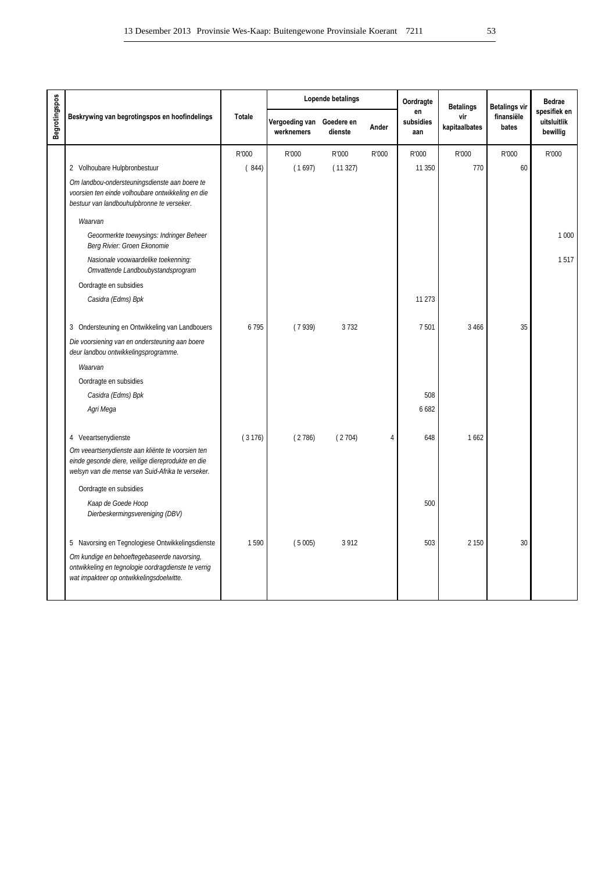|                      |                                                                                                                                                                                   |               |                                         | Lopende betalings |       | Oordragte              | <b>Betalings</b>     | <b>Betalings vir</b> | <b>Bedrae</b>                           |
|----------------------|-----------------------------------------------------------------------------------------------------------------------------------------------------------------------------------|---------------|-----------------------------------------|-------------------|-------|------------------------|----------------------|----------------------|-----------------------------------------|
| <b>Begrotingspos</b> | Beskrywing van begrotingspos en hoofindelings                                                                                                                                     | <b>Totale</b> | Vergoeding van Goedere en<br>werknemers | dienste           | Ander | en<br>subsidies<br>aan | vir<br>kapitaalbates | finansiële<br>bates  | spesifiek en<br>uitsluitlik<br>bewillig |
|                      |                                                                                                                                                                                   | R'000         | R'000                                   | R'000             | R'000 | R'000                  | R'000                | R'000                | R'000                                   |
|                      | 2 Volhoubare Hulpbronbestuur                                                                                                                                                      | (844)         | (1697)                                  | (11327)           |       | 11 350                 | 770                  | 60                   |                                         |
|                      | Om landbou-ondersteuningsdienste aan boere te<br>voorsien ten einde volhoubare ontwikkeling en die<br>bestuur van landbouhulpbronne te verseker.                                  |               |                                         |                   |       |                        |                      |                      |                                         |
|                      | Waarvan                                                                                                                                                                           |               |                                         |                   |       |                        |                      |                      |                                         |
|                      | Geoormerkte toewysings: Indringer Beheer<br>Berg Rivier: Groen Ekonomie                                                                                                           |               |                                         |                   |       |                        |                      |                      | 1 0 0 0                                 |
|                      | Nasionale voowaardelike toekenning:<br>Omvattende Landboubystandsprogram                                                                                                          |               |                                         |                   |       |                        |                      |                      | 1517                                    |
|                      | Oordragte en subsidies                                                                                                                                                            |               |                                         |                   |       |                        |                      |                      |                                         |
|                      | Casidra (Edms) Bpk                                                                                                                                                                |               |                                         |                   |       | 11 273                 |                      |                      |                                         |
|                      | 3 Ondersteuning en Ontwikkeling van Landbouers                                                                                                                                    | 6795          | (7939)                                  | 3732              |       | 7501                   | 3 4 6 6              | 35                   |                                         |
|                      | Die voorsiening van en ondersteuning aan boere<br>deur landbou ontwikkelingsprogramme.                                                                                            |               |                                         |                   |       |                        |                      |                      |                                         |
|                      | Waarvan                                                                                                                                                                           |               |                                         |                   |       |                        |                      |                      |                                         |
|                      | Oordragte en subsidies                                                                                                                                                            |               |                                         |                   |       |                        |                      |                      |                                         |
|                      | Casidra (Edms) Bpk                                                                                                                                                                |               |                                         |                   |       | 508                    |                      |                      |                                         |
|                      | Agri Mega                                                                                                                                                                         |               |                                         |                   |       | 6682                   |                      |                      |                                         |
|                      | 4 Veeartsenydienste<br>Om veeartsenydienste aan kliënte te voorsien ten<br>einde gesonde diere, veilige diereprodukte en die<br>welsyn van die mense van Suid-Afrika te verseker. | (3176)        | (2786)                                  | (2704)            | 4     | 648                    | 1662                 |                      |                                         |
|                      | Oordragte en subsidies                                                                                                                                                            |               |                                         |                   |       |                        |                      |                      |                                         |
|                      | Kaap de Goede Hoop<br>Dierbeskermingsvereniging (DBV)                                                                                                                             |               |                                         |                   |       | 500                    |                      |                      |                                         |
|                      | 5 Navorsing en Tegnologiese Ontwikkelingsdienste                                                                                                                                  | 1590          | (5005)                                  | 3 9 1 2           |       | 503                    | 2 1 5 0              | 30                   |                                         |
|                      | Om kundige en behoeftegebaseerde navorsing,<br>ontwikkeling en tegnologie oordragdienste te verrig<br>wat impakteer op ontwikkelingsdoelwitte.                                    |               |                                         |                   |       |                        |                      |                      |                                         |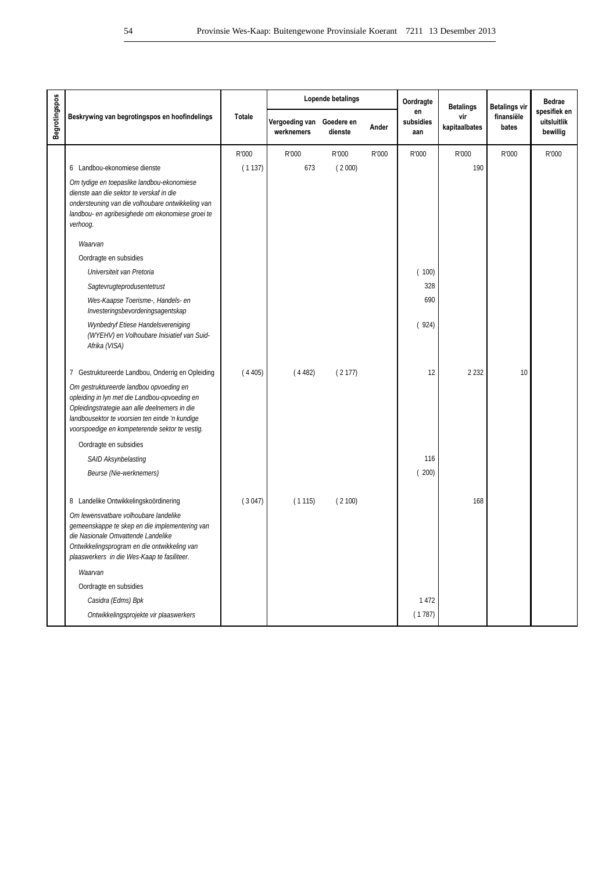|                      |                                                                                                                                                                                                                                               |               |                                         | Lopende betalings |       | Oordragte              | <b>Betalings</b>     | <b>Betalings vir</b> | <b>Bedrae</b>                           |
|----------------------|-----------------------------------------------------------------------------------------------------------------------------------------------------------------------------------------------------------------------------------------------|---------------|-----------------------------------------|-------------------|-------|------------------------|----------------------|----------------------|-----------------------------------------|
| <b>Begrotingspos</b> | Beskrywing van begrotingspos en hoofindelings                                                                                                                                                                                                 | <b>Totale</b> | Vergoeding van Goedere en<br>werknemers | dienste           | Ander | en<br>subsidies<br>aan | vir<br>kapitaalbates | finansiële<br>bates  | spesifiek en<br>uitsluitlik<br>bewillig |
|                      |                                                                                                                                                                                                                                               | R'000         | R'000                                   | R'000             | R'000 | R'000                  | R'000                | R'000                | R'000                                   |
|                      | 6 Landbou-ekonomiese dienste                                                                                                                                                                                                                  | (1137)        | 673                                     | (2000)            |       |                        | 190                  |                      |                                         |
|                      | Om tydige en toepaslike landbou-ekonomiese<br>dienste aan die sektor te verskaf in die<br>ondersteuning van die volhoubare ontwikkeling van<br>landbou- en agribesighede om ekonomiese groei te<br>verhoog.                                   |               |                                         |                   |       |                        |                      |                      |                                         |
|                      | Waarvan                                                                                                                                                                                                                                       |               |                                         |                   |       |                        |                      |                      |                                         |
|                      | Oordragte en subsidies                                                                                                                                                                                                                        |               |                                         |                   |       |                        |                      |                      |                                         |
|                      | Universiteit van Pretoria                                                                                                                                                                                                                     |               |                                         |                   |       | (100)                  |                      |                      |                                         |
|                      | Sagtevrugteprodusentetrust                                                                                                                                                                                                                    |               |                                         |                   |       | 328                    |                      |                      |                                         |
|                      | Wes-Kaapse Toerisme-, Handels- en<br>Investeringsbevorderingsagentskap                                                                                                                                                                        |               |                                         |                   |       | 690                    |                      |                      |                                         |
|                      | Wynbedryf Etiese Handelsvereniging<br>(WYEHV) en Volhoubare Inisiatief van Suid-<br>Afrika (VISA)                                                                                                                                             |               |                                         |                   |       | (924)                  |                      |                      |                                         |
|                      | 7 Gestruktureerde Landbou, Onderrig en Opleiding                                                                                                                                                                                              | (4405)        | (4482)                                  | (2177)            |       | 12                     | 2 2 3 2              | 10                   |                                         |
|                      | Om gestruktureerde landbou opvoeding en<br>opleiding in lyn met die Landbou-opvoeding en<br>Opleidingstrategie aan alle deelnemers in die<br>landbousektor te voorsien ten einde 'n kundige<br>voorspoedige en kompeterende sektor te vestig. |               |                                         |                   |       |                        |                      |                      |                                         |
|                      | Oordragte en subsidies                                                                                                                                                                                                                        |               |                                         |                   |       |                        |                      |                      |                                         |
|                      | SAID Aksynbelasting                                                                                                                                                                                                                           |               |                                         |                   |       | 116                    |                      |                      |                                         |
|                      | Beurse (Nie-werknemers)                                                                                                                                                                                                                       |               |                                         |                   |       | (200)                  |                      |                      |                                         |
|                      | 8 Landelike Ontwikkelingskoördinering                                                                                                                                                                                                         | (3047)        | (1115)                                  | (2100)            |       |                        | 168                  |                      |                                         |
|                      | Om lewensvatbare volhoubare landelike<br>gemeenskappe te skep en die implementering van<br>die Nasionale Omvattende Landelike<br>Ontwikkelingsprogram en die ontwikkeling van<br>plaaswerkers in die Wes-Kaap te fasiliteer.                  |               |                                         |                   |       |                        |                      |                      |                                         |
|                      | Waarvan                                                                                                                                                                                                                                       |               |                                         |                   |       |                        |                      |                      |                                         |
|                      | Oordragte en subsidies                                                                                                                                                                                                                        |               |                                         |                   |       |                        |                      |                      |                                         |
|                      | Casidra (Edms) Bpk                                                                                                                                                                                                                            |               |                                         |                   |       | 1472                   |                      |                      |                                         |
|                      | Ontwikkelingsprojekte vir plaaswerkers                                                                                                                                                                                                        |               |                                         |                   |       | (1787)                 |                      |                      |                                         |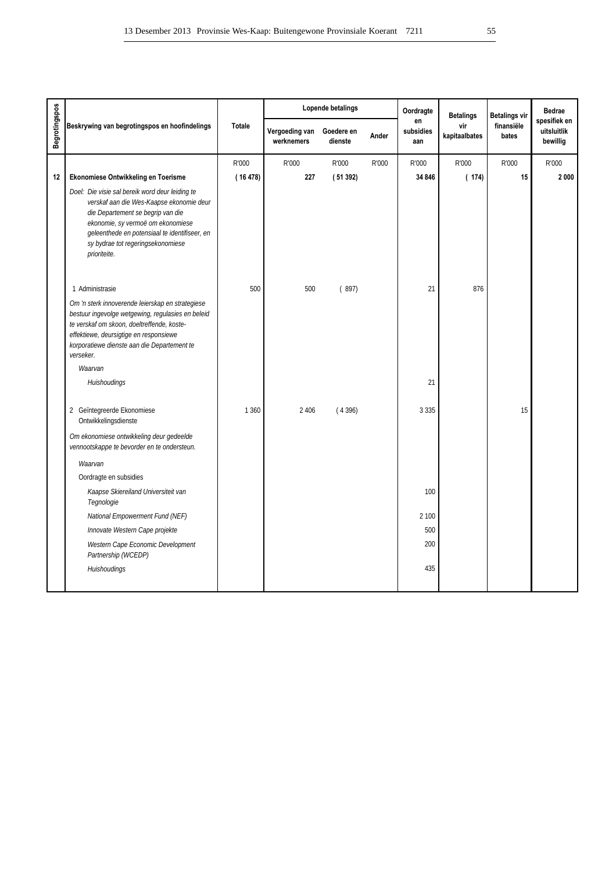|                      |                                                                                                                                                                                                                                                                             |         |                              | Lopende betalings     |       | Oordragte              | <b>Betalings</b>     | <b>Betalings vir</b> | <b>Bedrae</b>                           |
|----------------------|-----------------------------------------------------------------------------------------------------------------------------------------------------------------------------------------------------------------------------------------------------------------------------|---------|------------------------------|-----------------------|-------|------------------------|----------------------|----------------------|-----------------------------------------|
| <b>Begrotingspos</b> | Beskrywing van begrotingspos en hoofindelings                                                                                                                                                                                                                               | Totale  | Vergoeding van<br>werknemers | Goedere en<br>dienste | Ander | en<br>subsidies<br>aan | vir<br>kapitaalbates | finansiële<br>bates  | spesifiek en<br>uitsluitlik<br>bewillig |
|                      |                                                                                                                                                                                                                                                                             | R'000   | R'000                        | R'000                 | R'000 | R'000                  | R'000                | R'000                | R'000                                   |
| 12                   | Ekonomiese Ontwikkeling en Toerisme                                                                                                                                                                                                                                         | (16478) | 227                          | (51392)               |       | 34 846                 | (174)                | 15                   | 2000                                    |
|                      | Doel: Die visie sal bereik word deur leiding te<br>verskaf aan die Wes-Kaapse ekonomie deur<br>die Departement se begrip van die<br>ekonomie, sy vermoë om ekonomiese<br>geleenthede en potensiaal te identifiseer, en<br>sy bydrae tot regeringsekonomiese<br>prioriteite. |         |                              |                       |       |                        |                      |                      |                                         |
|                      | 1 Administrasie                                                                                                                                                                                                                                                             | 500     | 500                          | (897)                 |       | 21                     | 876                  |                      |                                         |
|                      | Om 'n sterk innoverende leierskap en strategiese<br>bestuur ingevolge wetgewing, regulasies en beleid<br>te verskaf om skoon, doeltreffende, koste-<br>effektiewe, deursigtige en responsiewe<br>korporatiewe dienste aan die Departement te<br>verseker.<br>Waarvan        |         |                              |                       |       |                        |                      |                      |                                         |
|                      | Huishoudings                                                                                                                                                                                                                                                                |         |                              |                       |       | 21                     |                      |                      |                                         |
|                      | 2 Geïntegreerde Ekonomiese<br>Ontwikkelingsdienste                                                                                                                                                                                                                          | 1 3 6 0 | 2 4 0 6                      | (4396)                |       | 3 3 3 5                |                      | 15                   |                                         |
|                      | Om ekonomiese ontwikkeling deur gedeelde<br>vennootskappe te bevorder en te ondersteun.                                                                                                                                                                                     |         |                              |                       |       |                        |                      |                      |                                         |
|                      | Waarvan                                                                                                                                                                                                                                                                     |         |                              |                       |       |                        |                      |                      |                                         |
|                      | Oordragte en subsidies                                                                                                                                                                                                                                                      |         |                              |                       |       |                        |                      |                      |                                         |
|                      | Kaapse Skiereiland Universiteit van<br>Tegnologie                                                                                                                                                                                                                           |         |                              |                       |       | 100                    |                      |                      |                                         |
|                      | National Empowerment Fund (NEF)                                                                                                                                                                                                                                             |         |                              |                       |       | 2 100                  |                      |                      |                                         |
|                      | Innovate Western Cape projekte                                                                                                                                                                                                                                              |         |                              |                       |       | 500                    |                      |                      |                                         |
|                      | Western Cape Economic Development<br>Partnership (WCEDP)                                                                                                                                                                                                                    |         |                              |                       |       | 200                    |                      |                      |                                         |
|                      | Huishoudings                                                                                                                                                                                                                                                                |         |                              |                       |       | 435                    |                      |                      |                                         |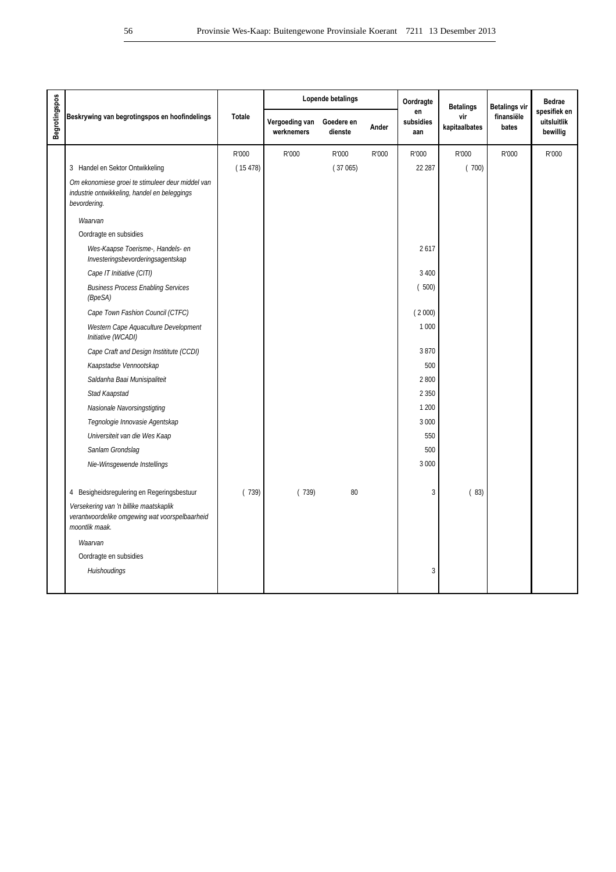|                      |                                                                                                                  |         |                              | Lopende betalings     |       | Oordragte              | <b>Betalings</b>     | <b>Betalings vir</b> | <b>Bedrae</b>                           |
|----------------------|------------------------------------------------------------------------------------------------------------------|---------|------------------------------|-----------------------|-------|------------------------|----------------------|----------------------|-----------------------------------------|
| <b>Begrotingspos</b> | Beskrywing van begrotingspos en hoofindelings                                                                    | Totale  | Vergoeding van<br>werknemers | Goedere en<br>dienste | Ander | en<br>subsidies<br>aan | vir<br>kapitaalbates | finansiële<br>bates  | spesifiek en<br>uitsluitlik<br>bewillig |
|                      |                                                                                                                  | R'000   | R'000                        | R'000                 | R'000 | R'000                  | R'000                | R'000                | R'000                                   |
|                      | 3 Handel en Sektor Ontwikkeling                                                                                  | (15478) |                              | (37065)               |       | 22 287                 | (700)                |                      |                                         |
|                      | Om ekonomiese groei te stimuleer deur middel van<br>industrie ontwikkeling, handel en beleggings<br>bevordering. |         |                              |                       |       |                        |                      |                      |                                         |
|                      | Waarvan                                                                                                          |         |                              |                       |       |                        |                      |                      |                                         |
|                      | Oordragte en subsidies                                                                                           |         |                              |                       |       |                        |                      |                      |                                         |
|                      | Wes-Kaapse Toerisme-, Handels- en<br>Investeringsbevorderingsagentskap                                           |         |                              |                       |       | 2617                   |                      |                      |                                         |
|                      | Cape IT Initiative (CITI)                                                                                        |         |                              |                       |       | 3 4 0 0                |                      |                      |                                         |
|                      | <b>Business Process Enabling Services</b><br>(BpeSA)                                                             |         |                              |                       |       | (500)                  |                      |                      |                                         |
|                      | Cape Town Fashion Council (CTFC)                                                                                 |         |                              |                       |       | (2000)                 |                      |                      |                                         |
|                      | Western Cape Aquaculture Development<br>Initiative (WCADI)                                                       |         |                              |                       |       | 1 0 0 0                |                      |                      |                                         |
|                      | Cape Craft and Design Instititute (CCDI)                                                                         |         |                              |                       |       | 3870                   |                      |                      |                                         |
|                      | Kaapstadse Vennootskap                                                                                           |         |                              |                       |       | 500                    |                      |                      |                                         |
|                      | Saldanha Baai Munisipaliteit                                                                                     |         |                              |                       |       | 2 800                  |                      |                      |                                         |
|                      | Stad Kaapstad                                                                                                    |         |                              |                       |       | 2 3 5 0                |                      |                      |                                         |
|                      | Nasionale Navorsingstigting                                                                                      |         |                              |                       |       | 1 200                  |                      |                      |                                         |
|                      | Tegnologie Innovasie Agentskap                                                                                   |         |                              |                       |       | 3 0 0 0                |                      |                      |                                         |
|                      | Universiteit van die Wes Kaap                                                                                    |         |                              |                       |       | 550                    |                      |                      |                                         |
|                      | Sanlam Grondslag                                                                                                 |         |                              |                       |       | 500                    |                      |                      |                                         |
|                      | Nie-Winsgewende Instellings                                                                                      |         |                              |                       |       | 3 0 0 0                |                      |                      |                                         |
|                      | 4 Besigheidsregulering en Regeringsbestuur                                                                       | (739)   | (739)                        | 80                    |       | 3                      | (83)                 |                      |                                         |
|                      | Versekering van 'n billike maatskaplik<br>verantwoordelike omgewing wat voorspelbaarheid<br>moontlik maak.       |         |                              |                       |       |                        |                      |                      |                                         |
|                      | Waarvan                                                                                                          |         |                              |                       |       |                        |                      |                      |                                         |
|                      | Oordragte en subsidies                                                                                           |         |                              |                       |       |                        |                      |                      |                                         |
|                      | Huishoudings                                                                                                     |         |                              |                       |       | 3                      |                      |                      |                                         |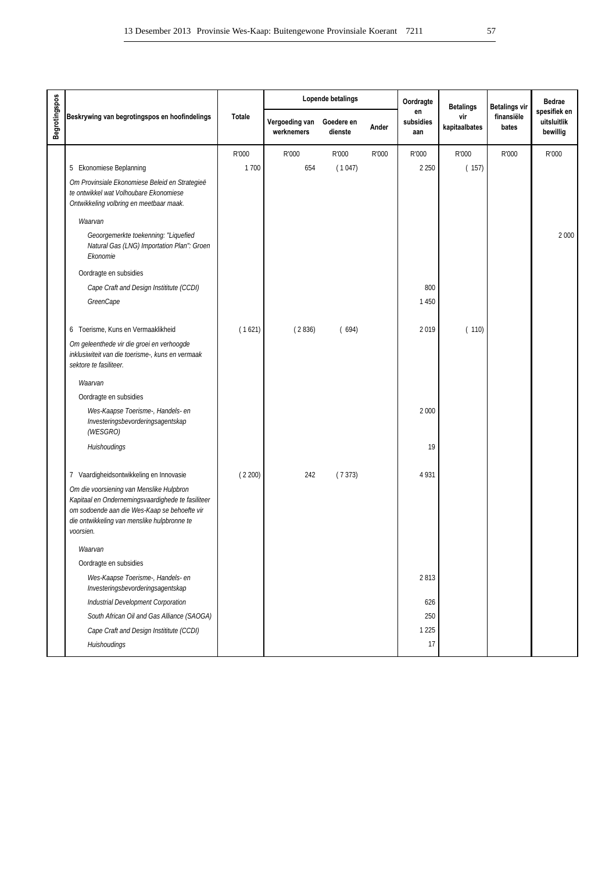| en<br>finansiële<br>Beskrywing van begrotingspos en hoofindelings<br><b>Totale</b><br>vir<br>Vergoeding van<br>Goedere en<br>subsidies<br>kapitaalbates<br>Ander<br>bates<br>werknemers<br>dienste<br>aan<br>R'000<br>R'000<br>R'000<br>R'000<br>R'000<br>R'000<br>R'000<br>1700<br>654<br>(1047)<br>2 2 5 0<br>(157)<br>5 Ekonomiese Beplanning<br>Om Provinsiale Ekonomiese Beleid en Strategieë<br>te ontwikkel wat Volhoubare Ekonomiese<br>Ontwikkeling volbring en meetbaar maak.<br>Waarvan<br>Geoorgemerkte toekenning: "Liquefied<br>Natural Gas (LNG) Importation Plan": Groen<br>Ekonomie<br>Oordragte en subsidies<br>800<br>Cape Craft and Design Instititute (CCDI)<br>GreenCape<br>1450<br>(1621)<br>(2836)<br>(694)<br>2019<br>(110)<br>6 Toerisme, Kuns en Vermaaklikheid<br>Om geleenthede vir die groei en verhoogde<br>inklusiwiteit van die toerisme-, kuns en vermaak<br>sektore te fasiliteer.<br>Waarvan<br>Oordragte en subsidies<br>2 0 0 0<br>Wes-Kaapse Toerisme-, Handels- en<br>Investeringsbevorderingsagentskap<br>(WESGRO)<br>19<br>Huishoudings<br>7 Vaardigheidsontwikkeling en Innovasie<br>(2200)<br>4931<br>242<br>(7373)<br>Om die voorsiening van Menslike Hulpbron<br>Kapitaal en Ondernemingsvaardighede te fasiliteer<br>om sodoende aan die Wes-Kaap se behoefte vir<br>die ontwikkeling van menslike hulpbronne te<br>voorsien.<br>Waarvan<br>Oordragte en subsidies<br>2813<br>Wes-Kaapse Toerisme-, Handels- en<br>Investeringsbevorderingsagentskap<br>Industrial Development Corporation<br>626 |               |  | Lopende betalings | Oordragte | <b>Betalings</b> | <b>Betalings vir</b> | <b>Bedrae</b>                           |
|--------------------------------------------------------------------------------------------------------------------------------------------------------------------------------------------------------------------------------------------------------------------------------------------------------------------------------------------------------------------------------------------------------------------------------------------------------------------------------------------------------------------------------------------------------------------------------------------------------------------------------------------------------------------------------------------------------------------------------------------------------------------------------------------------------------------------------------------------------------------------------------------------------------------------------------------------------------------------------------------------------------------------------------------------------------------------------------------------------------------------------------------------------------------------------------------------------------------------------------------------------------------------------------------------------------------------------------------------------------------------------------------------------------------------------------------------------------------------------------------------------------------------------------------------|---------------|--|-------------------|-----------|------------------|----------------------|-----------------------------------------|
|                                                                                                                                                                                                                                                                                                                                                                                                                                                                                                                                                                                                                                                                                                                                                                                                                                                                                                                                                                                                                                                                                                                                                                                                                                                                                                                                                                                                                                                                                                                                                  | Begrotingspos |  |                   |           |                  |                      | spesifiek en<br>uitsluitlik<br>bewillig |
|                                                                                                                                                                                                                                                                                                                                                                                                                                                                                                                                                                                                                                                                                                                                                                                                                                                                                                                                                                                                                                                                                                                                                                                                                                                                                                                                                                                                                                                                                                                                                  |               |  |                   |           |                  |                      | R'000                                   |
|                                                                                                                                                                                                                                                                                                                                                                                                                                                                                                                                                                                                                                                                                                                                                                                                                                                                                                                                                                                                                                                                                                                                                                                                                                                                                                                                                                                                                                                                                                                                                  |               |  |                   |           |                  |                      |                                         |
|                                                                                                                                                                                                                                                                                                                                                                                                                                                                                                                                                                                                                                                                                                                                                                                                                                                                                                                                                                                                                                                                                                                                                                                                                                                                                                                                                                                                                                                                                                                                                  |               |  |                   |           |                  |                      |                                         |
|                                                                                                                                                                                                                                                                                                                                                                                                                                                                                                                                                                                                                                                                                                                                                                                                                                                                                                                                                                                                                                                                                                                                                                                                                                                                                                                                                                                                                                                                                                                                                  |               |  |                   |           |                  |                      |                                         |
|                                                                                                                                                                                                                                                                                                                                                                                                                                                                                                                                                                                                                                                                                                                                                                                                                                                                                                                                                                                                                                                                                                                                                                                                                                                                                                                                                                                                                                                                                                                                                  |               |  |                   |           |                  |                      | 2 0 0 0                                 |
|                                                                                                                                                                                                                                                                                                                                                                                                                                                                                                                                                                                                                                                                                                                                                                                                                                                                                                                                                                                                                                                                                                                                                                                                                                                                                                                                                                                                                                                                                                                                                  |               |  |                   |           |                  |                      |                                         |
|                                                                                                                                                                                                                                                                                                                                                                                                                                                                                                                                                                                                                                                                                                                                                                                                                                                                                                                                                                                                                                                                                                                                                                                                                                                                                                                                                                                                                                                                                                                                                  |               |  |                   |           |                  |                      |                                         |
|                                                                                                                                                                                                                                                                                                                                                                                                                                                                                                                                                                                                                                                                                                                                                                                                                                                                                                                                                                                                                                                                                                                                                                                                                                                                                                                                                                                                                                                                                                                                                  |               |  |                   |           |                  |                      |                                         |
|                                                                                                                                                                                                                                                                                                                                                                                                                                                                                                                                                                                                                                                                                                                                                                                                                                                                                                                                                                                                                                                                                                                                                                                                                                                                                                                                                                                                                                                                                                                                                  |               |  |                   |           |                  |                      |                                         |
|                                                                                                                                                                                                                                                                                                                                                                                                                                                                                                                                                                                                                                                                                                                                                                                                                                                                                                                                                                                                                                                                                                                                                                                                                                                                                                                                                                                                                                                                                                                                                  |               |  |                   |           |                  |                      |                                         |
|                                                                                                                                                                                                                                                                                                                                                                                                                                                                                                                                                                                                                                                                                                                                                                                                                                                                                                                                                                                                                                                                                                                                                                                                                                                                                                                                                                                                                                                                                                                                                  |               |  |                   |           |                  |                      |                                         |
|                                                                                                                                                                                                                                                                                                                                                                                                                                                                                                                                                                                                                                                                                                                                                                                                                                                                                                                                                                                                                                                                                                                                                                                                                                                                                                                                                                                                                                                                                                                                                  |               |  |                   |           |                  |                      |                                         |
|                                                                                                                                                                                                                                                                                                                                                                                                                                                                                                                                                                                                                                                                                                                                                                                                                                                                                                                                                                                                                                                                                                                                                                                                                                                                                                                                                                                                                                                                                                                                                  |               |  |                   |           |                  |                      |                                         |
|                                                                                                                                                                                                                                                                                                                                                                                                                                                                                                                                                                                                                                                                                                                                                                                                                                                                                                                                                                                                                                                                                                                                                                                                                                                                                                                                                                                                                                                                                                                                                  |               |  |                   |           |                  |                      |                                         |
|                                                                                                                                                                                                                                                                                                                                                                                                                                                                                                                                                                                                                                                                                                                                                                                                                                                                                                                                                                                                                                                                                                                                                                                                                                                                                                                                                                                                                                                                                                                                                  |               |  |                   |           |                  |                      |                                         |
|                                                                                                                                                                                                                                                                                                                                                                                                                                                                                                                                                                                                                                                                                                                                                                                                                                                                                                                                                                                                                                                                                                                                                                                                                                                                                                                                                                                                                                                                                                                                                  |               |  |                   |           |                  |                      |                                         |
|                                                                                                                                                                                                                                                                                                                                                                                                                                                                                                                                                                                                                                                                                                                                                                                                                                                                                                                                                                                                                                                                                                                                                                                                                                                                                                                                                                                                                                                                                                                                                  |               |  |                   |           |                  |                      |                                         |
|                                                                                                                                                                                                                                                                                                                                                                                                                                                                                                                                                                                                                                                                                                                                                                                                                                                                                                                                                                                                                                                                                                                                                                                                                                                                                                                                                                                                                                                                                                                                                  |               |  |                   |           |                  |                      |                                         |
|                                                                                                                                                                                                                                                                                                                                                                                                                                                                                                                                                                                                                                                                                                                                                                                                                                                                                                                                                                                                                                                                                                                                                                                                                                                                                                                                                                                                                                                                                                                                                  |               |  |                   |           |                  |                      |                                         |
|                                                                                                                                                                                                                                                                                                                                                                                                                                                                                                                                                                                                                                                                                                                                                                                                                                                                                                                                                                                                                                                                                                                                                                                                                                                                                                                                                                                                                                                                                                                                                  |               |  |                   |           |                  |                      |                                         |
|                                                                                                                                                                                                                                                                                                                                                                                                                                                                                                                                                                                                                                                                                                                                                                                                                                                                                                                                                                                                                                                                                                                                                                                                                                                                                                                                                                                                                                                                                                                                                  |               |  |                   |           |                  |                      |                                         |
| South African Oil and Gas Alliance (SAOGA)<br>250                                                                                                                                                                                                                                                                                                                                                                                                                                                                                                                                                                                                                                                                                                                                                                                                                                                                                                                                                                                                                                                                                                                                                                                                                                                                                                                                                                                                                                                                                                |               |  |                   |           |                  |                      |                                         |
| Cape Craft and Design Instititute (CCDI)<br>1 2 2 5                                                                                                                                                                                                                                                                                                                                                                                                                                                                                                                                                                                                                                                                                                                                                                                                                                                                                                                                                                                                                                                                                                                                                                                                                                                                                                                                                                                                                                                                                              |               |  |                   |           |                  |                      |                                         |
| Huishoudings<br>17                                                                                                                                                                                                                                                                                                                                                                                                                                                                                                                                                                                                                                                                                                                                                                                                                                                                                                                                                                                                                                                                                                                                                                                                                                                                                                                                                                                                                                                                                                                               |               |  |                   |           |                  |                      |                                         |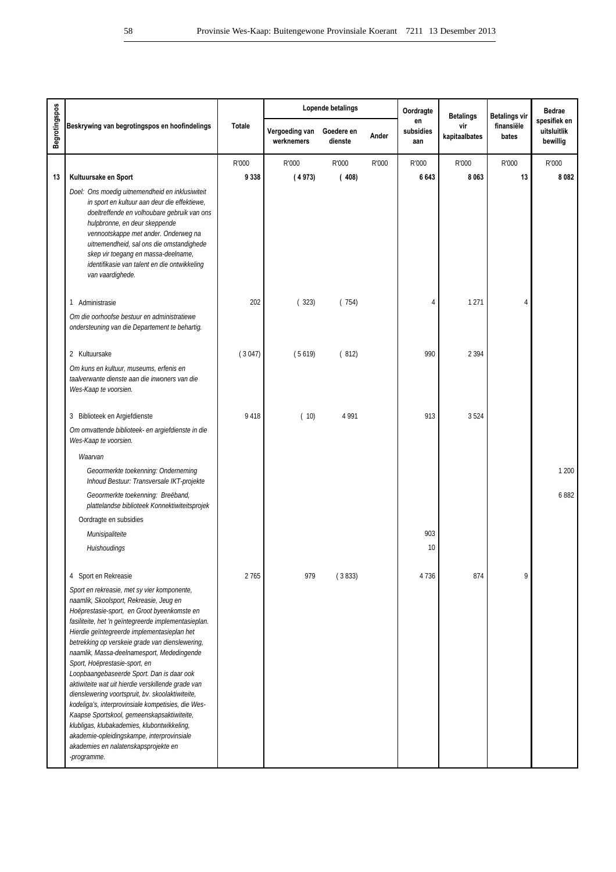|                      |                                                                                                                                                                                                                                                                                                                                                                                                                                                                                                                                                                                                                                                                                                                                                                                               |               |                              | Lopende betalings     |       | Oordragte              | <b>Betalings</b>     | <b>Betalings vir</b> | <b>Bedrae</b>                           |
|----------------------|-----------------------------------------------------------------------------------------------------------------------------------------------------------------------------------------------------------------------------------------------------------------------------------------------------------------------------------------------------------------------------------------------------------------------------------------------------------------------------------------------------------------------------------------------------------------------------------------------------------------------------------------------------------------------------------------------------------------------------------------------------------------------------------------------|---------------|------------------------------|-----------------------|-------|------------------------|----------------------|----------------------|-----------------------------------------|
| <b>Begrotingspos</b> | Beskrywing van begrotingspos en hoofindelings                                                                                                                                                                                                                                                                                                                                                                                                                                                                                                                                                                                                                                                                                                                                                 | <b>Totale</b> | Vergoeding van<br>werknemers | Goedere en<br>dienste | Ander | en<br>subsidies<br>aan | vir<br>kapitaalbates | finansiële<br>bates  | spesifiek en<br>uitsluitlik<br>bewillig |
|                      |                                                                                                                                                                                                                                                                                                                                                                                                                                                                                                                                                                                                                                                                                                                                                                                               | R'000         | R'000                        | R'000                 | R'000 | R'000                  | R'000                | R'000                | R'000                                   |
| 13                   | Kultuursake en Sport                                                                                                                                                                                                                                                                                                                                                                                                                                                                                                                                                                                                                                                                                                                                                                          | 9 3 3 8       | (4973)                       | (408)                 |       | 6 6 4 3                | 8 0 6 3              | 13                   | 8082                                    |
|                      | Doel: Ons moedig uitnemendheid en inklusiwiteit<br>in sport en kultuur aan deur die effektiewe,<br>doeltreffende en volhoubare gebruik van ons<br>hulpbronne, en deur skeppende<br>vennootskappe met ander. Onderweg na<br>uitnemendheid, sal ons die omstandighede<br>skep vir toegang en massa-deelname,<br>identifikasie van talent en die ontwikkeling<br>van vaardighede.                                                                                                                                                                                                                                                                                                                                                                                                                |               |                              |                       |       |                        |                      |                      |                                         |
|                      | 1 Administrasie                                                                                                                                                                                                                                                                                                                                                                                                                                                                                                                                                                                                                                                                                                                                                                               | 202           | (323)                        | (754)                 |       | 4                      | 1 2 7 1              | 4                    |                                         |
|                      | Om die oorhoofse bestuur en administratiewe<br>ondersteuning van die Departement te behartig.                                                                                                                                                                                                                                                                                                                                                                                                                                                                                                                                                                                                                                                                                                 |               |                              |                       |       |                        |                      |                      |                                         |
|                      | 2 Kultuursake                                                                                                                                                                                                                                                                                                                                                                                                                                                                                                                                                                                                                                                                                                                                                                                 | (3047)        | (5619)                       | (812)                 |       | 990                    | 2 3 9 4              |                      |                                         |
|                      | Om kuns en kultuur, museums, erfenis en<br>taalverwante dienste aan die inwoners van die<br>Wes-Kaap te voorsien.                                                                                                                                                                                                                                                                                                                                                                                                                                                                                                                                                                                                                                                                             |               |                              |                       |       |                        |                      |                      |                                         |
|                      | 3 Biblioteek en Argiefdienste                                                                                                                                                                                                                                                                                                                                                                                                                                                                                                                                                                                                                                                                                                                                                                 | 9 4 1 8       | (10)                         | 4 9 9 1               |       | 913                    | 3524                 |                      |                                         |
|                      | Om omvattende biblioteek- en argiefdienste in die<br>Wes-Kaap te voorsien.                                                                                                                                                                                                                                                                                                                                                                                                                                                                                                                                                                                                                                                                                                                    |               |                              |                       |       |                        |                      |                      |                                         |
|                      | Waarvan                                                                                                                                                                                                                                                                                                                                                                                                                                                                                                                                                                                                                                                                                                                                                                                       |               |                              |                       |       |                        |                      |                      |                                         |
|                      | Geoormerkte toekenning: Onderneming<br>Inhoud Bestuur: Transversale IKT-projekte                                                                                                                                                                                                                                                                                                                                                                                                                                                                                                                                                                                                                                                                                                              |               |                              |                       |       |                        |                      |                      | 1 200                                   |
|                      | Geoormerkte toekenning: Breëband,<br>plattelandse biblioteek Konnektiwiteitsprojek                                                                                                                                                                                                                                                                                                                                                                                                                                                                                                                                                                                                                                                                                                            |               |                              |                       |       |                        |                      |                      | 6882                                    |
|                      | Oordragte en subsidies                                                                                                                                                                                                                                                                                                                                                                                                                                                                                                                                                                                                                                                                                                                                                                        |               |                              |                       |       |                        |                      |                      |                                         |
|                      | Munisipaliteite<br>Huishoudings                                                                                                                                                                                                                                                                                                                                                                                                                                                                                                                                                                                                                                                                                                                                                               |               |                              |                       |       | 903<br>10              |                      |                      |                                         |
|                      |                                                                                                                                                                                                                                                                                                                                                                                                                                                                                                                                                                                                                                                                                                                                                                                               |               |                              |                       |       |                        |                      |                      |                                         |
|                      | 4 Sport en Rekreasie                                                                                                                                                                                                                                                                                                                                                                                                                                                                                                                                                                                                                                                                                                                                                                          | 2765          | 979                          | (3833)                |       | 4736                   | 874                  | 9                    |                                         |
|                      | Sport en rekreasie, met sy vier komponente,<br>naamlik, Skoolsport, Rekreasie, Jeug en<br>Hoëprestasie-sport, en Groot byeenkomste en<br>fasiliteite, het 'n geïntegreerde implementasieplan.<br>Hierdie geïntegreerde implementasieplan het<br>betrekking op verskeie grade van dienslewering,<br>naamlik, Massa-deelnamesport, Mededingende<br>Sport, Hoëprestasie-sport, en<br>Loopbaangebaseerde Sport. Dan is daar ook<br>aktiwiteite wat uit hierdie verskillende grade van<br>dienslewering voortspruit, bv. skoolaktiwiteite,<br>kodeliga's, interprovinsiale kompetisies, die Wes-<br>Kaapse Sportskool, gemeenskapsaktiwiteite,<br>klubligas, klubakademies, klubontwikkeling,<br>akademie-opleidingskampe, interprovinsiale<br>akademies en nalatenskapsprojekte en<br>-programme. |               |                              |                       |       |                        |                      |                      |                                         |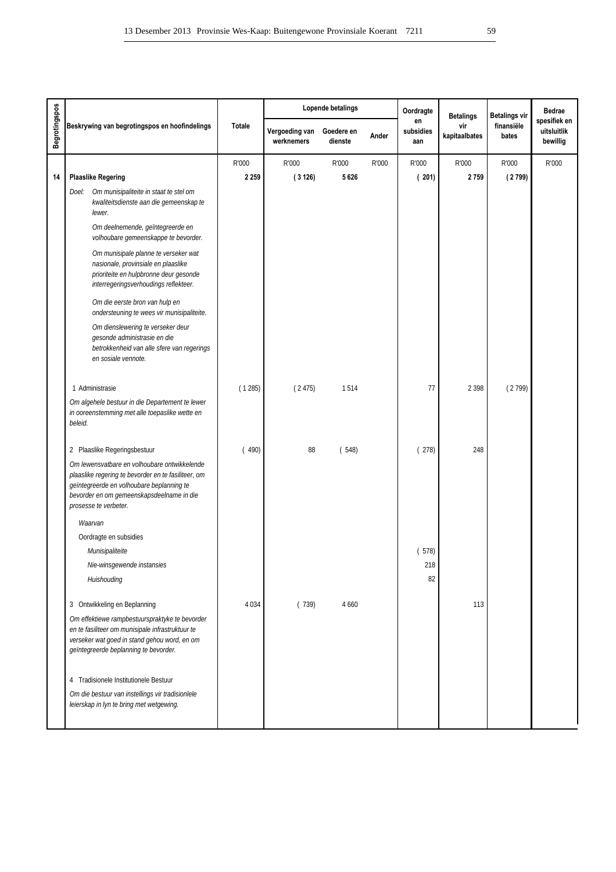|                      |                                                                                                                                                                                                                        |               |                              | Lopende betalings     |       | Oordragte              | <b>Betalings</b>     | <b>Betalings vir</b> | <b>Bedrae</b>                           |
|----------------------|------------------------------------------------------------------------------------------------------------------------------------------------------------------------------------------------------------------------|---------------|------------------------------|-----------------------|-------|------------------------|----------------------|----------------------|-----------------------------------------|
| <b>Begrotingspos</b> | Beskrywing van begrotingspos en hoofindelings                                                                                                                                                                          | <b>Totale</b> | Vergoeding van<br>werknemers | Goedere en<br>dienste | Ander | en<br>subsidies<br>aan | vir<br>kapitaalbates | finansiële<br>bates  | spesifiek en<br>uitsluitlik<br>bewillig |
|                      |                                                                                                                                                                                                                        | R'000         | R'000                        | R'000                 | R'000 | R'000                  | R'000                | R'000                | R'000                                   |
| 14                   | <b>Plaaslike Regering</b>                                                                                                                                                                                              | 2 2 5 9       | (3126)                       | 5626                  |       | (201)                  | 2759                 | (2799)               |                                         |
|                      | Doel: Om munisipaliteite in staat te stel om<br>kwaliteitsdienste aan die gemeenskap te<br>lewer.                                                                                                                      |               |                              |                       |       |                        |                      |                      |                                         |
|                      | Om deelnemende, geïntegreerde en<br>volhoubare gemeenskappe te bevorder.                                                                                                                                               |               |                              |                       |       |                        |                      |                      |                                         |
|                      | Om munisipale planne te verseker wat<br>nasionale, provinsiale en plaaslike<br>prioriteite en hulpbronne deur gesonde<br>interregeringsverhoudings reflekteer.                                                         |               |                              |                       |       |                        |                      |                      |                                         |
|                      | Om die eerste bron van hulp en<br>ondersteuning te wees vir munisipaliteite.                                                                                                                                           |               |                              |                       |       |                        |                      |                      |                                         |
|                      | Om dienslewering te verseker deur<br>gesonde administrasie en die<br>betrokkenheid van alle sfere van regerings<br>en sosiale vennote.                                                                                 |               |                              |                       |       |                        |                      |                      |                                         |
|                      | 1 Administrasie                                                                                                                                                                                                        | (1285)        | (2475)                       | 1514                  |       | 77                     | 2 3 9 8              | (2799)               |                                         |
|                      | Om algehele bestuur in die Departement te lewer<br>in ooreenstemming met alle toepaslike wette en<br>beleid.                                                                                                           |               |                              |                       |       |                        |                      |                      |                                         |
|                      | 2 Plaaslike Regeringsbestuur                                                                                                                                                                                           | (490)         | 88                           | (548)                 |       | (278)                  | 248                  |                      |                                         |
|                      | Om lewensvatbare en volhoubare ontwikkelende<br>plaaslike regering te bevorder en te fasiliteer, om<br>geïntegreerde en volhoubare beplanning te<br>bevorder en om gemeenskapsdeelname in die<br>prosesse te verbeter. |               |                              |                       |       |                        |                      |                      |                                         |
|                      | Waarvan                                                                                                                                                                                                                |               |                              |                       |       |                        |                      |                      |                                         |
|                      | Oordragte en subsidies                                                                                                                                                                                                 |               |                              |                       |       |                        |                      |                      |                                         |
|                      | Munisipaliteite                                                                                                                                                                                                        |               |                              |                       |       | (578)                  |                      |                      |                                         |
|                      | Nie-winsgewende instansies                                                                                                                                                                                             |               |                              |                       |       | 218                    |                      |                      |                                         |
|                      | Huishouding                                                                                                                                                                                                            |               |                              |                       |       | 82                     |                      |                      |                                         |
|                      | 3 Ontwikkeling en Beplanning                                                                                                                                                                                           | 4 0 3 4       | (739)                        | 4 6 6 0               |       |                        | 113                  |                      |                                         |
|                      | Om effektiewe rampbestuurspraktyke te bevorder<br>en te fasiliteer om munisipale infrastruktuur te<br>verseker wat goed in stand gehou word, en om<br>geïntegreerde beplanning te bevorder.                            |               |                              |                       |       |                        |                      |                      |                                         |
|                      | 4 Tradisionele Institutionele Bestuur<br>Om die bestuur van instellings vir tradisionlele<br>leierskap in lyn te bring met wetgewing.                                                                                  |               |                              |                       |       |                        |                      |                      |                                         |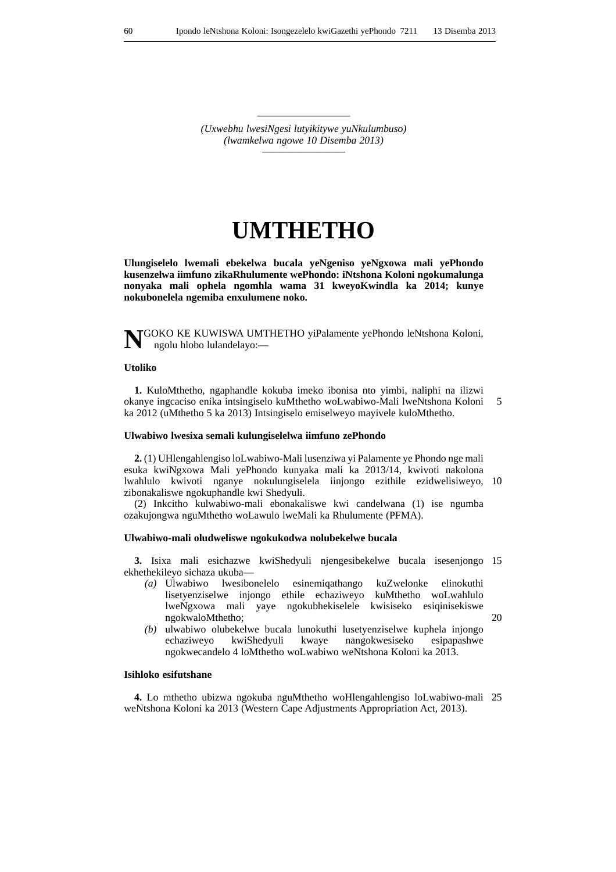————————— *(Uxwebhu lwesiNgesi lutyikitywe yuNkulumbuso) (lwamkelwa ngowe 10 Disemba 2013) —————————*

# **UMTHETHO**

**Ulungiselelo lwemali ebekelwa bucala yeNgeniso yeNgxowa mali yePhondo kusenzelwa iimfuno zikaRhulumente wePhondo: iNtshona Koloni ngokumalunga nonyaka mali ophela ngomhla wama 31 kweyoKwindla ka 2014; kunye nokubonelela ngemiba enxulumene noko.**

**N**GOKO KE KUWISWA UMTHETHO yiPalamente yePhondo leNtshona Koloni, ngolu hlobo lulandelayo:—

#### **Utoliko**

**1.** KuloMthetho, ngaphandle kokuba imeko ibonisa nto yimbi, naliphi na ilizwi okanye ingcaciso enika intsingiselo kuMthetho woLwabiwo-Mali lweNtshona Koloni ka 2012 (uMthetho 5 ka 2013) Intsingiselo emiselweyo mayivele kuloMthetho. 5

#### **Ulwabiwo lwesixa semali kulungiselelwa iimfuno zePhondo**

**2.** (1) UHlengahlengiso loLwabiwo-Mali lusenziwa yi Palamente ye Phondo nge mali esuka kwiNgxowa Mali yePhondo kunyaka mali ka 2013/14, kwivoti nakolona lwahlulo kwivoti nganye nokulungiselela iinjongo ezithile ezidwelisiweyo, 10 zibonakaliswe ngokuphandle kwi Shedyuli.

(2) Inkcitho kulwabiwo-mali ebonakaliswe kwi candelwana (1) ise ngumba ozakujongwa nguMthetho woLawulo lweMali ka Rhulumente (PFMA).

#### **Ulwabiwo-mali oludweliswe ngokukodwa nolubekelwe bucala**

**3.** Isixa mali esichazwe kwiShedyuli njengesibekelwe bucala isesenjongo 15 ekhethekileyo sichaza ukuba—

*(a)* Ulwabiwo lwesibonelelo esinemiqathango kuZwelonke elinokuthi lisetyenziselwe injongo ethile echaziweyo kuMthetho woLwahlulo lweNgxowa mali yaye ngokubhekiselele kwisiseko esiqinisekiswe ngokwaloMthetho;

20

*(b)* ulwabiwo olubekelwe bucala lunokuthi lusetyenziselwe kuphela injongo echaziweyo kwiShedyuli kwaye nangokwesiseko esipapashwe ngokwecandelo 4 loMthetho woLwabiwo weNtshona Koloni ka 2013.

### **Isihloko esifutshane**

**4.** Lo mthetho ubizwa ngokuba nguMthetho woHlengahlengiso loLwabiwo-mali 25 weNtshona Koloni ka 2013 (Western Cape Adjustments Appropriation Act, 2013).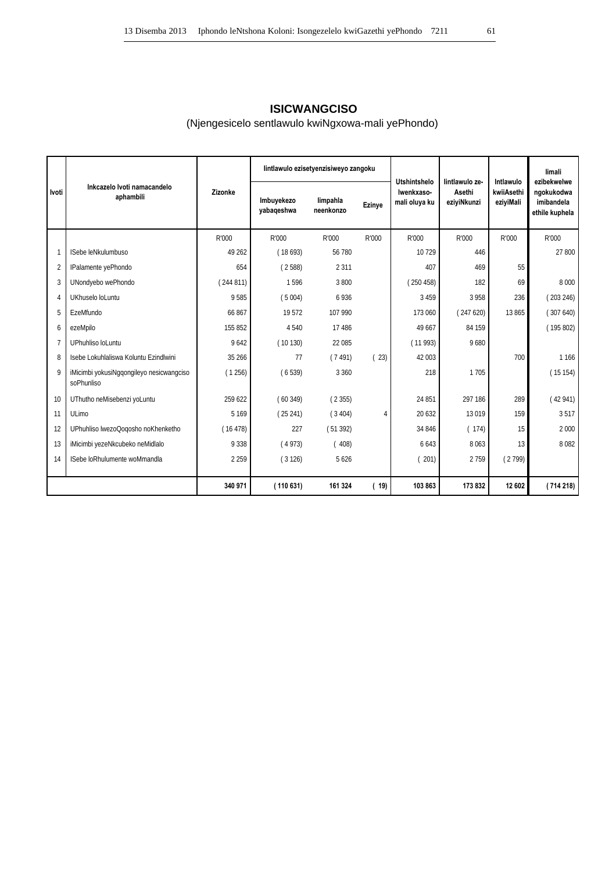# **ISICWANGCISO**

# (Njengesicelo sentlawulo kwiNgxowa-mali yePhondo)

|              |                                                        |          |                          | lintlawulo ezisetyenzisiweyo zangoku |                | Utshintshelo                | lintlawulo ze-        | Intlawulo               | limali<br>ezibekwelwe                      |
|--------------|--------------------------------------------------------|----------|--------------------------|--------------------------------------|----------------|-----------------------------|-----------------------|-------------------------|--------------------------------------------|
| <b>Ivoti</b> | Inkcazelo Ivoti namacandelo<br>aphambili               | Zizonke  | Imbuyekezo<br>yabaqeshwa | limpahla<br>neenkonzo                | Ezinye         | Iwenkxaso-<br>mali oluya ku | Asethi<br>eziyiNkunzi | kwiiAsethi<br>eziyiMali | ngokukodwa<br>imibandela<br>ethile kuphela |
|              |                                                        | R'000    | R'000                    | R'000                                | R'000          | R'000                       | R'000                 | R'000                   | R'000                                      |
|              | ISebe leNkulumbuso                                     | 49 26 2  | (18693)                  | 56 780                               |                | 10729                       | 446                   |                         | 27 800                                     |
|              | IPalamente yePhondo                                    | 654      | (2588)                   | 2 3 1 1                              |                | 407                         | 469                   | 55                      |                                            |
|              | UNondyebo wePhondo                                     | (244811) | 1596                     | 3800                                 |                | (250458)                    | 182                   | 69                      | 8 0 0 0                                    |
| 4            | UKhuselo loLuntu                                       | 9585     | (5004)                   | 6936                                 |                | 3 4 5 9                     | 3 9 5 8               | 236                     | (203246)                                   |
|              | EzeMfundo                                              | 66867    | 19572                    | 107 990                              |                | 173 060                     | (247620)              | 13 865                  | (307640)                                   |
| 6            | ezeMpilo                                               | 155 852  | 4 5 4 0                  | 17486                                |                | 49 667                      | 84 159                |                         | (195802)                                   |
|              | UPhuhliso loLuntu                                      | 9642     | (10130)                  | 22 085                               |                | (11993)                     | 9680                  |                         |                                            |
| 8            | Isebe Lokuhlaliswa Koluntu Ezindlwini                  | 35 26 6  | 77                       | (7491)                               | (23)           | 42 003                      |                       | 700                     | 1 1 6 6                                    |
| Q            | iMicimbi yokusiNggongileyo nesicwangciso<br>soPhunliso | (1256)   | (6539)                   | 3 3 6 0                              |                | 218                         | 1705                  |                         | (15154)                                    |
| 10           | UThutho neMisebenzi yoLuntu                            | 259 622  | (60349)                  | (2355)                               |                | 24 851                      | 297 186               | 289                     | (42941)                                    |
| 11           | ULimo                                                  | 5 1 6 9  | (25241)                  | (3404)                               | $\overline{4}$ | 20 632                      | 13019                 | 159                     | 3517                                       |
| 12           | UPhuhliso lwezoQogosho noKhenketho                     | (16478)  | 227                      | (51392)                              |                | 34 846                      | (174)                 | 15                      | 2 0 0 0                                    |
| 13           | iMicimbi yezeNkcubeko neMidlalo                        | 9 3 3 8  | (4973)                   | (408)                                |                | 6643                        | 8063                  | 13                      | 8082                                       |
| 14           | ISebe loRhulumente woMmandla                           | 2 2 5 9  | (3126)                   | 5626                                 |                | 201)                        | 2759                  | (2799)                  |                                            |
|              |                                                        | 340 971  | (110631)                 | 161 324                              | (19)           | 103 863                     | 173832                | 12 602                  | (714218)                                   |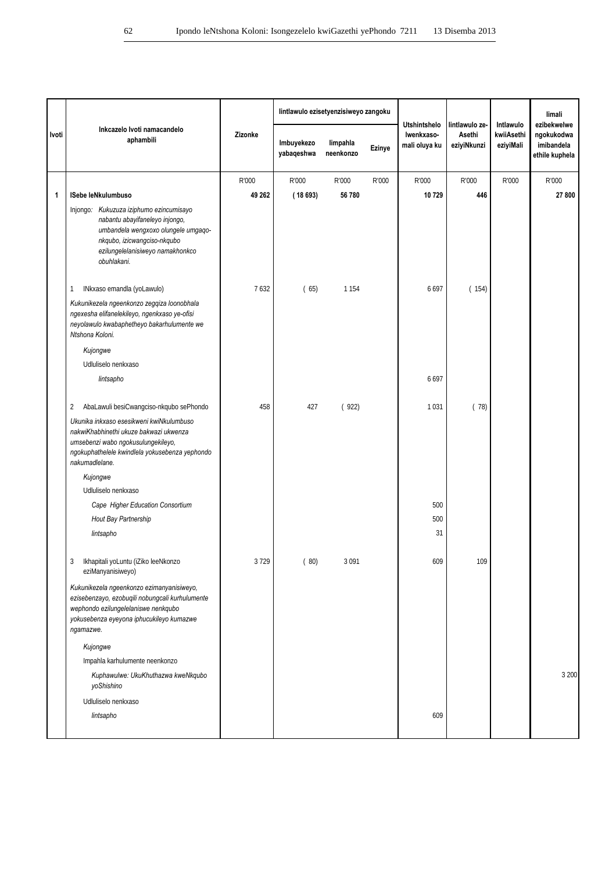|       |                                                                                                                                                                                                    |         | lintlawulo ezisetyenzisiweyo zangoku |                       |        |                                                    |                                         |                                      | limali                                                    |
|-------|----------------------------------------------------------------------------------------------------------------------------------------------------------------------------------------------------|---------|--------------------------------------|-----------------------|--------|----------------------------------------------------|-----------------------------------------|--------------------------------------|-----------------------------------------------------------|
| Ivoti | Inkcazelo Ivoti namacandelo<br>aphambili                                                                                                                                                           | Zizonke | Imbuyekezo<br>yabaqeshwa             | limpahla<br>neenkonzo | Ezinye | <b>Utshintshelo</b><br>Iwenkxaso-<br>mali oluya ku | lintlawulo ze-<br>Asethi<br>eziyiNkunzi | Intlawulo<br>kwiiAsethi<br>eziyiMali | ezibekwelwe<br>ngokukodwa<br>imibandela<br>ethile kuphela |
|       |                                                                                                                                                                                                    | R'000   | R'000                                | R'000                 | R'000  | R'000                                              | R'000                                   | R'000                                | R'000                                                     |
| 1     | ISebe leNkulumbuso                                                                                                                                                                                 | 49 262  | (18693)                              | 56 780                |        | 10 729                                             | 446                                     |                                      | 27 800                                                    |
|       | Injongo: Kukuzuza iziphumo ezincumisayo<br>nabantu abayifaneleyo injongo,<br>umbandela wengxoxo olungele umgaqo-<br>nkqubo, izicwangciso-nkqubo<br>ezilungelelanisiweyo namakhonkco<br>obuhlakani. |         |                                      |                       |        |                                                    |                                         |                                      |                                                           |
|       | INkxaso emandla (yoLawulo)<br>1                                                                                                                                                                    | 7632    | (65)                                 | 1 1 5 4               |        | 6697                                               | (154)                                   |                                      |                                                           |
|       | Kukunikezela ngeenkonzo zegqiza loonobhala<br>ngexesha elifanelekileyo, ngenkxaso ye-ofisi<br>neyolawulo kwabaphetheyo bakarhulumente we<br>Ntshona Koloni.                                        |         |                                      |                       |        |                                                    |                                         |                                      |                                                           |
|       | Kujongwe                                                                                                                                                                                           |         |                                      |                       |        |                                                    |                                         |                                      |                                                           |
|       | Udluliselo nenkxaso                                                                                                                                                                                |         |                                      |                       |        |                                                    |                                         |                                      |                                                           |
|       | lintsapho                                                                                                                                                                                          |         |                                      |                       |        | 6697                                               |                                         |                                      |                                                           |
|       | AbaLawuli besiCwangciso-nkqubo sePhondo<br>2                                                                                                                                                       | 458     | 427                                  | (922)                 |        | 1031                                               | (78)                                    |                                      |                                                           |
|       | Ukunika inkxaso esesikweni kwiNkulumbuso<br>nakwiKhabhinethi ukuze bakwazi ukwenza<br>umsebenzi wabo ngokusulungekileyo,<br>ngokuphathelele kwindlela yokusebenza yephondo<br>nakumadlelane.       |         |                                      |                       |        |                                                    |                                         |                                      |                                                           |
|       | Kujongwe                                                                                                                                                                                           |         |                                      |                       |        |                                                    |                                         |                                      |                                                           |
|       | Udluliselo nenkxaso                                                                                                                                                                                |         |                                      |                       |        |                                                    |                                         |                                      |                                                           |
|       | Cape Higher Education Consortium                                                                                                                                                                   |         |                                      |                       |        | 500                                                |                                         |                                      |                                                           |
|       | Hout Bay Partnership                                                                                                                                                                               |         |                                      |                       |        | 500                                                |                                         |                                      |                                                           |
|       | lintsapho                                                                                                                                                                                          |         |                                      |                       |        | 31                                                 |                                         |                                      |                                                           |
|       | 3<br>Ikhapitali yoLuntu (iZiko leeNkonzo<br>eziManyanisiweyo)                                                                                                                                      | 3729    | (80)                                 | 3091                  |        | 609                                                | 109                                     |                                      |                                                           |
|       | Kukunikezela ngeenkonzo ezimanyanisiweyo,<br>ezisebenzayo, ezobuqili nobungcali kurhulumente<br>wephondo ezilungelelaniswe nenkqubo<br>yokusebenza eyeyona iphucukileyo kumazwe<br>ngamazwe.       |         |                                      |                       |        |                                                    |                                         |                                      |                                                           |
|       | Kujongwe                                                                                                                                                                                           |         |                                      |                       |        |                                                    |                                         |                                      |                                                           |
|       | Impahla karhulumente neenkonzo                                                                                                                                                                     |         |                                      |                       |        |                                                    |                                         |                                      |                                                           |
|       | Kuphawulwe: UkuKhuthazwa kweNkqubo<br>yoShishino                                                                                                                                                   |         |                                      |                       |        |                                                    |                                         |                                      | 3 200                                                     |
|       | Udluliselo nenkxaso                                                                                                                                                                                |         |                                      |                       |        |                                                    |                                         |                                      |                                                           |
|       | lintsapho                                                                                                                                                                                          |         |                                      |                       |        | 609                                                |                                         |                                      |                                                           |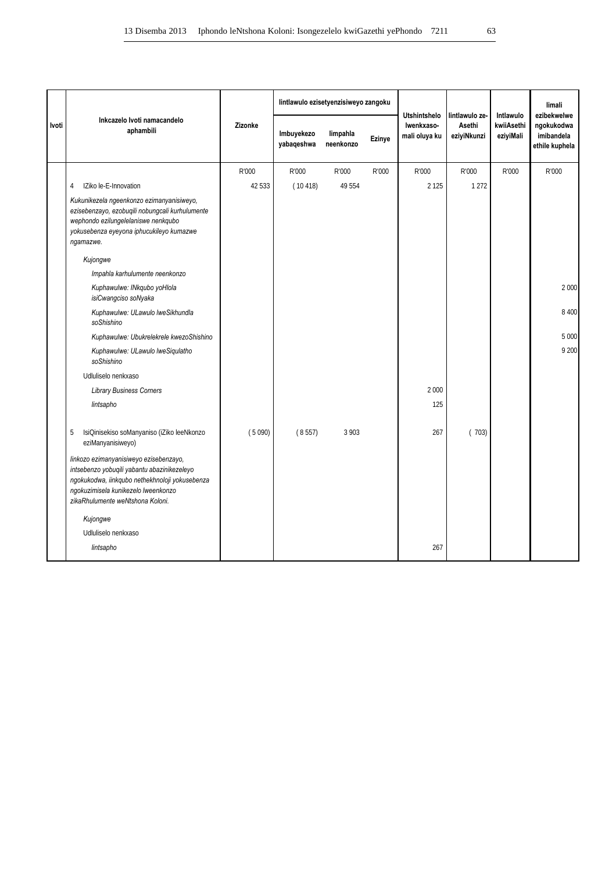|       |                                                                                                                                                                                                                    |         | lintlawulo ezisetyenzisiweyo zangoku |                       |        | <b>Utshintshelo</b>         | lintlawulo ze-        | Intlawulo               | limali<br>ezibekwelwe                      |
|-------|--------------------------------------------------------------------------------------------------------------------------------------------------------------------------------------------------------------------|---------|--------------------------------------|-----------------------|--------|-----------------------------|-----------------------|-------------------------|--------------------------------------------|
| Ivoti | Inkcazelo Ivoti namacandelo<br>aphambili                                                                                                                                                                           | Zizonke | Imbuyekezo<br>yabaqeshwa             | limpahla<br>neenkonzo | Ezinye | Iwenkxaso-<br>mali oluya ku | Asethi<br>eziyiNkunzi | kwiiAsethi<br>eziyiMali | ngokukodwa<br>imibandela<br>ethile kuphela |
|       |                                                                                                                                                                                                                    | R'000   | R'000                                | R'000                 | R'000  | R'000                       | R'000                 | R'000                   | R'000                                      |
|       | IZiko le-E-Innovation<br>4                                                                                                                                                                                         | 42 533  | (10418)                              | 49 554                |        | 2 1 2 5                     | 1 2 7 2               |                         |                                            |
|       | Kukunikezela ngeenkonzo ezimanyanisiweyo,<br>ezisebenzayo, ezobuqili nobungcali kurhulumente<br>wephondo ezilungelelaniswe nenkqubo<br>yokusebenza eyeyona iphucukileyo kumazwe<br>ngamazwe.                       |         |                                      |                       |        |                             |                       |                         |                                            |
|       | Kujongwe                                                                                                                                                                                                           |         |                                      |                       |        |                             |                       |                         |                                            |
|       | Impahla karhulumente neenkonzo                                                                                                                                                                                     |         |                                      |                       |        |                             |                       |                         |                                            |
|       | Kuphawulwe: INkqubo yoHlola<br>isiCwangciso soNyaka                                                                                                                                                                |         |                                      |                       |        |                             |                       |                         | 2 0 0 0                                    |
|       | Kuphawulwe: ULawulo lweSikhundla<br>soShishino                                                                                                                                                                     |         |                                      |                       |        |                             |                       |                         | 8 4 0 0                                    |
|       | Kuphawulwe: Ubukrelekrele kwezoShishino                                                                                                                                                                            |         |                                      |                       |        |                             |                       |                         | 5 0 0 0                                    |
|       | Kuphawulwe: ULawulo lweSiqulatho<br>soShishino                                                                                                                                                                     |         |                                      |                       |        |                             |                       |                         | 9 200                                      |
|       | Udluliselo nenkxaso                                                                                                                                                                                                |         |                                      |                       |        |                             |                       |                         |                                            |
|       | <b>Library Business Corners</b>                                                                                                                                                                                    |         |                                      |                       |        | 2 0 0 0                     |                       |                         |                                            |
|       | lintsapho                                                                                                                                                                                                          |         |                                      |                       |        | 125                         |                       |                         |                                            |
|       | IsiQinisekiso soManyaniso (iZiko leeNkonzo<br>5<br>eziManyanisiweyo)                                                                                                                                               | (5090)  | (8557)                               | 3 9 0 3               |        | 267                         | (703)                 |                         |                                            |
|       | linkozo ezimanyanisiweyo ezisebenzayo,<br>intsebenzo yobuqili yabantu abazinikezeleyo<br>ngokukodwa, iinkqubo nethekhnoloji yokusebenza<br>ngokuzimisela kunikezelo lweenkonzo<br>zikaRhulumente weNtshona Koloni. |         |                                      |                       |        |                             |                       |                         |                                            |
|       | Kujongwe                                                                                                                                                                                                           |         |                                      |                       |        |                             |                       |                         |                                            |
|       | Udluliselo nenkxaso                                                                                                                                                                                                |         |                                      |                       |        |                             |                       |                         |                                            |
|       | lintsapho                                                                                                                                                                                                          |         |                                      |                       |        | 267                         |                       |                         |                                            |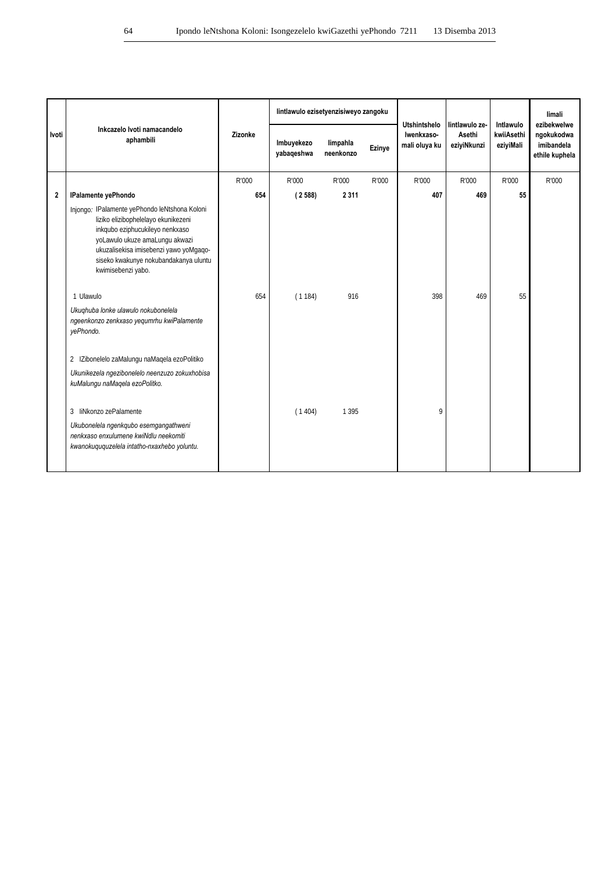|                |                                                                                                                                                                                                                                                                    |         |                          | lintlawulo ezisetyenzisiweyo zangoku |        |                                                    |                                         | Intlawulo               | limali<br>ezibekwelwe                      |
|----------------|--------------------------------------------------------------------------------------------------------------------------------------------------------------------------------------------------------------------------------------------------------------------|---------|--------------------------|--------------------------------------|--------|----------------------------------------------------|-----------------------------------------|-------------------------|--------------------------------------------|
| Ivoti          | Inkcazelo Ivoti namacandelo<br>aphambili                                                                                                                                                                                                                           | Zizonke | Imbuyekezo<br>yabaqeshwa | limpahla<br>neenkonzo                | Ezinye | <b>Utshintshelo</b><br>Iwenkxaso-<br>mali oluya ku | lintlawulo ze-<br>Asethi<br>eziyiNkunzi | kwiiAsethi<br>eziyiMali | ngokukodwa<br>imibandela<br>ethile kuphela |
|                |                                                                                                                                                                                                                                                                    | R'000   | R'000                    | R'000                                | R'000  | R'000                                              | R'000                                   | R'000                   | R'000                                      |
| $\overline{2}$ | <b>IPalamente yePhondo</b>                                                                                                                                                                                                                                         | 654     | (2588)                   | 2 3 1 1                              |        | 407                                                | 469                                     | 55                      |                                            |
|                | Injongo: IPalamente yePhondo leNtshona Koloni<br>liziko elizibophelelayo ekunikezeni<br>inkqubo eziphucukileyo nenkxaso<br>yoLawulo ukuze amaLungu akwazi<br>ukuzalisekisa imisebenzi yawo yoMqaqo-<br>siseko kwakunye nokubandakanya uluntu<br>kwimisebenzi yabo. |         |                          |                                      |        |                                                    |                                         |                         |                                            |
|                | 1 Ulawulo                                                                                                                                                                                                                                                          | 654     | (1184)                   | 916                                  |        | 398                                                | 469                                     | 55                      |                                            |
|                | Ukuqhuba lonke ulawulo nokubonelela<br>ngeenkonzo zenkxaso yequmrhu kwiPalamente<br>yePhondo.                                                                                                                                                                      |         |                          |                                      |        |                                                    |                                         |                         |                                            |
|                | 2 IZibonelelo zaMalungu naMagela ezoPolitiko                                                                                                                                                                                                                       |         |                          |                                      |        |                                                    |                                         |                         |                                            |
|                | Ukunikezela ngezibonelelo neenzuzo zokuxhobisa<br>kuMalungu naMaqela ezoPolitko.                                                                                                                                                                                   |         |                          |                                      |        |                                                    |                                         |                         |                                            |
|                | 3 liNkonzo zePalamente                                                                                                                                                                                                                                             |         | (1404)                   | 1 3 9 5                              |        | 9                                                  |                                         |                         |                                            |
|                | Ukubonelela ngenkqubo esemgangathweni<br>nenkxaso enxulumene kwiNdlu neekomiti<br>kwanokuququzelela intatho-nxaxhebo yoluntu.                                                                                                                                      |         |                          |                                      |        |                                                    |                                         |                         |                                            |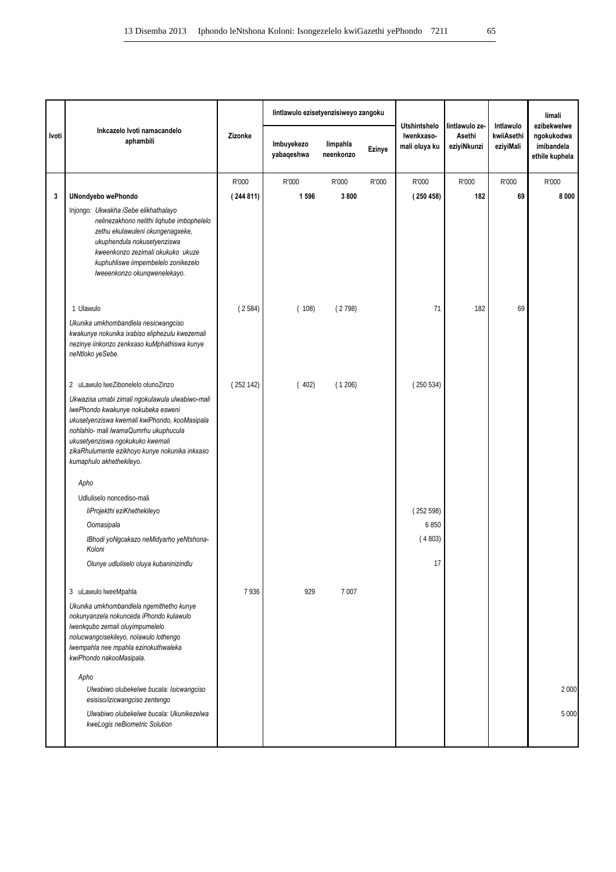|       |                                                                                                                                                                                                                                                                                                   |          | lintlawulo ezisetyenzisiweyo zangoku |                       |        | <b>Utshintshelo</b>         | lintlawulo ze-        | Intlawulo               | limali<br>ezibekwelwe                      |
|-------|---------------------------------------------------------------------------------------------------------------------------------------------------------------------------------------------------------------------------------------------------------------------------------------------------|----------|--------------------------------------|-----------------------|--------|-----------------------------|-----------------------|-------------------------|--------------------------------------------|
| Ivoti | Inkcazelo Ivoti namacandelo<br>aphambili                                                                                                                                                                                                                                                          | Zizonke  | Imbuyekezo<br>yabaqeshwa             | limpahla<br>neenkonzo | Ezinye | Iwenkxaso-<br>mali oluya ku | Asethi<br>eziyiNkunzi | kwiiAsethi<br>eziyiMali | ngokukodwa<br>imibandela<br>ethile kuphela |
|       |                                                                                                                                                                                                                                                                                                   | R'000    | R'000                                | R'000                 | R'000  | R'000                       | R'000                 | R'000                   | R'000                                      |
| 3     | <b>UNondyebo wePhondo</b>                                                                                                                                                                                                                                                                         | (244811) | 1596                                 | 3800                  |        | (250458)                    | 182                   | 69                      | 8000                                       |
|       | Injongo: Ukwakha iSebe elikhathalayo<br>nelinezakhono nelithi liqhube imbophelelo<br>zethu ekulawuleni okungenagxeke,<br>ukuphendula nokusetyenziswa<br>kweenkonzo zezimali okukuko ukuze<br>kuphuhliswe iimpembelelo zonikezelo<br>lweeenkonzo okunqwenelekayo.                                  |          |                                      |                       |        |                             |                       |                         |                                            |
|       | 1 Ulawulo                                                                                                                                                                                                                                                                                         | (2584)   | (108)                                | (2798)                |        | 71                          | 182                   | 69                      |                                            |
|       | Ukunika umkhombandlela nesicwangciso<br>kwakunye nokunika ixabiso eliphezulu kwezemali<br>nezinye iinkonzo zenkxaso kuMphathiswa kunye<br>neNtloko yeSebe.                                                                                                                                        |          |                                      |                       |        |                             |                       |                         |                                            |
|       | 2 uLawulo lweZibonelelo olunoZinzo                                                                                                                                                                                                                                                                | (252142) | (402)                                | (1206)                |        | (250534)                    |                       |                         |                                            |
|       | Ukwazisa umabi zimali ngokulawula ulwabiwo-mali<br>IwePhondo kwakunye nokubeka esweni<br>ukusetyenziswa kwemali kwiPhondo, kooMasipala<br>nohlahlo- mali lwamaQumrhu ukuphucula<br>ukusetyenziswa ngokukuko kwemali<br>zikaRhulumente ezikhoyo kunye nokunika inkxaso<br>kumaphulo akhethekileyo. |          |                                      |                       |        |                             |                       |                         |                                            |
|       | Apho                                                                                                                                                                                                                                                                                              |          |                                      |                       |        |                             |                       |                         |                                            |
|       | Udluliselo noncediso-mali                                                                                                                                                                                                                                                                         |          |                                      |                       |        |                             |                       |                         |                                            |
|       | liProjekthi eziKhethekileyo                                                                                                                                                                                                                                                                       |          |                                      |                       |        | (252598)                    |                       |                         |                                            |
|       | Oomasipala                                                                                                                                                                                                                                                                                        |          |                                      |                       |        | 6850                        |                       |                         |                                            |
|       | IBhodi yoNgcakazo neMidyarho yeNtshona-<br>Koloni                                                                                                                                                                                                                                                 |          |                                      |                       |        | (4803)                      |                       |                         |                                            |
|       | Olunye udluliselo oluya kubaninizindlu                                                                                                                                                                                                                                                            |          |                                      |                       |        | 17                          |                       |                         |                                            |
|       | 3 uLawulo lweeMpahla                                                                                                                                                                                                                                                                              | 7936     | 929                                  | 7007                  |        |                             |                       |                         |                                            |
|       | Ukunika umkhombandlela ngemithetho kunye<br>nokunyanzela nokunceda iPhondo kulawulo<br>Iwenkqubo zemali oluyimpumelelo<br>nolucwangcisekileyo, nolawulo lothengo<br>Iwempahla nee mpahla ezinokuthwaleka<br>kwiPhondo nakooMasipala.                                                              |          |                                      |                       |        |                             |                       |                         |                                            |
|       | Apho                                                                                                                                                                                                                                                                                              |          |                                      |                       |        |                             |                       |                         |                                            |
|       | Ulwabiwo olubekelwe bucala: Isicwangciso<br>esisiso/izicwangciso zentengo                                                                                                                                                                                                                         |          |                                      |                       |        |                             |                       |                         | 2 000                                      |
|       | Ulwabiwo olubekelwe bucala: Ukunikezelwa<br>kweLogis neBiometric Solution                                                                                                                                                                                                                         |          |                                      |                       |        |                             |                       |                         | 5 000                                      |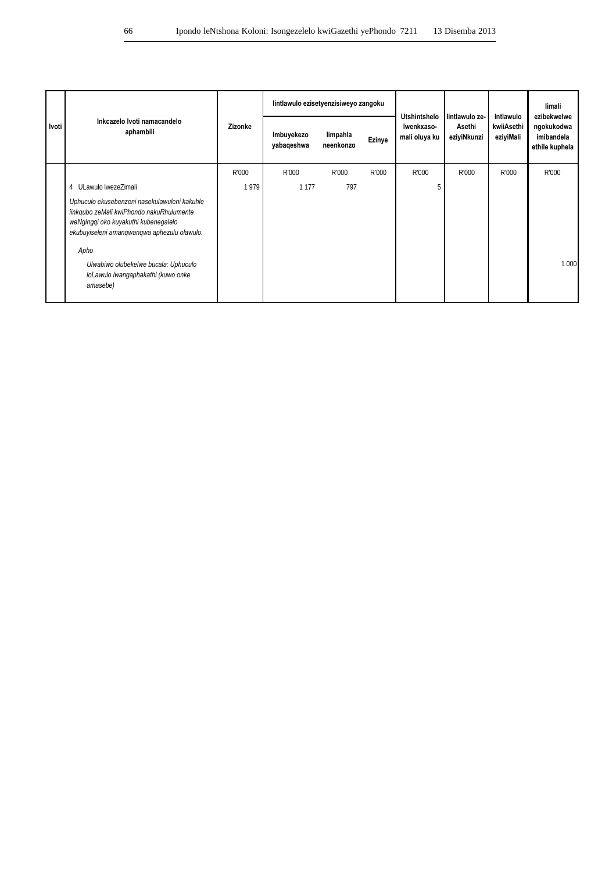|         | Inkcazelo Ivoti namacandelo<br>aphambili                                                                                                                                                                                        |         | lintlawulo ezisetyenzisiweyo zangoku |                       |        | Utshintshelo                | l lintlawulo ze-      | Intlawulo               | limali<br>ezibekwelwe                      |
|---------|---------------------------------------------------------------------------------------------------------------------------------------------------------------------------------------------------------------------------------|---------|--------------------------------------|-----------------------|--------|-----------------------------|-----------------------|-------------------------|--------------------------------------------|
| l Ivoti |                                                                                                                                                                                                                                 | Zizonke | Imbuyekezo<br>yabaqeshwa             | limpahla<br>neenkonzo | Ezinye | Iwenkxaso-<br>mali oluya ku | Asethi<br>eziyiNkunzi | kwiiAsethi<br>eziyiMali | ngokukodwa<br>imibandela<br>ethile kuphela |
|         |                                                                                                                                                                                                                                 | R'000   | R'000                                | R'000                 | R'000  | R'000                       | R'000                 | R'000                   | R'000                                      |
|         | 4 ULawulo lwezeZimali                                                                                                                                                                                                           | 1979    | 1 1 7 7                              | 797                   |        | 5                           |                       |                         |                                            |
|         | Uphuculo ekusebenzeni nasekulawuleni kakuhle<br>iinkqubo zeMali kwiPhondo nakuRhulumente<br>weNgingqi oko kuyakuthi kubenegalelo<br>ekubuyiseleni amangwangwa aphezulu olawulo.<br>Apho<br>Ulwabiwo olubekelwe bucala: Uphuculo |         |                                      |                       |        |                             |                       |                         | 1 0 0 0                                    |
|         | loLawulo lwangaphakathi (kuwo onke<br>amasebe)                                                                                                                                                                                  |         |                                      |                       |        |                             |                       |                         |                                            |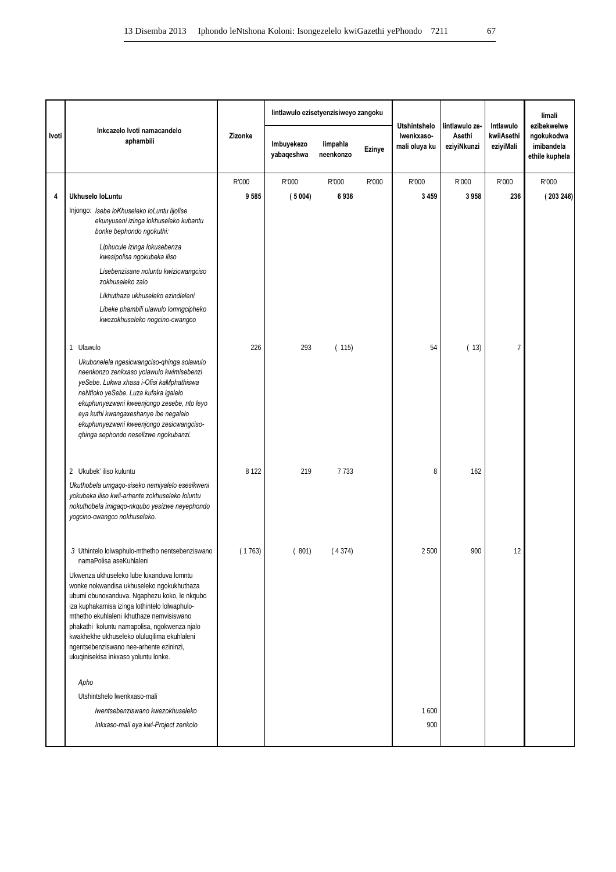|       |                                                                                                                                                                                                                                                                                                                                                                                                                       |         | lintlawulo ezisetyenzisiweyo zangoku |                       |        | <b>Utshintshelo</b><br>lintlawulo ze- |                       | Intlawulo               | limali<br>ezibekwelwe                      |
|-------|-----------------------------------------------------------------------------------------------------------------------------------------------------------------------------------------------------------------------------------------------------------------------------------------------------------------------------------------------------------------------------------------------------------------------|---------|--------------------------------------|-----------------------|--------|---------------------------------------|-----------------------|-------------------------|--------------------------------------------|
| Ivoti | Inkcazelo Ivoti namacandelo<br>aphambili                                                                                                                                                                                                                                                                                                                                                                              | Zizonke | Imbuyekezo<br>yabaqeshwa             | limpahla<br>neenkonzo | Ezinye | Iwenkxaso-<br>mali oluya ku           | Asethi<br>eziyiNkunzi | kwiiAsethi<br>eziyiMali | ngokukodwa<br>imibandela<br>ethile kuphela |
|       |                                                                                                                                                                                                                                                                                                                                                                                                                       | R'000   | R'000                                | R'000                 | R'000  | R'000                                 | R'000                 | R'000                   | R'000                                      |
| 4     | Ukhuselo loLuntu                                                                                                                                                                                                                                                                                                                                                                                                      | 9585    | (5004)                               | 6936                  |        | 3 4 5 9                               | 3958                  | 236                     | (203246)                                   |
|       | Injongo: Isebe loKhuseleko loLuntu lijolise<br>ekunyuseni izinga lokhuseleko kubantu<br>bonke bephondo ngokuthi:                                                                                                                                                                                                                                                                                                      |         |                                      |                       |        |                                       |                       |                         |                                            |
|       | Liphucule izinga lokusebenza<br>kwesipolisa ngokubeka iliso                                                                                                                                                                                                                                                                                                                                                           |         |                                      |                       |        |                                       |                       |                         |                                            |
|       | Lisebenzisane noluntu kwizicwangciso<br>zokhuseleko zalo                                                                                                                                                                                                                                                                                                                                                              |         |                                      |                       |        |                                       |                       |                         |                                            |
|       | Likhuthaze ukhuseleko ezindleleni                                                                                                                                                                                                                                                                                                                                                                                     |         |                                      |                       |        |                                       |                       |                         |                                            |
|       | Libeke phambili ulawulo lomngcipheko<br>kwezokhuseleko nogcino-cwangco                                                                                                                                                                                                                                                                                                                                                |         |                                      |                       |        |                                       |                       |                         |                                            |
|       | 1 Ulawulo                                                                                                                                                                                                                                                                                                                                                                                                             | 226     | 293                                  | (115)                 |        | 54                                    | (13)                  | $\overline{7}$          |                                            |
|       | Ukubonelela ngesicwangciso-qhinga solawulo<br>neenkonzo zenkxaso yolawulo kwimisebenzi<br>yeSebe. Lukwa xhasa i-Ofisi kaMphathiswa<br>neNtloko yeSebe. Luza kufaka igalelo<br>ekuphunyezweni kweenjongo zesebe, nto leyo<br>eya kuthi kwangaxeshanye ibe negalelo<br>ekuphunyezweni kweenjongo zesicwangciso-<br>qhinga sephondo neselizwe ngokubanzi.                                                                |         |                                      |                       |        |                                       |                       |                         |                                            |
|       | 2 Ukubek' iliso kuluntu                                                                                                                                                                                                                                                                                                                                                                                               | 8 1 2 2 | 219                                  | 7733                  |        | 8                                     | 162                   |                         |                                            |
|       | Ukuthobela umgaqo-siseko nemiyalelo esesikweni<br>yokubeka iliso kwii-arhente zokhuseleko loluntu<br>nokuthobela imigago-nkgubo yesizwe neyephondo<br>yogcino-cwangco nokhuseleko.                                                                                                                                                                                                                                    |         |                                      |                       |        |                                       |                       |                         |                                            |
|       | 3 Uthintelo lolwaphulo-mthetho nentsebenziswano<br>namaPolisa aseKuhlaleni                                                                                                                                                                                                                                                                                                                                            | (1763)  | (801)                                | (4374)                |        | 2 5 0 0                               | 900                   | 12                      |                                            |
|       | Ukwenza ukhuseleko lube luxanduva lomntu<br>wonke nokwandisa ukhuseleko ngokukhuthaza<br>ubumi obunoxanduva. Ngaphezu koko, le nkqubo<br>iza kuphakamisa izinga lothintelo lolwaphulo-<br>mthetho ekuhlaleni ikhuthaze nemvisiswano<br>phakathi koluntu namapolisa, ngokwenza njalo<br>kwakhekhe ukhuseleko oluluqilima ekuhlaleni<br>ngentsebenziswano nee-arhente ezininzi,<br>ukuqinisekisa inkxaso yoluntu lonke. |         |                                      |                       |        |                                       |                       |                         |                                            |
|       | Apho                                                                                                                                                                                                                                                                                                                                                                                                                  |         |                                      |                       |        |                                       |                       |                         |                                            |
|       | Utshintshelo lwenkxaso-mali                                                                                                                                                                                                                                                                                                                                                                                           |         |                                      |                       |        |                                       |                       |                         |                                            |
|       | Iwentsebenziswano kwezokhuseleko                                                                                                                                                                                                                                                                                                                                                                                      |         |                                      |                       |        | 1600                                  |                       |                         |                                            |
|       | Inkxaso-mali eya kwi-Project zenkolo                                                                                                                                                                                                                                                                                                                                                                                  |         |                                      |                       |        | 900                                   |                       |                         |                                            |
|       |                                                                                                                                                                                                                                                                                                                                                                                                                       |         |                                      |                       |        |                                       |                       |                         |                                            |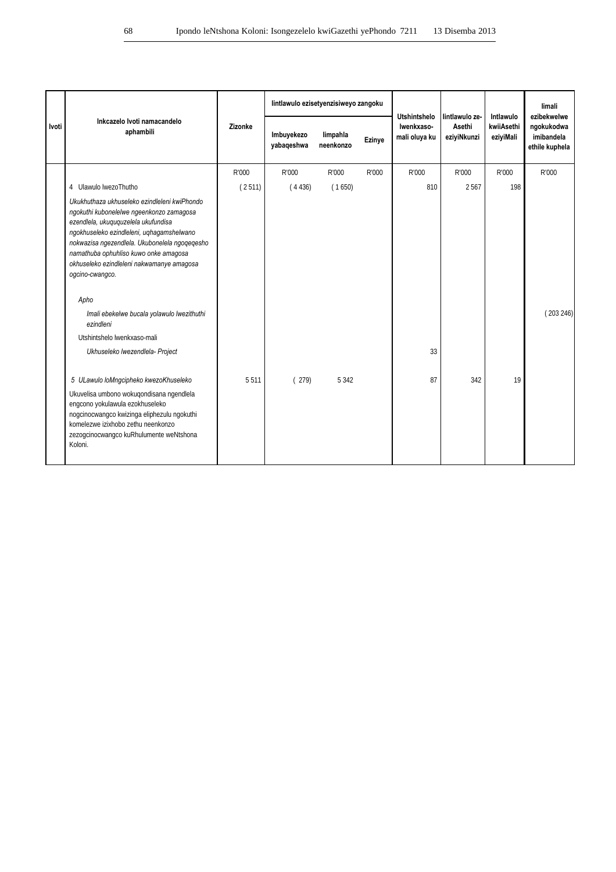|       |                                                                                                                                                                                                                                                                                                                                        |         |                          | lintlawulo ezisetyenzisiweyo zangoku |        |                                                    | l lintlawulo ze-      | Intlawulo               | limali<br>ezibekwelwe                      |
|-------|----------------------------------------------------------------------------------------------------------------------------------------------------------------------------------------------------------------------------------------------------------------------------------------------------------------------------------------|---------|--------------------------|--------------------------------------|--------|----------------------------------------------------|-----------------------|-------------------------|--------------------------------------------|
| Ivoti | Inkcazelo Ivoti namacandelo<br>aphambili                                                                                                                                                                                                                                                                                               | Zizonke | Imbuyekezo<br>yabaqeshwa | limpahla<br>neenkonzo                | Ezinye | <b>Utshintshelo</b><br>Iwenkxaso-<br>mali oluya ku | Asethi<br>eziyiNkunzi | kwiiAsethi<br>eziyiMali | ngokukodwa<br>imibandela<br>ethile kuphela |
|       |                                                                                                                                                                                                                                                                                                                                        | R'000   | R'000                    | R'000                                | R'000  | R'000                                              | R'000                 | R'000                   | R'000                                      |
|       | 4 Ulawulo lwezoThutho                                                                                                                                                                                                                                                                                                                  | (2511)  | (4436)                   | (1650)                               |        | 810                                                | 2567                  | 198                     |                                            |
|       | Ukukhuthaza ukhuseleko ezindleleni kwiPhondo<br>ngokuthi kubonelelwe ngeenkonzo zamagosa<br>ezendlela, ukuguguzelela ukufundisa<br>ngokhuseleko ezindleleni, uqhagamshelwano<br>nokwazisa ngezendlela. Ukubonelela ngoqeqesho<br>namathuba ophuhliso kuwo onke amagosa<br>okhuseleko ezindleleni nakwamanye amagosa<br>ogcino-cwangco. |         |                          |                                      |        |                                                    |                       |                         |                                            |
|       | Apho<br>Imali ebekelwe bucala yolawulo lwezithuthi<br>ezindleni                                                                                                                                                                                                                                                                        |         |                          |                                      |        |                                                    |                       |                         | (203246)                                   |
|       | Utshintshelo lwenkxaso-mali                                                                                                                                                                                                                                                                                                            |         |                          |                                      |        |                                                    |                       |                         |                                            |
|       | Ukhuseleko lwezendlela- Project                                                                                                                                                                                                                                                                                                        |         |                          |                                      |        | 33                                                 |                       |                         |                                            |
|       | 5 ULawulo loMngcipheko kwezoKhuseleko                                                                                                                                                                                                                                                                                                  | 5511    | (279)                    | 5 3 4 2                              |        | 87                                                 | 342                   | 19                      |                                            |
|       | Ukuvelisa umbono wokuqondisana ngendlela<br>engcono yokulawula ezokhuseleko<br>nogcinocwangco kwizinga eliphezulu ngokuthi<br>komelezwe izixhobo zethu neenkonzo<br>zezogcinocwangco kuRhulumente weNtshona<br>Koloni.                                                                                                                 |         |                          |                                      |        |                                                    |                       |                         |                                            |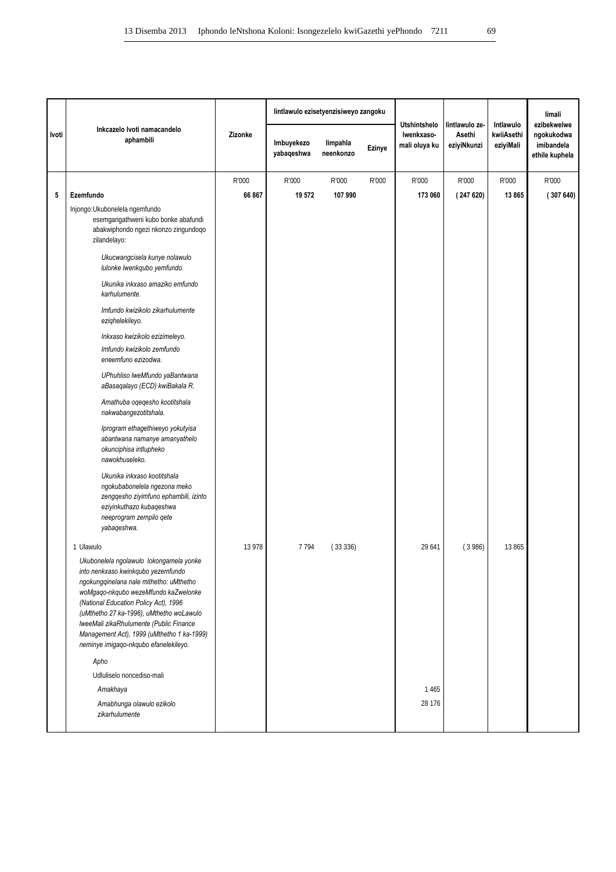|       |                                                                                                                                                                                                                                                                                                                                                                                         |         | lintlawulo ezisetyenzisiweyo zangoku |                       |        | <b>Utshintshelo</b>         | lintlawulo ze-        | Intlawulo               | limali<br>ezibekwelwe                      |
|-------|-----------------------------------------------------------------------------------------------------------------------------------------------------------------------------------------------------------------------------------------------------------------------------------------------------------------------------------------------------------------------------------------|---------|--------------------------------------|-----------------------|--------|-----------------------------|-----------------------|-------------------------|--------------------------------------------|
| Ivoti | Inkcazelo Ivoti namacandelo<br>aphambili                                                                                                                                                                                                                                                                                                                                                | Zizonke | Imbuyekezo<br>yabaqeshwa             | limpahla<br>neenkonzo | Ezinye | Iwenkxaso-<br>mali oluya ku | Asethi<br>eziyiNkunzi | kwiiAsethi<br>eziyiMali | ngokukodwa<br>imibandela<br>ethile kuphela |
|       |                                                                                                                                                                                                                                                                                                                                                                                         | R'000   | R'000                                | R'000                 | R'000  | R'000                       | R'000                 | R'000                   | R'000                                      |
| 5     | Ezemfundo                                                                                                                                                                                                                                                                                                                                                                               | 66 867  | 19 572                               | 107 990               |        | 173 060                     | (247620)              | 13 865                  | (307640)                                   |
|       | Injongo: Ukubonelela ngemfundo<br>esemgangathweni kubo bonke abafundi<br>abakwiphondo ngezi nkonzo zingundoqo<br>zilandelayo:                                                                                                                                                                                                                                                           |         |                                      |                       |        |                             |                       |                         |                                            |
|       | Ukucwangcisela kunye nolawulo<br>lulonke lwenkqubo yemfundo.                                                                                                                                                                                                                                                                                                                            |         |                                      |                       |        |                             |                       |                         |                                            |
|       | Ukunika inkxaso amaziko emfundo<br>karhulumente.                                                                                                                                                                                                                                                                                                                                        |         |                                      |                       |        |                             |                       |                         |                                            |
|       | Imfundo kwizikolo zikarhulumente<br>ezighelekileyo.                                                                                                                                                                                                                                                                                                                                     |         |                                      |                       |        |                             |                       |                         |                                            |
|       | Inkxaso kwizikolo ezizimeleyo.                                                                                                                                                                                                                                                                                                                                                          |         |                                      |                       |        |                             |                       |                         |                                            |
|       | Imfundo kwizikolo zemfundo<br>eneemfuno ezizodwa.                                                                                                                                                                                                                                                                                                                                       |         |                                      |                       |        |                             |                       |                         |                                            |
|       | UPhuhliso lweMfundo yaBantwana<br>aBasaqalayo (ECD) kwiBakala R.                                                                                                                                                                                                                                                                                                                        |         |                                      |                       |        |                             |                       |                         |                                            |
|       | Amathuba oqeqesho kootitshala<br>nakwabangezotitshala.                                                                                                                                                                                                                                                                                                                                  |         |                                      |                       |        |                             |                       |                         |                                            |
|       | Iprogram ethagethiweyo yokutyisa<br>abantwana namanye amanyathelo<br>okunciphisa intlupheko<br>nawokhuseleko.                                                                                                                                                                                                                                                                           |         |                                      |                       |        |                             |                       |                         |                                            |
|       | Ukunika inkxaso kootitshala<br>ngokubabonelela ngezona meko<br>zengqesho ziyimfuno ephambili, izinto<br>eziyinkuthazo kubaqeshwa<br>neeprogram zempilo qete<br>yabaqeshwa.                                                                                                                                                                                                              |         |                                      |                       |        |                             |                       |                         |                                            |
|       | 1 Ulawulo                                                                                                                                                                                                                                                                                                                                                                               | 13 978  | 7794                                 | (33336)               |        | 29 641                      | (3986)                | 13 865                  |                                            |
|       | Ukubonelela ngolawulo lokongamela yonke<br>into nenkxaso kwinkqubo yezemfundo<br>ngokungqinelana nale mithetho: uMthetho<br>woMgaqo-nkqubo wezeMfundo kaZwelonke<br>(National Education Policy Act), 1996<br>(uMthetho 27 ka-1996), uMthetho woLawulo<br>IweeMali zikaRhulumente (Public Finance<br>Management Act), 1999 (uMthetho 1 ka-1999)<br>neminye imigaqo-nkqubo efanelekileyo. |         |                                      |                       |        |                             |                       |                         |                                            |
|       | Apho                                                                                                                                                                                                                                                                                                                                                                                    |         |                                      |                       |        |                             |                       |                         |                                            |
|       | Udluliselo noncediso-mali                                                                                                                                                                                                                                                                                                                                                               |         |                                      |                       |        |                             |                       |                         |                                            |
|       | Amakhaya                                                                                                                                                                                                                                                                                                                                                                                |         |                                      |                       |        | 1465                        |                       |                         |                                            |
|       | Amabhunga olawulo ezikolo<br>zikarhulumente                                                                                                                                                                                                                                                                                                                                             |         |                                      |                       |        | 28 176                      |                       |                         |                                            |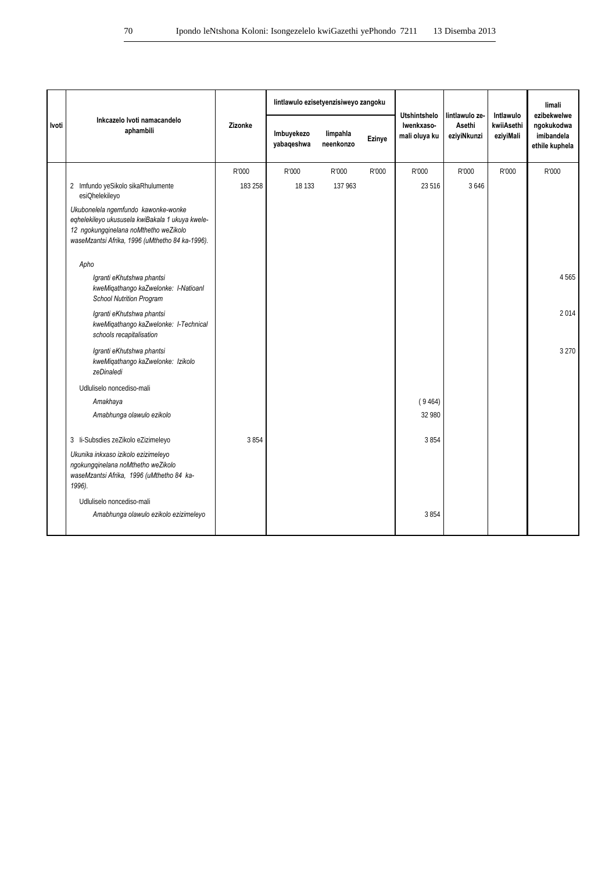|       |                                                                                                                                                                                    |         | lintlawulo ezisetyenzisiweyo zangoku |                       |        | <b>Utshintshelo</b>         | lintlawulo ze-        | Intlawulo               | limali<br>ezibekwelwe                      |
|-------|------------------------------------------------------------------------------------------------------------------------------------------------------------------------------------|---------|--------------------------------------|-----------------------|--------|-----------------------------|-----------------------|-------------------------|--------------------------------------------|
| Ivoti | Inkcazelo Ivoti namacandelo<br>aphambili                                                                                                                                           | Zizonke | Imbuyekezo<br>yabaqeshwa             | limpahla<br>neenkonzo | Ezinye | Iwenkxaso-<br>mali oluya ku | Asethi<br>eziyiNkunzi | kwiiAsethi<br>eziyiMali | ngokukodwa<br>imibandela<br>ethile kuphela |
|       |                                                                                                                                                                                    | R'000   | R'000                                | R'000                 | R'000  | R'000                       | R'000                 | R'000                   | R'000                                      |
|       | 2 Imfundo yeSikolo sikaRhulumente<br>esiQhelekileyo                                                                                                                                | 183 258 | 18 133                               | 137 963               |        | 23 5 16                     | 3646                  |                         |                                            |
|       | Ukubonelela ngemfundo kawonke-wonke<br>eqhelekileyo ukususela kwiBakala 1 ukuya kwele-<br>12 ngokungqinelana noMthetho weZikolo<br>waseMzantsi Afrika, 1996 (uMthetho 84 ka-1996). |         |                                      |                       |        |                             |                       |                         |                                            |
|       | Apho                                                                                                                                                                               |         |                                      |                       |        |                             |                       |                         |                                            |
|       | Igranti eKhutshwa phantsi<br>kweMiqathango kaZwelonke: I-Natioanl<br><b>School Nutrition Program</b>                                                                               |         |                                      |                       |        |                             |                       |                         | 4565                                       |
|       | Igranti eKhutshwa phantsi<br>kweMigathango kaZwelonke: I-Technical<br>schools recapitalisation                                                                                     |         |                                      |                       |        |                             |                       |                         | 2014                                       |
|       | Igranti eKhutshwa phantsi<br>kweMiqathango kaZwelonke: Izikolo<br>zeDinaledi                                                                                                       |         |                                      |                       |        |                             |                       |                         | 3 2 7 0                                    |
|       | Udluliselo noncediso-mali                                                                                                                                                          |         |                                      |                       |        |                             |                       |                         |                                            |
|       | Amakhaya                                                                                                                                                                           |         |                                      |                       |        | (9464)                      |                       |                         |                                            |
|       | Amabhunga olawulo ezikolo                                                                                                                                                          |         |                                      |                       |        | 32 980                      |                       |                         |                                            |
|       | 3 li-Subsdies zeZikolo eZizimeleyo                                                                                                                                                 | 3854    |                                      |                       |        | 3854                        |                       |                         |                                            |
|       | Ukunika inkxaso izikolo ezizimeleyo<br>ngokungqinelana noMthetho weZikolo<br>waseMzantsi Afrika, 1996 (uMthetho 84 ka-<br>1996).                                                   |         |                                      |                       |        |                             |                       |                         |                                            |
|       | Udluliselo noncediso-mali                                                                                                                                                          |         |                                      |                       |        |                             |                       |                         |                                            |
|       | Amabhunga olawulo ezikolo ezizimeleyo                                                                                                                                              |         |                                      |                       |        | 3854                        |                       |                         |                                            |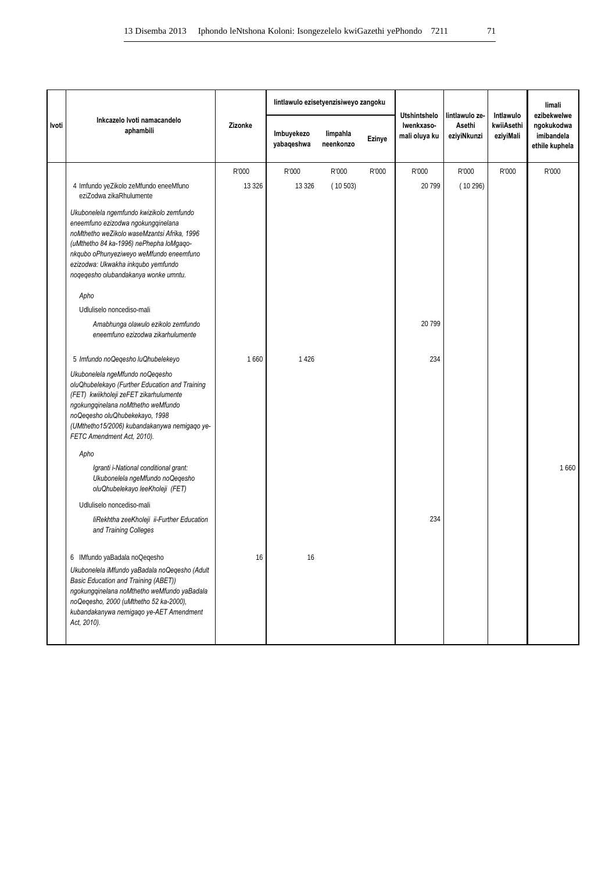|       |                                                                                                                                                                                                                                                                                                   |         | lintlawulo ezisetyenzisiweyo zangoku |                       |        |                                                    |                                         | Intlawulo               | limali                                                    |
|-------|---------------------------------------------------------------------------------------------------------------------------------------------------------------------------------------------------------------------------------------------------------------------------------------------------|---------|--------------------------------------|-----------------------|--------|----------------------------------------------------|-----------------------------------------|-------------------------|-----------------------------------------------------------|
| Ivoti | Inkcazelo Ivoti namacandelo<br>aphambili                                                                                                                                                                                                                                                          | Zizonke | Imbuyekezo<br>yabaqeshwa             | limpahla<br>neenkonzo | Ezinye | <b>Utshintshelo</b><br>Iwenkxaso-<br>mali oluya ku | lintlawulo ze-<br>Asethi<br>eziyiNkunzi | kwiiAsethi<br>eziyiMali | ezibekwelwe<br>ngokukodwa<br>imibandela<br>ethile kuphela |
|       |                                                                                                                                                                                                                                                                                                   | R'000   | R'000                                | R'000                 | R'000  | R'000                                              | R'000                                   | R'000                   | R'000                                                     |
|       | 4 Imfundo yeZikolo zeMfundo eneeMfuno<br>eziZodwa zikaRhulumente                                                                                                                                                                                                                                  | 13 3 26 | 13 3 26                              | (10503)               |        | 20 799                                             | (10296)                                 |                         |                                                           |
|       | Ukubonelela ngemfundo kwizikolo zemfundo<br>eneemfuno ezizodwa ngokungqinelana<br>noMthetho weZikolo waseMzantsi Afrika, 1996<br>(uMthetho 84 ka-1996) nePhepha loMgaqo-<br>nkqubo oPhunyeziweyo weMfundo eneemfuno<br>ezizodwa: Ukwakha inkqubo yemfundo<br>noqeqesho olubandakanya wonke umntu. |         |                                      |                       |        |                                                    |                                         |                         |                                                           |
|       | Apho                                                                                                                                                                                                                                                                                              |         |                                      |                       |        |                                                    |                                         |                         |                                                           |
|       | Udluliselo noncediso-mali                                                                                                                                                                                                                                                                         |         |                                      |                       |        |                                                    |                                         |                         |                                                           |
|       | Amabhunga olawulo ezikolo zemfundo<br>eneemfuno ezizodwa zikarhulumente                                                                                                                                                                                                                           |         |                                      |                       |        | 20 799                                             |                                         |                         |                                                           |
|       | 5 Imfundo noQeqesho luQhubelekeyo                                                                                                                                                                                                                                                                 | 1660    | 1426                                 |                       |        | 234                                                |                                         |                         |                                                           |
|       | Ukubonelela ngeMfundo noQeqesho<br>oluQhubelekayo (Further Education and Training<br>(FET) kwiikholeji zeFET zikarhulumente<br>ngokungqinelana noMthetho weMfundo<br>noQegesho oluQhubekekayo, 1998<br>(UMthetho15/2006) kubandakanywa nemigaqo ye-<br>FETC Amendment Act, 2010).                 |         |                                      |                       |        |                                                    |                                         |                         |                                                           |
|       | Apho                                                                                                                                                                                                                                                                                              |         |                                      |                       |        |                                                    |                                         |                         |                                                           |
|       | Igranti i-National conditional grant:<br>Ukubonelela ngeMfundo noQeqesho<br>oluQhubelekayo leeKholeji (FET)                                                                                                                                                                                       |         |                                      |                       |        |                                                    |                                         |                         | 1660                                                      |
|       | Udluliselo noncediso-mali                                                                                                                                                                                                                                                                         |         |                                      |                       |        |                                                    |                                         |                         |                                                           |
|       | liRekhtha zeeKholeji ii-Further Education<br>and Training Colleges                                                                                                                                                                                                                                |         |                                      |                       |        | 234                                                |                                         |                         |                                                           |
|       | 6 IMfundo yaBadala noQeqesho<br>Ukubonelela iMfundo yaBadala noQeqesho (Adult<br>Basic Education and Training (ABET))<br>ngokungqinelana noMthetho weMfundo yaBadala<br>noQeqesho, 2000 (uMthetho 52 ka-2000),<br>kubandakanywa nemigaqo ye-AET Amendment<br>Act, 2010).                          | 16      | 16                                   |                       |        |                                                    |                                         |                         |                                                           |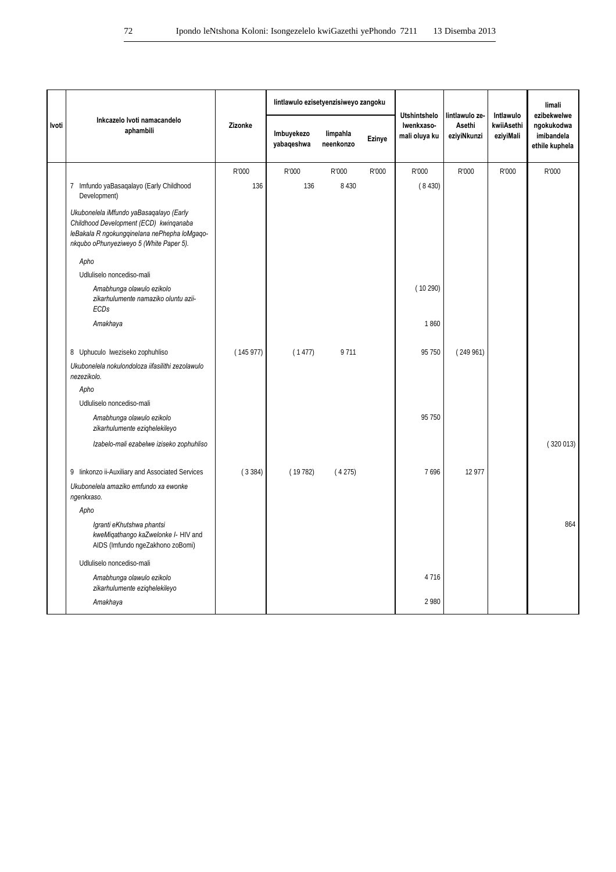|       |                                                                                                                                                                              |          | lintlawulo ezisetyenzisiweyo zangoku |                       |        |                                                    | lintlawulo ze-        |                                      | limali                                                    |
|-------|------------------------------------------------------------------------------------------------------------------------------------------------------------------------------|----------|--------------------------------------|-----------------------|--------|----------------------------------------------------|-----------------------|--------------------------------------|-----------------------------------------------------------|
| Ivoti | Inkcazelo Ivoti namacandelo<br>aphambili                                                                                                                                     | Zizonke  | Imbuyekezo<br>yabaqeshwa             | limpahla<br>neenkonzo | Ezinye | <b>Utshintshelo</b><br>Iwenkxaso-<br>mali oluya ku | Asethi<br>eziyiNkunzi | Intlawulo<br>kwiiAsethi<br>eziyiMali | ezibekwelwe<br>ngokukodwa<br>imibandela<br>ethile kuphela |
|       |                                                                                                                                                                              | R'000    | R'000                                | R'000                 | R'000  | R'000                                              | R'000                 | R'000                                | R'000                                                     |
|       | 7 Imfundo yaBasaqalayo (Early Childhood<br>Development)                                                                                                                      | 136      | 136                                  | 8 4 3 0               |        | (8430)                                             |                       |                                      |                                                           |
|       | Ukubonelela iMfundo yaBasagalayo (Early<br>Childhood Development (ECD) kwinqanaba<br>leBakala R ngokungqinelana nePhepha loMgaqo-<br>nkqubo oPhunyeziweyo 5 (White Paper 5). |          |                                      |                       |        |                                                    |                       |                                      |                                                           |
|       | Apho                                                                                                                                                                         |          |                                      |                       |        |                                                    |                       |                                      |                                                           |
|       | Udluliselo noncediso-mali                                                                                                                                                    |          |                                      |                       |        |                                                    |                       |                                      |                                                           |
|       | Amabhunga olawulo ezikolo<br>zikarhulumente namaziko oluntu azii-<br>ECDs                                                                                                    |          |                                      |                       |        | (10290)                                            |                       |                                      |                                                           |
|       | Amakhaya                                                                                                                                                                     |          |                                      |                       |        | 1860                                               |                       |                                      |                                                           |
|       | 8 Uphuculo lweziseko zophuhliso                                                                                                                                              | (145977) | (1477)                               | 9711                  |        | 95 750                                             | (249961)              |                                      |                                                           |
|       | Ukubonelela nokulondoloza iifasilithi zezolawulo<br>nezezikolo.                                                                                                              |          |                                      |                       |        |                                                    |                       |                                      |                                                           |
|       | Apho<br>Udluliselo noncediso-mali                                                                                                                                            |          |                                      |                       |        |                                                    |                       |                                      |                                                           |
|       | Amabhunga olawulo ezikolo<br>zikarhulumente ezighelekileyo                                                                                                                   |          |                                      |                       |        | 95 750                                             |                       |                                      |                                                           |
|       | Izabelo-mali ezabelwe iziseko zophuhliso                                                                                                                                     |          |                                      |                       |        |                                                    |                       |                                      | (320013)                                                  |
|       | 9 linkonzo ii-Auxiliary and Associated Services                                                                                                                              | (3384)   | (19782)                              | (4275)                |        | 7696                                               | 12 977                |                                      |                                                           |
|       | Ukubonelela amaziko emfundo xa ewonke<br>ngenkxaso.                                                                                                                          |          |                                      |                       |        |                                                    |                       |                                      |                                                           |
|       | Apho                                                                                                                                                                         |          |                                      |                       |        |                                                    |                       |                                      |                                                           |
|       | Igranti eKhutshwa phantsi<br>kweMiqathango kaZwelonke I- HIV and<br>AIDS (Imfundo ngeZakhono zoBomi)                                                                         |          |                                      |                       |        |                                                    |                       |                                      | 864                                                       |
|       | Udluliselo noncediso-mali                                                                                                                                                    |          |                                      |                       |        |                                                    |                       |                                      |                                                           |
|       | Amabhunga olawulo ezikolo<br>zikarhulumente ezighelekileyo                                                                                                                   |          |                                      |                       |        | 4716                                               |                       |                                      |                                                           |
|       | Amakhaya                                                                                                                                                                     |          |                                      |                       |        | 2 9 8 0                                            |                       |                                      |                                                           |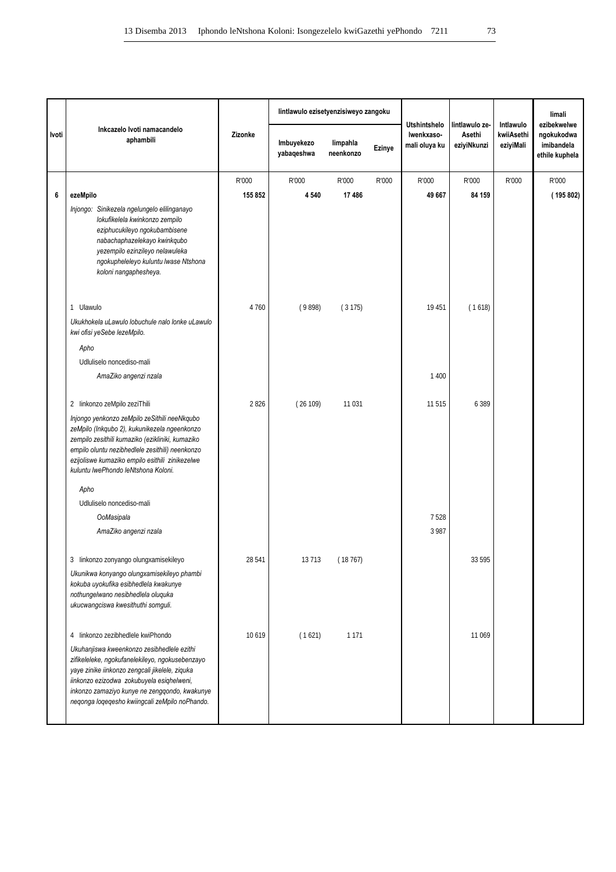|       |                                                                                                                                                                                                                                                                                                 |         | lintlawulo ezisetyenzisiweyo zangoku |                       |        | <b>Utshintshelo</b>         | lintlawulo ze-        | Intlawulo               | limali<br>ezibekwelwe                      |
|-------|-------------------------------------------------------------------------------------------------------------------------------------------------------------------------------------------------------------------------------------------------------------------------------------------------|---------|--------------------------------------|-----------------------|--------|-----------------------------|-----------------------|-------------------------|--------------------------------------------|
| Ivoti | Inkcazelo Ivoti namacandelo<br>aphambili                                                                                                                                                                                                                                                        | Zizonke | Imbuyekezo<br>yabaqeshwa             | limpahla<br>neenkonzo | Ezinye | Iwenkxaso-<br>mali oluya ku | Asethi<br>eziyiNkunzi | kwiiAsethi<br>eziyiMali | ngokukodwa<br>imibandela<br>ethile kuphela |
|       |                                                                                                                                                                                                                                                                                                 | R'000   | R'000                                | R'000                 | R'000  | R'000                       | R'000                 | R'000                   | R'000                                      |
| 6     | ezeMpilo                                                                                                                                                                                                                                                                                        | 155 852 | 4 5 4 0                              | 17486                 |        | 49 667                      | 84 159                |                         | (195 802)                                  |
|       | Injongo: Sinikezela ngelungelo elilinganayo<br>lokufikelela kwinkonzo zempilo<br>eziphucukileyo ngokubambisene<br>nabachaphazelekayo kwinkqubo<br>yezempilo ezinzileyo nelawuleka<br>ngokupheleleyo kuluntu lwase Ntshona<br>koloni nangaphesheya.                                              |         |                                      |                       |        |                             |                       |                         |                                            |
|       | 1 Ulawulo                                                                                                                                                                                                                                                                                       | 4760    | (9898)                               | (3175)                |        | 19 451                      | (1618)                |                         |                                            |
|       | Ukukhokela uLawulo lobuchule nalo lonke uLawulo<br>kwi ofisi yeSebe lezeMpilo.                                                                                                                                                                                                                  |         |                                      |                       |        |                             |                       |                         |                                            |
|       | Apho                                                                                                                                                                                                                                                                                            |         |                                      |                       |        |                             |                       |                         |                                            |
|       | Udluliselo noncediso-mali                                                                                                                                                                                                                                                                       |         |                                      |                       |        |                             |                       |                         |                                            |
|       | AmaZiko angenzi nzala                                                                                                                                                                                                                                                                           |         |                                      |                       |        | 1 4 0 0                     |                       |                         |                                            |
|       | 2 linkonzo zeMpilo zeziThili                                                                                                                                                                                                                                                                    | 2826    | (26109)                              | 11 0 31               |        | 11 515                      | 6 3 8 9               |                         |                                            |
|       | Injongo yenkonzo zeMpilo zeSithili neeNkqubo<br>zeMpilo (Inkqubo 2), kukunikezela ngeenkonzo<br>zempilo zesithili kumaziko (ezikliniki, kumaziko<br>empilo oluntu nezibhedlele zesithili) neenkonzo<br>ezijoliswe kumaziko empilo esithili zinikezelwe<br>kuluntu lwePhondo leNtshona Koloni.   |         |                                      |                       |        |                             |                       |                         |                                            |
|       | Apho                                                                                                                                                                                                                                                                                            |         |                                      |                       |        |                             |                       |                         |                                            |
|       | Udluliselo noncediso-mali                                                                                                                                                                                                                                                                       |         |                                      |                       |        |                             |                       |                         |                                            |
|       | OoMasipala                                                                                                                                                                                                                                                                                      |         |                                      |                       |        | 7528                        |                       |                         |                                            |
|       | AmaZiko angenzi nzala                                                                                                                                                                                                                                                                           |         |                                      |                       |        | 3 9 8 7                     |                       |                         |                                            |
|       | 3 linkonzo zonyango olungxamisekileyo                                                                                                                                                                                                                                                           | 28 541  | 13 713                               | (18767)               |        |                             | 33 595                |                         |                                            |
|       | Ukunikwa konyango olungxamisekileyo phambi<br>kokuba uyokufika esibhedlela kwakunye<br>nothungelwano nesibhedlela oluquka<br>ukucwangciswa kwesithuthi somguli.                                                                                                                                 |         |                                      |                       |        |                             |                       |                         |                                            |
|       | 4 linkonzo zezibhedlele kwiPhondo                                                                                                                                                                                                                                                               | 10619   | (1621)                               | 1 1 7 1               |        |                             | 11 0 69               |                         |                                            |
|       | Ukuhanjiswa kweenkonzo zesibhedlele ezithi<br>zifikeleleke, ngokufanelekileyo, ngokusebenzayo<br>yaye zinike iinkonzo zengcali jikelele, ziquka<br>iinkonzo ezizodwa zokubuyela esiqhelweni,<br>inkonzo zamaziyo kunye ne zengqondo, kwakunye<br>neqonga loqeqesho kwiingcali zeMpilo noPhando. |         |                                      |                       |        |                             |                       |                         |                                            |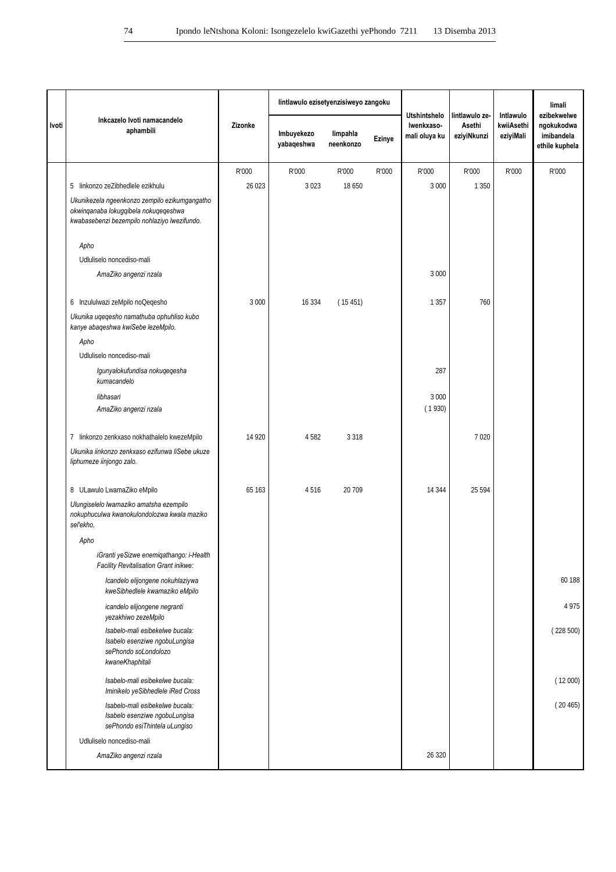|       |                                                                                                                                       |         | lintlawulo ezisetyenzisiweyo zangoku |                       |        |                                                    |                                         |                                      | limali                                                    |
|-------|---------------------------------------------------------------------------------------------------------------------------------------|---------|--------------------------------------|-----------------------|--------|----------------------------------------------------|-----------------------------------------|--------------------------------------|-----------------------------------------------------------|
| Ivoti | Inkcazelo Ivoti namacandelo<br>aphambili                                                                                              | Zizonke | Imbuyekezo<br>yabaqeshwa             | limpahla<br>neenkonzo | Ezinye | <b>Utshintshelo</b><br>Iwenkxaso-<br>mali oluya ku | lintlawulo ze-<br>Asethi<br>eziyiNkunzi | Intlawulo<br>kwiiAsethi<br>eziyiMali | ezibekwelwe<br>ngokukodwa<br>imibandela<br>ethile kuphela |
|       |                                                                                                                                       | R'000   | R'000                                | R'000                 | R'000  | R'000                                              | R'000                                   | R'000                                | R'000                                                     |
|       | 5 linkonzo zeZibhedlele ezikhulu                                                                                                      | 26 0 23 | 3 0 2 3                              | 18 650                |        | 3 0 0 0                                            | 1 3 5 0                                 |                                      |                                                           |
|       | Ukunikezela ngeenkonzo zempilo ezikumgangatho<br>okwinqanaba lokugqibela nokuqeqeshwa<br>kwabasebenzi bezempilo nohlaziyo lwezifundo. |         |                                      |                       |        |                                                    |                                         |                                      |                                                           |
|       | Apho                                                                                                                                  |         |                                      |                       |        |                                                    |                                         |                                      |                                                           |
|       | Udluliselo noncediso-mali                                                                                                             |         |                                      |                       |        |                                                    |                                         |                                      |                                                           |
|       | AmaZiko angenzi nzala                                                                                                                 |         |                                      |                       |        | 3 0 0 0                                            |                                         |                                      |                                                           |
|       | 6 Inzululwazi zeMpilo noQeqesho                                                                                                       | 3 0 0 0 | 16 3 34                              | (15451)               |        | 1 3 5 7                                            | 760                                     |                                      |                                                           |
|       | Ukunika uqeqesho namathuba ophuhliso kubo<br>kanye abaqeshwa kwiSebe lezeMpilo.                                                       |         |                                      |                       |        |                                                    |                                         |                                      |                                                           |
|       | Apho                                                                                                                                  |         |                                      |                       |        |                                                    |                                         |                                      |                                                           |
|       | Udluliselo noncediso-mali                                                                                                             |         |                                      |                       |        |                                                    |                                         |                                      |                                                           |
|       | Igunyalokufundisa nokuqeqesha<br>kumacandelo                                                                                          |         |                                      |                       |        | 287                                                |                                         |                                      |                                                           |
|       | libhasari                                                                                                                             |         |                                      |                       |        | 3 0 0 0                                            |                                         |                                      |                                                           |
|       | AmaZiko angenzi nzala                                                                                                                 |         |                                      |                       |        | (1930)                                             |                                         |                                      |                                                           |
|       | 7 linkonzo zenkxaso nokhathalelo kwezeMpilo                                                                                           | 14 9 20 | 4 5 8 2                              | 3 3 1 8               |        |                                                    | 7 0 20                                  |                                      |                                                           |
|       | Ukunika iinkonzo zenkxaso ezifunwa liSebe ukuze<br>liphumeze iinjongo zalo.                                                           |         |                                      |                       |        |                                                    |                                         |                                      |                                                           |
|       | 8 ULawulo LwamaZiko eMpilo                                                                                                            | 65 163  | 4516                                 | 20 709                |        | 14 344                                             | 25 5 9 4                                |                                      |                                                           |
|       | Ulungiselelo lwamaziko amatsha ezempilo<br>nokuphuculwa kwanokulondolozwa kwala maziko<br>seľekho.                                    |         |                                      |                       |        |                                                    |                                         |                                      |                                                           |
|       | Apho                                                                                                                                  |         |                                      |                       |        |                                                    |                                         |                                      |                                                           |
|       | iGranti yeSizwe enemiqathango: i-Health<br>Facility Revitalisation Grant inikwe:                                                      |         |                                      |                       |        |                                                    |                                         |                                      |                                                           |
|       | Icandelo elijongene nokuhlaziywa<br>kweSibhedlele kwamaziko eMpilo                                                                    |         |                                      |                       |        |                                                    |                                         |                                      | 60 188                                                    |
|       | icandelo elijongene negranti<br>yezakhiwo zezeMpilo                                                                                   |         |                                      |                       |        |                                                    |                                         |                                      | 4975                                                      |
|       | Isabelo-mali esibekelwe bucala:<br>Isabelo esenziwe ngobuLungisa<br>sePhondo soLondolozo<br>kwaneKhaphitali                           |         |                                      |                       |        |                                                    |                                         |                                      | (228500)                                                  |
|       | Isabelo-mali esibekelwe bucala:<br>Iminikelo yeSibhedlele iRed Cross                                                                  |         |                                      |                       |        |                                                    |                                         |                                      | (12000)                                                   |
|       | Isabelo-mali esibekelwe bucala:                                                                                                       |         |                                      |                       |        |                                                    |                                         |                                      | (20465)                                                   |
|       | Isabelo esenziwe ngobuLungisa<br>sePhondo esiThintela uLungiso                                                                        |         |                                      |                       |        |                                                    |                                         |                                      |                                                           |
|       | Udluliselo noncediso-mali                                                                                                             |         |                                      |                       |        |                                                    |                                         |                                      |                                                           |
|       | AmaZiko angenzi nzala                                                                                                                 |         |                                      |                       |        | 26 3 20                                            |                                         |                                      |                                                           |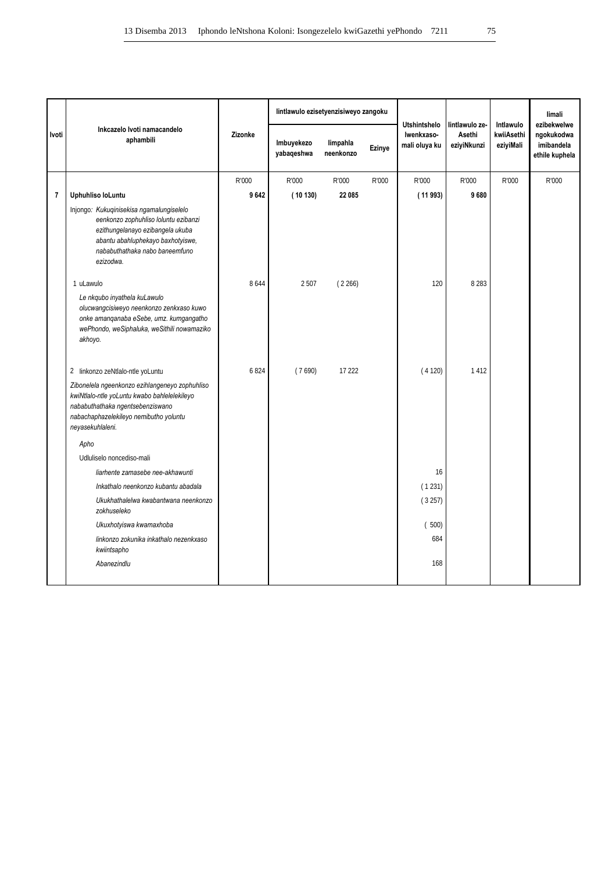|                         |                                                                                                                                                                                                          |         | lintlawulo ezisetyenzisiweyo zangoku |                       |               | <b>Utshintshelo</b>         | lintlawulo ze-        | Intlawulo               | limali<br>ezibekwelwe                      |
|-------------------------|----------------------------------------------------------------------------------------------------------------------------------------------------------------------------------------------------------|---------|--------------------------------------|-----------------------|---------------|-----------------------------|-----------------------|-------------------------|--------------------------------------------|
| Ivoti                   | Inkcazelo Ivoti namacandelo<br>aphambili                                                                                                                                                                 | Zizonke | Imbuyekezo<br>yabaqeshwa             | limpahla<br>neenkonzo | <b>Ezinye</b> | Iwenkxaso-<br>mali oluya ku | Asethi<br>eziyiNkunzi | kwiiAsethi<br>eziyiMali | ngokukodwa<br>imibandela<br>ethile kuphela |
|                         |                                                                                                                                                                                                          | R'000   | R'000                                | R'000                 | R'000         | R'000                       | R'000                 | R'000                   | R'000                                      |
| $\overline{\mathbf{r}}$ | Uphuhliso loLuntu                                                                                                                                                                                        | 9642    | (10130)                              | 22 085                |               | (11993)                     | 9680                  |                         |                                            |
|                         | Injongo: Kukuqinisekisa ngamalungiselelo<br>eenkonzo zophuhliso loluntu ezibanzi<br>ezithungelanayo ezibangela ukuba<br>abantu abahluphekayo baxhotyiswe,<br>nababuthathaka nabo baneemfuno<br>ezizodwa. |         |                                      |                       |               |                             |                       |                         |                                            |
|                         | 1 uLawulo<br>Le nkqubo inyathela kuLawulo<br>olucwangcisiweyo neenkonzo zenkxaso kuwo<br>onke amanqanaba eSebe, umz. kumgangatho<br>wePhondo, weSiphaluka, weSithili nowamaziko<br>akhoyo.               | 8644    | 2 5 0 7                              | (2266)                |               | 120                         | 8 2 8 3               |                         |                                            |
|                         | 2 linkonzo zeNtlalo-ntle yoLuntu                                                                                                                                                                         | 6824    | (7690)                               | 17 222                |               | (4120)                      | 1412                  |                         |                                            |
|                         | Zibonelela ngeenkonzo ezihlangeneyo zophuhliso<br>kwiNtlalo-ntle yoLuntu kwabo bahlelelekileyo<br>nababuthathaka ngentsebenziswano<br>nabachaphazelekileyo nemibutho yoluntu<br>neyasekuhlaleni.         |         |                                      |                       |               |                             |                       |                         |                                            |
|                         | Apho                                                                                                                                                                                                     |         |                                      |                       |               |                             |                       |                         |                                            |
|                         | Udluliselo noncediso-mali                                                                                                                                                                                |         |                                      |                       |               |                             |                       |                         |                                            |
|                         | liarhente zamasebe nee-akhawunti                                                                                                                                                                         |         |                                      |                       |               | 16                          |                       |                         |                                            |
|                         | Inkathalo neenkonzo kubantu abadala                                                                                                                                                                      |         |                                      |                       |               | (1231)                      |                       |                         |                                            |
|                         | Ukukhathalelwa kwabantwana neenkonzo<br>zokhuseleko                                                                                                                                                      |         |                                      |                       |               | (3257)                      |                       |                         |                                            |
|                         | Ukuxhotyiswa kwamaxhoba                                                                                                                                                                                  |         |                                      |                       |               | (500)                       |                       |                         |                                            |
|                         | linkonzo zokunika inkathalo nezenkxaso<br>kwiintsapho                                                                                                                                                    |         |                                      |                       |               | 684                         |                       |                         |                                            |
|                         | Abanezindlu                                                                                                                                                                                              |         |                                      |                       |               | 168                         |                       |                         |                                            |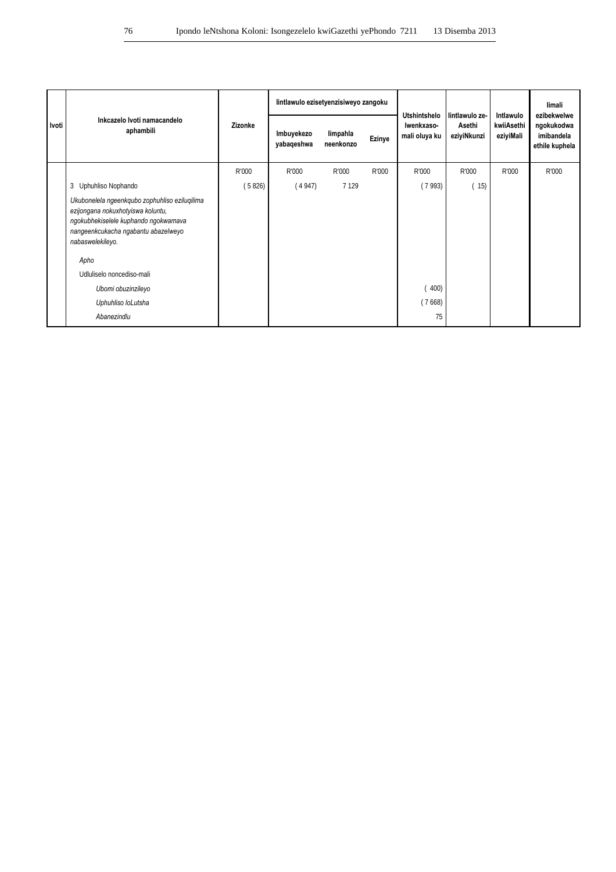|       | Inkcazelo Ivoti namacandelo                                                                                                                                                           |         | lintlawulo ezisetyenzisiweyo zangoku |                       |        |                                                    |                                         |                                      | limali                                                    |
|-------|---------------------------------------------------------------------------------------------------------------------------------------------------------------------------------------|---------|--------------------------------------|-----------------------|--------|----------------------------------------------------|-----------------------------------------|--------------------------------------|-----------------------------------------------------------|
| Ivoti | aphambili                                                                                                                                                                             | Zizonke | Imbuyekezo<br>yabaqeshwa             | limpahla<br>neenkonzo | Ezinye | <b>Utshintshelo</b><br>Iwenkxaso-<br>mali oluya ku | lintlawulo ze-<br>Asethi<br>eziyiNkunzi | Intlawulo<br>kwiiAsethi<br>eziyiMali | ezibekwelwe<br>ngokukodwa<br>imibandela<br>ethile kuphela |
|       |                                                                                                                                                                                       | R'000   | R'000                                | R'000                 | R'000  | R'000                                              | R'000                                   | R'000                                | R'000                                                     |
|       | Uphuhliso Nophando<br>3                                                                                                                                                               | (5826)  | (4947)                               | 7 1 2 9               |        | (7993)                                             | (15)                                    |                                      |                                                           |
|       | Ukubonelela ngeenkqubo zophuhliso eziluqilima<br>ezijongana nokuxhotyiswa koluntu,<br>ngokubhekiselele kuphando ngokwamava<br>nangeenkcukacha ngabantu abazelweyo<br>nabaswelekileyo. |         |                                      |                       |        |                                                    |                                         |                                      |                                                           |
|       | Apho                                                                                                                                                                                  |         |                                      |                       |        |                                                    |                                         |                                      |                                                           |
|       | Udluliselo noncediso-mali                                                                                                                                                             |         |                                      |                       |        |                                                    |                                         |                                      |                                                           |
|       | Ubomi obuzinzileyo                                                                                                                                                                    |         |                                      |                       |        | (400)                                              |                                         |                                      |                                                           |
|       | Uphuhliso loLutsha                                                                                                                                                                    |         |                                      |                       |        | (7668)                                             |                                         |                                      |                                                           |
|       | Abanezindlu                                                                                                                                                                           |         |                                      |                       |        | 75                                                 |                                         |                                      |                                                           |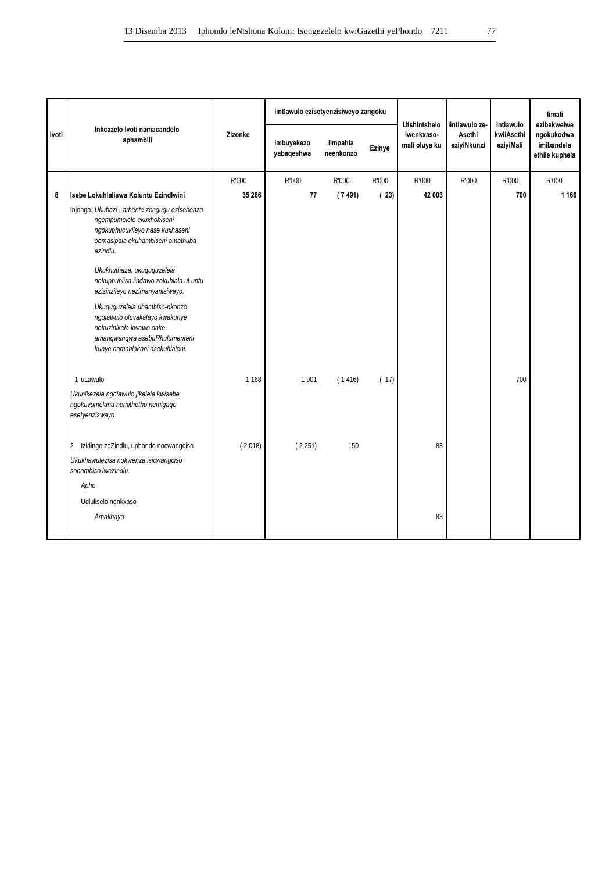|       |                                                                                                                                                                                                                                                                                                                                                                                                                                           |         | lintlawulo ezisetyenzisiweyo zangoku |                       |               |                                                    | lintlawulo ze-        | Intlawulo               | limali<br>ezibekwelwe                      |
|-------|-------------------------------------------------------------------------------------------------------------------------------------------------------------------------------------------------------------------------------------------------------------------------------------------------------------------------------------------------------------------------------------------------------------------------------------------|---------|--------------------------------------|-----------------------|---------------|----------------------------------------------------|-----------------------|-------------------------|--------------------------------------------|
| Ivoti | Inkcazelo Ivoti namacandelo<br>aphambili                                                                                                                                                                                                                                                                                                                                                                                                  | Zizonke | Imbuyekezo<br>yabaqeshwa             | limpahla<br>neenkonzo | <b>Ezinye</b> | <b>Utshintshelo</b><br>Iwenkxaso-<br>mali oluya ku | Asethi<br>eziyiNkunzi | kwiiAsethi<br>eziyiMali | ngokukodwa<br>imibandela<br>ethile kuphela |
|       |                                                                                                                                                                                                                                                                                                                                                                                                                                           | R'000   | R'000                                | R'000                 | R'000         | R'000                                              | R'000                 | R'000                   | R'000                                      |
| 8     | Isebe Lokuhlaliswa Koluntu Ezindlwini                                                                                                                                                                                                                                                                                                                                                                                                     | 35 266  | 77                                   | (7491)                | (23)          | 42 003                                             |                       | 700                     | 1 1 6 6                                    |
|       | Injongo: Ukubazi - arhente zenguqu ezisebenza<br>ngempumelelo ekuxhobiseni<br>ngokuphucukileyo nase kuxhaseni<br>oomasipala ekuhambiseni amathuba<br>ezindlu.<br>Ukukhuthaza, ukuququzelela<br>nokuphuhlisa iindawo zokuhlala uLuntu<br>ezizinzileyo nezimanyanisiweyo.<br>Ukuququzelela uhambiso-nkonzo<br>ngolawulo oluvakalayo kwakunye<br>nokuzinikela kwawo onke<br>amangwangwa asebuRhulumenteni<br>kunye namahlakani asekuhlaleni. |         |                                      |                       |               |                                                    |                       |                         |                                            |
|       | 1 uLawulo                                                                                                                                                                                                                                                                                                                                                                                                                                 | 1 1 6 8 | 1901                                 | (1416)                | (17)          |                                                    |                       | 700                     |                                            |
|       | Ukunikezela ngolawulo jikelele kwisebe<br>ngokuvumelana nemithetho nemigago<br>esetyenziswayo.                                                                                                                                                                                                                                                                                                                                            |         |                                      |                       |               |                                                    |                       |                         |                                            |
|       | Izidingo zeZindlu, uphando nocwangciso<br>$\overline{2}$                                                                                                                                                                                                                                                                                                                                                                                  | (2018)  | (2251)                               | 150                   |               | 83                                                 |                       |                         |                                            |
|       | Ukukhawulezisa nokwenza isicwangciso<br>sohambiso lwezindlu.                                                                                                                                                                                                                                                                                                                                                                              |         |                                      |                       |               |                                                    |                       |                         |                                            |
|       | Apho                                                                                                                                                                                                                                                                                                                                                                                                                                      |         |                                      |                       |               |                                                    |                       |                         |                                            |
|       | Udluliselo nenkxaso                                                                                                                                                                                                                                                                                                                                                                                                                       |         |                                      |                       |               |                                                    |                       |                         |                                            |
|       | Amakhaya                                                                                                                                                                                                                                                                                                                                                                                                                                  |         |                                      |                       |               | 83                                                 |                       |                         |                                            |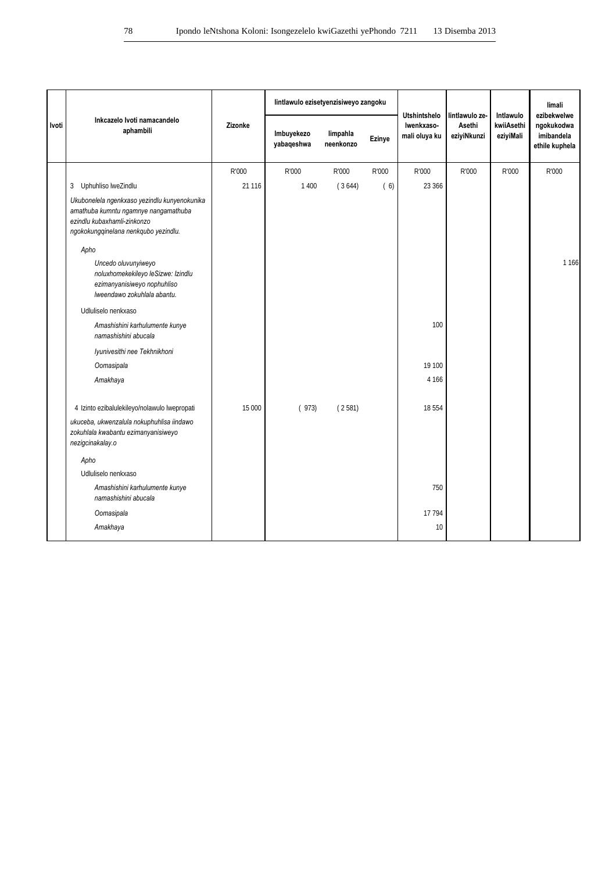|       |                                                                                                                                                             |         |                          |                       | lintlawulo ezisetyenzisiweyo zangoku |                                                    |                                         |                                      | limali                                                    |
|-------|-------------------------------------------------------------------------------------------------------------------------------------------------------------|---------|--------------------------|-----------------------|--------------------------------------|----------------------------------------------------|-----------------------------------------|--------------------------------------|-----------------------------------------------------------|
| Ivoti | Inkcazelo Ivoti namacandelo<br>aphambili                                                                                                                    | Zizonke | Imbuyekezo<br>yabaqeshwa | limpahla<br>neenkonzo | Ezinye                               | <b>Utshintshelo</b><br>Iwenkxaso-<br>mali oluya ku | lintlawulo ze-<br>Asethi<br>eziyiNkunzi | Intlawulo<br>kwiiAsethi<br>eziyiMali | ezibekwelwe<br>ngokukodwa<br>imibandela<br>ethile kuphela |
|       |                                                                                                                                                             | R'000   | R'000                    | R'000                 | R'000                                | R'000                                              | R'000                                   | R'000                                | R'000                                                     |
|       | 3 Uphuhliso lweZindlu                                                                                                                                       | 21 1 16 | 1 4 0 0                  | (3644)                | (6)                                  | 23 366                                             |                                         |                                      |                                                           |
|       | Ukubonelela ngenkxaso yezindlu kunyenokunika<br>amathuba kumntu ngamnye nangamathuba<br>ezindlu kubaxhamli-zinkonzo<br>ngokokungqinelana nenkqubo yezindlu. |         |                          |                       |                                      |                                                    |                                         |                                      |                                                           |
|       | Apho                                                                                                                                                        |         |                          |                       |                                      |                                                    |                                         |                                      |                                                           |
|       | Uncedo oluvunyiweyo<br>noluxhomekekileyo leSizwe: Izindlu<br>ezimanyanisiweyo nophuhliso<br>Iweendawo zokuhlala abantu.                                     |         |                          |                       |                                      |                                                    |                                         |                                      | 1 1 6 6                                                   |
|       | Udluliselo nenkxaso                                                                                                                                         |         |                          |                       |                                      |                                                    |                                         |                                      |                                                           |
|       | Amashishini karhulumente kunye<br>namashishini abucala                                                                                                      |         |                          |                       |                                      | 100                                                |                                         |                                      |                                                           |
|       | Iyunivesithi nee Tekhnikhoni                                                                                                                                |         |                          |                       |                                      |                                                    |                                         |                                      |                                                           |
|       | Oomasipala                                                                                                                                                  |         |                          |                       |                                      | 19 100                                             |                                         |                                      |                                                           |
|       | Amakhaya                                                                                                                                                    |         |                          |                       |                                      | 4 1 6 6                                            |                                         |                                      |                                                           |
|       | 4 Izinto ezibalulekileyo/nolawulo lwepropati                                                                                                                | 15 000  | (973)                    | (2581)                |                                      | 18 5 5 4                                           |                                         |                                      |                                                           |
|       | ukuceba, ukwenzalula nokuphuhlisa iindawo<br>zokuhlala kwabantu ezimanyanisiweyo<br>nezigcinakalay.o                                                        |         |                          |                       |                                      |                                                    |                                         |                                      |                                                           |
|       | Apho                                                                                                                                                        |         |                          |                       |                                      |                                                    |                                         |                                      |                                                           |
|       | Udluliselo nenkxaso                                                                                                                                         |         |                          |                       |                                      |                                                    |                                         |                                      |                                                           |
|       | Amashishini karhulumente kunye<br>namashishini abucala                                                                                                      |         |                          |                       |                                      | 750                                                |                                         |                                      |                                                           |
|       | Oomasipala                                                                                                                                                  |         |                          |                       |                                      | 17 794                                             |                                         |                                      |                                                           |
|       | Amakhaya                                                                                                                                                    |         |                          |                       |                                      | 10                                                 |                                         |                                      |                                                           |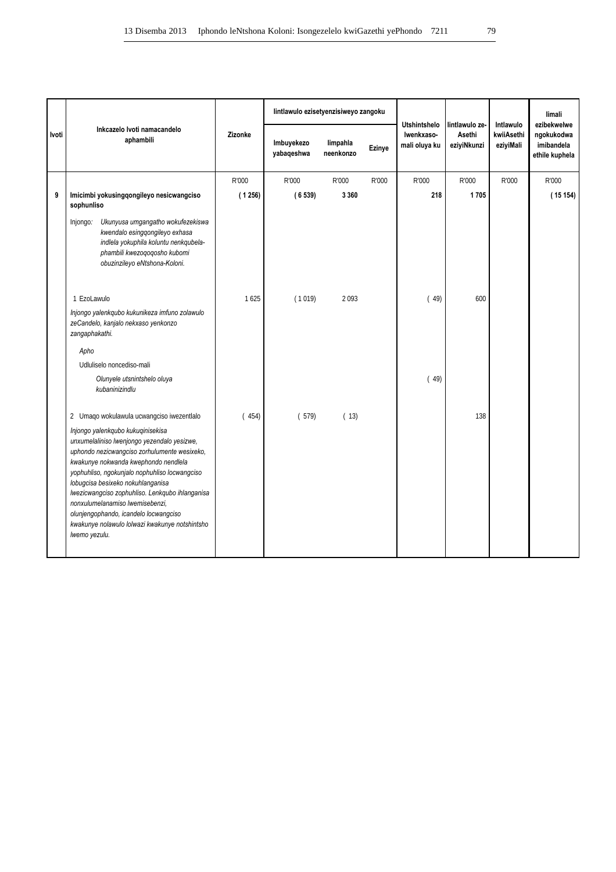|       | Inkcazelo Ivoti namacandelo                                                                                                                                                                                                                                                                                                                                                                                                                                      |         | lintlawulo ezisetyenzisiweyo zangoku |                       |        | <b>Utshintshelo</b>         | lintlawulo ze-        | Intlawulo               | limali<br>ezibekwelwe                      |
|-------|------------------------------------------------------------------------------------------------------------------------------------------------------------------------------------------------------------------------------------------------------------------------------------------------------------------------------------------------------------------------------------------------------------------------------------------------------------------|---------|--------------------------------------|-----------------------|--------|-----------------------------|-----------------------|-------------------------|--------------------------------------------|
| Ivoti | aphambili                                                                                                                                                                                                                                                                                                                                                                                                                                                        | Zizonke | Imbuyekezo<br>yabaqeshwa             | limpahla<br>neenkonzo | Ezinye | Iwenkxaso-<br>mali oluya ku | Asethi<br>eziyiNkunzi | kwiiAsethi<br>eziyiMali | ngokukodwa<br>imibandela<br>ethile kuphela |
|       |                                                                                                                                                                                                                                                                                                                                                                                                                                                                  | R'000   | R'000                                | R'000                 | R'000  | R'000                       | R'000                 | R'000                   | R'000                                      |
| 9     | Imicimbi yokusingqongileyo nesicwangciso<br>sophunliso                                                                                                                                                                                                                                                                                                                                                                                                           | (1256)  | (6539)                               | 3 3 6 0               |        | 218                         | 1705                  |                         | (15154)                                    |
|       | Ukunyusa umgangatho wokufezekiswa<br>Injongo:<br>kwendalo esingqongileyo exhasa<br>indlela yokuphila koluntu nenkqubela-<br>phambili kwezogogosho kubomi<br>obuzinzileyo eNtshona-Koloni.                                                                                                                                                                                                                                                                        |         |                                      |                       |        |                             |                       |                         |                                            |
|       | 1 EzoLawulo                                                                                                                                                                                                                                                                                                                                                                                                                                                      | 1625    | (1019)                               | 2093                  |        | (49)                        | 600                   |                         |                                            |
|       | Injongo yalenkqubo kukunikeza imfuno zolawulo<br>zeCandelo, kanjalo nekxaso yenkonzo<br>zangaphakathi.                                                                                                                                                                                                                                                                                                                                                           |         |                                      |                       |        |                             |                       |                         |                                            |
|       | Apho                                                                                                                                                                                                                                                                                                                                                                                                                                                             |         |                                      |                       |        |                             |                       |                         |                                            |
|       | Udluliselo noncediso-mali                                                                                                                                                                                                                                                                                                                                                                                                                                        |         |                                      |                       |        |                             |                       |                         |                                            |
|       | Olunyele utsnintshelo oluya<br>kubaninizindlu                                                                                                                                                                                                                                                                                                                                                                                                                    |         |                                      |                       |        | (49)                        |                       |                         |                                            |
|       | 2 Umago wokulawula ucwangciso iwezentlalo                                                                                                                                                                                                                                                                                                                                                                                                                        | (454)   | (579)                                | (13)                  |        |                             | 138                   |                         |                                            |
|       | Injongo yalenkqubo kukuqinisekisa<br>unxumelaliniso lwenjongo yezendalo yesizwe,<br>uphondo nezicwangciso zorhulumente wesixeko,<br>kwakunye nokwanda kwephondo nendlela<br>yophuhliso, ngokunjalo nophuhliso locwangciso<br>lobugcisa besixeko nokuhlanganisa<br>Iwezicwangciso zophuhliso. Lenkqubo ihlanganisa<br>nonxulumelanamiso lwemisebenzi,<br>olunjengophando, icandelo locwangciso<br>kwakunye nolawulo lolwazi kwakunye notshintsho<br>Iwemo yezulu. |         |                                      |                       |        |                             |                       |                         |                                            |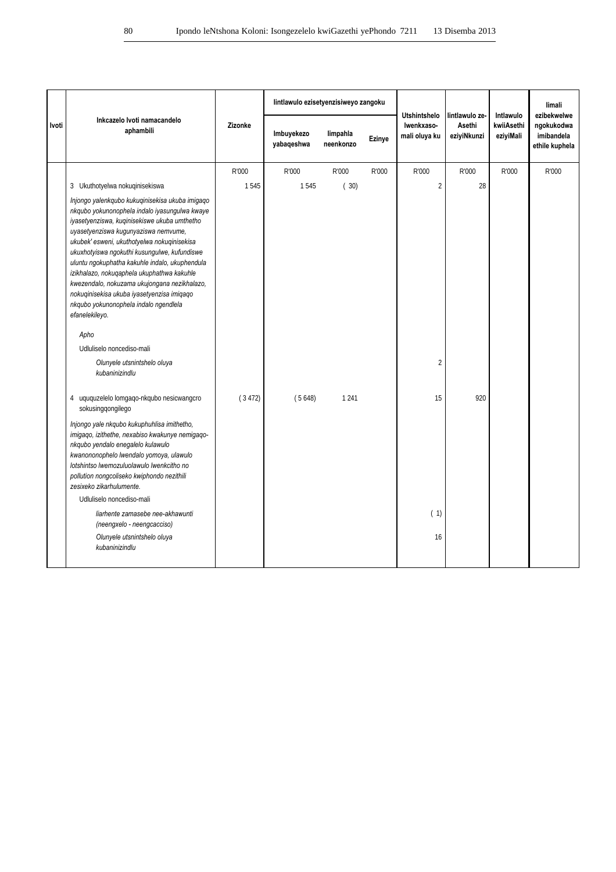|       |                                                                                                                                                                                                                                                                                                                                                                                                                                                                                                                                                  |         | lintlawulo ezisetyenzisiweyo zangoku<br>lintlawulo ze-<br><b>Utshintshelo</b> |                       |        |                             |                       | Intlawulo               | limali<br>ezibekwelwe                      |
|-------|--------------------------------------------------------------------------------------------------------------------------------------------------------------------------------------------------------------------------------------------------------------------------------------------------------------------------------------------------------------------------------------------------------------------------------------------------------------------------------------------------------------------------------------------------|---------|-------------------------------------------------------------------------------|-----------------------|--------|-----------------------------|-----------------------|-------------------------|--------------------------------------------|
| Ivoti | Inkcazelo Ivoti namacandelo<br>aphambili                                                                                                                                                                                                                                                                                                                                                                                                                                                                                                         | Zizonke | Imbuyekezo<br>yabaqeshwa                                                      | limpahla<br>neenkonzo | Ezinye | Iwenkxaso-<br>mali oluya ku | Asethi<br>eziyiNkunzi | kwiiAsethi<br>eziyiMali | ngokukodwa<br>imibandela<br>ethile kuphela |
|       |                                                                                                                                                                                                                                                                                                                                                                                                                                                                                                                                                  | R'000   | R'000                                                                         | R'000                 | R'000  | R'000                       | R'000                 | R'000                   | R'000                                      |
|       | 3 Ukuthotyelwa nokuqinisekiswa                                                                                                                                                                                                                                                                                                                                                                                                                                                                                                                   | 1545    | 1545                                                                          | (30)                  |        | $\overline{2}$              | 28                    |                         |                                            |
|       | Injongo yalenkqubo kukuqinisekisa ukuba imigaqo<br>nkqubo yokunonophela indalo iyasungulwa kwaye<br>iyasetyenziswa, kuqinisekiswe ukuba umthetho<br>uyasetyenziswa kugunyaziswa nemvume,<br>ukubek' esweni, ukuthotyelwa nokuqinisekisa<br>ukuxhotyiswa ngokuthi kusungulwe, kufundiswe<br>uluntu ngokuphatha kakuhle indalo, ukuphendula<br>izikhalazo, nokuqaphela ukuphathwa kakuhle<br>kwezendalo, nokuzama ukujongana nezikhalazo,<br>nokuqinisekisa ukuba iyasetyenzisa imiqaqo<br>nkqubo yokunonophela indalo ngendlela<br>efanelekileyo. |         |                                                                               |                       |        |                             |                       |                         |                                            |
|       | Apho                                                                                                                                                                                                                                                                                                                                                                                                                                                                                                                                             |         |                                                                               |                       |        |                             |                       |                         |                                            |
|       | Udluliselo noncediso-mali                                                                                                                                                                                                                                                                                                                                                                                                                                                                                                                        |         |                                                                               |                       |        |                             |                       |                         |                                            |
|       | Olunyele utsnintshelo oluya<br>kubaninizindlu                                                                                                                                                                                                                                                                                                                                                                                                                                                                                                    |         |                                                                               |                       |        | $\overline{2}$              |                       |                         |                                            |
|       | 4 uququzelelo lomgaqo-nkqubo nesicwangcro<br>sokusingqongilego<br>Injongo yale nkqubo kukuphuhlisa imithetho,<br>imigaqo, izithethe, nexabiso kwakunye nemigaqo-<br>nkqubo yendalo enegalelo kulawulo<br>kwanononophelo lwendalo yomoya, ulawulo<br>lotshintso lwemozuluolawulo lwenkcitho no<br>pollution nongcoliseko kwiphondo nezithili<br>zesixeko zikarhulumente.<br>Udluliselo noncediso-mali<br>liarhente zamasebe nee-akhawunti<br>(neengxelo - neengcacciso)<br>Olunyele utsnintshelo oluya<br>kubaninizindlu                          | (3472)  | (5648)                                                                        | 1 2 4 1               |        | 15<br>(1)<br>16             | 920                   |                         |                                            |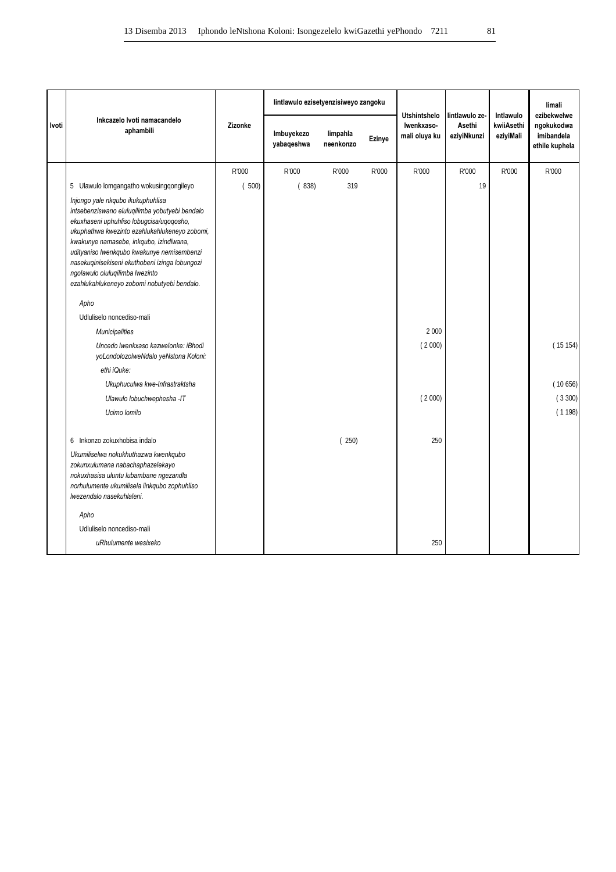|       |                                                                                                                                                                                                                                                                                                                                                                                                               |         | lintlawulo ezisetyenzisiweyo zangoku |                       |        |                                                    |                                         |                                      | limali                                                    |
|-------|---------------------------------------------------------------------------------------------------------------------------------------------------------------------------------------------------------------------------------------------------------------------------------------------------------------------------------------------------------------------------------------------------------------|---------|--------------------------------------|-----------------------|--------|----------------------------------------------------|-----------------------------------------|--------------------------------------|-----------------------------------------------------------|
| Ivoti | Inkcazelo Ivoti namacandelo<br>aphambili                                                                                                                                                                                                                                                                                                                                                                      | Zizonke | Imbuyekezo<br>yabaqeshwa             | limpahla<br>neenkonzo | Ezinye | <b>Utshintshelo</b><br>Iwenkxaso-<br>mali oluya ku | lintlawulo ze-<br>Asethi<br>eziyiNkunzi | Intlawulo<br>kwiiAsethi<br>eziyiMali | ezibekwelwe<br>ngokukodwa<br>imibandela<br>ethile kuphela |
|       |                                                                                                                                                                                                                                                                                                                                                                                                               | R'000   | R'000                                | R'000                 | R'000  | R'000                                              | R'000                                   | R'000                                | R'000                                                     |
|       | 5 Ulawulo lomgangatho wokusingqongileyo                                                                                                                                                                                                                                                                                                                                                                       | (500)   | (838)                                | 319                   |        |                                                    | 19                                      |                                      |                                                           |
|       | Injongo yale nkqubo ikukuphuhlisa<br>intsebenziswano eluluqilimba yobutyebi bendalo<br>ekuxhaseni uphuhliso lobugcisa/uqoqosho,<br>ukuphathwa kwezinto ezahlukahlukeneyo zobomi,<br>kwakunye namasebe, inkqubo, izindlwana,<br>udityaniso lwenkqubo kwakunye nemisembenzi<br>nasekuqinisekiseni ekuthobeni izinga lobungozi<br>ngolawulo oluluqilimba lwezinto<br>ezahlukahlukeneyo zobomi nobutyebi bendalo. |         |                                      |                       |        |                                                    |                                         |                                      |                                                           |
|       | Apho                                                                                                                                                                                                                                                                                                                                                                                                          |         |                                      |                       |        |                                                    |                                         |                                      |                                                           |
|       | Udluliselo noncediso-mali                                                                                                                                                                                                                                                                                                                                                                                     |         |                                      |                       |        |                                                    |                                         |                                      |                                                           |
|       | <b>Municipalities</b>                                                                                                                                                                                                                                                                                                                                                                                         |         |                                      |                       |        | 2 0 0 0                                            |                                         |                                      |                                                           |
|       | Uncedo Iwenkxaso kazwelonke: iBhodi<br>yoLondolozolweNdalo yeNstona Koloni:                                                                                                                                                                                                                                                                                                                                   |         |                                      |                       |        | (2000)                                             |                                         |                                      | (15154)                                                   |
|       | ethi iQuke:                                                                                                                                                                                                                                                                                                                                                                                                   |         |                                      |                       |        |                                                    |                                         |                                      |                                                           |
|       | Ukuphuculwa kwe-Infrastraktsha                                                                                                                                                                                                                                                                                                                                                                                |         |                                      |                       |        |                                                    |                                         |                                      | (10656)                                                   |
|       | Ulawulo lobuchwephesha -IT                                                                                                                                                                                                                                                                                                                                                                                    |         |                                      |                       |        | (2000)                                             |                                         |                                      | (3300)                                                    |
|       | Ucimo Iomilo                                                                                                                                                                                                                                                                                                                                                                                                  |         |                                      |                       |        |                                                    |                                         |                                      | (1198)                                                    |
|       | 6 Inkonzo zokuxhobisa indalo                                                                                                                                                                                                                                                                                                                                                                                  |         |                                      | (250)                 |        | 250                                                |                                         |                                      |                                                           |
|       | Ukumiliselwa nokukhuthazwa kwenkqubo<br>zokunxulumana nabachaphazelekayo<br>nokuxhasisa uluntu lubambane ngezandla<br>norhulumente ukumilisela iinkqubo zophuhliso<br>Iwezendalo nasekuhlaleni.                                                                                                                                                                                                               |         |                                      |                       |        |                                                    |                                         |                                      |                                                           |
|       | Apho                                                                                                                                                                                                                                                                                                                                                                                                          |         |                                      |                       |        |                                                    |                                         |                                      |                                                           |
|       | Udluliselo noncediso-mali                                                                                                                                                                                                                                                                                                                                                                                     |         |                                      |                       |        |                                                    |                                         |                                      |                                                           |
|       | uRhulumente wesixeko                                                                                                                                                                                                                                                                                                                                                                                          |         |                                      |                       |        | 250                                                |                                         |                                      |                                                           |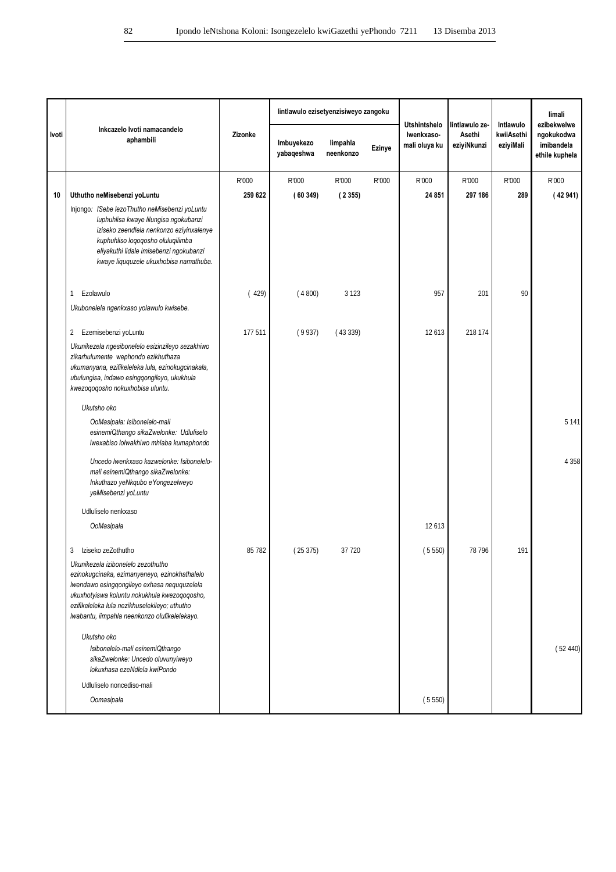|       |                                                                                                                                                                                                                                                                                      |         | lintlawulo ezisetyenzisiweyo zangoku |                       |        |                                                    |                                         |                                      | limali                                                    |
|-------|--------------------------------------------------------------------------------------------------------------------------------------------------------------------------------------------------------------------------------------------------------------------------------------|---------|--------------------------------------|-----------------------|--------|----------------------------------------------------|-----------------------------------------|--------------------------------------|-----------------------------------------------------------|
| Ivoti | Inkcazelo Ivoti namacandelo<br>aphambili                                                                                                                                                                                                                                             | Zizonke | Imbuyekezo<br>yabaqeshwa             | limpahla<br>neenkonzo | Ezinye | <b>Utshintshelo</b><br>Iwenkxaso-<br>mali oluya ku | lintlawulo ze-<br>Asethi<br>eziyiNkunzi | Intlawulo<br>kwiiAsethi<br>eziyiMali | ezibekwelwe<br>ngokukodwa<br>imibandela<br>ethile kuphela |
|       |                                                                                                                                                                                                                                                                                      | R'000   | R'000                                | R'000                 | R'000  | R'000                                              | R'000                                   | R'000                                | R'000                                                     |
| 10    | Uthutho neMisebenzi yoLuntu                                                                                                                                                                                                                                                          | 259 622 | (60349)                              | (2355)                |        | 24 851                                             | 297 186                                 | 289                                  | (42941)                                                   |
|       | Injongo: ISebe lezoThutho neMisebenzi yoLuntu<br>luphuhlisa kwaye lilungisa ngokubanzi<br>iziseko zeendlela nenkonzo eziyinxalenye<br>kuphuhliso loqoqosho oluluqilimba<br>eliyakuthi lidale imisebenzi ngokubanzi<br>kwaye liququzele ukuxhobisa namathuba.                         |         |                                      |                       |        |                                                    |                                         |                                      |                                                           |
|       | Ezolawulo<br>1<br>Ukubonelela ngenkxaso yolawulo kwisebe.                                                                                                                                                                                                                            | (429)   | (4800)                               | 3 1 2 3               |        | 957                                                | 201                                     | 90                                   |                                                           |
|       |                                                                                                                                                                                                                                                                                      |         |                                      |                       |        |                                                    |                                         |                                      |                                                           |
|       | Ezemisebenzi yoLuntu<br>2                                                                                                                                                                                                                                                            | 177 511 | (9937)                               | (43339)               |        | 12613                                              | 218 174                                 |                                      |                                                           |
|       | Ukunikezela ngesibonelelo esizinzileyo sezakhiwo<br>zikarhulumente wephondo ezikhuthaza<br>ukumanyana, ezifikeleleka lula, ezinokugcinakala,<br>ubulungisa, indawo esingqongileyo, ukukhula<br>kwezoqoqosho nokuxhobisa uluntu.                                                      |         |                                      |                       |        |                                                    |                                         |                                      |                                                           |
|       | Ukutsho oko                                                                                                                                                                                                                                                                          |         |                                      |                       |        |                                                    |                                         |                                      |                                                           |
|       | OoMasipala: Isibonelelo-mali<br>esinemiQthango sikaZwelonke: Udluliselo<br>lwexabiso lolwakhiwo mhlaba kumaphondo                                                                                                                                                                    |         |                                      |                       |        |                                                    |                                         |                                      | 5 1 4 1                                                   |
|       | Uncedo lwenkxaso kazwelonke: Isibonelelo-<br>mali esinemiQthango sikaZwelonke:<br>Inkuthazo yeNkqubo eYongezelweyo<br>yeMisebenzi yoLuntu                                                                                                                                            |         |                                      |                       |        |                                                    |                                         |                                      | 4 3 5 8                                                   |
|       | Udluliselo nenkxaso                                                                                                                                                                                                                                                                  |         |                                      |                       |        |                                                    |                                         |                                      |                                                           |
|       | OoMasipala                                                                                                                                                                                                                                                                           |         |                                      |                       |        | 12613                                              |                                         |                                      |                                                           |
|       | Iziseko zeZothutho<br>3                                                                                                                                                                                                                                                              | 85 782  | (25375)                              | 37 7 20               |        | (5550)                                             | 78 796                                  | 191                                  |                                                           |
|       | Ukunikezela izibonelelo zezothutho<br>ezinokugcinaka, ezimanyeneyo, ezinokhathalelo<br>Iwendawo esingqongileyo exhasa neququzelela<br>ukuxhotyiswa koluntu nokukhula kwezoqoqosho,<br>ezifikeleleka lula nezikhuselekileyo; uthutho<br>Iwabantu, iimpahla neenkonzo olufikelelekayo. |         |                                      |                       |        |                                                    |                                         |                                      |                                                           |
|       | Ukutsho oko<br>Isibonelelo-mali esinemiQthango<br>sikaZwelonke: Uncedo oluvunyiweyo<br>lokuxhasa ezeNdlela kwiPondo                                                                                                                                                                  |         |                                      |                       |        |                                                    |                                         |                                      | (52440)                                                   |
|       | Udluliselo noncediso-mali                                                                                                                                                                                                                                                            |         |                                      |                       |        |                                                    |                                         |                                      |                                                           |
|       | Oomasipala                                                                                                                                                                                                                                                                           |         |                                      |                       |        | (5550)                                             |                                         |                                      |                                                           |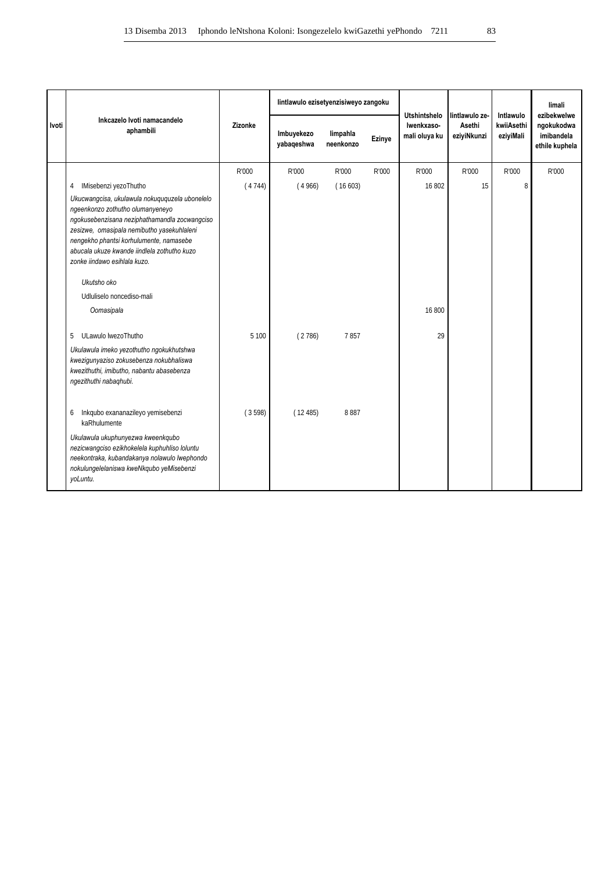|       |                                                                                                                                                                                                                                                                                                             |         | lintlawulo ezisetyenzisiweyo zangoku |                       |        |                                                    | lintlawulo ze-        | Intlawulo               | limali<br>ezibekwelwe                      |
|-------|-------------------------------------------------------------------------------------------------------------------------------------------------------------------------------------------------------------------------------------------------------------------------------------------------------------|---------|--------------------------------------|-----------------------|--------|----------------------------------------------------|-----------------------|-------------------------|--------------------------------------------|
| Ivoti | Inkcazelo Ivoti namacandelo<br>aphambili                                                                                                                                                                                                                                                                    | Zizonke | Imbuyekezo<br>yabaqeshwa             | limpahla<br>neenkonzo | Ezinye | <b>Utshintshelo</b><br>Iwenkxaso-<br>mali oluya ku | Asethi<br>eziyiNkunzi | kwiiAsethi<br>eziyiMali | ngokukodwa<br>imibandela<br>ethile kuphela |
|       |                                                                                                                                                                                                                                                                                                             | R'000   | R'000                                | R'000                 | R'000  | R'000                                              | R'000                 | R'000                   | R'000                                      |
|       | IMisebenzi yezoThutho<br>4                                                                                                                                                                                                                                                                                  | (4744)  | (4966)                               | (16603)               |        | 16 802                                             | 15                    | 8                       |                                            |
|       | Ukucwangcisa, ukulawula nokuguguzela ubonelelo<br>ngeenkonzo zothutho olumanyeneyo<br>ngokusebenzisana neziphathamandla zocwangciso<br>zesizwe, omasipala nemibutho yasekuhlaleni<br>nengekho phantsi korhulumente, namasebe<br>abucala ukuze kwande iindlela zothutho kuzo<br>zonke iindawo esihlala kuzo. |         |                                      |                       |        |                                                    |                       |                         |                                            |
|       | Ukutsho oko                                                                                                                                                                                                                                                                                                 |         |                                      |                       |        |                                                    |                       |                         |                                            |
|       | Udluliselo noncediso-mali                                                                                                                                                                                                                                                                                   |         |                                      |                       |        |                                                    |                       |                         |                                            |
|       | Oomasipala                                                                                                                                                                                                                                                                                                  |         |                                      |                       |        | 16 800                                             |                       |                         |                                            |
|       | ULawulo lwezoThutho<br>5                                                                                                                                                                                                                                                                                    | 5 100   | (2786)                               | 7857                  |        | 29                                                 |                       |                         |                                            |
|       | Ukulawula imeko yezothutho ngokukhutshwa<br>kwezigunyaziso zokusebenza nokubhaliswa<br>kwezithuthi, imibutho, nabantu abasebenza<br>ngezithuthi nabaqhubi.                                                                                                                                                  |         |                                      |                       |        |                                                    |                       |                         |                                            |
|       | Inkqubo exananazileyo yemisebenzi<br>6<br>kaRhulumente                                                                                                                                                                                                                                                      | (3598)  | (12485)                              | 8887                  |        |                                                    |                       |                         |                                            |
|       | Ukulawula ukuphunyezwa kweenkqubo<br>nezicwangciso ezikhokelela kuphuhliso loluntu<br>neekontraka, kubandakanya nolawulo lwephondo<br>nokulungelelaniswa kweNkqubo yeMisebenzi<br>yoLuntu.                                                                                                                  |         |                                      |                       |        |                                                    |                       |                         |                                            |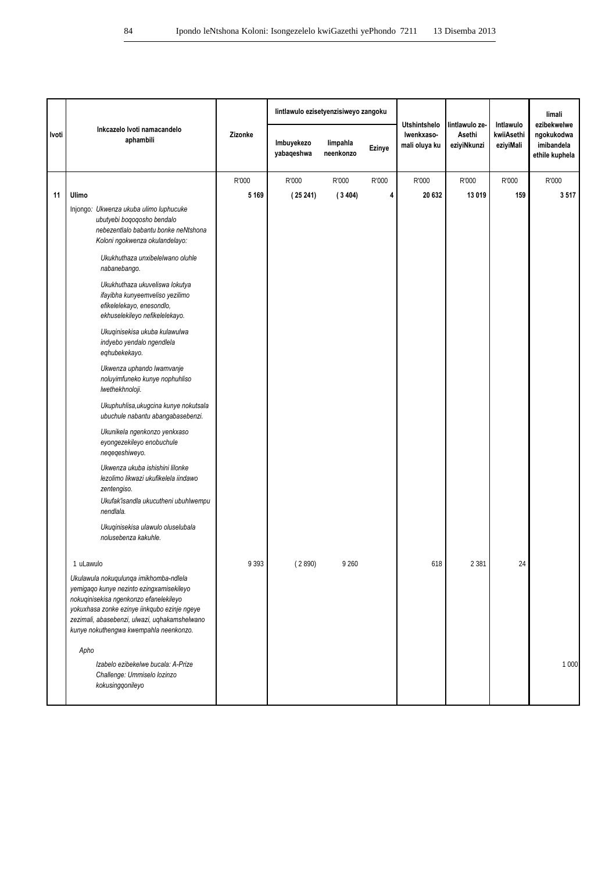|       |                                                                                                                                                                                                                                                                         |         | lintlawulo ezisetyenzisiweyo zangoku |                       |        |                                                    |                                         |                                      | limali                                                    |
|-------|-------------------------------------------------------------------------------------------------------------------------------------------------------------------------------------------------------------------------------------------------------------------------|---------|--------------------------------------|-----------------------|--------|----------------------------------------------------|-----------------------------------------|--------------------------------------|-----------------------------------------------------------|
| Ivoti | Inkcazelo Ivoti namacandelo<br>aphambili                                                                                                                                                                                                                                | Zizonke | Imbuyekezo<br>yabaqeshwa             | limpahla<br>neenkonzo | Ezinye | <b>Utshintshelo</b><br>Iwenkxaso-<br>mali oluya ku | lintlawulo ze-<br>Asethi<br>eziyiNkunzi | Intlawulo<br>kwiiAsethi<br>eziyiMali | ezibekwelwe<br>ngokukodwa<br>imibandela<br>ethile kuphela |
|       |                                                                                                                                                                                                                                                                         | R'000   | R'000                                | R'000                 | R'000  | R'000                                              | R'000                                   | R'000                                | R'000                                                     |
| 11    | Ulimo                                                                                                                                                                                                                                                                   | 5 1 6 9 | (25241)                              | (3404)                | 4      | 20 632                                             | 13 019                                  | 159                                  | 3517                                                      |
|       | Injongo: Ukwenza ukuba ulimo luphucuke<br>ubutyebi boqoqosho bendalo<br>nebezentlalo babantu bonke neNtshona<br>Koloni ngokwenza okulandelayo:                                                                                                                          |         |                                      |                       |        |                                                    |                                         |                                      |                                                           |
|       | Ukukhuthaza unxibelelwano oluhle<br>nabanebango.                                                                                                                                                                                                                        |         |                                      |                       |        |                                                    |                                         |                                      |                                                           |
|       | Ukukhuthaza ukuveliswa lokutya<br>ifayibha kunyeemveliso yezilimo<br>efikelelekayo, enesondlo,<br>ekhuselekileyo nefikelelekayo.                                                                                                                                        |         |                                      |                       |        |                                                    |                                         |                                      |                                                           |
|       | Ukuqinisekisa ukuba kulawulwa<br>indyebo yendalo ngendlela<br>eqhubekekayo.                                                                                                                                                                                             |         |                                      |                       |        |                                                    |                                         |                                      |                                                           |
|       | Ukwenza uphando lwamvanje<br>noluyimfuneko kunye nophuhliso<br>Iwethekhnoloji.                                                                                                                                                                                          |         |                                      |                       |        |                                                    |                                         |                                      |                                                           |
|       | Ukuphuhlisa, ukugcina kunye nokutsala<br>ubuchule nabantu abangabasebenzi.                                                                                                                                                                                              |         |                                      |                       |        |                                                    |                                         |                                      |                                                           |
|       | Ukunikela ngenkonzo yenkxaso<br>eyongezekileyo enobuchule<br>neqeqeshiweyo.                                                                                                                                                                                             |         |                                      |                       |        |                                                    |                                         |                                      |                                                           |
|       | Ukwenza ukuba ishishini lilonke<br>lezolimo likwazi ukufikelela iindawo<br>zentengiso.<br>Ukufak'isandla ukucutheni ubuhlwempu                                                                                                                                          |         |                                      |                       |        |                                                    |                                         |                                      |                                                           |
|       | nendlala.<br>Ukuqinisekisa ulawulo oluselubala<br>nolusebenza kakuhle.                                                                                                                                                                                                  |         |                                      |                       |        |                                                    |                                         |                                      |                                                           |
|       | 1 uLawulo                                                                                                                                                                                                                                                               | 9 3 9 3 | (2890)                               | 9 2 6 0               |        | 618                                                | 2 3 8 1                                 | 24                                   |                                                           |
|       | Ukulawula nokuqulunga imikhomba-ndlela<br>yemigaqo kunye nezinto ezingxamisekileyo<br>nokuqinisekisa ngenkonzo efanelekileyo<br>yokuxhasa zonke ezinye iinkqubo ezinje ngeye<br>zezimali, abasebenzi, ulwazi, uqhakamshelwano<br>kunye nokuthengwa kwempahla neenkonzo. |         |                                      |                       |        |                                                    |                                         |                                      |                                                           |
|       | Apho<br>Izabelo ezibekelwe bucala: A-Prize<br>Challenge: Ummiselo lozinzo<br>kokusingqonileyo                                                                                                                                                                           |         |                                      |                       |        |                                                    |                                         |                                      | 1 000                                                     |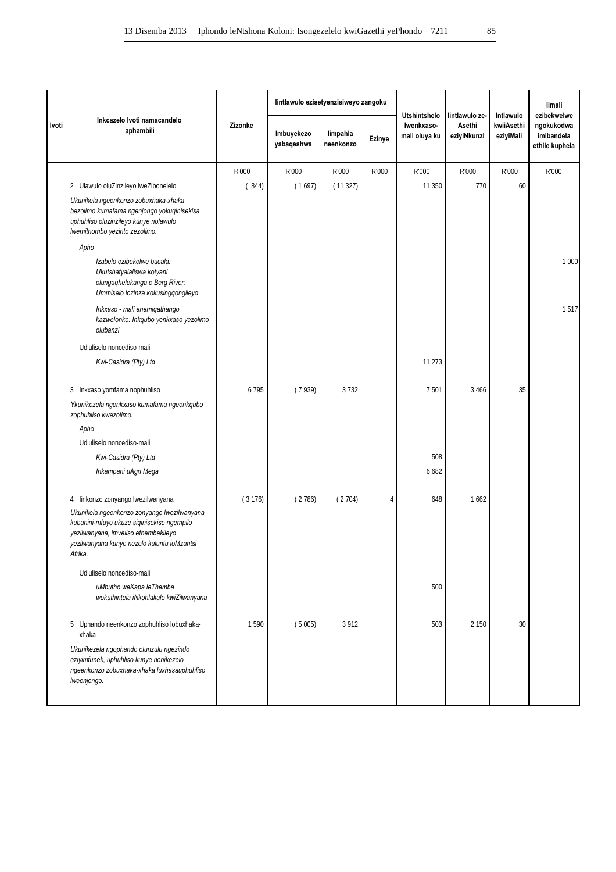|       |                                                                                                                                                                                             |         |                          | lintlawulo ezisetyenzisiweyo zangoku |        | <b>Utshintshelo</b>         | lintlawulo ze-        | Intlawulo               | limali<br>ezibekwelwe                      |
|-------|---------------------------------------------------------------------------------------------------------------------------------------------------------------------------------------------|---------|--------------------------|--------------------------------------|--------|-----------------------------|-----------------------|-------------------------|--------------------------------------------|
| Ivoti | Inkcazelo Ivoti namacandelo<br>aphambili                                                                                                                                                    | Zizonke | Imbuyekezo<br>yabaqeshwa | limpahla<br>neenkonzo                | Ezinye | Iwenkxaso-<br>mali oluya ku | Asethi<br>eziyiNkunzi | kwiiAsethi<br>eziyiMali | ngokukodwa<br>imibandela<br>ethile kuphela |
|       |                                                                                                                                                                                             | R'000   | R'000                    | R'000                                | R'000  | R'000                       | R'000                 | R'000                   | R'000                                      |
|       | 2 Ulawulo oluZinzileyo lweZibonelelo                                                                                                                                                        | (844)   | (1697)                   | (11327)                              |        | 11 350                      | 770                   | 60                      |                                            |
|       | Ukunikela ngeenkonzo zobuxhaka-xhaka<br>bezolimo kumafama ngenjongo yokuqinisekisa<br>uphuhliso oluzinzileyo kunye nolawulo<br>Iwemithombo yezinto zezolimo.                                |         |                          |                                      |        |                             |                       |                         |                                            |
|       | Apho                                                                                                                                                                                        |         |                          |                                      |        |                             |                       |                         |                                            |
|       | Izabelo ezibekelwe bucala:<br>Ukutshatyalaliswa kotyani<br>olungaqhelekanga e Berg River:<br>Ummiselo lozinza kokusingqongileyo                                                             |         |                          |                                      |        |                             |                       |                         | 1 000                                      |
|       | Inkxaso - mali enemiqathango<br>kazwelonke: Inkqubo yenkxaso yezolimo<br>olubanzi                                                                                                           |         |                          |                                      |        |                             |                       |                         | 1517                                       |
|       | Udluliselo noncediso-mali                                                                                                                                                                   |         |                          |                                      |        |                             |                       |                         |                                            |
|       | Kwi-Casidra (Pty) Ltd                                                                                                                                                                       |         |                          |                                      |        | 11 273                      |                       |                         |                                            |
|       | 3 Inkxaso yomfama nophuhliso                                                                                                                                                                | 6795    | (7939)                   | 3732                                 |        | 7501                        | 3 4 6 6               | 35                      |                                            |
|       | Ykunikezela ngenkxaso kumafama ngeenkqubo<br>zophuhliso kwezolimo.                                                                                                                          |         |                          |                                      |        |                             |                       |                         |                                            |
|       | Apho                                                                                                                                                                                        |         |                          |                                      |        |                             |                       |                         |                                            |
|       | Udluliselo noncediso-mali                                                                                                                                                                   |         |                          |                                      |        |                             |                       |                         |                                            |
|       | Kwi-Casidra (Pty) Ltd                                                                                                                                                                       |         |                          |                                      |        | 508                         |                       |                         |                                            |
|       | Inkampani uAgri Mega                                                                                                                                                                        |         |                          |                                      |        | 6 6 8 2                     |                       |                         |                                            |
|       | 4 linkonzo zonyango lwezilwanyana                                                                                                                                                           | (3176)  | (2786)                   | (2704)                               | 4      | 648                         | 1662                  |                         |                                            |
|       | Ukunikela ngeenkonzo zonyango lwezilwanyana<br>kubanini-mfuyo ukuze siqinisekise ngempilo<br>yezilwanyana, imveliso ethembekileyo<br>yezilwanyana kunye nezolo kuluntu loMzantsi<br>Afrika. |         |                          |                                      |        |                             |                       |                         |                                            |
|       | Udluliselo noncediso-mali                                                                                                                                                                   |         |                          |                                      |        |                             |                       |                         |                                            |
|       | uMbutho weKapa leThemba<br>wokuthintela iNkohlakalo kwiZilwanyana                                                                                                                           |         |                          |                                      |        | 500                         |                       |                         |                                            |
|       | 5 Uphando neenkonzo zophuhliso lobuxhaka-<br>xhaka                                                                                                                                          | 1590    | (5005)                   | 3 9 1 2                              |        | 503                         | 2 150                 | 30                      |                                            |
|       | Ukunikezela ngophando olunzulu ngezindo<br>eziyimfunek, uphuhliso kunye nonikezelo<br>ngeenkonzo zobuxhaka-xhaka luxhasauphuhliso<br>Iweenjongo.                                            |         |                          |                                      |        |                             |                       |                         |                                            |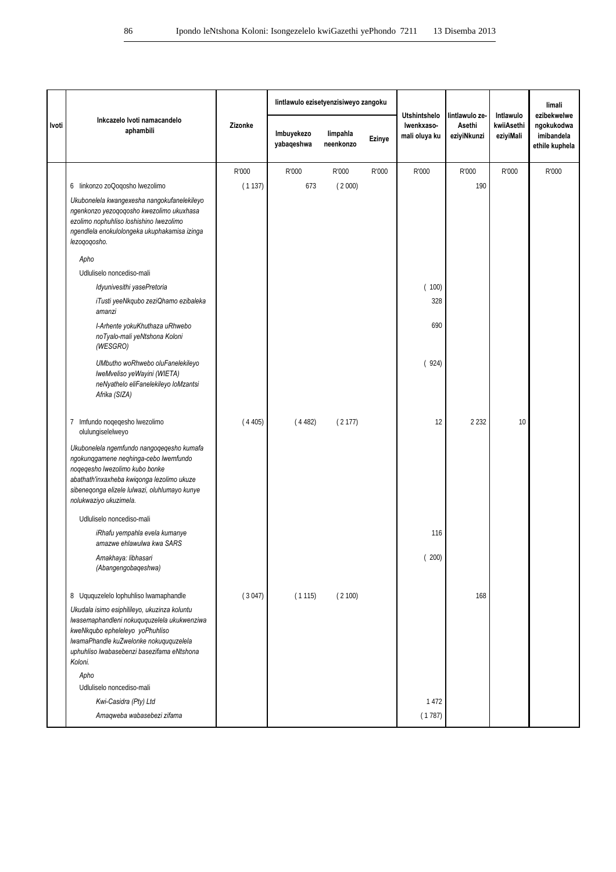|       |                                                                                                                                                                                                                                               |         | lintlawulo ezisetyenzisiweyo zangoku |                       |        |                                                    |                                         |                                      | limali                                                    |
|-------|-----------------------------------------------------------------------------------------------------------------------------------------------------------------------------------------------------------------------------------------------|---------|--------------------------------------|-----------------------|--------|----------------------------------------------------|-----------------------------------------|--------------------------------------|-----------------------------------------------------------|
| Ivoti | Inkcazelo Ivoti namacandelo<br>aphambili                                                                                                                                                                                                      | Zizonke | Imbuyekezo<br>yabaqeshwa             | limpahla<br>neenkonzo | Ezinye | <b>Utshintshelo</b><br>Iwenkxaso-<br>mali oluya ku | lintlawulo ze-<br>Asethi<br>eziyiNkunzi | Intlawulo<br>kwiiAsethi<br>eziyiMali | ezibekwelwe<br>ngokukodwa<br>imibandela<br>ethile kuphela |
|       |                                                                                                                                                                                                                                               | R'000   | R'000                                | R'000                 | R'000  | R'000                                              | R'000                                   | R'000                                | R'000                                                     |
|       | 6 linkonzo zoQoqosho lwezolimo                                                                                                                                                                                                                | (1137)  | 673                                  | (2000)                |        |                                                    | 190                                     |                                      |                                                           |
|       | Ukubonelela kwangexesha nangokufanelekileyo<br>ngenkonzo yezoqoqosho kwezolimo ukuxhasa<br>ezolimo nophuhliso loshishino Iwezolimo<br>ngendlela enokulolongeka ukuphakamisa izinga<br>lezoqoqosho.                                            |         |                                      |                       |        |                                                    |                                         |                                      |                                                           |
|       | Apho                                                                                                                                                                                                                                          |         |                                      |                       |        |                                                    |                                         |                                      |                                                           |
|       | Udluliselo noncediso-mali                                                                                                                                                                                                                     |         |                                      |                       |        |                                                    |                                         |                                      |                                                           |
|       | Idyunivesithi yasePretoria                                                                                                                                                                                                                    |         |                                      |                       |        | (100)                                              |                                         |                                      |                                                           |
|       | iTusti yeeNkqubo zeziQhamo ezibaleka<br>amanzi                                                                                                                                                                                                |         |                                      |                       |        | 328                                                |                                         |                                      |                                                           |
|       | I-Arhente yokuKhuthaza uRhwebo<br>noTyalo-mali yeNtshona Koloni<br>(WESGRO)                                                                                                                                                                   |         |                                      |                       |        | 690                                                |                                         |                                      |                                                           |
|       | UMbutho woRhwebo oluFanelekileyo<br>IweMveliso yeWayini (WIETA)<br>neNyathelo eliFanelekileyo loMzantsi<br>Afrika (SIZA)                                                                                                                      |         |                                      |                       |        | (924)                                              |                                         |                                      |                                                           |
|       | Imfundo noqeqesho lwezolimo<br>7<br>olulungiselelweyo                                                                                                                                                                                         | (4405)  | (4482)                               | (2177)                |        | 12                                                 | 2 2 3 2                                 | 10                                   |                                                           |
|       | Ukubonelela ngemfundo nangoqeqesho kumafa<br>ngokunqgamene neqhinga-cebo lwemfundo<br>noqeqesho lwezolimo kubo bonke<br>abathath'inxaxheba kwiqonga lezolimo ukuze<br>sibeneqonga elizele lulwazi, oluhlumayo kunye<br>nolukwaziyo ukuzimela. |         |                                      |                       |        |                                                    |                                         |                                      |                                                           |
|       | Udluliselo noncediso-mali                                                                                                                                                                                                                     |         |                                      |                       |        |                                                    |                                         |                                      |                                                           |
|       | iRhafu yempahla evela kumanye<br>amazwe ehlawulwa kwa SARS                                                                                                                                                                                    |         |                                      |                       |        | 116                                                |                                         |                                      |                                                           |
|       | Amakhaya: libhasari<br>(Abangengobaqeshwa)                                                                                                                                                                                                    |         |                                      |                       |        | (200)                                              |                                         |                                      |                                                           |
|       | 8 Uququzelelo lophuhliso lwamaphandle                                                                                                                                                                                                         | (3047)  | (1115)                               | (2100)                |        |                                                    | 168                                     |                                      |                                                           |
|       | Ukudala isimo esiphilileyo, ukuzinza koluntu<br>lwasemaphandleni nokuququzelela ukukwenziwa<br>kweNkqubo epheleleyo yoPhuhliso<br>IwamaPhandle kuZwelonke nokuququzelela<br>uphuhliso lwabasebenzi basezifama eNtshona<br>Koloni.             |         |                                      |                       |        |                                                    |                                         |                                      |                                                           |
|       | Apho                                                                                                                                                                                                                                          |         |                                      |                       |        |                                                    |                                         |                                      |                                                           |
|       | Udluliselo noncediso-mali<br>Kwi-Casidra (Pty) Ltd                                                                                                                                                                                            |         |                                      |                       |        | 1 4 7 2                                            |                                         |                                      |                                                           |
|       | Amaqweba wabasebezi zifama                                                                                                                                                                                                                    |         |                                      |                       |        | (1787)                                             |                                         |                                      |                                                           |
|       |                                                                                                                                                                                                                                               |         |                                      |                       |        |                                                    |                                         |                                      |                                                           |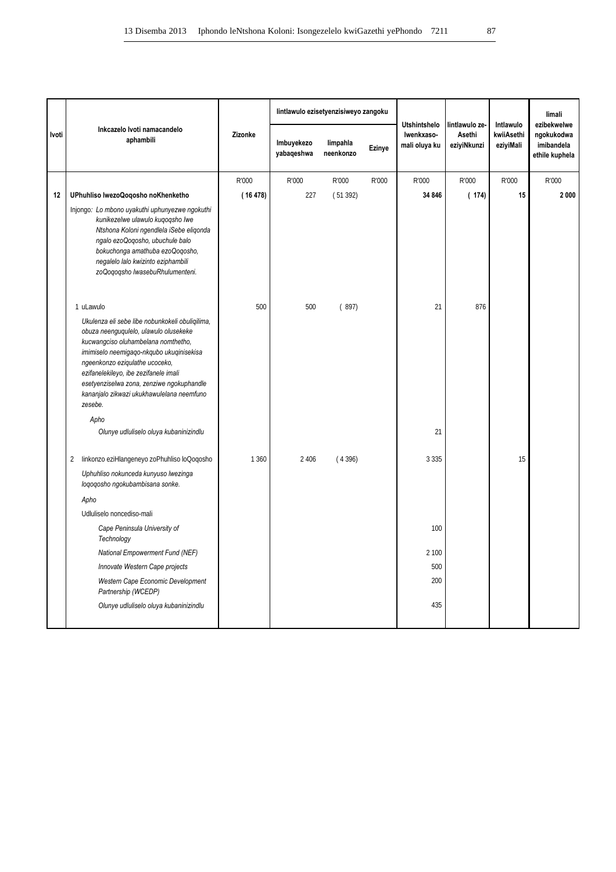|       | Inkcazelo Ivoti namacandelo<br>aphambili                                                                                                                                                                                                                                                                                                                                                                      |         | lintlawulo ezisetyenzisiweyo zangoku | Utshintshelo          | lintlawulo ze- | Intlawulo                   | limali<br>ezibekwelwe |                         |                                            |
|-------|---------------------------------------------------------------------------------------------------------------------------------------------------------------------------------------------------------------------------------------------------------------------------------------------------------------------------------------------------------------------------------------------------------------|---------|--------------------------------------|-----------------------|----------------|-----------------------------|-----------------------|-------------------------|--------------------------------------------|
| Ivoti |                                                                                                                                                                                                                                                                                                                                                                                                               | Zizonke | Imbuyekezo<br>yabaqeshwa             | limpahla<br>neenkonzo | <b>Ezinye</b>  | Iwenkxaso-<br>mali oluya ku | Asethi<br>eziyiNkunzi | kwiiAsethi<br>eziyiMali | ngokukodwa<br>imibandela<br>ethile kuphela |
|       |                                                                                                                                                                                                                                                                                                                                                                                                               | R'000   | R'000                                | R'000                 | R'000          | R'000                       | R'000                 | R'000                   | R'000                                      |
| 12    | UPhuhliso IwezoQoqosho noKhenketho                                                                                                                                                                                                                                                                                                                                                                            | (16478) | 227                                  | (51392)               |                | 34 846                      | (174)                 | 15                      | 2 000                                      |
|       | Injongo: Lo mbono uyakuthi uphunyezwe ngokuthi<br>kunikezelwe ulawulo kuqoqsho lwe<br>Ntshona Koloni ngendlela iSebe eligonda<br>ngalo ezoQoqosho, ubuchule balo<br>bokuchonga amathuba ezoQoqosho,<br>negalelo lalo kwizinto eziphambili<br>zoQoqoqsho lwasebuRhulumenteni.                                                                                                                                  |         |                                      |                       |                |                             |                       |                         |                                            |
|       | 1 uLawulo                                                                                                                                                                                                                                                                                                                                                                                                     | 500     | 500                                  | (897)                 |                | 21                          | 876                   |                         |                                            |
|       | Ukulenza eli sebe libe nobunkokeli obuliqilima,<br>obuza neenguqulelo, ulawulo olusekeke<br>kucwangciso oluhambelana nomthetho,<br>imimiselo neemigago-nkqubo ukuqinisekisa<br>ngeenkonzo eziqulathe ucoceko,<br>ezifanelekileyo, ibe zezifanele imali<br>esetyenziselwa zona, zenziwe ngokuphandle<br>kananjalo zikwazi ukukhawulelana neemfuno<br>zesebe.<br>Apho<br>Olunye udluliselo oluya kubaninizindlu |         |                                      |                       |                | 21                          |                       |                         |                                            |
|       | linkonzo eziHlangeneyo zoPhuhliso loQoqosho<br>2                                                                                                                                                                                                                                                                                                                                                              | 1 3 6 0 | 2 4 0 6                              | (4396)                |                | 3 3 3 5                     |                       | 15                      |                                            |
|       | Uphuhliso nokunceda kunyuso lwezinga<br>loqoqosho ngokubambisana sonke.                                                                                                                                                                                                                                                                                                                                       |         |                                      |                       |                |                             |                       |                         |                                            |
|       | Apho                                                                                                                                                                                                                                                                                                                                                                                                          |         |                                      |                       |                |                             |                       |                         |                                            |
|       | Udluliselo noncediso-mali                                                                                                                                                                                                                                                                                                                                                                                     |         |                                      |                       |                |                             |                       |                         |                                            |
|       | Cape Peninsula University of<br>Technology                                                                                                                                                                                                                                                                                                                                                                    |         |                                      |                       |                | 100                         |                       |                         |                                            |
|       | National Empowerment Fund (NEF)                                                                                                                                                                                                                                                                                                                                                                               |         |                                      |                       |                | 2 100                       |                       |                         |                                            |
|       | Innovate Western Cape projects                                                                                                                                                                                                                                                                                                                                                                                |         |                                      |                       |                | 500                         |                       |                         |                                            |
|       | Western Cape Economic Development<br>Partnership (WCEDP)                                                                                                                                                                                                                                                                                                                                                      |         |                                      |                       |                | 200                         |                       |                         |                                            |
|       | Olunye udluliselo oluya kubaninizindlu                                                                                                                                                                                                                                                                                                                                                                        |         |                                      |                       |                | 435                         |                       |                         |                                            |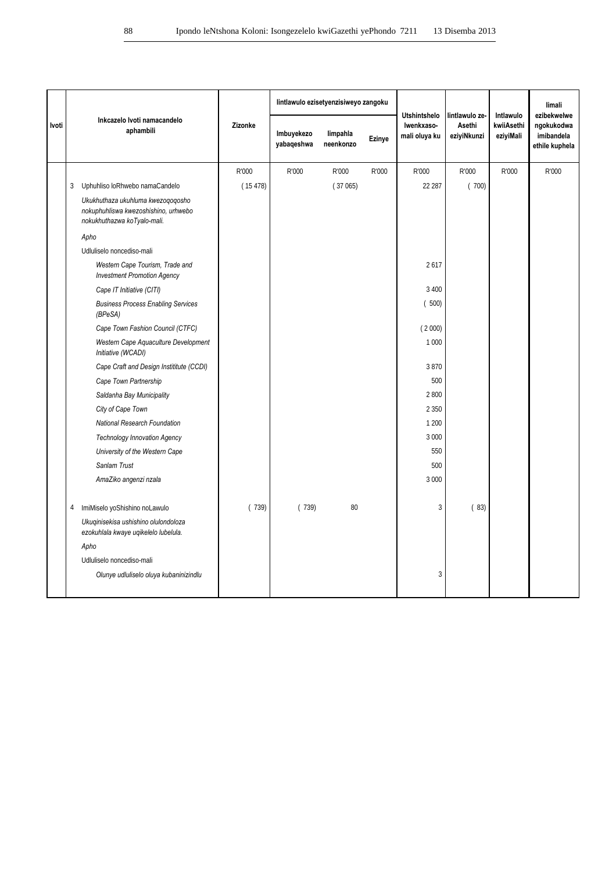|       |   | Inkcazelo Ivoti namacandelo<br>aphambili                                                                 |         |                          | lintlawulo ezisetyenzisiweyo zangoku |        |                                                    | lintlawulo ze-<br>Asethi<br>eziyiNkunzi | Intlawulo<br>kwiiAsethi<br>eziyiMali | limali                                                    |
|-------|---|----------------------------------------------------------------------------------------------------------|---------|--------------------------|--------------------------------------|--------|----------------------------------------------------|-----------------------------------------|--------------------------------------|-----------------------------------------------------------|
| Ivoti |   |                                                                                                          | Zizonke | Imbuyekezo<br>yabaqeshwa | limpahla<br>neenkonzo                | Ezinye | <b>Utshintshelo</b><br>Iwenkxaso-<br>mali oluya ku |                                         |                                      | ezibekwelwe<br>ngokukodwa<br>imibandela<br>ethile kuphela |
|       |   |                                                                                                          | R'000   | R'000                    | R'000                                | R'000  | R'000                                              | R'000                                   | R'000                                | R'000                                                     |
|       | 3 | Uphuhliso loRhwebo namaCandelo                                                                           | (15478) |                          | (37065)                              |        | 22 287                                             | (700)                                   |                                      |                                                           |
|       |   | Ukukhuthaza ukuhluma kwezoqoqosho<br>nokuphuhliswa kwezoshishino, urhwebo<br>nokukhuthazwa koTyalo-mali. |         |                          |                                      |        |                                                    |                                         |                                      |                                                           |
|       |   | Apho                                                                                                     |         |                          |                                      |        |                                                    |                                         |                                      |                                                           |
|       |   | Udluliselo noncediso-mali                                                                                |         |                          |                                      |        |                                                    |                                         |                                      |                                                           |
|       |   | Western Cape Tourism, Trade and<br><b>Investment Promotion Agency</b>                                    |         |                          |                                      |        | 2617                                               |                                         |                                      |                                                           |
|       |   | Cape IT Initiative (CITI)                                                                                |         |                          |                                      |        | 3 4 0 0                                            |                                         |                                      |                                                           |
|       |   | <b>Business Process Enabling Services</b><br>(BPeSA)                                                     |         |                          |                                      |        | (500)                                              |                                         |                                      |                                                           |
|       |   | Cape Town Fashion Council (CTFC)                                                                         |         |                          |                                      |        | (2000)                                             |                                         |                                      |                                                           |
|       |   | Western Cape Aquaculture Development<br>Initiative (WCADI)                                               |         |                          |                                      |        | 1 0 0 0                                            |                                         |                                      |                                                           |
|       |   | Cape Craft and Design Instititute (CCDI)                                                                 |         |                          |                                      |        | 3870                                               |                                         |                                      |                                                           |
|       |   | Cape Town Partnership                                                                                    |         |                          |                                      |        | 500                                                |                                         |                                      |                                                           |
|       |   | Saldanha Bay Municipality                                                                                |         |                          |                                      |        | 2800                                               |                                         |                                      |                                                           |
|       |   | City of Cape Town                                                                                        |         |                          |                                      |        | 2 3 5 0                                            |                                         |                                      |                                                           |
|       |   | National Research Foundation                                                                             |         |                          |                                      |        | 1 200                                              |                                         |                                      |                                                           |
|       |   | <b>Technology Innovation Agency</b>                                                                      |         |                          |                                      |        | 3 000                                              |                                         |                                      |                                                           |
|       |   | University of the Western Cape                                                                           |         |                          |                                      |        | 550                                                |                                         |                                      |                                                           |
|       |   | Sanlam Trust                                                                                             |         |                          |                                      |        | 500                                                |                                         |                                      |                                                           |
|       |   | AmaZiko angenzi nzala                                                                                    |         |                          |                                      |        | 3 0 0 0                                            |                                         |                                      |                                                           |
|       | 4 | ImiMiselo yoShishino noLawulo                                                                            | (739)   | (739)                    | 80                                   |        | 3                                                  | (83)                                    |                                      |                                                           |
|       |   | Ukuginisekisa ushishino olulondoloza<br>ezokuhlala kwaye uqikelelo lubelula.                             |         |                          |                                      |        |                                                    |                                         |                                      |                                                           |
|       |   | Apho                                                                                                     |         |                          |                                      |        |                                                    |                                         |                                      |                                                           |
|       |   | Udluliselo noncediso-mali                                                                                |         |                          |                                      |        |                                                    |                                         |                                      |                                                           |
|       |   | Olunye udluliselo oluya kubaninizindlu                                                                   |         |                          |                                      |        | 3                                                  |                                         |                                      |                                                           |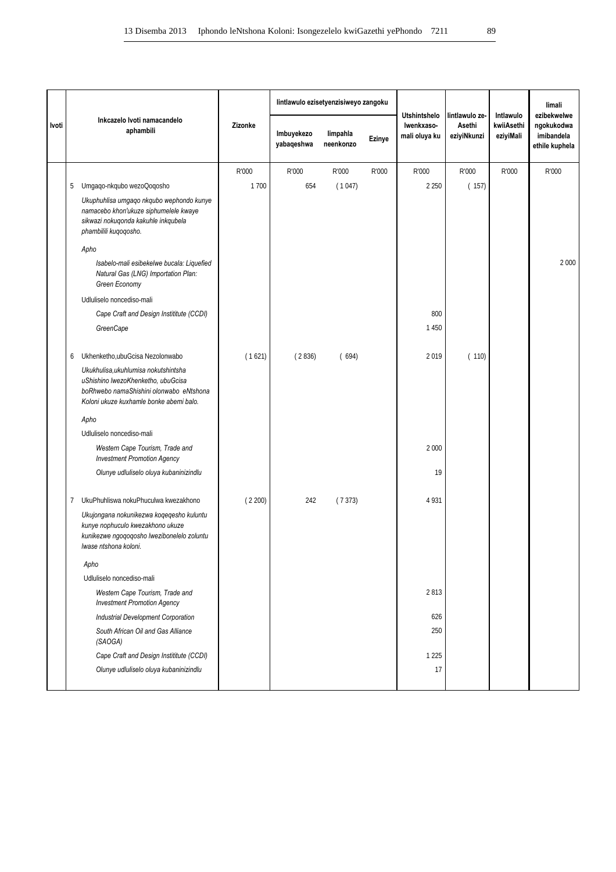|       |   |                                                                                                                                                                  |         |                          | lintlawulo ezisetyenzisiweyo zangoku |        | lintlawulo ze-                                     | Intlawulo             | limali<br>ezibekwelwe   |                                            |
|-------|---|------------------------------------------------------------------------------------------------------------------------------------------------------------------|---------|--------------------------|--------------------------------------|--------|----------------------------------------------------|-----------------------|-------------------------|--------------------------------------------|
| Ivoti |   | Inkcazelo Ivoti namacandelo<br>aphambili                                                                                                                         | Zizonke | Imbuyekezo<br>yabaqeshwa | limpahla<br>neenkonzo                | Ezinye | <b>Utshintshelo</b><br>Iwenkxaso-<br>mali oluya ku | Asethi<br>eziyiNkunzi | kwiiAsethi<br>eziyiMali | ngokukodwa<br>imibandela<br>ethile kuphela |
|       |   |                                                                                                                                                                  | R'000   | R'000                    | R'000                                | R'000  | R'000                                              | R'000                 | R'000                   | R'000                                      |
|       | 5 | Umgaqo-nkqubo wezoQoqosho                                                                                                                                        | 1700    | 654                      | (1047)                               |        | 2 2 5 0                                            | (157)                 |                         |                                            |
|       |   | Ukuphuhlisa umgaqo nkqubo wephondo kunye<br>namacebo khon'ukuze siphumelele kwaye<br>sikwazi nokuqonda kakuhle inkqubela<br>phambilili kuqoqosho.                |         |                          |                                      |        |                                                    |                       |                         |                                            |
|       |   | Apho                                                                                                                                                             |         |                          |                                      |        |                                                    |                       |                         |                                            |
|       |   | Isabelo-mali esibekelwe bucala: Liquefied<br>Natural Gas (LNG) Importation Plan:<br>Green Economy                                                                |         |                          |                                      |        |                                                    |                       |                         | 2 0 0 0                                    |
|       |   | Udluliselo noncediso-mali                                                                                                                                        |         |                          |                                      |        |                                                    |                       |                         |                                            |
|       |   | Cape Craft and Design Instititute (CCDI)                                                                                                                         |         |                          |                                      |        | 800                                                |                       |                         |                                            |
|       |   | GreenCape                                                                                                                                                        |         |                          |                                      |        | 1450                                               |                       |                         |                                            |
|       | 6 | Ukhenketho, ubuGcisa Nezolonwabo                                                                                                                                 | (1621)  | (2836)                   | (694)                                |        | 2019                                               | (110)                 |                         |                                            |
|       |   | Ukukhulisa, ukuhlumisa nokutshintsha<br>uShishino lwezoKhenketho, ubuGcisa<br>boRhwebo namaShishini olonwabo eNtshona<br>Koloni ukuze kuxhamle bonke abemi balo. |         |                          |                                      |        |                                                    |                       |                         |                                            |
|       |   | Apho                                                                                                                                                             |         |                          |                                      |        |                                                    |                       |                         |                                            |
|       |   | Udluliselo noncediso-mali                                                                                                                                        |         |                          |                                      |        |                                                    |                       |                         |                                            |
|       |   | Western Cape Tourism, Trade and<br><b>Investment Promotion Agency</b>                                                                                            |         |                          |                                      |        | 2 0 0 0                                            |                       |                         |                                            |
|       |   | Olunye udluliselo oluya kubaninizindlu                                                                                                                           |         |                          |                                      |        | 19                                                 |                       |                         |                                            |
|       | 7 | UkuPhuhliswa nokuPhuculwa kwezakhono                                                                                                                             | (2200)  | 242                      | (7373)                               |        | 4 9 3 1                                            |                       |                         |                                            |
|       |   | Ukujongana nokunikezwa koqeqesho kuluntu<br>kunye nophuculo kwezakhono ukuze<br>kunikezwe ngoqoqosho lwezibonelelo zoluntu<br>Iwase ntshona koloni.              |         |                          |                                      |        |                                                    |                       |                         |                                            |
|       |   | Apho                                                                                                                                                             |         |                          |                                      |        |                                                    |                       |                         |                                            |
|       |   | Udluliselo noncediso-mali                                                                                                                                        |         |                          |                                      |        |                                                    |                       |                         |                                            |
|       |   | Western Cape Tourism, Trade and<br><b>Investment Promotion Agency</b>                                                                                            |         |                          |                                      |        | 2813                                               |                       |                         |                                            |
|       |   | <b>Industrial Development Corporation</b>                                                                                                                        |         |                          |                                      |        | 626                                                |                       |                         |                                            |
|       |   | South African Oil and Gas Alliance<br>(SAOGA)                                                                                                                    |         |                          |                                      |        | 250                                                |                       |                         |                                            |
|       |   | Cape Craft and Design Instititute (CCDI)                                                                                                                         |         |                          |                                      |        | 1 2 2 5                                            |                       |                         |                                            |
|       |   | Olunye udluliselo oluya kubaninizindlu                                                                                                                           |         |                          |                                      |        | 17                                                 |                       |                         |                                            |
|       |   |                                                                                                                                                                  |         |                          |                                      |        |                                                    |                       |                         |                                            |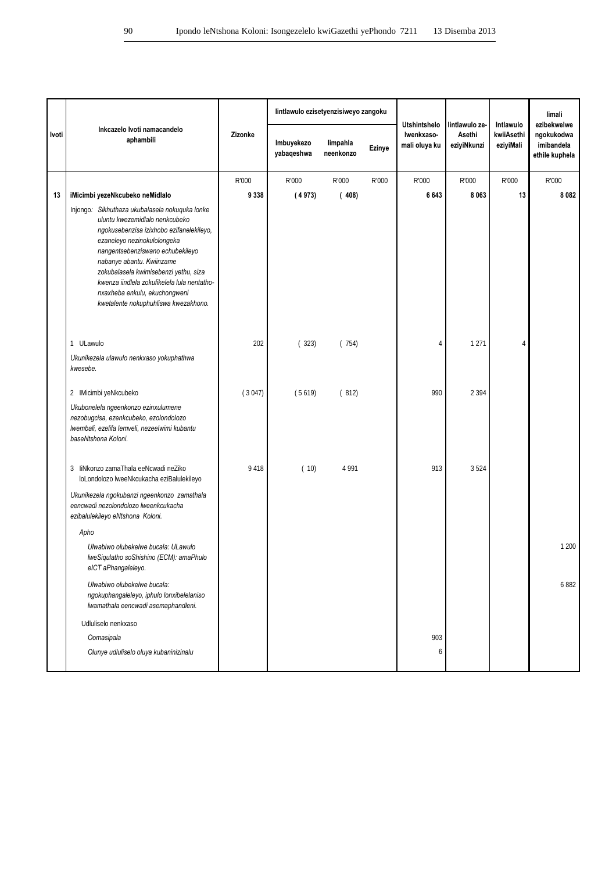|       |                                                                                                                                                                                                                                                                                                                                                                                               |         | lintlawulo ezisetyenzisiweyo zangoku | <b>Utshintshelo</b>   | lintlawulo ze- | Intlawulo                   | limali<br>ezibekwelwe |                         |                                            |
|-------|-----------------------------------------------------------------------------------------------------------------------------------------------------------------------------------------------------------------------------------------------------------------------------------------------------------------------------------------------------------------------------------------------|---------|--------------------------------------|-----------------------|----------------|-----------------------------|-----------------------|-------------------------|--------------------------------------------|
| Ivoti | Inkcazelo Ivoti namacandelo<br>aphambili                                                                                                                                                                                                                                                                                                                                                      | Zizonke | Imbuyekezo<br>yabaqeshwa             | limpahla<br>neenkonzo | Ezinye         | Iwenkxaso-<br>mali oluya ku | Asethi<br>eziyiNkunzi | kwiiAsethi<br>eziyiMali | ngokukodwa<br>imibandela<br>ethile kuphela |
|       |                                                                                                                                                                                                                                                                                                                                                                                               | R'000   | R'000                                | R'000                 | R'000          | R'000                       | R'000                 | R'000                   | R'000                                      |
| 13    | iMicimbi yezeNkcubeko neMidlalo                                                                                                                                                                                                                                                                                                                                                               | 9 3 3 8 | (4973)                               | (408)                 |                | 6643                        | 8 0 6 3               | 13                      | 8 0 8 2                                    |
|       | Injongo: Sikhuthaza ukubalasela nokuguka lonke<br>uluntu kwezemidlalo nenkcubeko<br>ngokusebenzisa izixhobo ezifanelekileyo,<br>ezaneleyo nezinokulolongeka<br>nangentsebenziswano echubekileyo<br>nabanye abantu. Kwiinzame<br>zokubalasela kwimisebenzi yethu, siza<br>kwenza iindlela zokufikelela lula nentatho-<br>nxaxheba enkulu, ekuchongweni<br>kwetalente nokuphuhliswa kwezakhono. |         |                                      |                       |                |                             |                       |                         |                                            |
|       | 1 ULawulo                                                                                                                                                                                                                                                                                                                                                                                     | 202     | (323)                                | (754)                 |                | $\overline{4}$              | 1 2 7 1               | 4                       |                                            |
|       | Ukunikezela ulawulo nenkxaso yokuphathwa<br>kwesebe.                                                                                                                                                                                                                                                                                                                                          |         |                                      |                       |                |                             |                       |                         |                                            |
|       | 2 IMicimbi yeNkcubeko                                                                                                                                                                                                                                                                                                                                                                         | (3047)  | (5619)                               | (812)                 |                | 990                         | 2 3 9 4               |                         |                                            |
|       | Ukubonelela ngeenkonzo ezinxulumene<br>nezobugcisa, ezenkcubeko, ezolondolozo<br>Iwembali, ezelifa lemveli, nezeelwimi kubantu<br>baseNtshona Koloni.                                                                                                                                                                                                                                         |         |                                      |                       |                |                             |                       |                         |                                            |
|       | liNkonzo zamaThala eeNcwadi neZiko<br>3<br>loLondolozo lweeNkcukacha eziBalulekileyo                                                                                                                                                                                                                                                                                                          | 9418    | (10)                                 | 4 9 9 1               |                | 913                         | 3524                  |                         |                                            |
|       | Ukunikezela ngokubanzi ngeenkonzo zamathala<br>eencwadi nezolondolozo lweenkcukacha<br>ezibalulekileyo eNtshona Koloni.                                                                                                                                                                                                                                                                       |         |                                      |                       |                |                             |                       |                         |                                            |
|       | Apho                                                                                                                                                                                                                                                                                                                                                                                          |         |                                      |                       |                |                             |                       |                         |                                            |
|       | Ulwabiwo olubekelwe bucala: ULawulo<br>IweSiqulatho soShishino (ECM): amaPhulo<br>eICT aPhangaleleyo.                                                                                                                                                                                                                                                                                         |         |                                      |                       |                |                             |                       |                         | 1 200                                      |
|       | Ulwabiwo olubekelwe bucala:<br>ngokuphangaleleyo, iphulo lonxibelelaniso<br>Iwamathala eencwadi asemaphandleni.                                                                                                                                                                                                                                                                               |         |                                      |                       |                |                             |                       |                         | 6882                                       |
|       | Udluliselo nenkxaso                                                                                                                                                                                                                                                                                                                                                                           |         |                                      |                       |                |                             |                       |                         |                                            |
|       | Oomasipala                                                                                                                                                                                                                                                                                                                                                                                    |         |                                      |                       |                | 903                         |                       |                         |                                            |
|       | Olunye udluliselo oluya kubaninizinalu                                                                                                                                                                                                                                                                                                                                                        |         |                                      |                       |                | 6                           |                       |                         |                                            |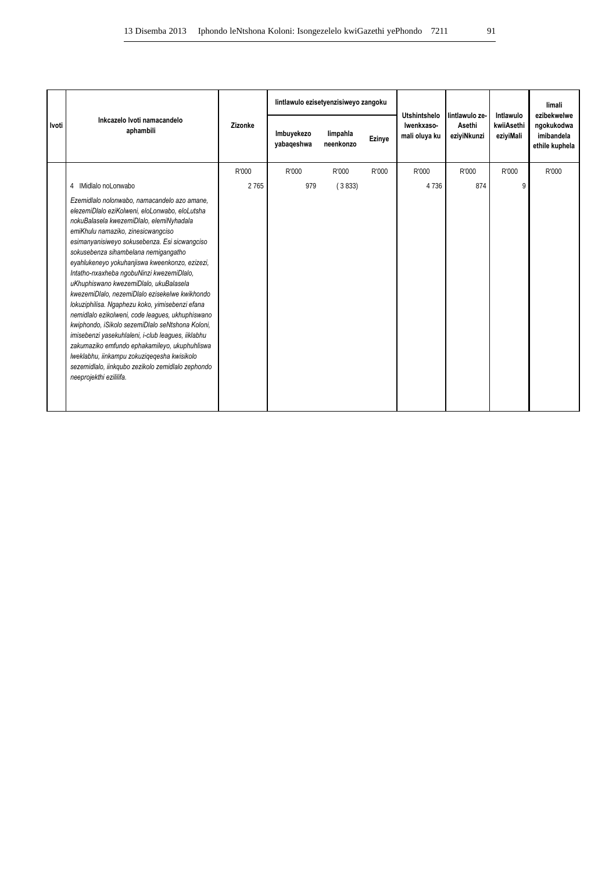|       |                                                                                                                                                                                                                                                                                                                                                                                                                                                                                                                                                                                                                                                                                                                                                                                                                                                                       |         | lintlawulo ezisetyenzisiweyo zangoku |                       |        | <b>Utshintshelo</b>         |                                         |                                      | limali<br>ezibekwelwe                      |
|-------|-----------------------------------------------------------------------------------------------------------------------------------------------------------------------------------------------------------------------------------------------------------------------------------------------------------------------------------------------------------------------------------------------------------------------------------------------------------------------------------------------------------------------------------------------------------------------------------------------------------------------------------------------------------------------------------------------------------------------------------------------------------------------------------------------------------------------------------------------------------------------|---------|--------------------------------------|-----------------------|--------|-----------------------------|-----------------------------------------|--------------------------------------|--------------------------------------------|
| Ivoti | Inkcazelo Ivoti namacandelo<br>aphambili                                                                                                                                                                                                                                                                                                                                                                                                                                                                                                                                                                                                                                                                                                                                                                                                                              | Zizonke | Imbuyekezo<br>yabaqeshwa             | limpahla<br>neenkonzo | Ezinye | Iwenkxaso-<br>mali oluya ku | lintlawulo ze-<br>Asethi<br>eziyiNkunzi | Intlawulo<br>kwiiAsethi<br>eziyiMali | ngokukodwa<br>imibandela<br>ethile kuphela |
|       |                                                                                                                                                                                                                                                                                                                                                                                                                                                                                                                                                                                                                                                                                                                                                                                                                                                                       | R'000   | R'000                                | R'000                 | R'000  | R'000                       | R'000                                   | R'000                                | R'000                                      |
|       | IMidlalo noLonwabo<br>4                                                                                                                                                                                                                                                                                                                                                                                                                                                                                                                                                                                                                                                                                                                                                                                                                                               | 2 7 6 5 | 979                                  | (3833)                |        | 4736                        | 874                                     | 9                                    |                                            |
|       | Ezemidlalo nolonwabo, namacandelo azo amane,<br>elezemiDlalo eziKolweni, eloLonwabo, eloLutsha<br>nokuBalasela kwezemiDlalo, elemiNyhadala<br>emiKhulu namaziko, zinesicwangciso<br>esimanyanisiweyo sokusebenza. Esi sicwangciso<br>sokusebenza sihambelana nemigangatho<br>eyahlukeneyo yokuhanjiswa kweenkonzo, ezizezi,<br>Intatho-nxaxheba ngobuNinzi kwezemiDlalo,<br>uKhuphiswano kwezemiDlalo, ukuBalasela<br>kwezemiDlalo, nezemiDlalo ezisekelwe kwikhondo<br>lokuziphilisa. Ngaphezu koko, yimisebenzi efana<br>nemidlalo ezikolweni, code leagues, ukhuphiswano<br>kwiphondo, iSikolo sezemiDlalo seNtshona Koloni,<br>imisebenzi yasekuhlaleni, i-club leagues, iiklabhu<br>zakumaziko emfundo ephakamileyo, ukuphuhliswa<br>lweklabhu, iinkampu zokuziqeqesha kwisikolo<br>sezemidlalo, iinkqubo zezikolo zemidlalo zephondo<br>neeprojekthi ezililifa. |         |                                      |                       |        |                             |                                         |                                      |                                            |